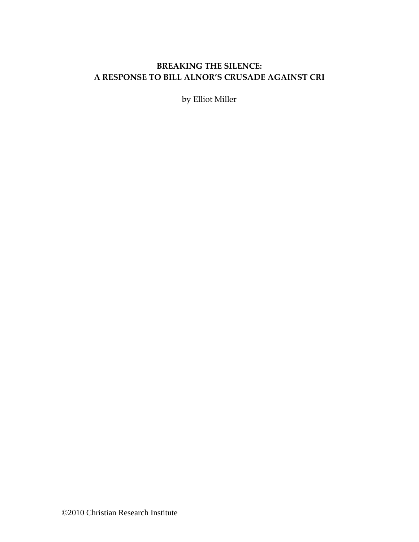# **BREAKING THE SILENCE: A RESPONSE TO BILL ALNOR'S CRUSADE AGAINST CRI**

by Elliot Miller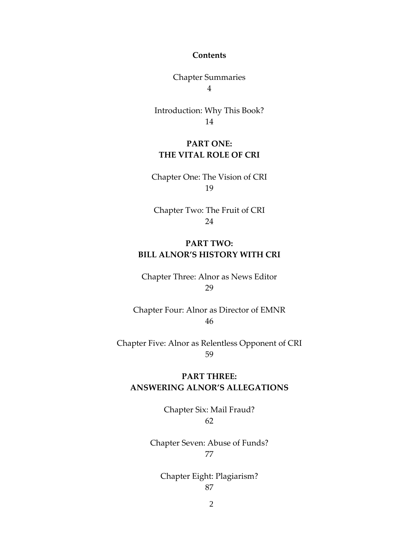#### **Contents**

Chapter Summaries 4

Introduction: Why This Book? 14

## **PART ONE: THE VITAL ROLE OF CRI**

Chapter One: The Vision of CRI 19

Chapter Two: The Fruit of CRI 24

## **PART TWO: BILL ALNOR'S HISTORY WITH CRI**

Chapter Three: Alnor as News Editor 29

Chapter Four: Alnor as Director of EMNR 46

Chapter Five: Alnor as Relentless Opponent of CRI 59

## **PART THREE: ANSWERING ALNOR'S ALLEGATIONS**

Chapter Six: Mail Fraud? 62

Chapter Seven: Abuse of Funds? 77

Chapter Eight: Plagiarism? 87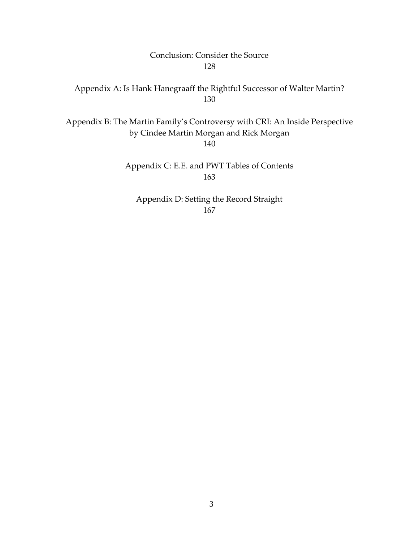## Conclusion: Consider the Source 128

## Appendix A: Is Hank Hanegraaff the Rightful Successor of Walter Martin? 130

Appendix B: The Martin Family's Controversy with CRI: An Inside Perspective by Cindee Martin Morgan and Rick Morgan

140

Appendix C: E.E. and PWT Tables of Contents 163

Appendix D: Setting the Record Straight 167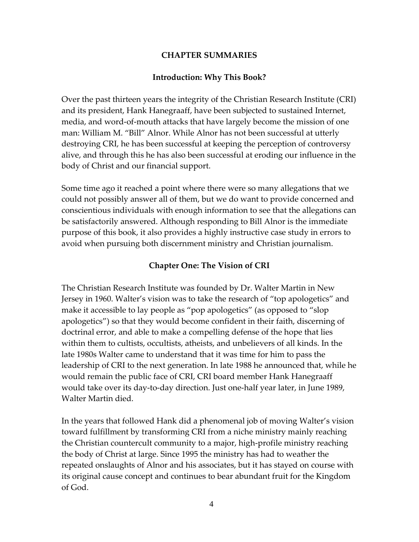## **CHAPTER SUMMARIES**

## **Introduction: Why This Book?**

Over the past thirteen years the integrity of the Christian Research Institute (CRI) and its president, Hank Hanegraaff, have been subjected to sustained Internet, media, and word-of-mouth attacks that have largely become the mission of one man: William M. "Bill" Alnor. While Alnor has not been successful at utterly destroying CRI, he has been successful at keeping the perception of controversy alive, and through this he has also been successful at eroding our influence in the body of Christ and our financial support.

Some time ago it reached a point where there were so many allegations that we could not possibly answer all of them, but we do want to provide concerned and conscientious individuals with enough information to see that the allegations can be satisfactorily answered. Although responding to Bill Alnor is the immediate purpose of this book, it also provides a highly instructive case study in errors to avoid when pursuing both discernment ministry and Christian journalism.

## **Chapter One: The Vision of CRI**

The Christian Research Institute was founded by Dr. Walter Martin in New Jersey in 1960. Walter's vision was to take the research of "top apologetics" and make it accessible to lay people as "pop apologetics" (as opposed to "slop apologetics") so that they would become confident in their faith, discerning of doctrinal error, and able to make a compelling defense of the hope that lies within them to cultists, occultists, atheists, and unbelievers of all kinds. In the late 1980s Walter came to understand that it was time for him to pass the leadership of CRI to the next generation. In late 1988 he announced that, while he would remain the public face of CRI, CRI board member Hank Hanegraaff would take over its day-to-day direction. Just one-half year later, in June 1989, Walter Martin died.

In the years that followed Hank did a phenomenal job of moving Walter's vision toward fulfillment by transforming CRI from a niche ministry mainly reaching the Christian countercult community to a major, high-profile ministry reaching the body of Christ at large. Since 1995 the ministry has had to weather the repeated onslaughts of Alnor and his associates, but it has stayed on course with its original cause concept and continues to bear abundant fruit for the Kingdom of God.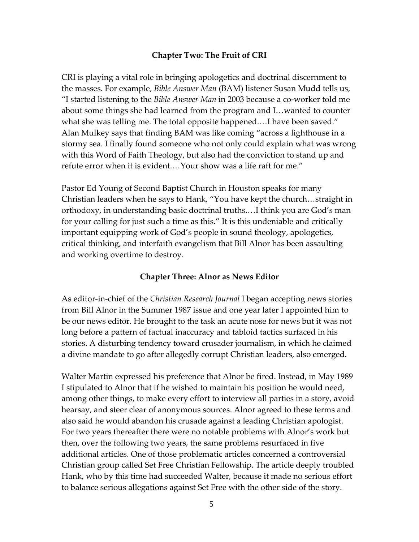## **Chapter Two: The Fruit of CRI**

CRI is playing a vital role in bringing apologetics and doctrinal discernment to the masses. For example, *Bible Answer Man* (BAM) listener Susan Mudd tells us, "I started listening to the *Bible Answer Man* in 2003 because a co-worker told me about some things she had learned from the program and I…wanted to counter what she was telling me. The total opposite happened.…I have been saved." Alan Mulkey says that finding BAM was like coming "across a lighthouse in a stormy sea. I finally found someone who not only could explain what was wrong with this Word of Faith Theology, but also had the conviction to stand up and refute error when it is evident.…Your show was a life raft for me."

Pastor Ed Young of Second Baptist Church in Houston speaks for many Christian leaders when he says to Hank, "You have kept the church…straight in orthodoxy, in understanding basic doctrinal truths.…I think you are God's man for your calling for just such a time as this." It is this undeniable and critically important equipping work of God's people in sound theology, apologetics, critical thinking, and interfaith evangelism that Bill Alnor has been assaulting and working overtime to destroy.

### **Chapter Three: Alnor as News Editor**

As editor-in-chief of the *Christian Research Journal* I began accepting news stories from Bill Alnor in the Summer 1987 issue and one year later I appointed him to be our news editor. He brought to the task an acute nose for news but it was not long before a pattern of factual inaccuracy and tabloid tactics surfaced in his stories. A disturbing tendency toward crusader journalism, in which he claimed a divine mandate to go after allegedly corrupt Christian leaders, also emerged.

Walter Martin expressed his preference that Alnor be fired. Instead, in May 1989 I stipulated to Alnor that if he wished to maintain his position he would need, among other things, to make every effort to interview all parties in a story, avoid hearsay, and steer clear of anonymous sources. Alnor agreed to these terms and also said he would abandon his crusade against a leading Christian apologist. For two years thereafter there were no notable problems with Alnor's work but then, over the following two years, the same problems resurfaced in five additional articles. One of those problematic articles concerned a controversial Christian group called Set Free Christian Fellowship. The article deeply troubled Hank, who by this time had succeeded Walter, because it made no serious effort to balance serious allegations against Set Free with the other side of the story.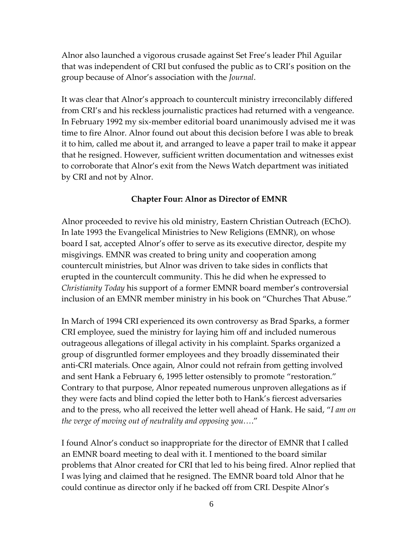Alnor also launched a vigorous crusade against Set Free's leader Phil Aguilar that was independent of CRI but confused the public as to CRI's position on the group because of Alnor's association with the *Journal*.

It was clear that Alnor's approach to countercult ministry irreconcilably differed from CRI's and his reckless journalistic practices had returned with a vengeance. In February 1992 my six-member editorial board unanimously advised me it was time to fire Alnor. Alnor found out about this decision before I was able to break it to him, called me about it, and arranged to leave a paper trail to make it appear that he resigned. However, sufficient written documentation and witnesses exist to corroborate that Alnor's exit from the News Watch department was initiated by CRI and not by Alnor.

#### **Chapter Four: Alnor as Director of EMNR**

Alnor proceeded to revive his old ministry, Eastern Christian Outreach (EChO). In late 1993 the Evangelical Ministries to New Religions (EMNR), on whose board I sat, accepted Alnor's offer to serve as its executive director, despite my misgivings. EMNR was created to bring unity and cooperation among countercult ministries, but Alnor was driven to take sides in conflicts that erupted in the countercult community. This he did when he expressed to *Christianity Today* his support of a former EMNR board member's controversial inclusion of an EMNR member ministry in his book on "Churches That Abuse."

In March of 1994 CRI experienced its own controversy as Brad Sparks, a former CRI employee, sued the ministry for laying him off and included numerous outrageous allegations of illegal activity in his complaint. Sparks organized a group of disgruntled former employees and they broadly disseminated their anti-CRI materials. Once again, Alnor could not refrain from getting involved and sent Hank a February 6, 1995 letter ostensibly to promote "restoration." Contrary to that purpose, Alnor repeated numerous unproven allegations as if they were facts and blind copied the letter both to Hank's fiercest adversaries and to the press, who all received the letter well ahead of Hank. He said, "*I am on the verge of moving out of neutrality and opposing you…*."

I found Alnor's conduct so inappropriate for the director of EMNR that I called an EMNR board meeting to deal with it. I mentioned to the board similar problems that Alnor created for CRI that led to his being fired. Alnor replied that I was lying and claimed that he resigned. The EMNR board told Alnor that he could continue as director only if he backed off from CRI. Despite Alnor's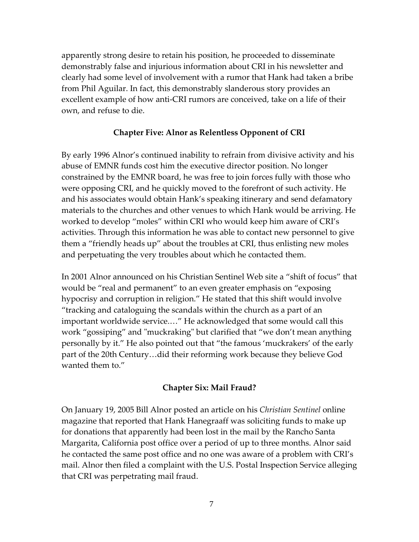apparently strong desire to retain his position, he proceeded to disseminate demonstrably false and injurious information about CRI in his newsletter and clearly had some level of involvement with a rumor that Hank had taken a bribe from Phil Aguilar. In fact, this demonstrably slanderous story provides an excellent example of how anti-CRI rumors are conceived, take on a life of their own, and refuse to die.

### **Chapter Five: Alnor as Relentless Opponent of CRI**

By early 1996 Alnor's continued inability to refrain from divisive activity and his abuse of EMNR funds cost him the executive director position. No longer constrained by the EMNR board, he was free to join forces fully with those who were opposing CRI, and he quickly moved to the forefront of such activity. He and his associates would obtain Hank's speaking itinerary and send defamatory materials to the churches and other venues to which Hank would be arriving. He worked to develop "moles" within CRI who would keep him aware of CRI's activities. Through this information he was able to contact new personnel to give them a "friendly heads up" about the troubles at CRI, thus enlisting new moles and perpetuating the very troubles about which he contacted them.

In 2001 Alnor announced on his Christian Sentinel Web site a "shift of focus" that would be "real and permanent" to an even greater emphasis on "exposing hypocrisy and corruption in religion." He stated that this shift would involve "tracking and cataloguing the scandals within the church as a part of an important worldwide service.…" He acknowledged that some would call this work "gossiping" and "muckraking" but clarified that "we don't mean anything personally by it." He also pointed out that "the famous 'muckrakers' of the early part of the 20th Century…did their reforming work because they believe God wanted them to."

### **Chapter Six: Mail Fraud?**

On January 19, 2005 Bill Alnor posted an article on his *Christian Sentinel* online magazine that reported that Hank Hanegraaff was soliciting funds to make up for donations that apparently had been lost in the mail by the Rancho Santa Margarita, California post office over a period of up to three months. Alnor said he contacted the same post office and no one was aware of a problem with CRI's mail. Alnor then filed a complaint with the U.S. Postal Inspection Service alleging that CRI was perpetrating mail fraud.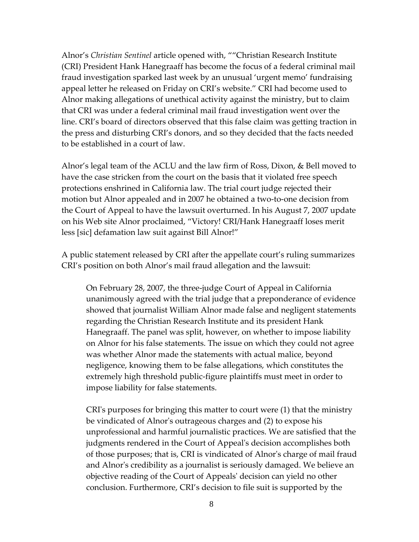Alnor's *Christian Sentinel* article opened with, ""Christian Research Institute (CRI) President Hank Hanegraaff has become the focus of a federal criminal mail fraud investigation sparked last week by an unusual 'urgent memo' fundraising appeal letter he released on Friday on CRI's website." CRI had become used to Alnor making allegations of unethical activity against the ministry, but to claim that CRI was under a federal criminal mail fraud investigation went over the line. CRI's board of directors observed that this false claim was getting traction in the press and disturbing CRI's donors, and so they decided that the facts needed to be established in a court of law.

Alnor's legal team of the ACLU and the law firm of Ross, Dixon, & Bell moved to have the case stricken from the court on the basis that it violated free speech protections enshrined in California law. The trial court judge rejected their motion but Alnor appealed and in 2007 he obtained a two-to-one decision from the Court of Appeal to have the lawsuit overturned. In his August 7, 2007 update on his Web site Alnor proclaimed, "Victory! CRI/Hank Hanegraaff loses merit less [sic] defamation law suit against Bill Alnor!"

A public statement released by CRI after the appellate court's ruling summarizes CRI's position on both Alnor's mail fraud allegation and the lawsuit:

On February 28, 2007, the three-judge Court of Appeal in California unanimously agreed with the trial judge that a preponderance of evidence showed that journalist William Alnor made false and negligent statements regarding the Christian Research Institute and its president Hank Hanegraaff. The panel was split, however, on whether to impose liability on Alnor for his false statements. The issue on which they could not agree was whether Alnor made the statements with actual malice, beyond negligence, knowing them to be false allegations, which constitutes the extremely high threshold public-figure plaintiffs must meet in order to impose liability for false statements.

CRI's purposes for bringing this matter to court were (1) that the ministry be vindicated of Alnor's outrageous charges and (2) to expose his unprofessional and harmful journalistic practices. We are satisfied that the judgments rendered in the Court of Appeal's decision accomplishes both of those purposes; that is, CRI is vindicated of Alnor's charge of mail fraud and Alnor's credibility as a journalist is seriously damaged. We believe an objective reading of the Court of Appeals' decision can yield no other conclusion. Furthermore, CRI's decision to file suit is supported by the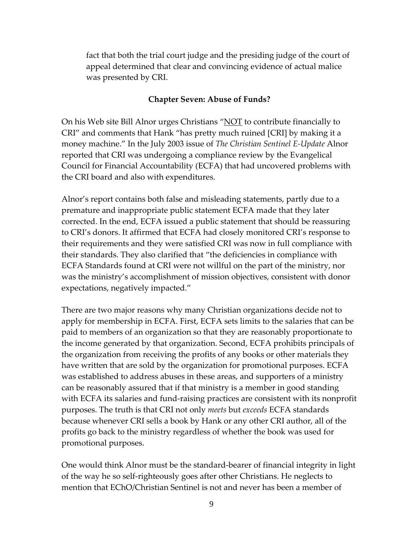fact that both the trial court judge and the presiding judge of the court of appeal determined that clear and convincing evidence of actual malice was presented by CRI.

#### **Chapter Seven: Abuse of Funds?**

On his Web site Bill Alnor urges Christians "NOT to contribute financially to CRI" and comments that Hank "has pretty much ruined [CRI] by making it a money machine." In the July 2003 issue of *The Christian Sentinel E-Update* Alnor reported that CRI was undergoing a compliance review by the Evangelical Council for Financial Accountability (ECFA) that had uncovered problems with the CRI board and also with expenditures.

Alnor's report contains both false and misleading statements, partly due to a premature and inappropriate public statement ECFA made that they later corrected. In the end, ECFA issued a public statement that should be reassuring to CRI's donors. It affirmed that ECFA had closely monitored CRI's response to their requirements and they were satisfied CRI was now in full compliance with their standards. They also clarified that "the deficiencies in compliance with ECFA Standards found at CRI were not willful on the part of the ministry, nor was the ministry's accomplishment of mission objectives, consistent with donor expectations, negatively impacted."

There are two major reasons why many Christian organizations decide not to apply for membership in ECFA. First, ECFA sets limits to the salaries that can be paid to members of an organization so that they are reasonably proportionate to the income generated by that organization. Second, ECFA prohibits principals of the organization from receiving the profits of any books or other materials they have written that are sold by the organization for promotional purposes. ECFA was established to address abuses in these areas, and supporters of a ministry can be reasonably assured that if that ministry is a member in good standing with ECFA its salaries and fund-raising practices are consistent with its nonprofit purposes. The truth is that CRI not only *meets* but *exceeds* ECFA standards because whenever CRI sells a book by Hank or any other CRI author, all of the profits go back to the ministry regardless of whether the book was used for promotional purposes.

One would think Alnor must be the standard-bearer of financial integrity in light of the way he so self-righteously goes after other Christians. He neglects to mention that EChO/Christian Sentinel is not and never has been a member of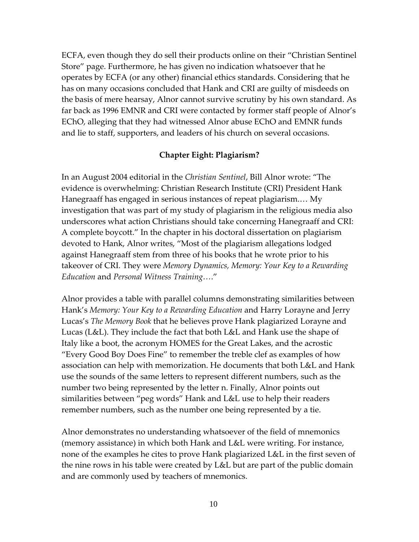ECFA, even though they do sell their products online on their "Christian Sentinel Store" page. Furthermore, he has given no indication whatsoever that he operates by ECFA (or any other) financial ethics standards. Considering that he has on many occasions concluded that Hank and CRI are guilty of misdeeds on the basis of mere hearsay, Alnor cannot survive scrutiny by his own standard. As far back as 1996 EMNR and CRI were contacted by former staff people of Alnor's EChO, alleging that they had witnessed Alnor abuse EChO and EMNR funds and lie to staff, supporters, and leaders of his church on several occasions.

#### **Chapter Eight: Plagiarism?**

In an August 2004 editorial in the *Christian Sentinel*, Bill Alnor wrote: "The evidence is overwhelming: Christian Research Institute (CRI) President Hank Hanegraaff has engaged in serious instances of repeat plagiarism.… My investigation that was part of my study of plagiarism in the religious media also underscores what action Christians should take concerning Hanegraaff and CRI: A complete boycott." In the chapter in his doctoral dissertation on plagiarism devoted to Hank, Alnor writes, "Most of the plagiarism allegations lodged against Hanegraaff stem from three of his books that he wrote prior to his takeover of CRI. They were *Memory Dynamics, Memory: Your Key to a Rewarding Education* and *Personal Witness Training…*."

Alnor provides a table with parallel columns demonstrating similarities between Hank's *Memory: Your Key to a Rewarding Education* and Harry Lorayne and Jerry Lucas's *The Memory Book* that he believes prove Hank plagiarized Lorayne and Lucas (L&L). They include the fact that both L&L and Hank use the shape of Italy like a boot, the acronym HOMES for the Great Lakes, and the acrostic "Every Good Boy Does Fine" to remember the treble clef as examples of how association can help with memorization. He documents that both L&L and Hank use the sounds of the same letters to represent different numbers, such as the number two being represented by the letter n. Finally, Alnor points out similarities between "peg words" Hank and L&L use to help their readers remember numbers, such as the number one being represented by a tie.

Alnor demonstrates no understanding whatsoever of the field of mnemonics (memory assistance) in which both Hank and L&L were writing. For instance, none of the examples he cites to prove Hank plagiarized L&L in the first seven of the nine rows in his table were created by L&L but are part of the public domain and are commonly used by teachers of mnemonics.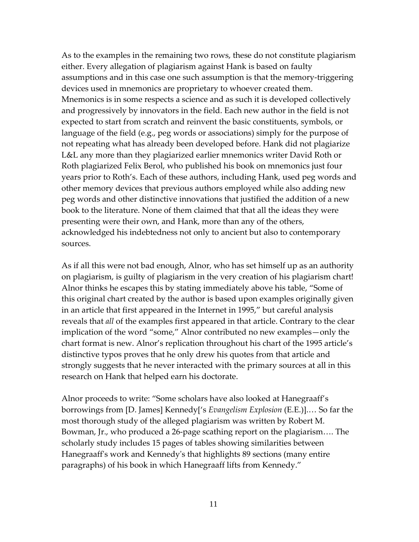As to the examples in the remaining two rows, these do not constitute plagiarism either. Every allegation of plagiarism against Hank is based on faulty assumptions and in this case one such assumption is that the memory-triggering devices used in mnemonics are proprietary to whoever created them. Mnemonics is in some respects a science and as such it is developed collectively and progressively by innovators in the field. Each new author in the field is not expected to start from scratch and reinvent the basic constituents, symbols, or language of the field (e.g., peg words or associations) simply for the purpose of not repeating what has already been developed before. Hank did not plagiarize L&L any more than they plagiarized earlier mnemonics writer David Roth or Roth plagiarized Felix Berol, who published his book on mnemonics just four years prior to Roth's. Each of these authors, including Hank, used peg words and other memory devices that previous authors employed while also adding new peg words and other distinctive innovations that justified the addition of a new book to the literature. None of them claimed that that all the ideas they were presenting were their own, and Hank, more than any of the others, acknowledged his indebtedness not only to ancient but also to contemporary sources.

As if all this were not bad enough, Alnor, who has set himself up as an authority on plagiarism, is guilty of plagiarism in the very creation of his plagiarism chart! Alnor thinks he escapes this by stating immediately above his table, "Some of this original chart created by the author is based upon examples originally given in an article that first appeared in the Internet in 1995," but careful analysis reveals that *all* of the examples first appeared in that article. Contrary to the clear implication of the word "some," Alnor contributed no new examples—only the chart format is new. Alnor's replication throughout his chart of the 1995 article's distinctive typos proves that he only drew his quotes from that article and strongly suggests that he never interacted with the primary sources at all in this research on Hank that helped earn his doctorate.

Alnor proceeds to write: "Some scholars have also looked at Hanegraaff's borrowings from [D. James] Kennedy['s *Evangelism Explosion* (E.E.)].… So far the most thorough study of the alleged plagiarism was written by Robert M. Bowman, Jr., who produced a 26-page scathing report on the plagiarism…. The scholarly study includes 15 pages of tables showing similarities between Hanegraaff's work and Kennedy's that highlights 89 sections (many entire paragraphs) of his book in which Hanegraaff lifts from Kennedy."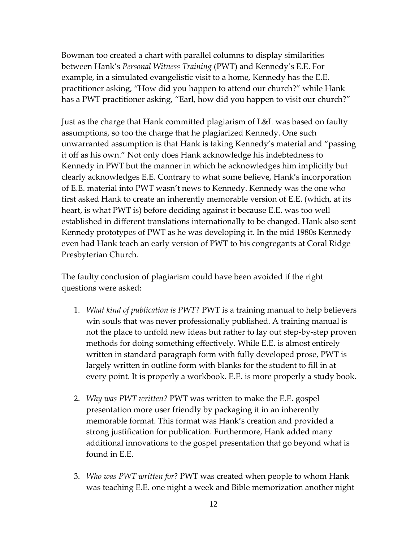Bowman too created a chart with parallel columns to display similarities between Hank's *Personal Witness Training* (PWT) and Kennedy's E.E. For example, in a simulated evangelistic visit to a home, Kennedy has the E.E. practitioner asking, "How did you happen to attend our church?" while Hank has a PWT practitioner asking, "Earl, how did you happen to visit our church?"

Just as the charge that Hank committed plagiarism of L&L was based on faulty assumptions, so too the charge that he plagiarized Kennedy. One such unwarranted assumption is that Hank is taking Kennedy's material and "passing it off as his own." Not only does Hank acknowledge his indebtedness to Kennedy in PWT but the manner in which he acknowledges him implicitly but clearly acknowledges E.E. Contrary to what some believe, Hank's incorporation of E.E. material into PWT wasn't news to Kennedy. Kennedy was the one who first asked Hank to create an inherently memorable version of E.E. (which, at its heart, is what PWT is) before deciding against it because E.E. was too well established in different translations internationally to be changed. Hank also sent Kennedy prototypes of PWT as he was developing it. In the mid 1980s Kennedy even had Hank teach an early version of PWT to his congregants at Coral Ridge Presbyterian Church.

The faulty conclusion of plagiarism could have been avoided if the right questions were asked:

- 1. *What kind of publication is PWT?* PWT is a training manual to help believers win souls that was never professionally published. A training manual is not the place to unfold new ideas but rather to lay out step-by-step proven methods for doing something effectively. While E.E. is almost entirely written in standard paragraph form with fully developed prose, PWT is largely written in outline form with blanks for the student to fill in at every point. It is properly a workbook. E.E. is more properly a study book.
- 2. *Why was PWT written?* PWT was written to make the E.E. gospel presentation more user friendly by packaging it in an inherently memorable format. This format was Hank's creation and provided a strong justification for publication. Furthermore, Hank added many additional innovations to the gospel presentation that go beyond what is found in E.E.
- 3. *Who was PWT written for*? PWT was created when people to whom Hank was teaching E.E. one night a week and Bible memorization another night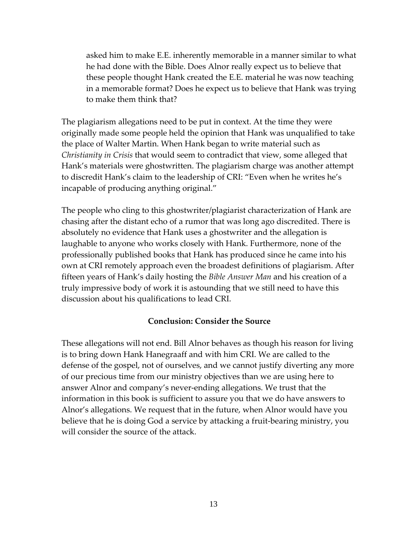asked him to make E.E. inherently memorable in a manner similar to what he had done with the Bible. Does Alnor really expect us to believe that these people thought Hank created the E.E. material he was now teaching in a memorable format? Does he expect us to believe that Hank was trying to make them think that?

The plagiarism allegations need to be put in context. At the time they were originally made some people held the opinion that Hank was unqualified to take the place of Walter Martin. When Hank began to write material such as *Christianity in Crisis* that would seem to contradict that view, some alleged that Hank's materials were ghostwritten. The plagiarism charge was another attempt to discredit Hank's claim to the leadership of CRI: "Even when he writes he's incapable of producing anything original."

The people who cling to this ghostwriter/plagiarist characterization of Hank are chasing after the distant echo of a rumor that was long ago discredited. There is absolutely no evidence that Hank uses a ghostwriter and the allegation is laughable to anyone who works closely with Hank. Furthermore, none of the professionally published books that Hank has produced since he came into his own at CRI remotely approach even the broadest definitions of plagiarism. After fifteen years of Hank's daily hosting the *Bible Answer Man* and his creation of a truly impressive body of work it is astounding that we still need to have this discussion about his qualifications to lead CRI.

#### **Conclusion: Consider the Source**

These allegations will not end. Bill Alnor behaves as though his reason for living is to bring down Hank Hanegraaff and with him CRI. We are called to the defense of the gospel, not of ourselves, and we cannot justify diverting any more of our precious time from our ministry objectives than we are using here to answer Alnor and company's never-ending allegations. We trust that the information in this book is sufficient to assure you that we do have answers to Alnor's allegations. We request that in the future, when Alnor would have you believe that he is doing God a service by attacking a fruit-bearing ministry, you will consider the source of the attack.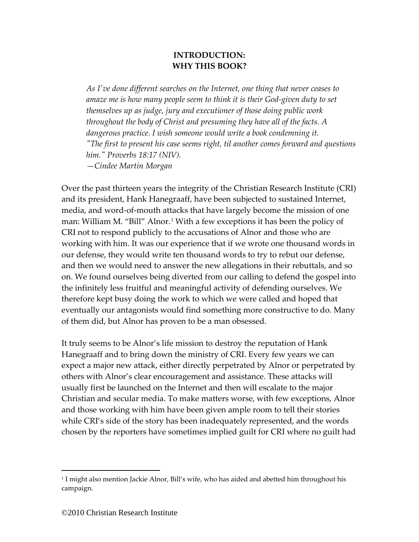## **INTRODUCTION: WHY THIS BOOK?**

*As I've done different searches on the Internet, one thing that never ceases to amaze me is how many people seem to think it is their God-given duty to set themselves up as judge, jury and executioner of those doing public work throughout the body of Christ and presuming they have all of the facts. A dangerous practice. I wish someone would write a book condemning it. "The first to present his case seems right, til another comes forward and questions him." Proverbs 18:17 (NIV). —Cindee Martin Morgan*

Over the past thirteen years the integrity of the Christian Research Institute (CRI) and its president, Hank Hanegraaff, have been subjected to sustained Internet, media, and word-of-mouth attacks that have largely become the mission of one man: William M. "Bill" Alnor.<sup>[1](#page-13-0)</sup> With a few exceptions it has been the policy of CRI not to respond publicly to the accusations of Alnor and those who are working with him. It was our experience that if we wrote one thousand words in our defense, they would write ten thousand words to try to rebut our defense, and then we would need to answer the new allegations in their rebuttals, and so on. We found ourselves being diverted from our calling to defend the gospel into the infinitely less fruitful and meaningful activity of defending ourselves. We therefore kept busy doing the work to which we were called and hoped that eventually our antagonists would find something more constructive to do. Many of them did, but Alnor has proven to be a man obsessed.

It truly seems to be Alnor's life mission to destroy the reputation of Hank Hanegraaff and to bring down the ministry of CRI. Every few years we can expect a major new attack, either directly perpetrated by Alnor or perpetrated by others with Alnor's clear encouragement and assistance. These attacks will usually first be launched on the Internet and then will escalate to the major Christian and secular media. To make matters worse, with few exceptions, Alnor and those working with him have been given ample room to tell their stories while CRI's side of the story has been inadequately represented, and the words chosen by the reporters have sometimes implied guilt for CRI where no guilt had

<span id="page-13-0"></span><sup>&</sup>lt;sup>1</sup> I might also mention Jackie Alnor, Bill's wife, who has aided and abetted him throughout his campaign.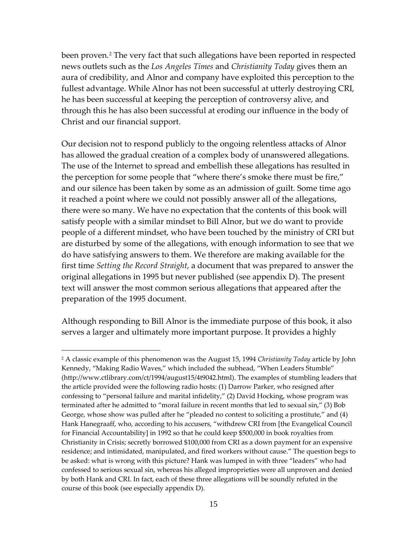been proven.<sup>[2](#page-14-0)</sup> The very fact that such allegations have been reported in respected news outlets such as the *Los Angeles Times* and *Christianity Today* gives them an aura of credibility, and Alnor and company have exploited this perception to the fullest advantage. While Alnor has not been successful at utterly destroying CRI, he has been successful at keeping the perception of controversy alive, and through this he has also been successful at eroding our influence in the body of Christ and our financial support.

Our decision not to respond publicly to the ongoing relentless attacks of Alnor has allowed the gradual creation of a complex body of unanswered allegations. The use of the Internet to spread and embellish these allegations has resulted in the perception for some people that "where there's smoke there must be fire," and our silence has been taken by some as an admission of guilt. Some time ago it reached a point where we could not possibly answer all of the allegations, there were so many. We have no expectation that the contents of this book will satisfy people with a similar mindset to Bill Alnor, but we do want to provide people of a different mindset, who have been touched by the ministry of CRI but are disturbed by some of the allegations, with enough information to see that we do have satisfying answers to them. We therefore are making available for the first time *Setting the Record Straight*, a document that was prepared to answer the original allegations in 1995 but never published (see appendix D). The present text will answer the most common serious allegations that appeared after the preparation of the 1995 document.

Although responding to Bill Alnor is the immediate purpose of this book, it also serves a larger and ultimately more important purpose. It provides a highly

<span id="page-14-0"></span><sup>2</sup> A classic example of this phenomenon was the August 15, 1994 *Christianity Today* article by John Kennedy, "Making Radio Waves," which included the subhead, "When Leaders Stumble" [\(http://www.ctlibrary.com/ct/1994/august15/4t9042.html\)](http://www.ctlibrary.com/ct/1994/august15/4t9042.html). The examples of stumbling leaders that the article provided were the following radio hosts: (1) Darrow Parker, who resigned after confessing to "personal failure and marital infidelity," (2) David Hocking, whose program was terminated after he admitted to "moral failure in recent months that led to sexual sin," (3) Bob George, whose show was pulled after he "pleaded no contest to soliciting a prostitute," and (4) Hank Hanegraaff, who, according to his accusers, "withdrew CRI from [the Evangelical Council for Financial Accountability] in 1992 so that he could keep \$500,000 in book royalties from Christianity in Crisis; secretly borrowed \$100,000 from CRI as a down payment for an expensive residence; and intimidated, manipulated, and fired workers without cause." The question begs to be asked: what is wrong with this picture? Hank was lumped in with three "leaders" who had confessed to serious sexual sin, whereas his alleged improprieties were all unproven and denied by both Hank and CRI. In fact, each of these three allegations will be soundly refuted in the course of this book (see especially appendix D).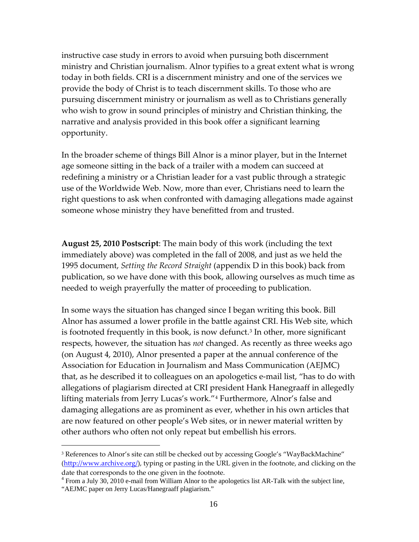instructive case study in errors to avoid when pursuing both discernment ministry and Christian journalism. Alnor typifies to a great extent what is wrong today in both fields. CRI is a discernment ministry and one of the services we provide the body of Christ is to teach discernment skills. To those who are pursuing discernment ministry or journalism as well as to Christians generally who wish to grow in sound principles of ministry and Christian thinking, the narrative and analysis provided in this book offer a significant learning opportunity.

In the broader scheme of things Bill Alnor is a minor player, but in the Internet age someone sitting in the back of a trailer with a modem can succeed at redefining a ministry or a Christian leader for a vast public through a strategic use of the Worldwide Web. Now, more than ever, Christians need to learn the right questions to ask when confronted with damaging allegations made against someone whose ministry they have benefitted from and trusted.

**August 25, 2010 Postscript**: The main body of this work (including the text immediately above) was completed in the fall of 2008, and just as we held the 1995 document, *Setting the Record Straight* (appendix D in this book) back from publication, so we have done with this book, allowing ourselves as much time as needed to weigh prayerfully the matter of proceeding to publication.

In some ways the situation has changed since I began writing this book. Bill Alnor has assumed a lower profile in the battle against CRI. His Web site, which is footnoted frequently in this book, is now defunct.<sup>[3](#page-15-0)</sup> In other, more significant respects, however, the situation has *not* changed. As recently as three weeks ago (on August 4, 2010), Alnor presented a paper at the annual conference of the Association for Education in Journalism and Mass Communication (AEJMC) that, as he described it to colleagues on an apologetics e-mail list, "has to do with allegations of plagiarism directed at CRI president Hank Hanegraaff in allegedly lifting materials from Jerry Lucas's work."[4](#page-15-1) Furthermore, Alnor's false and damaging allegations are as prominent as ever, whether in his own articles that are now featured on other people's Web sites, or in newer material written by other authors who often not only repeat but embellish his errors.

<span id="page-15-0"></span><sup>&</sup>lt;sup>3</sup> References to Alnor's site can still be checked out by accessing Google's "WayBackMachine" ([http://www.archive.org/\)](http://www.archive.org/), typing or pasting in the URL given in the footnote, and clicking on the date that corresponds to the one given in the footnote.

<span id="page-15-1"></span><sup>4</sup> From a July 30, 2010 e-mail from William Alnor to the apologetics list AR-Talk with the subject line, "AEJMC paper on Jerry Lucas/Hanegraaff plagiarism."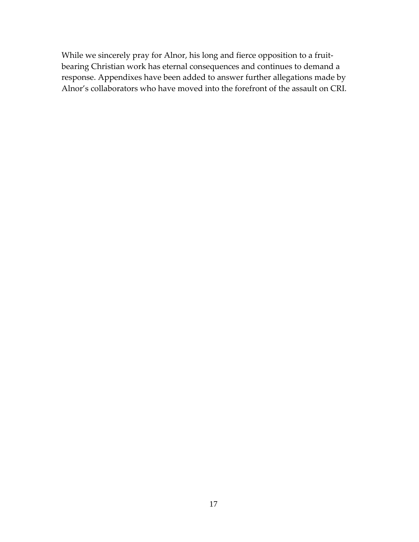While we sincerely pray for Alnor, his long and fierce opposition to a fruitbearing Christian work has eternal consequences and continues to demand a response. Appendixes have been added to answer further allegations made by Alnor's collaborators who have moved into the forefront of the assault on CRI.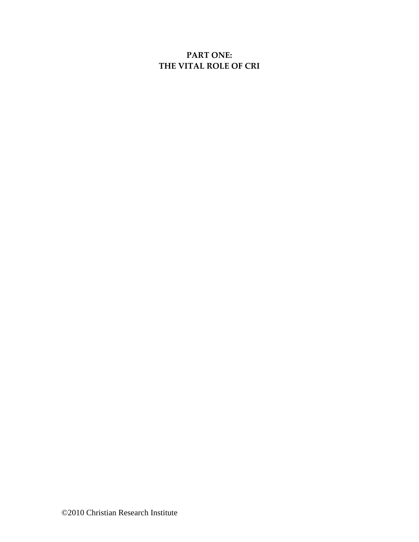# **PART ONE: THE VITAL ROLE OF CRI**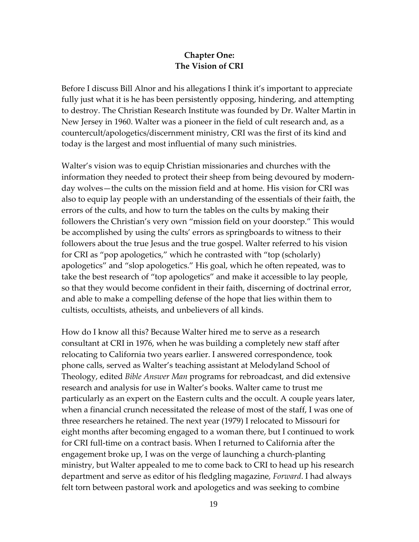## **Chapter One: The Vision of CRI**

Before I discuss Bill Alnor and his allegations I think it's important to appreciate fully just what it is he has been persistently opposing, hindering, and attempting to destroy. The Christian Research Institute was founded by Dr. Walter Martin in New Jersey in 1960. Walter was a pioneer in the field of cult research and, as a countercult/apologetics/discernment ministry, CRI was the first of its kind and today is the largest and most influential of many such ministries.

Walter's vision was to equip Christian missionaries and churches with the information they needed to protect their sheep from being devoured by modernday wolves—the cults on the mission field and at home. His vision for CRI was also to equip lay people with an understanding of the essentials of their faith, the errors of the cults, and how to turn the tables on the cults by making their followers the Christian's very own "mission field on your doorstep." This would be accomplished by using the cults' errors as springboards to witness to their followers about the true Jesus and the true gospel. Walter referred to his vision for CRI as "pop apologetics," which he contrasted with "top (scholarly) apologetics" and "slop apologetics." His goal, which he often repeated, was to take the best research of "top apologetics" and make it accessible to lay people, so that they would become confident in their faith, discerning of doctrinal error, and able to make a compelling defense of the hope that lies within them to cultists, occultists, atheists, and unbelievers of all kinds.

How do I know all this? Because Walter hired me to serve as a research consultant at CRI in 1976, when he was building a completely new staff after relocating to California two years earlier. I answered correspondence, took phone calls, served as Walter's teaching assistant at Melodyland School of Theology, edited *Bible Answer Man* programs for rebroadcast, and did extensive research and analysis for use in Walter's books. Walter came to trust me particularly as an expert on the Eastern cults and the occult. A couple years later, when a financial crunch necessitated the release of most of the staff, I was one of three researchers he retained. The next year (1979) I relocated to Missouri for eight months after becoming engaged to a woman there, but I continued to work for CRI full-time on a contract basis. When I returned to California after the engagement broke up, I was on the verge of launching a church-planting ministry, but Walter appealed to me to come back to CRI to head up his research department and serve as editor of his fledgling magazine, *Forward*. I had always felt torn between pastoral work and apologetics and was seeking to combine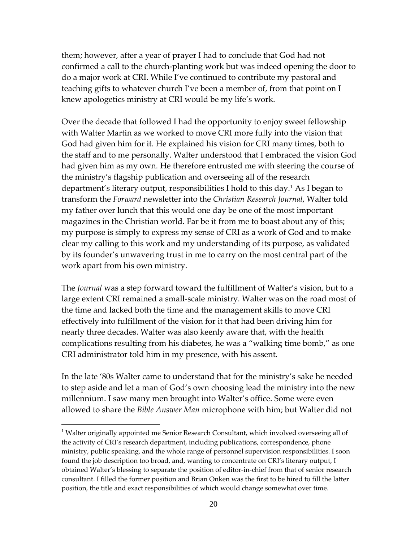them; however, after a year of prayer I had to conclude that God had not confirmed a call to the church-planting work but was indeed opening the door to do a major work at CRI. While I've continued to contribute my pastoral and teaching gifts to whatever church I've been a member of, from that point on I knew apologetics ministry at CRI would be my life's work.

Over the decade that followed I had the opportunity to enjoy sweet fellowship with Walter Martin as we worked to move CRI more fully into the vision that God had given him for it. He explained his vision for CRI many times, both to the staff and to me personally. Walter understood that I embraced the vision God had given him as my own. He therefore entrusted me with steering the course of the ministry's flagship publication and overseeing all of the research department's literary output, responsibilities I hold to this day.[1](#page-19-0) As I began to transform the *Forward* newsletter into the *Christian Research Journal*, Walter told my father over lunch that this would one day be one of the most important magazines in the Christian world. Far be it from me to boast about any of this; my purpose is simply to express my sense of CRI as a work of God and to make clear my calling to this work and my understanding of its purpose, as validated by its founder's unwavering trust in me to carry on the most central part of the work apart from his own ministry.

The *Journal* was a step forward toward the fulfillment of Walter's vision, but to a large extent CRI remained a small-scale ministry. Walter was on the road most of the time and lacked both the time and the management skills to move CRI effectively into fulfillment of the vision for it that had been driving him for nearly three decades. Walter was also keenly aware that, with the health complications resulting from his diabetes, he was a "walking time bomb," as one CRI administrator told him in my presence, with his assent.

In the late '80s Walter came to understand that for the ministry's sake he needed to step aside and let a man of God's own choosing lead the ministry into the new millennium. I saw many men brought into Walter's office. Some were even allowed to share the *Bible Answer Man* microphone with him; but Walter did not

<span id="page-19-0"></span><sup>&</sup>lt;sup>1</sup> Walter originally appointed me Senior Research Consultant, which involved overseeing all of the activity of CRI's research department, including publications, correspondence, phone ministry, public speaking, and the whole range of personnel supervision responsibilities. I soon found the job description too broad, and, wanting to concentrate on CRI's literary output, I obtained Walter's blessing to separate the position of editor-in-chief from that of senior research consultant. I filled the former position and Brian Onken was the first to be hired to fill the latter position, the title and exact responsibilities of which would change somewhat over time.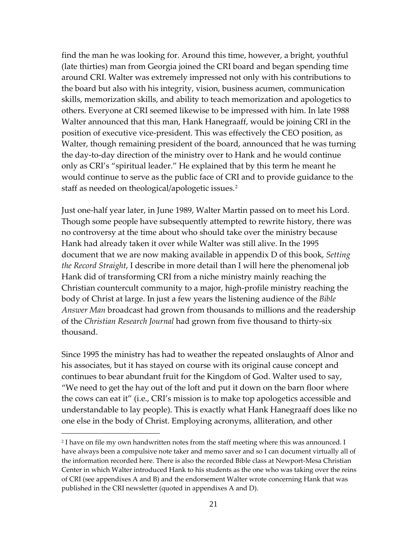find the man he was looking for. Around this time, however, a bright, youthful (late thirties) man from Georgia joined the CRI board and began spending time around CRI. Walter was extremely impressed not only with his contributions to the board but also with his integrity, vision, business acumen, communication skills, memorization skills, and ability to teach memorization and apologetics to others. Everyone at CRI seemed likewise to be impressed with him. In late 1988 Walter announced that this man, Hank Hanegraaff, would be joining CRI in the position of executive vice-president. This was effectively the CEO position, as Walter, though remaining president of the board, announced that he was turning the day-to-day direction of the ministry over to Hank and he would continue only as CRI's "spiritual leader." He explained that by this term he meant he would continue to serve as the public face of CRI and to provide guidance to the staff as needed on theological/apologetic issues.<sup>[2](#page-20-0)</sup>

Just one-half year later, in June 1989, Walter Martin passed on to meet his Lord. Though some people have subsequently attempted to rewrite history, there was no controversy at the time about who should take over the ministry because Hank had already taken it over while Walter was still alive. In the 1995 document that we are now making available in appendix D of this book, *Setting the Record Straight*, I describe in more detail than I will here the phenomenal job Hank did of transforming CRI from a niche ministry mainly reaching the Christian countercult community to a major, high-profile ministry reaching the body of Christ at large. In just a few years the listening audience of the *Bible Answer Man* broadcast had grown from thousands to millions and the readership of the *Christian Research Journal* had grown from five thousand to thirty-six thousand.

Since 1995 the ministry has had to weather the repeated onslaughts of Alnor and his associates, but it has stayed on course with its original cause concept and continues to bear abundant fruit for the Kingdom of God. Walter used to say, "We need to get the hay out of the loft and put it down on the barn floor where the cows can eat it" (i.e., CRI's mission is to make top apologetics accessible and understandable to lay people). This is exactly what Hank Hanegraaff does like no one else in the body of Christ. Employing acronyms, alliteration, and other

<span id="page-20-0"></span><sup>&</sup>lt;sup>2</sup> I have on file my own handwritten notes from the staff meeting where this was announced. I have always been a compulsive note taker and memo saver and so I can document virtually all of the information recorded here. There is also the recorded Bible class at Newport-Mesa Christian Center in which Walter introduced Hank to his students as the one who was taking over the reins of CRI (see appendixes A and B) and the endorsement Walter wrote concerning Hank that was published in the CRI newsletter (quoted in appendixes A and D).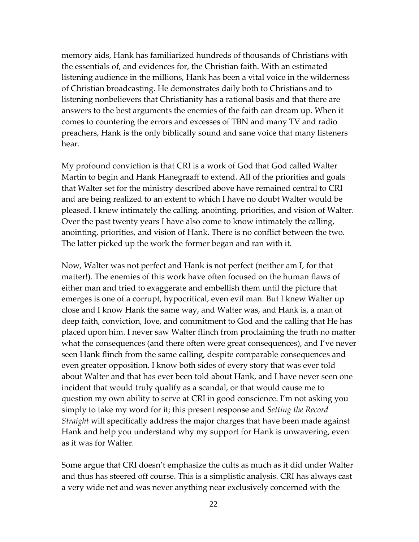memory aids, Hank has familiarized hundreds of thousands of Christians with the essentials of, and evidences for, the Christian faith. With an estimated listening audience in the millions, Hank has been a vital voice in the wilderness of Christian broadcasting. He demonstrates daily both to Christians and to listening nonbelievers that Christianity has a rational basis and that there are answers to the best arguments the enemies of the faith can dream up. When it comes to countering the errors and excesses of TBN and many TV and radio preachers, Hank is the only biblically sound and sane voice that many listeners hear.

My profound conviction is that CRI is a work of God that God called Walter Martin to begin and Hank Hanegraaff to extend. All of the priorities and goals that Walter set for the ministry described above have remained central to CRI and are being realized to an extent to which I have no doubt Walter would be pleased. I knew intimately the calling, anointing, priorities, and vision of Walter. Over the past twenty years I have also come to know intimately the calling, anointing, priorities, and vision of Hank. There is no conflict between the two. The latter picked up the work the former began and ran with it.

Now, Walter was not perfect and Hank is not perfect (neither am I, for that matter!). The enemies of this work have often focused on the human flaws of either man and tried to exaggerate and embellish them until the picture that emerges is one of a corrupt, hypocritical, even evil man. But I knew Walter up close and I know Hank the same way, and Walter was, and Hank is, a man of deep faith, conviction, love, and commitment to God and the calling that He has placed upon him. I never saw Walter flinch from proclaiming the truth no matter what the consequences (and there often were great consequences), and I've never seen Hank flinch from the same calling, despite comparable consequences and even greater opposition. I know both sides of every story that was ever told about Walter and that has ever been told about Hank, and I have never seen one incident that would truly qualify as a scandal, or that would cause me to question my own ability to serve at CRI in good conscience. I'm not asking you simply to take my word for it; this present response and *Setting the Record Straight* will specifically address the major charges that have been made against Hank and help you understand why my support for Hank is unwavering, even as it was for Walter.

Some argue that CRI doesn't emphasize the cults as much as it did under Walter and thus has steered off course. This is a simplistic analysis. CRI has always cast a very wide net and was never anything near exclusively concerned with the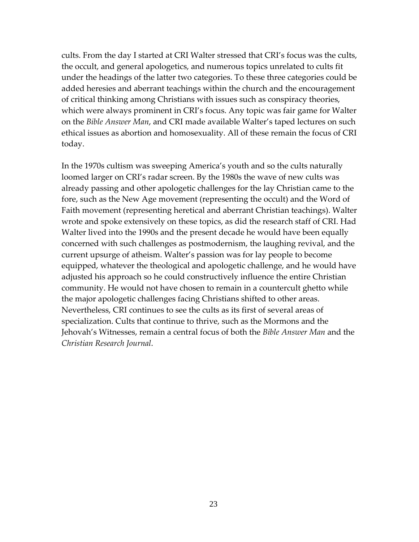cults. From the day I started at CRI Walter stressed that CRI's focus was the cults, the occult, and general apologetics, and numerous topics unrelated to cults fit under the headings of the latter two categories. To these three categories could be added heresies and aberrant teachings within the church and the encouragement of critical thinking among Christians with issues such as conspiracy theories, which were always prominent in CRI's focus. Any topic was fair game for Walter on the *Bible Answer Man*, and CRI made available Walter's taped lectures on such ethical issues as abortion and homosexuality. All of these remain the focus of CRI today.

In the 1970s cultism was sweeping America's youth and so the cults naturally loomed larger on CRI's radar screen. By the 1980s the wave of new cults was already passing and other apologetic challenges for the lay Christian came to the fore, such as the New Age movement (representing the occult) and the Word of Faith movement (representing heretical and aberrant Christian teachings). Walter wrote and spoke extensively on these topics, as did the research staff of CRI. Had Walter lived into the 1990s and the present decade he would have been equally concerned with such challenges as postmodernism, the laughing revival, and the current upsurge of atheism. Walter's passion was for lay people to become equipped, whatever the theological and apologetic challenge, and he would have adjusted his approach so he could constructively influence the entire Christian community. He would not have chosen to remain in a countercult ghetto while the major apologetic challenges facing Christians shifted to other areas. Nevertheless, CRI continues to see the cults as its first of several areas of specialization. Cults that continue to thrive, such as the Mormons and the Jehovah's Witnesses, remain a central focus of both the *Bible Answer Man* and the *Christian Research Journal*.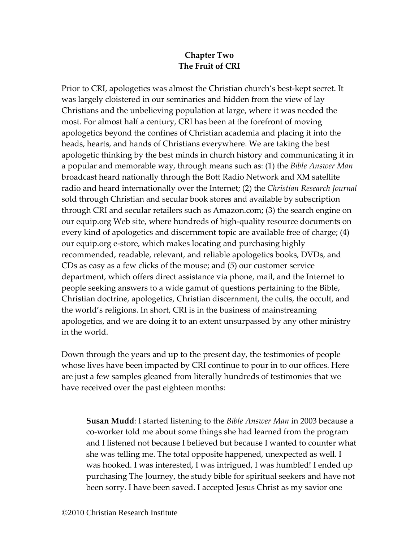# **Chapter Two The Fruit of CRI**

Prior to CRI, apologetics was almost the Christian church's best-kept secret. It was largely cloistered in our seminaries and hidden from the view of lay Christians and the unbelieving population at large, where it was needed the most. For almost half a century, CRI has been at the forefront of moving apologetics beyond the confines of Christian academia and placing it into the heads, hearts, and hands of Christians everywhere. We are taking the best apologetic thinking by the best minds in church history and communicating it in a popular and memorable way, through means such as: (1) the *Bible Answer Man* broadcast heard nationally through the Bott Radio Network and XM satellite radio and heard internationally over the Internet; (2) the *Christian Research Journal* sold through Christian and secular book stores and available by subscription through CRI and secular retailers such as Amazon.com; (3) the search engine on our equip.org Web site, where hundreds of high-quality resource documents on every kind of apologetics and discernment topic are available free of charge; (4) our equip.org e-store, which makes locating and purchasing highly recommended, readable, relevant, and reliable apologetics books, DVDs, and CDs as easy as a few clicks of the mouse; and (5) our customer service department, which offers direct assistance via phone, mail, and the Internet to people seeking answers to a wide gamut of questions pertaining to the Bible, Christian doctrine, apologetics, Christian discernment, the cults, the occult, and the world's religions. In short, CRI is in the business of mainstreaming apologetics, and we are doing it to an extent unsurpassed by any other ministry in the world.

Down through the years and up to the present day, the testimonies of people whose lives have been impacted by CRI continue to pour in to our offices. Here are just a few samples gleaned from literally hundreds of testimonies that we have received over the past eighteen months:

**Susan Mudd**: I started listening to the *Bible Answer Man* in 2003 because a co-worker told me about some things she had learned from the program and I listened not because I believed but because I wanted to counter what she was telling me. The total opposite happened, unexpected as well. I was hooked. I was interested, I was intrigued, I was humbled! I ended up purchasing The Journey, the study bible for spiritual seekers and have not been sorry. I have been saved. I accepted Jesus Christ as my savior one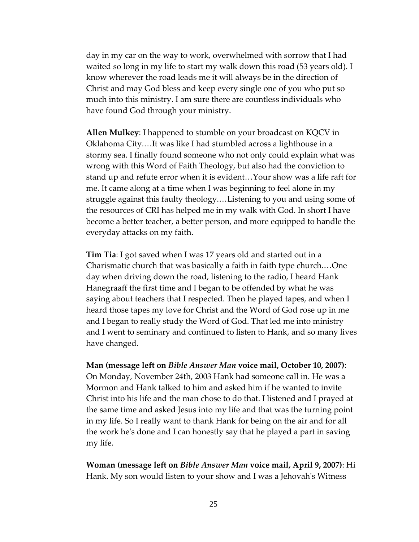day in my car on the way to work, overwhelmed with sorrow that I had waited so long in my life to start my walk down this road (53 years old). I know wherever the road leads me it will always be in the direction of Christ and may God bless and keep every single one of you who put so much into this ministry. I am sure there are countless individuals who have found God through your ministry.

**Allen Mulkey**: I happened to stumble on your broadcast on KQCV in Oklahoma City.…It was like I had stumbled across a lighthouse in a stormy sea. I finally found someone who not only could explain what was wrong with this Word of Faith Theology, but also had the conviction to stand up and refute error when it is evident…Your show was a life raft for me. It came along at a time when I was beginning to feel alone in my struggle against this faulty theology.…Listening to you and using some of the resources of CRI has helped me in my walk with God. In short I have become a better teacher, a better person, and more equipped to handle the everyday attacks on my faith.

**Tim Tia**: I got saved when I was 17 years old and started out in a Charismatic church that was basically a faith in faith type church.…One day when driving down the road, listening to the radio, I heard Hank Hanegraaff the first time and I began to be offended by what he was saying about teachers that I respected. Then he played tapes, and when I heard those tapes my love for Christ and the Word of God rose up in me and I began to really study the Word of God. That led me into ministry and I went to seminary and continued to listen to Hank, and so many lives have changed.

**Man (message left on** *Bible Answer Man* **voice mail, October 10, 2007)**: On Monday, November 24th, 2003 Hank had someone call in. He was a Mormon and Hank talked to him and asked him if he wanted to invite Christ into his life and the man chose to do that. I listened and I prayed at the same time and asked Jesus into my life and that was the turning point in my life. So I really want to thank Hank for being on the air and for all the work he's done and I can honestly say that he played a part in saving my life.

**Woman (message left on** *Bible Answer Man* **voice mail, April 9, 2007)**: Hi Hank. My son would listen to your show and I was a Jehovah's Witness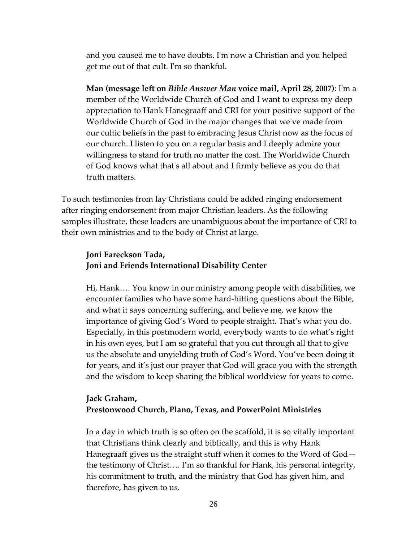and you caused me to have doubts. I'm now a Christian and you helped get me out of that cult. I'm so thankful.

**Man (message left on** *Bible Answer Man* **voice mail, April 28, 2007)**: I'm a member of the Worldwide Church of God and I want to express my deep appreciation to Hank Hanegraaff and CRI for your positive support of the Worldwide Church of God in the major changes that we've made from our cultic beliefs in the past to embracing Jesus Christ now as the focus of our church. I listen to you on a regular basis and I deeply admire your willingness to stand for truth no matter the cost. The Worldwide Church of God knows what that's all about and I firmly believe as you do that truth matters.

To such testimonies from lay Christians could be added ringing endorsement after ringing endorsement from major Christian leaders. As the following samples illustrate, these leaders are unambiguous about the importance of CRI to their own ministries and to the body of Christ at large.

## **Joni Eareckson Tada, Joni and Friends International Disability Center**

Hi, Hank…. You know in our ministry among people with disabilities, we encounter families who have some hard-hitting questions about the Bible, and what it says concerning suffering, and believe me, we know the importance of giving God's Word to people straight. That's what you do. Especially, in this postmodern world, everybody wants to do what's right in his own eyes, but I am so grateful that you cut through all that to give us the absolute and unyielding truth of God's Word. You've been doing it for years, and it's just our prayer that God will grace you with the strength and the wisdom to keep sharing the biblical worldview for years to come.

### **Jack Graham, Prestonwood Church, Plano, Texas, and PowerPoint Ministries**

In a day in which truth is so often on the scaffold, it is so vitally important that Christians think clearly and biblically, and this is why Hank Hanegraaff gives us the straight stuff when it comes to the Word of God the testimony of Christ…. I'm so thankful for Hank, his personal integrity, his commitment to truth, and the ministry that God has given him, and therefore, has given to us.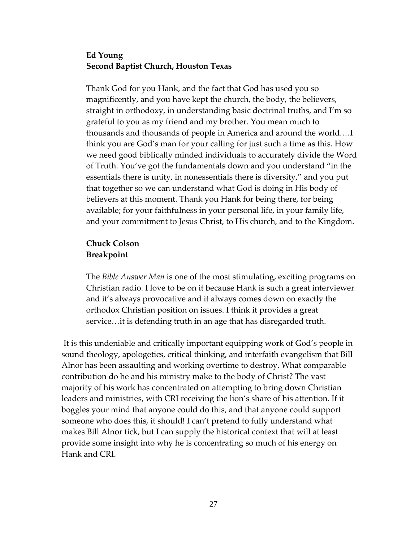## **Ed Young Second Baptist Church, Houston Texas**

Thank God for you Hank, and the fact that God has used you so magnificently, and you have kept the church, the body, the believers, straight in orthodoxy, in understanding basic doctrinal truths, and I'm so grateful to you as my friend and my brother. You mean much to thousands and thousands of people in America and around the world.…I think you are God's man for your calling for just such a time as this. How we need good biblically minded individuals to accurately divide the Word of Truth. You've got the fundamentals down and you understand "in the essentials there is unity, in nonessentials there is diversity," and you put that together so we can understand what God is doing in His body of believers at this moment. Thank you Hank for being there, for being available; for your faithfulness in your personal life, in your family life, and your commitment to Jesus Christ, to His church, and to the Kingdom.

## **Chuck Colson Breakpoint**

The *Bible Answer Man* is one of the most stimulating, exciting programs on Christian radio. I love to be on it because Hank is such a great interviewer and it's always provocative and it always comes down on exactly the orthodox Christian position on issues. I think it provides a great service…it is defending truth in an age that has disregarded truth.

It is this undeniable and critically important equipping work of God's people in sound theology, apologetics, critical thinking, and interfaith evangelism that Bill Alnor has been assaulting and working overtime to destroy. What comparable contribution do he and his ministry make to the body of Christ? The vast majority of his work has concentrated on attempting to bring down Christian leaders and ministries, with CRI receiving the lion's share of his attention. If it boggles your mind that anyone could do this, and that anyone could support someone who does this, it should! I can't pretend to fully understand what makes Bill Alnor tick, but I can supply the historical context that will at least provide some insight into why he is concentrating so much of his energy on Hank and CRI.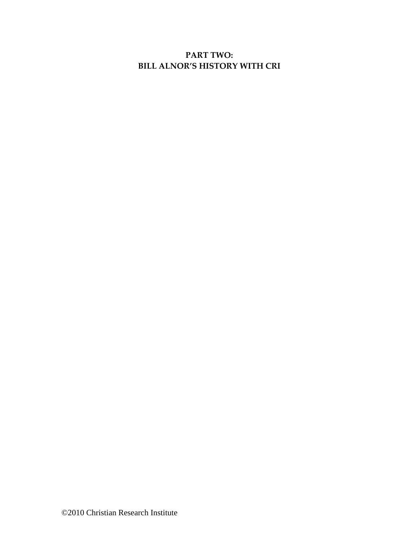# **PART TWO: BILL ALNOR'S HISTORY WITH CRI**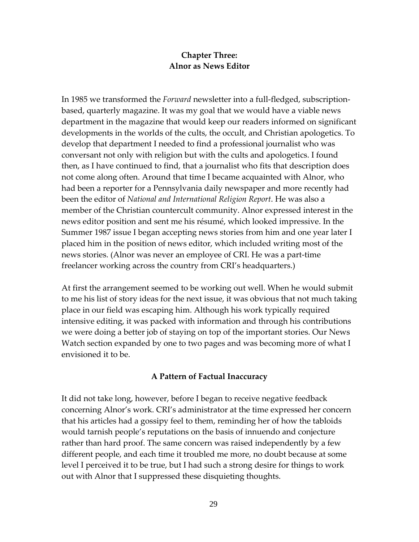## **Chapter Three: Alnor as News Editor**

In 1985 we transformed the *Forward* newsletter into a full-fledged, subscriptionbased, quarterly magazine. It was my goal that we would have a viable news department in the magazine that would keep our readers informed on significant developments in the worlds of the cults, the occult, and Christian apologetics. To develop that department I needed to find a professional journalist who was conversant not only with religion but with the cults and apologetics. I found then, as I have continued to find, that a journalist who fits that description does not come along often. Around that time I became acquainted with Alnor, who had been a reporter for a Pennsylvania daily newspaper and more recently had been the editor of *National and International Religion Report*. He was also a member of the Christian countercult community. Alnor expressed interest in the news editor position and sent me his résumé, which looked impressive. In the Summer 1987 issue I began accepting news stories from him and one year later I placed him in the position of news editor, which included writing most of the news stories. (Alnor was never an employee of CRI. He was a part-time freelancer working across the country from CRI's headquarters.)

At first the arrangement seemed to be working out well. When he would submit to me his list of story ideas for the next issue, it was obvious that not much taking place in our field was escaping him. Although his work typically required intensive editing, it was packed with information and through his contributions we were doing a better job of staying on top of the important stories. Our News Watch section expanded by one to two pages and was becoming more of what I envisioned it to be.

### **A Pattern of Factual Inaccuracy**

It did not take long, however, before I began to receive negative feedback concerning Alnor's work. CRI's administrator at the time expressed her concern that his articles had a gossipy feel to them, reminding her of how the tabloids would tarnish people's reputations on the basis of innuendo and conjecture rather than hard proof. The same concern was raised independently by a few different people, and each time it troubled me more, no doubt because at some level I perceived it to be true, but I had such a strong desire for things to work out with Alnor that I suppressed these disquieting thoughts.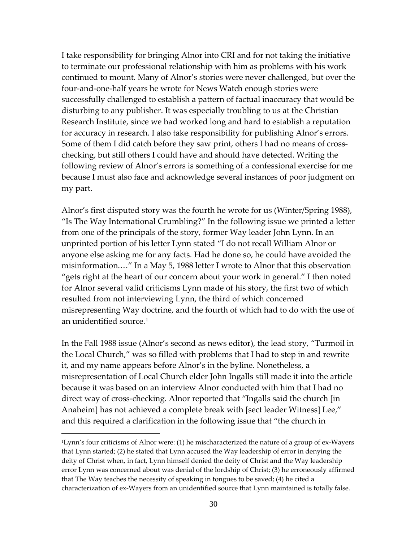I take responsibility for bringing Alnor into CRI and for not taking the initiative to terminate our professional relationship with him as problems with his work continued to mount. Many of Alnor's stories were never challenged, but over the four-and-one-half years he wrote for News Watch enough stories were successfully challenged to establish a pattern of factual inaccuracy that would be disturbing to any publisher. It was especially troubling to us at the Christian Research Institute, since we had worked long and hard to establish a reputation for accuracy in research. I also take responsibility for publishing Alnor's errors. Some of them I did catch before they saw print, others I had no means of crosschecking, but still others I could have and should have detected. Writing the following review of Alnor's errors is something of a confessional exercise for me because I must also face and acknowledge several instances of poor judgment on my part.

Alnor's first disputed story was the fourth he wrote for us (Winter/Spring 1988), "Is The Way International Crumbling?" In the following issue we printed a letter from one of the principals of the story, former Way leader John Lynn. In an unprinted portion of his letter Lynn stated "I do not recall William Alnor or anyone else asking me for any facts. Had he done so, he could have avoided the misinformation.…" In a May 5, 1988 letter I wrote to Alnor that this observation "gets right at the heart of our concern about your work in general." I then noted for Alnor several valid criticisms Lynn made of his story, the first two of which resulted from not interviewing Lynn, the third of which concerned misrepresenting Way doctrine, and the fourth of which had to do with the use of an unidentified source.<sup>[1](#page-29-0)</sup>

In the Fall 1988 issue (Alnor's second as news editor), the lead story, "Turmoil in the Local Church," was so filled with problems that I had to step in and rewrite it, and my name appears before Alnor's in the byline. Nonetheless, a misrepresentation of Local Church elder John Ingalls still made it into the article because it was based on an interview Alnor conducted with him that I had no direct way of cross-checking. Alnor reported that "Ingalls said the church [in Anaheim] has not achieved a complete break with [sect leader Witness] Lee," and this required a clarification in the following issue that "the church in

<span id="page-29-0"></span><sup>1</sup>Lynn's four criticisms of Alnor were: (1) he mischaracterized the nature of a group of ex-Wayers that Lynn started; (2) he stated that Lynn accused the Way leadership of error in denying the deity of Christ when, in fact, Lynn himself denied the deity of Christ and the Way leadership error Lynn was concerned about was denial of the lordship of Christ; (3) he erroneously affirmed that The Way teaches the necessity of speaking in tongues to be saved; (4) he cited a characterization of ex-Wayers from an unidentified source that Lynn maintained is totally false.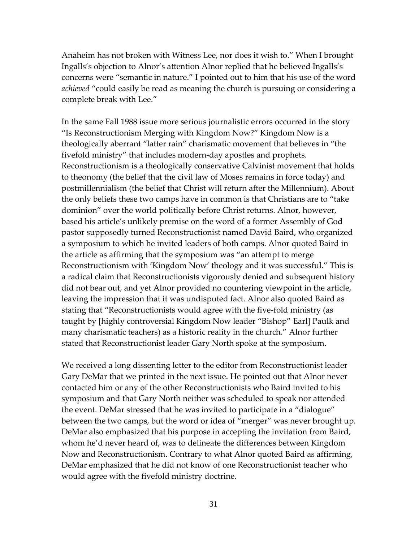Anaheim has not broken with Witness Lee, nor does it wish to." When I brought Ingalls's objection to Alnor's attention Alnor replied that he believed Ingalls's concerns were "semantic in nature." I pointed out to him that his use of the word *achieved* "could easily be read as meaning the church is pursuing or considering a complete break with Lee."

In the same Fall 1988 issue more serious journalistic errors occurred in the story "Is Reconstructionism Merging with Kingdom Now?" Kingdom Now is a theologically aberrant "latter rain" charismatic movement that believes in "the fivefold ministry" that includes modern-day apostles and prophets. Reconstructionism is a theologically conservative Calvinist movement that holds to theonomy (the belief that the civil law of Moses remains in force today) and postmillennialism (the belief that Christ will return after the Millennium). About the only beliefs these two camps have in common is that Christians are to "take dominion" over the world politically before Christ returns. Alnor, however, based his article's unlikely premise on the word of a former Assembly of God pastor supposedly turned Reconstructionist named David Baird, who organized a symposium to which he invited leaders of both camps. Alnor quoted Baird in the article as affirming that the symposium was "an attempt to merge Reconstructionism with 'Kingdom Now' theology and it was successful." This is a radical claim that Reconstructionists vigorously denied and subsequent history did not bear out, and yet Alnor provided no countering viewpoint in the article, leaving the impression that it was undisputed fact. Alnor also quoted Baird as stating that "Reconstructionists would agree with the five-fold ministry (as taught by [highly controversial Kingdom Now leader "Bishop" Earl] Paulk and many charismatic teachers) as a historic reality in the church." Alnor further stated that Reconstructionist leader Gary North spoke at the symposium.

We received a long dissenting letter to the editor from Reconstructionist leader Gary DeMar that we printed in the next issue. He pointed out that Alnor never contacted him or any of the other Reconstructionists who Baird invited to his symposium and that Gary North neither was scheduled to speak nor attended the event. DeMar stressed that he was invited to participate in a "dialogue" between the two camps, but the word or idea of "merger" was never brought up. DeMar also emphasized that his purpose in accepting the invitation from Baird, whom he'd never heard of, was to delineate the differences between Kingdom Now and Reconstructionism. Contrary to what Alnor quoted Baird as affirming, DeMar emphasized that he did not know of one Reconstructionist teacher who would agree with the fivefold ministry doctrine.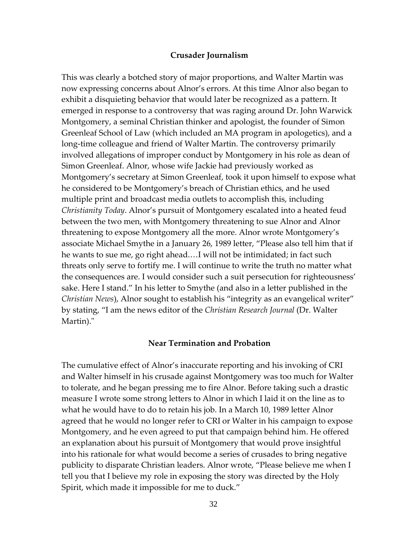#### **Crusader Journalism**

This was clearly a botched story of major proportions, and Walter Martin was now expressing concerns about Alnor's errors. At this time Alnor also began to exhibit a disquieting behavior that would later be recognized as a pattern. It emerged in response to a controversy that was raging around Dr. John Warwick Montgomery, a seminal Christian thinker and apologist, the founder of Simon Greenleaf School of Law (which included an MA program in apologetics), and a long-time colleague and friend of Walter Martin. The controversy primarily involved allegations of improper conduct by Montgomery in his role as dean of Simon Greenleaf. Alnor, whose wife Jackie had previously worked as Montgomery's secretary at Simon Greenleaf, took it upon himself to expose what he considered to be Montgomery's breach of Christian ethics, and he used multiple print and broadcast media outlets to accomplish this, including *Christianity Today*. Alnor's pursuit of Montgomery escalated into a heated feud between the two men, with Montgomery threatening to sue Alnor and Alnor threatening to expose Montgomery all the more. Alnor wrote Montgomery's associate Michael Smythe in a January 26, 1989 letter, "Please also tell him that if he wants to sue me, go right ahead.…I will not be intimidated; in fact such threats only serve to fortify me. I will continue to write the truth no matter what the consequences are. I would consider such a suit persecution for righteousness' sake. Here I stand." In his letter to Smythe (and also in a letter published in the *Christian News*), Alnor sought to establish his "integrity as an evangelical writer" by stating, "I am the news editor of the *Christian Research Journal* (Dr. Walter Martin)."

#### **Near Termination and Probation**

The cumulative effect of Alnor's inaccurate reporting and his invoking of CRI and Walter himself in his crusade against Montgomery was too much for Walter to tolerate, and he began pressing me to fire Alnor. Before taking such a drastic measure I wrote some strong letters to Alnor in which I laid it on the line as to what he would have to do to retain his job. In a March 10, 1989 letter Alnor agreed that he would no longer refer to CRI or Walter in his campaign to expose Montgomery, and he even agreed to put that campaign behind him. He offered an explanation about his pursuit of Montgomery that would prove insightful into his rationale for what would become a series of crusades to bring negative publicity to disparate Christian leaders. Alnor wrote, "Please believe me when I tell you that I believe my role in exposing the story was directed by the Holy Spirit, which made it impossible for me to duck."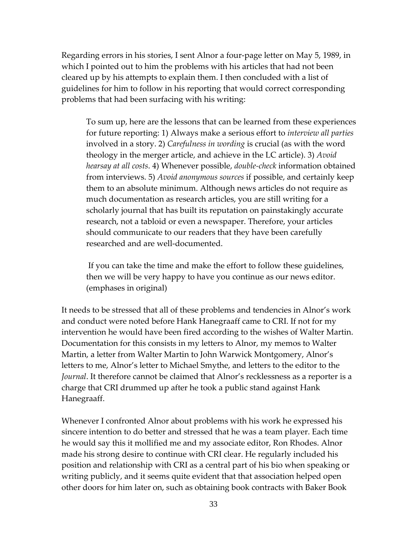Regarding errors in his stories, I sent Alnor a four-page letter on May 5, 1989, in which I pointed out to him the problems with his articles that had not been cleared up by his attempts to explain them. I then concluded with a list of guidelines for him to follow in his reporting that would correct corresponding problems that had been surfacing with his writing:

To sum up, here are the lessons that can be learned from these experiences for future reporting: 1) Always make a serious effort to *interview all parties* involved in a story. 2) *Carefulness in wording* is crucial (as with the word theology in the merger article, and achieve in the LC article). 3) *Avoid hearsay at all costs*. 4) Whenever possible, *double-check* information obtained from interviews. 5) *Avoid anonymous sources* if possible, and certainly keep them to an absolute minimum. Although news articles do not require as much documentation as research articles, you are still writing for a scholarly journal that has built its reputation on painstakingly accurate research, not a tabloid or even a newspaper. Therefore, your articles should communicate to our readers that they have been carefully researched and are well-documented.

If you can take the time and make the effort to follow these guidelines, then we will be very happy to have you continue as our news editor. (emphases in original)

It needs to be stressed that all of these problems and tendencies in Alnor's work and conduct were noted before Hank Hanegraaff came to CRI. If not for my intervention he would have been fired according to the wishes of Walter Martin. Documentation for this consists in my letters to Alnor, my memos to Walter Martin, a letter from Walter Martin to John Warwick Montgomery, Alnor's letters to me, Alnor's letter to Michael Smythe, and letters to the editor to the *Journal*. It therefore cannot be claimed that Alnor's recklessness as a reporter is a charge that CRI drummed up after he took a public stand against Hank Hanegraaff.

Whenever I confronted Alnor about problems with his work he expressed his sincere intention to do better and stressed that he was a team player. Each time he would say this it mollified me and my associate editor, Ron Rhodes. Alnor made his strong desire to continue with CRI clear. He regularly included his position and relationship with CRI as a central part of his bio when speaking or writing publicly, and it seems quite evident that that association helped open other doors for him later on, such as obtaining book contracts with Baker Book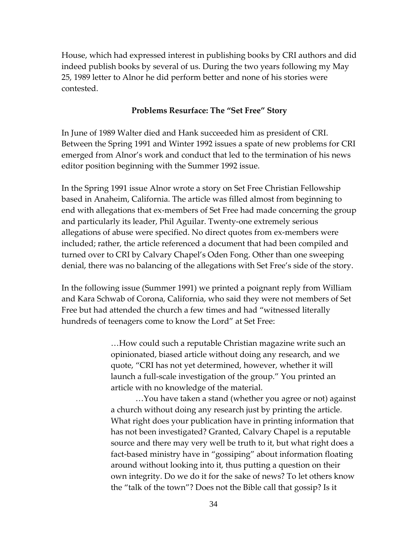House, which had expressed interest in publishing books by CRI authors and did indeed publish books by several of us. During the two years following my May 25, 1989 letter to Alnor he did perform better and none of his stories were contested.

#### **Problems Resurface: The "Set Free" Story**

In June of 1989 Walter died and Hank succeeded him as president of CRI. Between the Spring 1991 and Winter 1992 issues a spate of new problems for CRI emerged from Alnor's work and conduct that led to the termination of his news editor position beginning with the Summer 1992 issue.

In the Spring 1991 issue Alnor wrote a story on Set Free Christian Fellowship based in Anaheim, California. The article was filled almost from beginning to end with allegations that ex-members of Set Free had made concerning the group and particularly its leader, Phil Aguilar. Twenty-one extremely serious allegations of abuse were specified. No direct quotes from ex-members were included; rather, the article referenced a document that had been compiled and turned over to CRI by Calvary Chapel's Oden Fong. Other than one sweeping denial, there was no balancing of the allegations with Set Free's side of the story.

In the following issue (Summer 1991) we printed a poignant reply from William and Kara Schwab of Corona, California, who said they were not members of Set Free but had attended the church a few times and had "witnessed literally hundreds of teenagers come to know the Lord" at Set Free:

> …How could such a reputable Christian magazine write such an opinionated, biased article without doing any research, and we quote, "CRI has not yet determined, however, whether it will launch a full-scale investigation of the group." You printed an article with no knowledge of the material.

…You have taken a stand (whether you agree or not) against a church without doing any research just by printing the article. What right does your publication have in printing information that has not been investigated? Granted, Calvary Chapel is a reputable source and there may very well be truth to it, but what right does a fact-based ministry have in "gossiping" about information floating around without looking into it, thus putting a question on their own integrity. Do we do it for the sake of news? To let others know the "talk of the town"? Does not the Bible call that gossip? Is it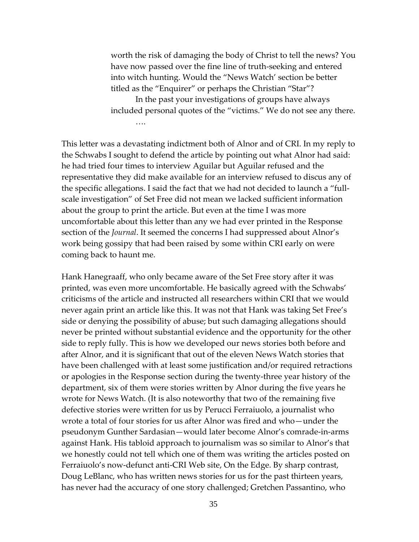worth the risk of damaging the body of Christ to tell the news? You have now passed over the fine line of truth-seeking and entered into witch hunting. Would the "News Watch' section be better titled as the "Enquirer" or perhaps the Christian "Star"?

In the past your investigations of groups have always included personal quotes of the "victims." We do not see any there. ….

This letter was a devastating indictment both of Alnor and of CRI. In my reply to the Schwabs I sought to defend the article by pointing out what Alnor had said: he had tried four times to interview Aguilar but Aguilar refused and the representative they did make available for an interview refused to discus any of the specific allegations. I said the fact that we had not decided to launch a "fullscale investigation" of Set Free did not mean we lacked sufficient information about the group to print the article. But even at the time I was more uncomfortable about this letter than any we had ever printed in the Response section of the *Journal*. It seemed the concerns I had suppressed about Alnor's work being gossipy that had been raised by some within CRI early on were coming back to haunt me.

Hank Hanegraaff, who only became aware of the Set Free story after it was printed, was even more uncomfortable. He basically agreed with the Schwabs' criticisms of the article and instructed all researchers within CRI that we would never again print an article like this. It was not that Hank was taking Set Free's side or denying the possibility of abuse; but such damaging allegations should never be printed without substantial evidence and the opportunity for the other side to reply fully. This is how we developed our news stories both before and after Alnor, and it is significant that out of the eleven News Watch stories that have been challenged with at least some justification and/or required retractions or apologies in the Response section during the twenty-three year history of the department, six of them were stories written by Alnor during the five years he wrote for News Watch. (It is also noteworthy that two of the remaining five defective stories were written for us by Perucci Ferraiuolo, a journalist who wrote a total of four stories for us after Alnor was fired and who—under the pseudonym Gunther Sardasian—would later become Alnor's comrade-in-arms against Hank. His tabloid approach to journalism was so similar to Alnor's that we honestly could not tell which one of them was writing the articles posted on Ferraiuolo's now-defunct anti-CRI Web site, On the Edge. By sharp contrast, Doug LeBlanc, who has written news stories for us for the past thirteen years, has never had the accuracy of one story challenged; Gretchen Passantino, who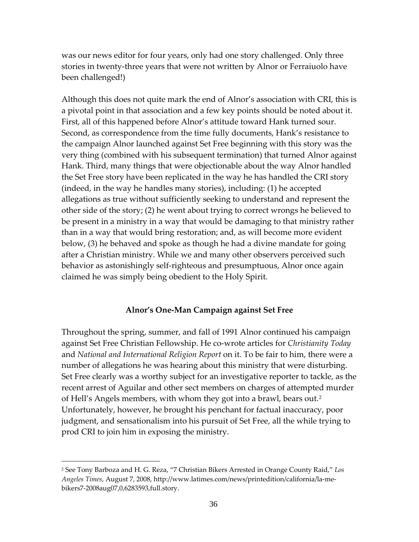was our news editor for four years, only had one story challenged. Only three stories in twenty-three years that were not written by Alnor or Ferraiuolo have been challenged!)

Although this does not quite mark the end of Alnor's association with CRI, this is a pivotal point in that association and a few key points should be noted about it. First, all of this happened before Alnor's attitude toward Hank turned sour. Second, as correspondence from the time fully documents, Hank's resistance to the campaign Alnor launched against Set Free beginning with this story was the very thing (combined with his subsequent termination) that turned Alnor against Hank. Third, many things that were objectionable about the way Alnor handled the Set Free story have been replicated in the way he has handled the CRI story (indeed, in the way he handles many stories), including: (1) he accepted allegations as true without sufficiently seeking to understand and represent the other side of the story; (2) he went about trying to correct wrongs he believed to be present in a ministry in a way that would be damaging to that ministry rather than in a way that would bring restoration; and, as will become more evident below, (3) he behaved and spoke as though he had a divine mandate for going after a Christian ministry. While we and many other observers perceived such behavior as astonishingly self-righteous and presumptuous, Alnor once again claimed he was simply being obedient to the Holy Spirit.

#### **Alnor's One-Man Campaign against Set Free**

Throughout the spring, summer, and fall of 1991 Alnor continued his campaign against Set Free Christian Fellowship. He co-wrote articles for *Christianity Today* and *National and International Religion Report* on it. To be fair to him, there were a number of allegations he was hearing about this ministry that were disturbing. Set Free clearly was a worthy subject for an investigative reporter to tackle, as the recent arrest of Aguilar and other sect members on charges of attempted murder of Hell's Angels members, with whom they got into a brawl, bears out.[2](#page-35-0) Unfortunately, however, he brought his penchant for factual inaccuracy, poor judgment, and sensationalism into his pursuit of Set Free, all the while trying to prod CRI to join him in exposing the ministry.

<span id="page-35-0"></span><sup>2</sup> See Tony Barboza and H. G. Reza, "7 Christian Bikers Arrested in Orange County Raid," *Los Angeles Times*, August 7, 2008[, http://www.latimes.com/news/printedition/california/la-me](http://www.latimes.com/news/printedition/california/la-me-bikers7-2008aug07,0,6283593,full.story)[bikers7-2008aug07,0,6283593,full.story.](http://www.latimes.com/news/printedition/california/la-me-bikers7-2008aug07,0,6283593,full.story)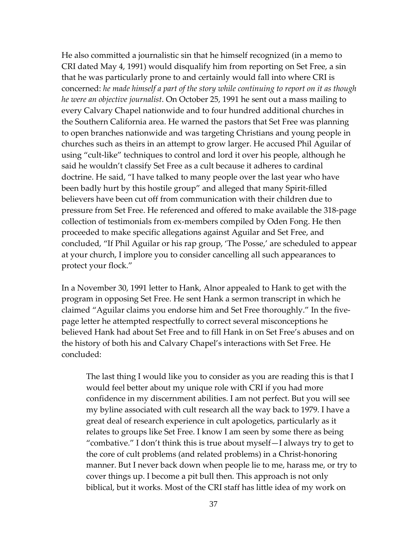He also committed a journalistic sin that he himself recognized (in a memo to CRI dated May 4, 1991) would disqualify him from reporting on Set Free, a sin that he was particularly prone to and certainly would fall into where CRI is concerned: *he made himself a part of the story while continuing to report on it as though he were an objective journalist*. On October 25, 1991 he sent out a mass mailing to every Calvary Chapel nationwide and to four hundred additional churches in the Southern California area. He warned the pastors that Set Free was planning to open branches nationwide and was targeting Christians and young people in churches such as theirs in an attempt to grow larger. He accused Phil Aguilar of using "cult-like" techniques to control and lord it over his people, although he said he wouldn't classify Set Free as a cult because it adheres to cardinal doctrine. He said, "I have talked to many people over the last year who have been badly hurt by this hostile group" and alleged that many Spirit-filled believers have been cut off from communication with their children due to pressure from Set Free. He referenced and offered to make available the 318-page collection of testimonials from ex-members compiled by Oden Fong. He then proceeded to make specific allegations against Aguilar and Set Free, and concluded, "If Phil Aguilar or his rap group, 'The Posse,' are scheduled to appear at your church, I implore you to consider cancelling all such appearances to protect your flock."

In a November 30, 1991 letter to Hank, Alnor appealed to Hank to get with the program in opposing Set Free. He sent Hank a sermon transcript in which he claimed "Aguilar claims you endorse him and Set Free thoroughly." In the fivepage letter he attempted respectfully to correct several misconceptions he believed Hank had about Set Free and to fill Hank in on Set Free's abuses and on the history of both his and Calvary Chapel's interactions with Set Free. He concluded:

The last thing I would like you to consider as you are reading this is that I would feel better about my unique role with CRI if you had more confidence in my discernment abilities. I am not perfect. But you will see my byline associated with cult research all the way back to 1979. I have a great deal of research experience in cult apologetics, particularly as it relates to groups like Set Free. I know I am seen by some there as being "combative." I don't think this is true about myself—I always try to get to the core of cult problems (and related problems) in a Christ-honoring manner. But I never back down when people lie to me, harass me, or try to cover things up. I become a pit bull then. This approach is not only biblical, but it works. Most of the CRI staff has little idea of my work on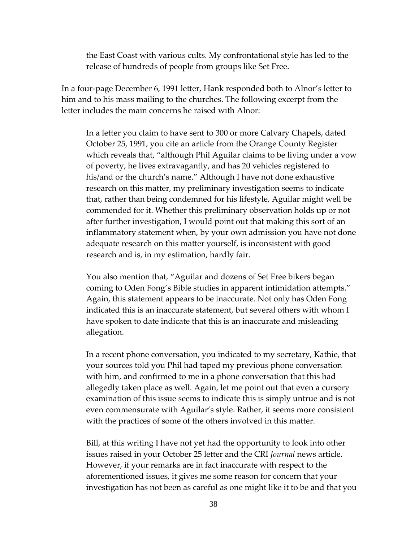the East Coast with various cults. My confrontational style has led to the release of hundreds of people from groups like Set Free.

In a four-page December 6, 1991 letter, Hank responded both to Alnor's letter to him and to his mass mailing to the churches. The following excerpt from the letter includes the main concerns he raised with Alnor:

In a letter you claim to have sent to 300 or more Calvary Chapels, dated October 25, 1991, you cite an article from the Orange County Register which reveals that, "although Phil Aguilar claims to be living under a vow of poverty, he lives extravagantly, and has 20 vehicles registered to his/and or the church's name." Although I have not done exhaustive research on this matter, my preliminary investigation seems to indicate that, rather than being condemned for his lifestyle, Aguilar might well be commended for it. Whether this preliminary observation holds up or not after further investigation, I would point out that making this sort of an inflammatory statement when, by your own admission you have not done adequate research on this matter yourself, is inconsistent with good research and is, in my estimation, hardly fair.

You also mention that, "Aguilar and dozens of Set Free bikers began coming to Oden Fong's Bible studies in apparent intimidation attempts." Again, this statement appears to be inaccurate. Not only has Oden Fong indicated this is an inaccurate statement, but several others with whom I have spoken to date indicate that this is an inaccurate and misleading allegation.

In a recent phone conversation, you indicated to my secretary, Kathie, that your sources told you Phil had taped my previous phone conversation with him, and confirmed to me in a phone conversation that this had allegedly taken place as well. Again, let me point out that even a cursory examination of this issue seems to indicate this is simply untrue and is not even commensurate with Aguilar's style. Rather, it seems more consistent with the practices of some of the others involved in this matter.

Bill, at this writing I have not yet had the opportunity to look into other issues raised in your October 25 letter and the CRI *Journal* news article. However, if your remarks are in fact inaccurate with respect to the aforementioned issues, it gives me some reason for concern that your investigation has not been as careful as one might like it to be and that you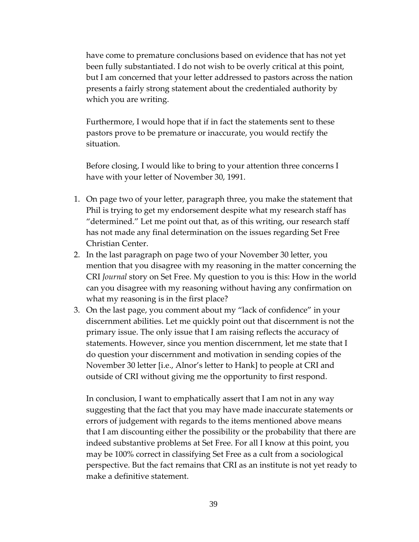have come to premature conclusions based on evidence that has not yet been fully substantiated. I do not wish to be overly critical at this point, but I am concerned that your letter addressed to pastors across the nation presents a fairly strong statement about the credentialed authority by which you are writing.

Furthermore, I would hope that if in fact the statements sent to these pastors prove to be premature or inaccurate, you would rectify the situation.

Before closing, I would like to bring to your attention three concerns I have with your letter of November 30, 1991.

- 1. On page two of your letter, paragraph three, you make the statement that Phil is trying to get my endorsement despite what my research staff has "determined." Let me point out that, as of this writing, our research staff has not made any final determination on the issues regarding Set Free Christian Center.
- 2. In the last paragraph on page two of your November 30 letter, you mention that you disagree with my reasoning in the matter concerning the CRI *Journal* story on Set Free. My question to you is this: How in the world can you disagree with my reasoning without having any confirmation on what my reasoning is in the first place?
- 3. On the last page, you comment about my "lack of confidence" in your discernment abilities. Let me quickly point out that discernment is not the primary issue. The only issue that I am raising reflects the accuracy of statements. However, since you mention discernment, let me state that I do question your discernment and motivation in sending copies of the November 30 letter [i.e., Alnor's letter to Hank] to people at CRI and outside of CRI without giving me the opportunity to first respond.

In conclusion, I want to emphatically assert that I am not in any way suggesting that the fact that you may have made inaccurate statements or errors of judgement with regards to the items mentioned above means that I am discounting either the possibility or the probability that there are indeed substantive problems at Set Free. For all I know at this point, you may be 100% correct in classifying Set Free as a cult from a sociological perspective. But the fact remains that CRI as an institute is not yet ready to make a definitive statement.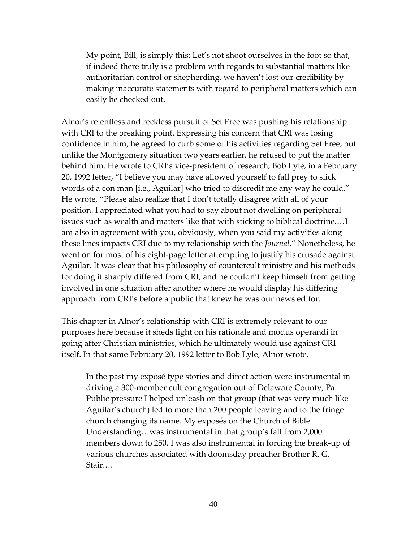My point, Bill, is simply this: Let's not shoot ourselves in the foot so that, if indeed there truly is a problem with regards to substantial matters like authoritarian control or shepherding, we haven't lost our credibility by making inaccurate statements with regard to peripheral matters which can easily be checked out.

Alnor's relentless and reckless pursuit of Set Free was pushing his relationship with CRI to the breaking point. Expressing his concern that CRI was losing confidence in him, he agreed to curb some of his activities regarding Set Free, but unlike the Montgomery situation two years earlier, he refused to put the matter behind him. He wrote to CRI's vice-president of research, Bob Lyle, in a February 20, 1992 letter, "I believe you may have allowed yourself to fall prey to slick words of a con man [i.e., Aguilar] who tried to discredit me any way he could." He wrote, "Please also realize that I don't totally disagree with all of your position. I appreciated what you had to say about not dwelling on peripheral issues such as wealth and matters like that with sticking to biblical doctrine.…I am also in agreement with you, obviously, when you said my activities along these lines impacts CRI due to my relationship with the *Journal*." Nonetheless, he went on for most of his eight-page letter attempting to justify his crusade against Aguilar. It was clear that his philosophy of countercult ministry and his methods for doing it sharply differed from CRI, and he couldn't keep himself from getting involved in one situation after another where he would display his differing approach from CRI's before a public that knew he was our news editor.

This chapter in Alnor's relationship with CRI is extremely relevant to our purposes here because it sheds light on his rationale and modus operandi in going after Christian ministries, which he ultimately would use against CRI itself. In that same February 20, 1992 letter to Bob Lyle, Alnor wrote,

In the past my exposé type stories and direct action were instrumental in driving a 300-member cult congregation out of Delaware County, Pa. Public pressure I helped unleash on that group (that was very much like Aguilar's church) led to more than 200 people leaving and to the fringe church changing its name. My exposés on the Church of Bible Understanding…was instrumental in that group's fall from 2,000 members down to 250. I was also instrumental in forcing the break-up of various churches associated with doomsday preacher Brother R. G. Stair.…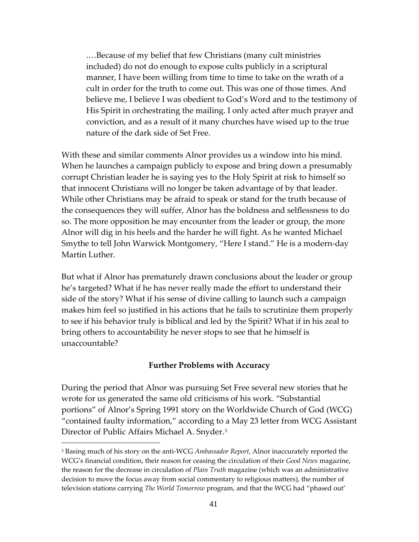.…Because of my belief that few Christians (many cult ministries included) do not do enough to expose cults publicly in a scriptural manner, I have been willing from time to time to take on the wrath of a cult in order for the truth to come out. This was one of those times. And believe me, I believe I was obedient to God's Word and to the testimony of His Spirit in orchestrating the mailing. I only acted after much prayer and conviction, and as a result of it many churches have wised up to the true nature of the dark side of Set Free.

With these and similar comments Alnor provides us a window into his mind. When he launches a campaign publicly to expose and bring down a presumably corrupt Christian leader he is saying yes to the Holy Spirit at risk to himself so that innocent Christians will no longer be taken advantage of by that leader. While other Christians may be afraid to speak or stand for the truth because of the consequences they will suffer, Alnor has the boldness and selflessness to do so. The more opposition he may encounter from the leader or group, the more Alnor will dig in his heels and the harder he will fight. As he wanted Michael Smythe to tell John Warwick Montgomery, "Here I stand." He is a modern-day Martin Luther.

But what if Alnor has prematurely drawn conclusions about the leader or group he's targeted? What if he has never really made the effort to understand their side of the story? What if his sense of divine calling to launch such a campaign makes him feel so justified in his actions that he fails to scrutinize them properly to see if his behavior truly is biblical and led by the Spirit? What if in his zeal to bring others to accountability he never stops to see that he himself is unaccountable?

#### **Further Problems with Accuracy**

During the period that Alnor was pursuing Set Free several new stories that he wrote for us generated the same old criticisms of his work. "Substantial portions" of Alnor's Spring 1991 story on the Worldwide Church of God (WCG) "contained faulty information," according to a May 23 letter from WCG Assistant Director of Public Affairs Michael A. Snyder.<sup>[3](#page-40-0)</sup>

<span id="page-40-0"></span><sup>3</sup> Basing much of his story on the anti-WCG *Ambassador Report*, Alnor inaccurately reported the WCG's financial condition, their reason for ceasing the circulation of their *Good News* magazine, the reason for the decrease in circulation of *Plain Truth* magazine (which was an administrative decision to move the focus away from social commentary to religious matters), the number of television stations carrying *The World Tomorrow* program, and that the WCG had "phased out'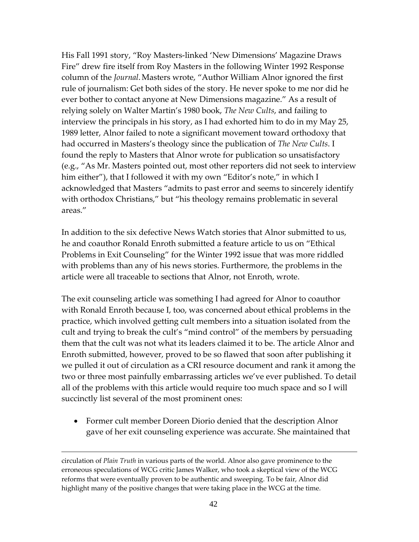His Fall 1991 story, "Roy Masters-linked 'New Dimensions' Magazine Draws Fire" drew fire itself from Roy Masters in the following Winter 1992 Response column of the *Journal*.Masters wrote, "Author William Alnor ignored the first rule of journalism: Get both sides of the story. He never spoke to me nor did he ever bother to contact anyone at New Dimensions magazine." As a result of relying solely on Walter Martin's 1980 book, *The New Cults*, and failing to interview the principals in his story, as I had exhorted him to do in my May 25, 1989 letter, Alnor failed to note a significant movement toward orthodoxy that had occurred in Masters's theology since the publication of *The New Cults*. I found the reply to Masters that Alnor wrote for publication so unsatisfactory (e.g., "As Mr. Masters pointed out, most other reporters did not seek to interview him either"), that I followed it with my own "Editor's note," in which I acknowledged that Masters "admits to past error and seems to sincerely identify with orthodox Christians," but "his theology remains problematic in several areas."

In addition to the six defective News Watch stories that Alnor submitted to us, he and coauthor Ronald Enroth submitted a feature article to us on "Ethical Problems in Exit Counseling" for the Winter 1992 issue that was more riddled with problems than any of his news stories. Furthermore, the problems in the article were all traceable to sections that Alnor, not Enroth, wrote.

The exit counseling article was something I had agreed for Alnor to coauthor with Ronald Enroth because I, too, was concerned about ethical problems in the practice, which involved getting cult members into a situation isolated from the cult and trying to break the cult's "mind control" of the members by persuading them that the cult was not what its leaders claimed it to be. The article Alnor and Enroth submitted, however, proved to be so flawed that soon after publishing it we pulled it out of circulation as a CRI resource document and rank it among the two or three most painfully embarrassing articles we've ever published. To detail all of the problems with this article would require too much space and so I will succinctly list several of the most prominent ones:

• Former cult member Doreen Diorio denied that the description Alnor gave of her exit counseling experience was accurate. She maintained that

circulation of *Plain Truth* in various parts of the world. Alnor also gave prominence to the erroneous speculations of WCG critic James Walker, who took a skeptical view of the WCG reforms that were eventually proven to be authentic and sweeping. To be fair, Alnor did highlight many of the positive changes that were taking place in the WCG at the time.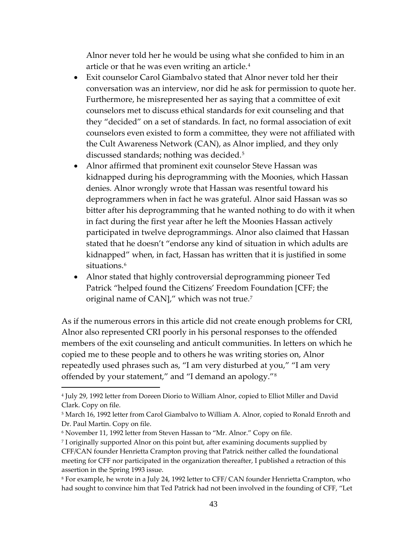Alnor never told her he would be using what she confided to him in an article or that he was even writing an article.[4](#page-42-0)

- Exit counselor Carol Giambalvo stated that Alnor never told her their conversation was an interview, nor did he ask for permission to quote her. Furthermore, he misrepresented her as saying that a committee of exit counselors met to discuss ethical standards for exit counseling and that they "decided" on a set of standards. In fact, no formal association of exit counselors even existed to form a committee, they were not affiliated with the Cult Awareness Network (CAN), as Alnor implied, and they only discussed standards; nothing was decided.[5](#page-42-1)
- Alnor affirmed that prominent exit counselor Steve Hassan was kidnapped during his deprogramming with the Moonies, which Hassan denies. Alnor wrongly wrote that Hassan was resentful toward his deprogrammers when in fact he was grateful. Alnor said Hassan was so bitter after his deprogramming that he wanted nothing to do with it when in fact during the first year after he left the Moonies Hassan actively participated in twelve deprogrammings. Alnor also claimed that Hassan stated that he doesn't "endorse any kind of situation in which adults are kidnapped" when, in fact, Hassan has written that it is justified in some situations.<sup>[6](#page-42-2)</sup>
- Alnor stated that highly controversial deprogramming pioneer Ted Patrick "helped found the Citizens' Freedom Foundation [CFF; the original name of CAN]," which was not true.<sup>[7](#page-42-3)</sup>

As if the numerous errors in this article did not create enough problems for CRI, Alnor also represented CRI poorly in his personal responses to the offended members of the exit counseling and anticult communities. In letters on which he copied me to these people and to others he was writing stories on, Alnor repeatedly used phrases such as, "I am very disturbed at you," "I am very offended by your statement," and "I demand an apology."[8](#page-42-4)

<span id="page-42-0"></span><sup>4</sup> July 29, 1992 letter from Doreen Diorio to William Alnor, copied to Elliot Miller and David Clark. Copy on file.

<span id="page-42-1"></span><sup>&</sup>lt;sup>5</sup> March 16, 1992 letter from Carol Giambalvo to William A. Alnor, copied to Ronald Enroth and Dr. Paul Martin. Copy on file.

<span id="page-42-2"></span><sup>6</sup> November 11, 1992 letter from Steven Hassan to "Mr. Alnor." Copy on file.

<span id="page-42-3"></span><sup>7</sup> I originally supported Alnor on this point but, after examining documents supplied by CFF/CAN founder Henrietta Crampton proving that Patrick neither called the foundational meeting for CFF nor participated in the organization thereafter, I published a retraction of this assertion in the Spring 1993 issue.

<span id="page-42-4"></span><sup>8</sup> For example, he wrote in a July 24, 1992 letter to CFF/ CAN founder Henrietta Crampton, who had sought to convince him that Ted Patrick had not been involved in the founding of CFF, "Let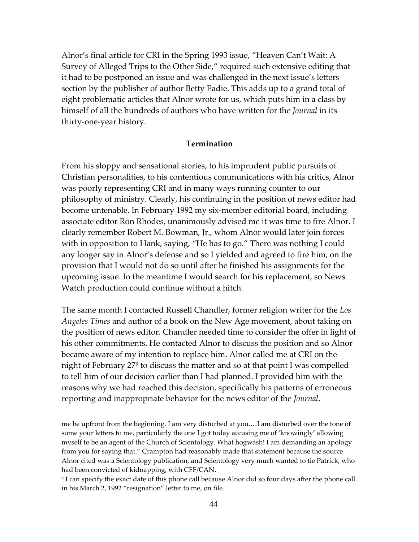Alnor's final article for CRI in the Spring 1993 issue, "Heaven Can't Wait: A Survey of Alleged Trips to the Other Side," required such extensive editing that it had to be postponed an issue and was challenged in the next issue's letters section by the publisher of author Betty Eadie. This adds up to a grand total of eight problematic articles that Alnor wrote for us, which puts him in a class by himself of all the hundreds of authors who have written for the *Journal* in its thirty-one-year history.

#### **Termination**

From his sloppy and sensational stories, to his imprudent public pursuits of Christian personalities, to his contentious communications with his critics, Alnor was poorly representing CRI and in many ways running counter to our philosophy of ministry. Clearly, his continuing in the position of news editor had become untenable. In February 1992 my six-member editorial board, including associate editor Ron Rhodes, unanimously advised me it was time to fire Alnor. I clearly remember Robert M. Bowman, Jr., whom Alnor would later join forces with in opposition to Hank, saying, "He has to go." There was nothing I could any longer say in Alnor's defense and so I yielded and agreed to fire him, on the provision that I would not do so until after he finished his assignments for the upcoming issue. In the meantime I would search for his replacement, so News Watch production could continue without a hitch.

The same month I contacted Russell Chandler, former religion writer for the *Los Angeles Times* and author of a book on the New Age movement, about taking on the position of news editor. Chandler needed time to consider the offer in light of his other commitments. He contacted Alnor to discuss the position and so Alnor became aware of my intention to replace him. Alnor called me at CRI on the night of February 27<sup>[9](#page-43-0)</sup> to discuss the matter and so at that point I was compelled to tell him of our decision earlier than I had planned. I provided him with the reasons why we had reached this decision, specifically his patterns of erroneous reporting and inappropriate behavior for the news editor of the *Journal*.

me be upfront from the beginning. I am very disturbed at you.…I am disturbed over the tone of some your letters to me, particularly the one I got today accusing me of 'knowingly' allowing myself to be an agent of the Church of Scientology. What hogwash! I am demanding an apology from you for saying that." Crampton had reasonably made that statement because the source Alnor cited was a Scientology publication, and Scientology very much wanted to tie Patrick, who had been convicted of kidnapping, with CFF/CAN.

<span id="page-43-0"></span><sup>9</sup> I can specify the exact date of this phone call because Alnor did so four days after the phone call in his March 2, 1992 "resignation" letter to me, on file.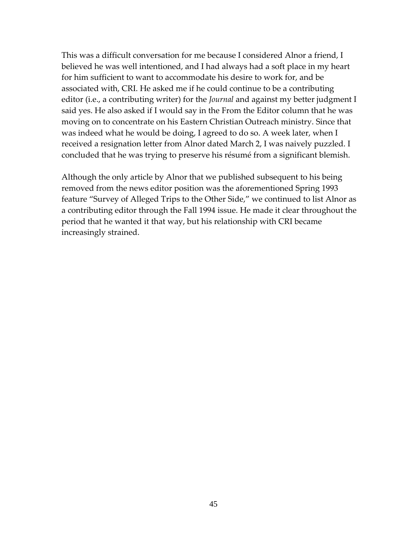This was a difficult conversation for me because I considered Alnor a friend, I believed he was well intentioned, and I had always had a soft place in my heart for him sufficient to want to accommodate his desire to work for, and be associated with, CRI. He asked me if he could continue to be a contributing editor (i.e., a contributing writer) for the *Journal* and against my better judgment I said yes. He also asked if I would say in the From the Editor column that he was moving on to concentrate on his Eastern Christian Outreach ministry. Since that was indeed what he would be doing, I agreed to do so. A week later, when I received a resignation letter from Alnor dated March 2, I was naively puzzled. I concluded that he was trying to preserve his résumé from a significant blemish.

Although the only article by Alnor that we published subsequent to his being removed from the news editor position was the aforementioned Spring 1993 feature "Survey of Alleged Trips to the Other Side," we continued to list Alnor as a contributing editor through the Fall 1994 issue. He made it clear throughout the period that he wanted it that way, but his relationship with CRI became increasingly strained.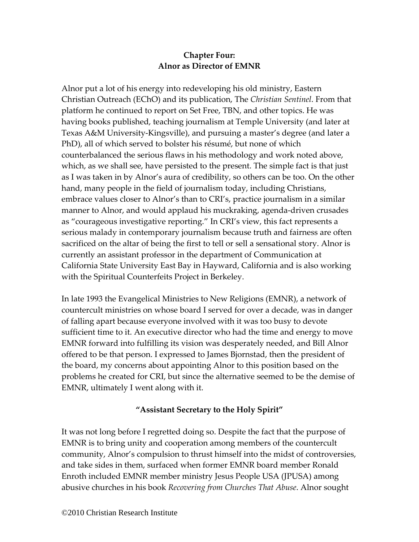# **Chapter Four: Alnor as Director of EMNR**

Alnor put a lot of his energy into redeveloping his old ministry, Eastern Christian Outreach (EChO) and its publication, The *Christian Sentinel*. From that platform he continued to report on Set Free, TBN, and other topics. He was having books published, teaching journalism at Temple University (and later at Texas A&M University-Kingsville), and pursuing a master's degree (and later a PhD), all of which served to bolster his résumé, but none of which counterbalanced the serious flaws in his methodology and work noted above, which, as we shall see, have persisted to the present. The simple fact is that just as I was taken in by Alnor's aura of credibility, so others can be too. On the other hand, many people in the field of journalism today, including Christians, embrace values closer to Alnor's than to CRI's, practice journalism in a similar manner to Alnor, and would applaud his muckraking, agenda-driven crusades as "courageous investigative reporting." In CRI's view, this fact represents a serious malady in contemporary journalism because truth and fairness are often sacrificed on the altar of being the first to tell or sell a sensational story. Alnor is currently an assistant professor in the department of Communication at California State University East Bay in Hayward, California and is also working with the Spiritual Counterfeits Project in Berkeley.

In late 1993 the Evangelical Ministries to New Religions (EMNR), a network of countercult ministries on whose board I served for over a decade, was in danger of falling apart because everyone involved with it was too busy to devote sufficient time to it. An executive director who had the time and energy to move EMNR forward into fulfilling its vision was desperately needed, and Bill Alnor offered to be that person. I expressed to James Bjornstad, then the president of the board, my concerns about appointing Alnor to this position based on the problems he created for CRI, but since the alternative seemed to be the demise of EMNR, ultimately I went along with it.

### **"Assistant Secretary to the Holy Spirit"**

It was not long before I regretted doing so. Despite the fact that the purpose of EMNR is to bring unity and cooperation among members of the countercult community, Alnor's compulsion to thrust himself into the midst of controversies, and take sides in them, surfaced when former EMNR board member Ronald Enroth included EMNR member ministry Jesus People USA (JPUSA) among abusive churches in his book *Recovering from Churches That Abuse*. Alnor sought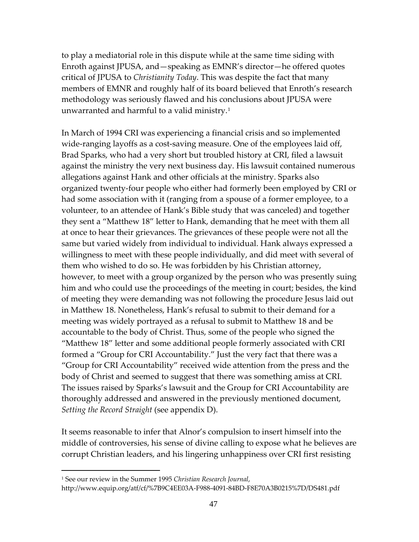to play a mediatorial role in this dispute while at the same time siding with Enroth against JPUSA, and—speaking as EMNR's director—he offered quotes critical of JPUSA to *Christianity Today*. This was despite the fact that many members of EMNR and roughly half of its board believed that Enroth's research methodology was seriously flawed and his conclusions about JPUSA were unwarranted and harmful to a valid ministry.[1](#page-46-0)

In March of 1994 CRI was experiencing a financial crisis and so implemented wide-ranging layoffs as a cost-saving measure. One of the employees laid off, Brad Sparks, who had a very short but troubled history at CRI, filed a lawsuit against the ministry the very next business day. His lawsuit contained numerous allegations against Hank and other officials at the ministry. Sparks also organized twenty-four people who either had formerly been employed by CRI or had some association with it (ranging from a spouse of a former employee, to a volunteer, to an attendee of Hank's Bible study that was canceled) and together they sent a "Matthew 18" letter to Hank, demanding that he meet with them all at once to hear their grievances. The grievances of these people were not all the same but varied widely from individual to individual. Hank always expressed a willingness to meet with these people individually, and did meet with several of them who wished to do so. He was forbidden by his Christian attorney, however, to meet with a group organized by the person who was presently suing him and who could use the proceedings of the meeting in court; besides, the kind of meeting they were demanding was not following the procedure Jesus laid out in Matthew 18. Nonetheless, Hank's refusal to submit to their demand for a meeting was widely portrayed as a refusal to submit to Matthew 18 and be accountable to the body of Christ. Thus, some of the people who signed the "Matthew 18" letter and some additional people formerly associated with CRI formed a "Group for CRI Accountability." Just the very fact that there was a "Group for CRI Accountability" received wide attention from the press and the body of Christ and seemed to suggest that there was something amiss at CRI. The issues raised by Sparks's lawsuit and the Group for CRI Accountability are thoroughly addressed and answered in the previously mentioned document, *Setting the Record Straight* (see appendix D).

It seems reasonable to infer that Alnor's compulsion to insert himself into the middle of controversies, his sense of divine calling to expose what he believes are corrupt Christian leaders, and his lingering unhappiness over CRI first resisting

<span id="page-46-0"></span><sup>1</sup> See our review in the Summer 1995 *Christian Research Journal*,

http://www.equip.org/atf/cf/%7B9C4EE03A-F988-4091-84BD-F8E70A3B0215%7D/DS481.pdf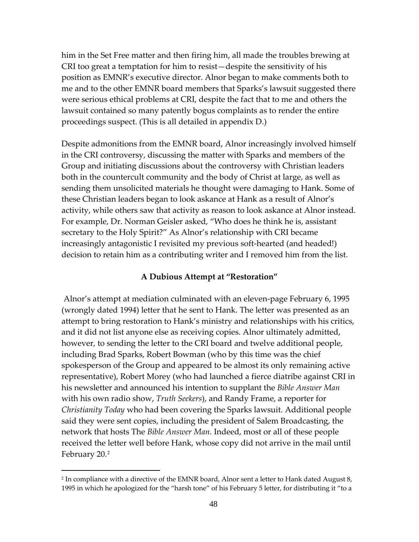him in the Set Free matter and then firing him, all made the troubles brewing at CRI too great a temptation for him to resist—despite the sensitivity of his position as EMNR's executive director. Alnor began to make comments both to me and to the other EMNR board members that Sparks's lawsuit suggested there were serious ethical problems at CRI, despite the fact that to me and others the lawsuit contained so many patently bogus complaints as to render the entire proceedings suspect. (This is all detailed in appendix D.)

Despite admonitions from the EMNR board, Alnor increasingly involved himself in the CRI controversy, discussing the matter with Sparks and members of the Group and initiating discussions about the controversy with Christian leaders both in the countercult community and the body of Christ at large, as well as sending them unsolicited materials he thought were damaging to Hank. Some of these Christian leaders began to look askance at Hank as a result of Alnor's activity, while others saw that activity as reason to look askance at Alnor instead. For example, Dr. Norman Geisler asked, "Who does he think he is, assistant secretary to the Holy Spirit?" As Alnor's relationship with CRI became increasingly antagonistic I revisited my previous soft-hearted (and headed!) decision to retain him as a contributing writer and I removed him from the list.

#### **A Dubious Attempt at "Restoration"**

Alnor's attempt at mediation culminated with an eleven-page February 6, 1995 (wrongly dated 1994) letter that he sent to Hank. The letter was presented as an attempt to bring restoration to Hank's ministry and relationships with his critics, and it did not list anyone else as receiving copies. Alnor ultimately admitted, however, to sending the letter to the CRI board and twelve additional people, including Brad Sparks, Robert Bowman (who by this time was the chief spokesperson of the Group and appeared to be almost its only remaining active representative), Robert Morey (who had launched a fierce diatribe against CRI in his newsletter and announced his intention to supplant the *Bible Answer Man* with his own radio show, *Truth Seekers*), and Randy Frame, a reporter for *Christianity Today* who had been covering the Sparks lawsuit. Additional people said they were sent copies, including the president of Salem Broadcasting, the network that hosts The *Bible Answer Man*. Indeed, most or all of these people received the letter well before Hank, whose copy did not arrive in the mail until February 20.[2](#page-47-0)

<span id="page-47-0"></span><sup>&</sup>lt;sup>2</sup> In compliance with a directive of the EMNR board, Alnor sent a letter to Hank dated August 8, 1995 in which he apologized for the "harsh tone" of his February 5 letter, for distributing it "to a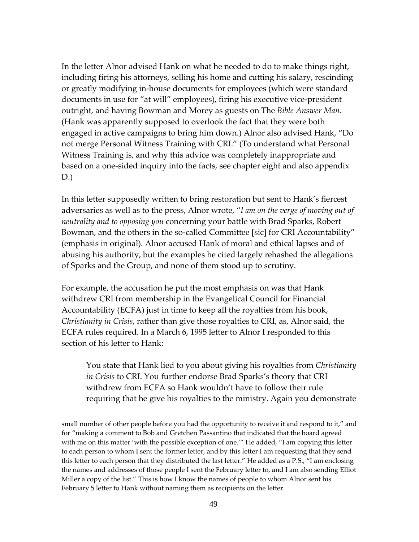In the letter Alnor advised Hank on what he needed to do to make things right, including firing his attorneys, selling his home and cutting his salary, rescinding or greatly modifying in-house documents for employees (which were standard documents in use for "at will" employees), firing his executive vice-president outright, and having Bowman and Morey as guests on The *Bible Answer Man*. (Hank was apparently supposed to overlook the fact that they were both engaged in active campaigns to bring him down.) Alnor also advised Hank, "Do not merge Personal Witness Training with CRI." (To understand what Personal Witness Training is, and why this advice was completely inappropriate and based on a one-sided inquiry into the facts, see chapter eight and also appendix D.)

In this letter supposedly written to bring restoration but sent to Hank's fiercest adversaries as well as to the press, Alnor wrote, "*I am on the verge of moving out of neutrality and to opposing you* concerning your battle with Brad Sparks, Robert Bowman, and the others in the so-called Committee [sic] for CRI Accountability" (emphasis in original). Alnor accused Hank of moral and ethical lapses and of abusing his authority, but the examples he cited largely rehashed the allegations of Sparks and the Group, and none of them stood up to scrutiny.

For example, the accusation he put the most emphasis on was that Hank withdrew CRI from membership in the Evangelical Council for Financial Accountability (ECFA) just in time to keep all the royalties from his book, *Christianity in Crisis*, rather than give those royalties to CRI, as, Alnor said, the ECFA rules required. In a March 6, 1995 letter to Alnor I responded to this section of his letter to Hank:

You state that Hank lied to you about giving his royalties from *Christianity in Crisis* to CRI. You further endorse Brad Sparks's theory that CRI withdrew from ECFA so Hank wouldn't have to follow their rule requiring that he give his royalties to the ministry. Again you demonstrate

small number of other people before you had the opportunity to receive it and respond to it," and for "making a comment to Bob and Gretchen Passantino that indicated that the board agreed with me on this matter 'with the possible exception of one.'" He added, "I am copying this letter to each person to whom I sent the former letter, and by this letter I am requesting that they send this letter to each person that they distributed the last letter." He added as a P.S., "I am enclosing the names and addresses of those people I sent the February letter to, and I am also sending Elliot Miller a copy of the list." This is how I know the names of people to whom Alnor sent his February 5 letter to Hank without naming them as recipients on the letter.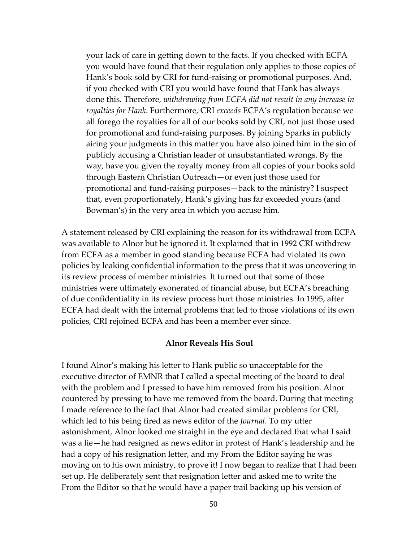your lack of care in getting down to the facts. If you checked with ECFA you would have found that their regulation only applies to those copies of Hank's book sold by CRI for fund-raising or promotional purposes. And, if you checked with CRI you would have found that Hank has always done this. Therefore, *withdrawing from ECFA did not result in any increase in royalties for Hank*. Furthermore, CRI *exceeds* ECFA's regulation because we all forego the royalties for all of our books sold by CRI, not just those used for promotional and fund-raising purposes. By joining Sparks in publicly airing your judgments in this matter you have also joined him in the sin of publicly accusing a Christian leader of unsubstantiated wrongs. By the way, have you given the royalty money from all copies of your books sold through Eastern Christian Outreach—or even just those used for promotional and fund-raising purposes—back to the ministry? I suspect that, even proportionately, Hank's giving has far exceeded yours (and Bowman's) in the very area in which you accuse him.

A statement released by CRI explaining the reason for its withdrawal from ECFA was available to Alnor but he ignored it. It explained that in 1992 CRI withdrew from ECFA as a member in good standing because ECFA had violated its own policies by leaking confidential information to the press that it was uncovering in its review process of member ministries. It turned out that some of those ministries were ultimately exonerated of financial abuse, but ECFA's breaching of due confidentiality in its review process hurt those ministries. In 1995, after ECFA had dealt with the internal problems that led to those violations of its own policies, CRI rejoined ECFA and has been a member ever since.

#### **Alnor Reveals His Soul**

I found Alnor's making his letter to Hank public so unacceptable for the executive director of EMNR that I called a special meeting of the board to deal with the problem and I pressed to have him removed from his position. Alnor countered by pressing to have me removed from the board. During that meeting I made reference to the fact that Alnor had created similar problems for CRI, which led to his being fired as news editor of the *Journal*. To my utter astonishment, Alnor looked me straight in the eye and declared that what I said was a lie—he had resigned as news editor in protest of Hank's leadership and he had a copy of his resignation letter, and my From the Editor saying he was moving on to his own ministry, to prove it! I now began to realize that I had been set up. He deliberately sent that resignation letter and asked me to write the From the Editor so that he would have a paper trail backing up his version of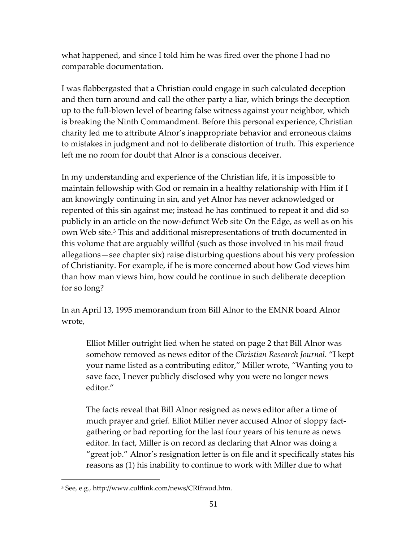what happened, and since I told him he was fired over the phone I had no comparable documentation.

I was flabbergasted that a Christian could engage in such calculated deception and then turn around and call the other party a liar, which brings the deception up to the full-blown level of bearing false witness against your neighbor, which is breaking the Ninth Commandment. Before this personal experience, Christian charity led me to attribute Alnor's inappropriate behavior and erroneous claims to mistakes in judgment and not to deliberate distortion of truth. This experience left me no room for doubt that Alnor is a conscious deceiver.

In my understanding and experience of the Christian life, it is impossible to maintain fellowship with God or remain in a healthy relationship with Him if I am knowingly continuing in sin, and yet Alnor has never acknowledged or repented of this sin against me; instead he has continued to repeat it and did so publicly in an article on the now-defunct Web site On the Edge, as well as on his own Web site.[3](#page-50-0) This and additional misrepresentations of truth documented in this volume that are arguably willful (such as those involved in his mail fraud allegations—see chapter six) raise disturbing questions about his very profession of Christianity. For example, if he is more concerned about how God views him than how man views him, how could he continue in such deliberate deception for so long?

In an April 13, 1995 memorandum from Bill Alnor to the EMNR board Alnor wrote,

Elliot Miller outright lied when he stated on page 2 that Bill Alnor was somehow removed as news editor of the *Christian Research Journal*. "I kept your name listed as a contributing editor," Miller wrote, "Wanting you to save face, I never publicly disclosed why you were no longer news editor."

The facts reveal that Bill Alnor resigned as news editor after a time of much prayer and grief. Elliot Miller never accused Alnor of sloppy factgathering or bad reporting for the last four years of his tenure as news editor. In fact, Miller is on record as declaring that Alnor was doing a "great job." Alnor's resignation letter is on file and it specifically states his reasons as (1) his inability to continue to work with Miller due to what

<span id="page-50-0"></span><sup>3</sup> See, e.g.[, http://www.cultlink.com/news/CRIfraud.htm.](http://www.cultlink.com/news/CRIfraud.htm)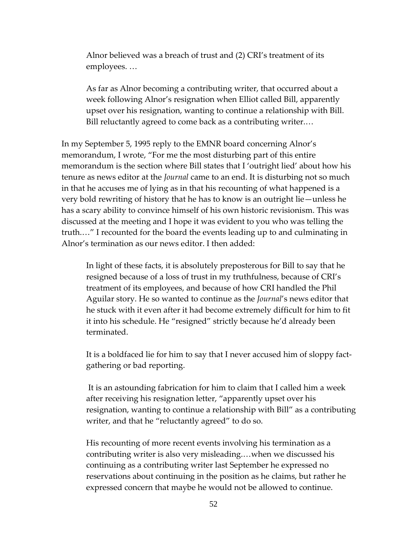Alnor believed was a breach of trust and (2) CRI's treatment of its employees. …

As far as Alnor becoming a contributing writer, that occurred about a week following Alnor's resignation when Elliot called Bill, apparently upset over his resignation, wanting to continue a relationship with Bill. Bill reluctantly agreed to come back as a contributing writer.…

In my September 5, 1995 reply to the EMNR board concerning Alnor's memorandum, I wrote, "For me the most disturbing part of this entire memorandum is the section where Bill states that I 'outright lied' about how his tenure as news editor at the *Journal* came to an end. It is disturbing not so much in that he accuses me of lying as in that his recounting of what happened is a very bold rewriting of history that he has to know is an outright lie—unless he has a scary ability to convince himself of his own historic revisionism. This was discussed at the meeting and I hope it was evident to you who was telling the truth.…" I recounted for the board the events leading up to and culminating in Alnor's termination as our news editor. I then added:

In light of these facts, it is absolutely preposterous for Bill to say that he resigned because of a loss of trust in my truthfulness, because of CRI's treatment of its employees, and because of how CRI handled the Phil Aguilar story. He so wanted to continue as the *Journal*'s news editor that he stuck with it even after it had become extremely difficult for him to fit it into his schedule. He "resigned" strictly because he'd already been terminated.

It is a boldfaced lie for him to say that I never accused him of sloppy factgathering or bad reporting.

It is an astounding fabrication for him to claim that I called him a week after receiving his resignation letter, "apparently upset over his resignation, wanting to continue a relationship with Bill" as a contributing writer, and that he "reluctantly agreed" to do so.

His recounting of more recent events involving his termination as a contributing writer is also very misleading.…when we discussed his continuing as a contributing writer last September he expressed no reservations about continuing in the position as he claims, but rather he expressed concern that maybe he would not be allowed to continue.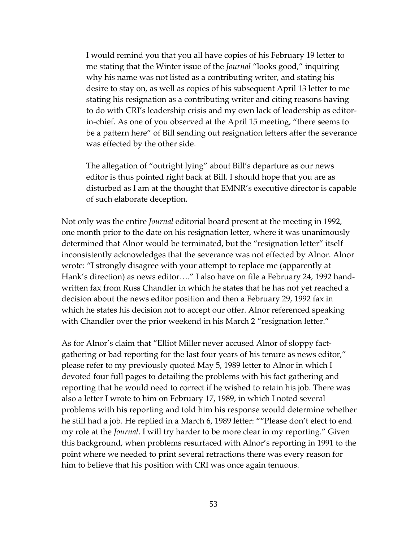I would remind you that you all have copies of his February 19 letter to me stating that the Winter issue of the *Journal* "looks good," inquiring why his name was not listed as a contributing writer, and stating his desire to stay on, as well as copies of his subsequent April 13 letter to me stating his resignation as a contributing writer and citing reasons having to do with CRI's leadership crisis and my own lack of leadership as editorin-chief. As one of you observed at the April 15 meeting, "there seems to be a pattern here" of Bill sending out resignation letters after the severance was effected by the other side.

The allegation of "outright lying" about Bill's departure as our news editor is thus pointed right back at Bill. I should hope that you are as disturbed as I am at the thought that EMNR's executive director is capable of such elaborate deception.

Not only was the entire *Journal* editorial board present at the meeting in 1992, one month prior to the date on his resignation letter, where it was unanimously determined that Alnor would be terminated, but the "resignation letter" itself inconsistently acknowledges that the severance was not effected by Alnor. Alnor wrote: "I strongly disagree with your attempt to replace me (apparently at Hank's direction) as news editor…." I also have on file a February 24, 1992 handwritten fax from Russ Chandler in which he states that he has not yet reached a decision about the news editor position and then a February 29, 1992 fax in which he states his decision not to accept our offer. Alnor referenced speaking with Chandler over the prior weekend in his March 2 "resignation letter."

As for Alnor's claim that "Elliot Miller never accused Alnor of sloppy factgathering or bad reporting for the last four years of his tenure as news editor," please refer to my previously quoted May 5, 1989 letter to Alnor in which I devoted four full pages to detailing the problems with his fact gathering and reporting that he would need to correct if he wished to retain his job. There was also a letter I wrote to him on February 17, 1989, in which I noted several problems with his reporting and told him his response would determine whether he still had a job. He replied in a March 6, 1989 letter: ""Please don't elect to end my role at the *Journal*. I will try harder to be more clear in my reporting." Given this background, when problems resurfaced with Alnor's reporting in 1991 to the point where we needed to print several retractions there was every reason for him to believe that his position with CRI was once again tenuous.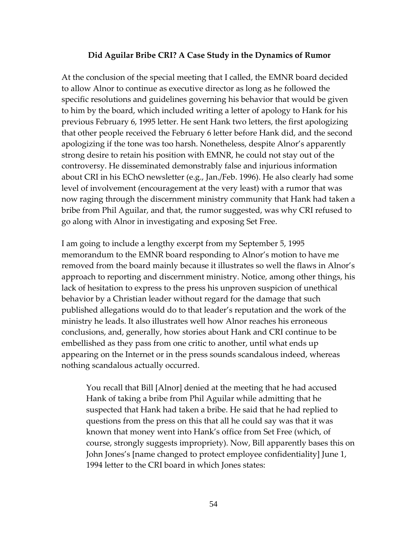#### **Did Aguilar Bribe CRI? A Case Study in the Dynamics of Rumor**

At the conclusion of the special meeting that I called, the EMNR board decided to allow Alnor to continue as executive director as long as he followed the specific resolutions and guidelines governing his behavior that would be given to him by the board, which included writing a letter of apology to Hank for his previous February 6, 1995 letter. He sent Hank two letters, the first apologizing that other people received the February 6 letter before Hank did, and the second apologizing if the tone was too harsh. Nonetheless, despite Alnor's apparently strong desire to retain his position with EMNR, he could not stay out of the controversy. He disseminated demonstrably false and injurious information about CRI in his EChO newsletter (e.g., Jan./Feb. 1996). He also clearly had some level of involvement (encouragement at the very least) with a rumor that was now raging through the discernment ministry community that Hank had taken a bribe from Phil Aguilar, and that, the rumor suggested, was why CRI refused to go along with Alnor in investigating and exposing Set Free.

I am going to include a lengthy excerpt from my September 5, 1995 memorandum to the EMNR board responding to Alnor's motion to have me removed from the board mainly because it illustrates so well the flaws in Alnor's approach to reporting and discernment ministry. Notice, among other things, his lack of hesitation to express to the press his unproven suspicion of unethical behavior by a Christian leader without regard for the damage that such published allegations would do to that leader's reputation and the work of the ministry he leads. It also illustrates well how Alnor reaches his erroneous conclusions, and, generally, how stories about Hank and CRI continue to be embellished as they pass from one critic to another, until what ends up appearing on the Internet or in the press sounds scandalous indeed, whereas nothing scandalous actually occurred.

You recall that Bill [Alnor] denied at the meeting that he had accused Hank of taking a bribe from Phil Aguilar while admitting that he suspected that Hank had taken a bribe. He said that he had replied to questions from the press on this that all he could say was that it was known that money went into Hank's office from Set Free (which, of course, strongly suggests impropriety). Now, Bill apparently bases this on John Jones's [name changed to protect employee confidentiality] June 1, 1994 letter to the CRI board in which Jones states: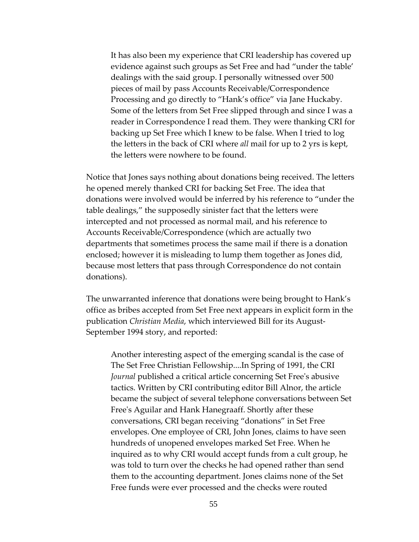It has also been my experience that CRI leadership has covered up evidence against such groups as Set Free and had "under the table' dealings with the said group. I personally witnessed over 500 pieces of mail by pass Accounts Receivable/Correspondence Processing and go directly to "Hank's office" via Jane Huckaby. Some of the letters from Set Free slipped through and since I was a reader in Correspondence I read them. They were thanking CRI for backing up Set Free which I knew to be false. When I tried to log the letters in the back of CRI where *all* mail for up to 2 yrs is kept, the letters were nowhere to be found.

Notice that Jones says nothing about donations being received. The letters he opened merely thanked CRI for backing Set Free. The idea that donations were involved would be inferred by his reference to "under the table dealings," the supposedly sinister fact that the letters were intercepted and not processed as normal mail, and his reference to Accounts Receivable/Correspondence (which are actually two departments that sometimes process the same mail if there is a donation enclosed; however it is misleading to lump them together as Jones did, because most letters that pass through Correspondence do not contain donations).

The unwarranted inference that donations were being brought to Hank's office as bribes accepted from Set Free next appears in explicit form in the publication *Christian Media*, which interviewed Bill for its August-September 1994 story, and reported:

Another interesting aspect of the emerging scandal is the case of The Set Free Christian Fellowship....In Spring of 1991, the CRI *Journal* published a critical article concerning Set Free's abusive tactics. Written by CRI contributing editor Bill Alnor, the article became the subject of several telephone conversations between Set Free's Aguilar and Hank Hanegraaff. Shortly after these conversations, CRI began receiving "donations" in Set Free envelopes. One employee of CRI, John Jones, claims to have seen hundreds of unopened envelopes marked Set Free. When he inquired as to why CRI would accept funds from a cult group, he was told to turn over the checks he had opened rather than send them to the accounting department. Jones claims none of the Set Free funds were ever processed and the checks were routed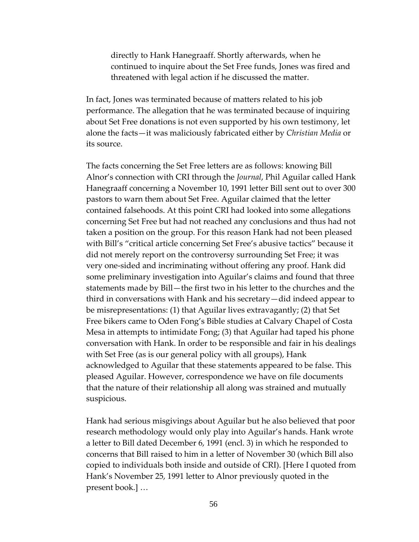directly to Hank Hanegraaff. Shortly afterwards, when he continued to inquire about the Set Free funds, Jones was fired and threatened with legal action if he discussed the matter.

In fact, Jones was terminated because of matters related to his job performance. The allegation that he was terminated because of inquiring about Set Free donations is not even supported by his own testimony, let alone the facts—it was maliciously fabricated either by *Christian Media* or its source.

The facts concerning the Set Free letters are as follows: knowing Bill Alnor's connection with CRI through the *Journal*, Phil Aguilar called Hank Hanegraaff concerning a November 10, 1991 letter Bill sent out to over 300 pastors to warn them about Set Free. Aguilar claimed that the letter contained falsehoods. At this point CRI had looked into some allegations concerning Set Free but had not reached any conclusions and thus had not taken a position on the group. For this reason Hank had not been pleased with Bill's "critical article concerning Set Free's abusive tactics" because it did not merely report on the controversy surrounding Set Free; it was very one-sided and incriminating without offering any proof. Hank did some preliminary investigation into Aguilar's claims and found that three statements made by Bill—the first two in his letter to the churches and the third in conversations with Hank and his secretary—did indeed appear to be misrepresentations: (1) that Aguilar lives extravagantly; (2) that Set Free bikers came to Oden Fong's Bible studies at Calvary Chapel of Costa Mesa in attempts to intimidate Fong; (3) that Aguilar had taped his phone conversation with Hank. In order to be responsible and fair in his dealings with Set Free (as is our general policy with all groups), Hank acknowledged to Aguilar that these statements appeared to be false. This pleased Aguilar. However, correspondence we have on file documents that the nature of their relationship all along was strained and mutually suspicious.

Hank had serious misgivings about Aguilar but he also believed that poor research methodology would only play into Aguilar's hands. Hank wrote a letter to Bill dated December 6, 1991 (encl. 3) in which he responded to concerns that Bill raised to him in a letter of November 30 (which Bill also copied to individuals both inside and outside of CRI). [Here I quoted from Hank's November 25, 1991 letter to Alnor previously quoted in the present book.] …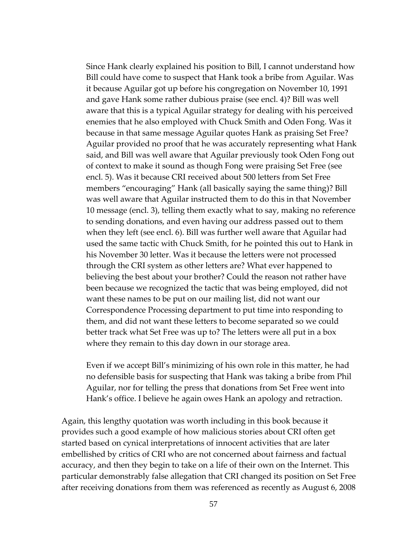Since Hank clearly explained his position to Bill, I cannot understand how Bill could have come to suspect that Hank took a bribe from Aguilar. Was it because Aguilar got up before his congregation on November 10, 1991 and gave Hank some rather dubious praise (see encl. 4)? Bill was well aware that this is a typical Aguilar strategy for dealing with his perceived enemies that he also employed with Chuck Smith and Oden Fong. Was it because in that same message Aguilar quotes Hank as praising Set Free? Aguilar provided no proof that he was accurately representing what Hank said, and Bill was well aware that Aguilar previously took Oden Fong out of context to make it sound as though Fong were praising Set Free (see encl. 5). Was it because CRI received about 500 letters from Set Free members "encouraging" Hank (all basically saying the same thing)? Bill was well aware that Aguilar instructed them to do this in that November 10 message (encl. 3), telling them exactly what to say, making no reference to sending donations, and even having our address passed out to them when they left (see encl. 6). Bill was further well aware that Aguilar had used the same tactic with Chuck Smith, for he pointed this out to Hank in his November 30 letter. Was it because the letters were not processed through the CRI system as other letters are? What ever happened to believing the best about your brother? Could the reason not rather have been because we recognized the tactic that was being employed, did not want these names to be put on our mailing list, did not want our Correspondence Processing department to put time into responding to them, and did not want these letters to become separated so we could better track what Set Free was up to? The letters were all put in a box where they remain to this day down in our storage area.

Even if we accept Bill's minimizing of his own role in this matter, he had no defensible basis for suspecting that Hank was taking a bribe from Phil Aguilar, nor for telling the press that donations from Set Free went into Hank's office. I believe he again owes Hank an apology and retraction.

Again, this lengthy quotation was worth including in this book because it provides such a good example of how malicious stories about CRI often get started based on cynical interpretations of innocent activities that are later embellished by critics of CRI who are not concerned about fairness and factual accuracy, and then they begin to take on a life of their own on the Internet. This particular demonstrably false allegation that CRI changed its position on Set Free after receiving donations from them was referenced as recently as August 6, 2008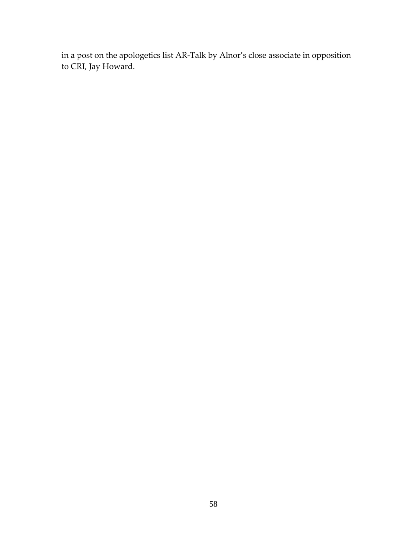in a post on the apologetics list AR-Talk by Alnor's close associate in opposition to CRI, Jay Howard.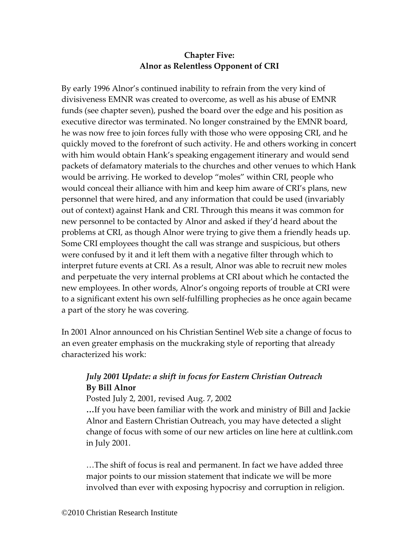# **Chapter Five: Alnor as Relentless Opponent of CRI**

By early 1996 Alnor's continued inability to refrain from the very kind of divisiveness EMNR was created to overcome, as well as his abuse of EMNR funds (see chapter seven), pushed the board over the edge and his position as executive director was terminated. No longer constrained by the EMNR board, he was now free to join forces fully with those who were opposing CRI, and he quickly moved to the forefront of such activity. He and others working in concert with him would obtain Hank's speaking engagement itinerary and would send packets of defamatory materials to the churches and other venues to which Hank would be arriving. He worked to develop "moles" within CRI, people who would conceal their alliance with him and keep him aware of CRI's plans, new personnel that were hired, and any information that could be used (invariably out of context) against Hank and CRI. Through this means it was common for new personnel to be contacted by Alnor and asked if they'd heard about the problems at CRI, as though Alnor were trying to give them a friendly heads up. Some CRI employees thought the call was strange and suspicious, but others were confused by it and it left them with a negative filter through which to interpret future events at CRI. As a result, Alnor was able to recruit new moles and perpetuate the very internal problems at CRI about which he contacted the new employees. In other words, Alnor's ongoing reports of trouble at CRI were to a significant extent his own self-fulfilling prophecies as he once again became a part of the story he was covering.

In 2001 Alnor announced on his Christian Sentinel Web site a change of focus to an even greater emphasis on the muckraking style of reporting that already characterized his work:

# *July 2001 Update: a shift in focus for Eastern Christian Outreach* **By Bill Alnor**

Posted July 2, 2001, revised Aug. 7, 2002

**…**If you have been familiar with the work and ministry of Bill and Jackie Alnor and Eastern Christian Outreach, you may have detected a slight change of focus with some of our new articles on line here at cultlink.com in July 2001.

…The shift of focus is real and permanent. In fact we have added three major points to our mission statement that indicate we will be more involved than ever with exposing hypocrisy and corruption in religion.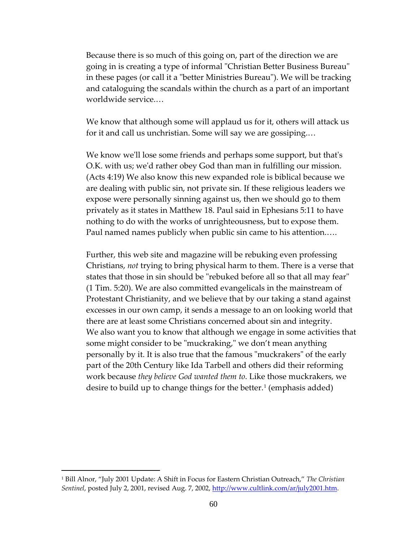Because there is so much of this going on, part of the direction we are going in is creating a type of informal "Christian Better Business Bureau" in these pages (or call it a "better Ministries Bureau"). We will be tracking and cataloguing the scandals within the church as a part of an important worldwide service.…

We know that although some will applaud us for it, others will attack us for it and call us unchristian. Some will say we are gossiping.…

We know we'll lose some friends and perhaps some support, but that's O.K. with us; we'd rather obey God than man in fulfilling our mission. (Acts 4:19) We also know this new expanded role is biblical because we are dealing with public sin, not private sin. If these religious leaders we expose were personally sinning against us, then we should go to them privately as it states in Matthew 18. Paul said in Ephesians 5:11 to have nothing to do with the works of unrighteousness, but to expose them. Paul named names publicly when public sin came to his attention.….

Further, this web site and magazine will be rebuking even professing Christians, *not* trying to bring physical harm to them. There is a verse that states that those in sin should be "rebuked before all so that all may fear" (1 Tim. 5:20). We are also committed evangelicals in the mainstream of Protestant Christianity, and we believe that by our taking a stand against excesses in our own camp, it sends a message to an on looking world that there are at least some Christians concerned about sin and integrity. We also want you to know that although we engage in some activities that some might consider to be "muckraking," we don't mean anything personally by it. It is also true that the famous "muckrakers" of the early part of the 20th Century like Ida Tarbell and others did their reforming work because *they believe God wanted them to*. Like those muckrakers, we desire to build up to change things for the better.<sup>[1](#page-59-0)</sup> (emphasis added)

<span id="page-59-0"></span><sup>1</sup> Bill Alnor, "July 2001 Update: A Shift in Focus for Eastern Christian Outreach," *The Christian*  Sentinel, posted July 2, 2001, revised Aug. 7, 2002, [http://www.cultlink.com/ar/july2001.htm.](http://www.cultlink.com/ar/july2001.htm)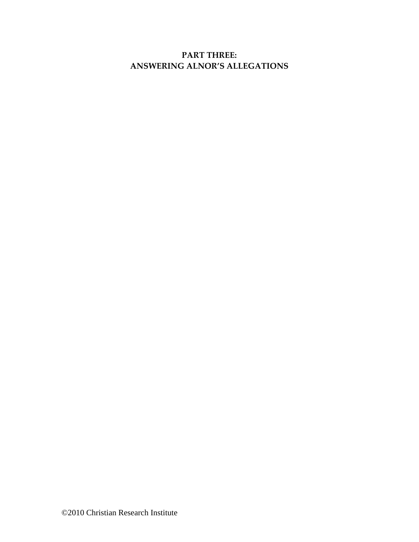# **PART THREE: ANSWERING ALNOR'S ALLEGATIONS**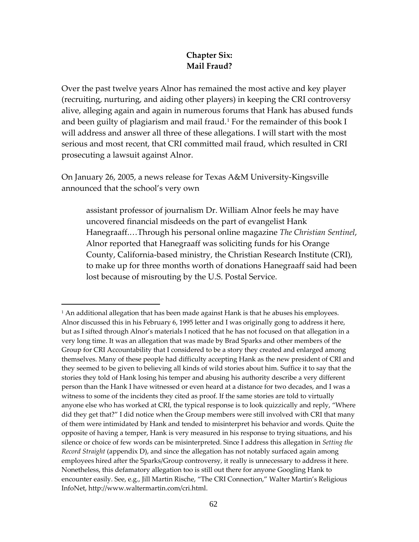## **Chapter Six: Mail Fraud?**

Over the past twelve years Alnor has remained the most active and key player (recruiting, nurturing, and aiding other players) in keeping the CRI controversy alive, alleging again and again in numerous forums that Hank has abused funds and been guilty of plagiarism and mail fraud.<sup>[1](#page-61-0)</sup> For the remainder of this book I will address and answer all three of these allegations. I will start with the most serious and most recent, that CRI committed mail fraud, which resulted in CRI prosecuting a lawsuit against Alnor.

On January 26, 2005, a news release for Texas A&M University-Kingsville announced that the school's very own

 $\overline{a}$ 

assistant professor of journalism Dr. William Alnor feels he may have uncovered financial misdeeds on the part of evangelist Hank Hanegraaff.…Through his personal online magazine *The Christian Sentinel*, Alnor reported that Hanegraaff was soliciting funds for his Orange County, California-based ministry, the Christian Research Institute (CRI), to make up for three months worth of donations Hanegraaff said had been lost because of misrouting by the U.S. Postal Service.

<span id="page-61-0"></span> $1$  An additional allegation that has been made against Hank is that he abuses his employees. Alnor discussed this in his February 6, 1995 letter and I was originally gong to address it here, but as I sifted through Alnor's materials I noticed that he has not focused on that allegation in a very long time. It was an allegation that was made by Brad Sparks and other members of the Group for CRI Accountability that I considered to be a story they created and enlarged among themselves. Many of these people had difficulty accepting Hank as the new president of CRI and they seemed to be given to believing all kinds of wild stories about him. Suffice it to say that the stories they told of Hank losing his temper and abusing his authority describe a very different person than the Hank I have witnessed or even heard at a distance for two decades, and I was a witness to some of the incidents they cited as proof. If the same stories are told to virtually anyone else who has worked at CRI, the typical response is to look quizzically and reply, "Where did they get that?" I did notice when the Group members were still involved with CRI that many of them were intimidated by Hank and tended to misinterpret his behavior and words. Quite the opposite of having a temper, Hank is very measured in his response to trying situations, and his silence or choice of few words can be misinterpreted. Since I address this allegation in *Setting the Record Straight* (appendix D), and since the allegation has not notably surfaced again among employees hired after the Sparks/Group controversy, it really is unnecessary to address it here. Nonetheless, this defamatory allegation too is still out there for anyone Googling Hank to encounter easily. See, e.g., Jill Martin Rische, "The CRI Connection," Walter Martin's Religious InfoNet, [http://www.waltermartin.com/cri.html.](http://www.waltermartin.com/cri.html)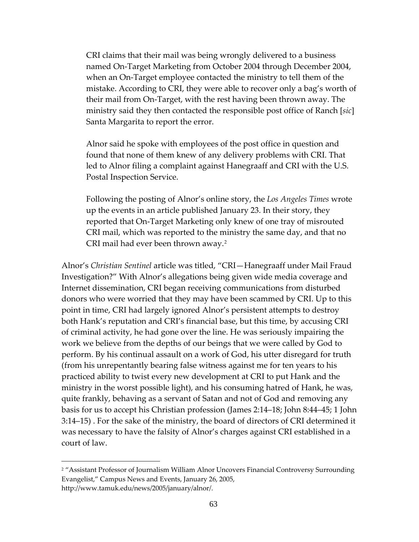CRI claims that their mail was being wrongly delivered to a business named On-Target Marketing from October 2004 through December 2004, when an On-Target employee contacted the ministry to tell them of the mistake. According to CRI, they were able to recover only a bag's worth of their mail from On-Target, with the rest having been thrown away. The ministry said they then contacted the responsible post office of Ranch [*sic*] Santa Margarita to report the error.

Alnor said he spoke with employees of the post office in question and found that none of them knew of any delivery problems with CRI. That led to Alnor filing a complaint against Hanegraaff and CRI with the U.S. Postal Inspection Service.

Following the posting of Alnor's online story, the *Los Angeles Times* wrote up the events in an article published January 23. In their story, they reported that On-Target Marketing only knew of one tray of misrouted CRI mail, which was reported to the ministry the same day, and that no CRI mail had ever been thrown away.<sup>[2](#page-62-0)</sup>

Alnor's *Christian Sentinel* article was titled, "CRI—Hanegraaff under Mail Fraud Investigation?" With Alnor's allegations being given wide media coverage and Internet dissemination, CRI began receiving communications from disturbed donors who were worried that they may have been scammed by CRI. Up to this point in time, CRI had largely ignored Alnor's persistent attempts to destroy both Hank's reputation and CRI's financial base, but this time, by accusing CRI of criminal activity, he had gone over the line. He was seriously impairing the work we believe from the depths of our beings that we were called by God to perform. By his continual assault on a work of God, his utter disregard for truth (from his unrepentantly bearing false witness against me for ten years to his practiced ability to twist every new development at CRI to put Hank and the ministry in the worst possible light), and his consuming hatred of Hank, he was, quite frankly, behaving as a servant of Satan and not of God and removing any basis for us to accept his Christian profession (James 2:14–18; John 8:44–45; 1 John 3:14–15) . For the sake of the ministry, the board of directors of CRI determined it was necessary to have the falsity of Alnor's charges against CRI established in a court of law.

<span id="page-62-0"></span><sup>&</sup>lt;sup>2</sup> "Assistant Professor of Journalism William Alnor Uncovers Financial Controversy Surrounding Evangelist," Campus News and Events, January 26, 2005, http://www.tamuk.edu/news/2005/january/alnor/.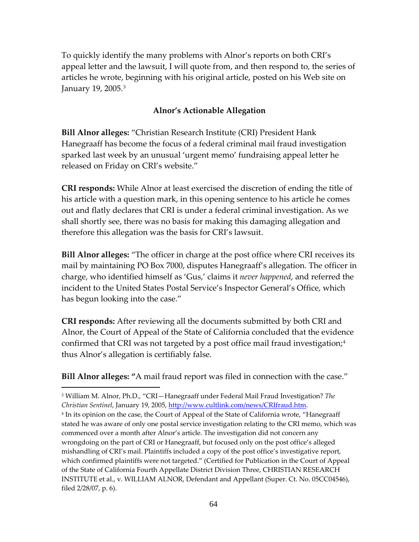To quickly identify the many problems with Alnor's reports on both CRI's appeal letter and the lawsuit, I will quote from, and then respond to, the series of articles he wrote, beginning with his original article, posted on his Web site on January 19, 2005.[3](#page-63-0)

### **Alnor's Actionable Allegation**

**Bill Alnor alleges:** "Christian Research Institute (CRI) President Hank Hanegraaff has become the focus of a federal criminal mail fraud investigation sparked last week by an unusual 'urgent memo' fundraising appeal letter he released on Friday on CRI's website."

**CRI responds:** While Alnor at least exercised the discretion of ending the title of his article with a question mark, in this opening sentence to his article he comes out and flatly declares that CRI is under a federal criminal investigation. As we shall shortly see, there was no basis for making this damaging allegation and therefore this allegation was the basis for CRI's lawsuit.

**Bill Alnor alleges:** "The officer in charge at the post office where CRI receives its mail by maintaining PO Box 7000, disputes Hanegraaff's allegation. The officer in charge, who identified himself as 'Gus,' claims it *never happened*, and referred the incident to the United States Postal Service's Inspector General's Office, which has begun looking into the case."

**CRI responds:** After reviewing all the documents submitted by both CRI and Alnor, the Court of Appeal of the State of California concluded that the evidence confirmed that CRI was not targeted by a post office mail fraud investigation; $4$ thus Alnor's allegation is certifiably false.

**Bill Alnor alleges: "**A mail fraud report was filed in connection with the case."

<span id="page-63-0"></span> $\overline{a}$ <sup>3</sup> William M. Alnor, Ph.D., "CRI—Hanegraaff under Federal Mail Fraud Investigation? *The Christian Sentinel*, January 19, 2005, [http://www.cultlink.com/news/CRIfraud.htm.](http://www.cultlink.com/news/CRIfraud.htm)

<span id="page-63-1"></span><sup>4</sup> In its opinion on the case, the Court of Appeal of the State of California wrote, "Hanegraaff stated he was aware of only one postal service investigation relating to the CRI memo, which was commenced over a month after Alnor's article. The investigation did not concern any wrongdoing on the part of CRI or Hanegraaff, but focused only on the post office's alleged mishandling of CRI's mail. Plaintiffs included a copy of the post office's investigative report, which confirmed plaintiffs were not targeted." (Certified for Publication in the Court of Appeal of the State of California Fourth Appellate District Division Three, CHRISTIAN RESEARCH INSTITUTE et al., v. WILLIAM ALNOR, Defendant and Appellant (Super. Ct. No. 05CC04546), filed 2/28/07, p. 6).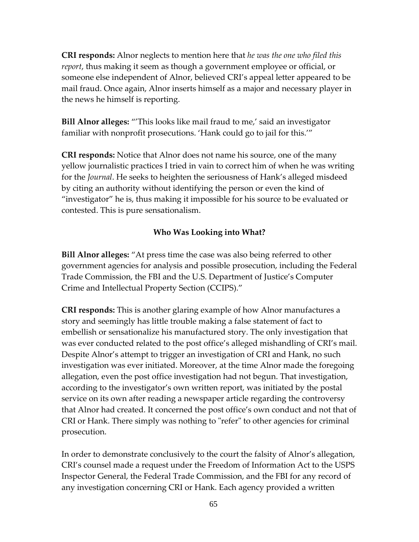**CRI responds:** Alnor neglects to mention here that *he was the one who filed this report*, thus making it seem as though a government employee or official, or someone else independent of Alnor, believed CRI's appeal letter appeared to be mail fraud. Once again, Alnor inserts himself as a major and necessary player in the news he himself is reporting.

**Bill Alnor alleges:** "'This looks like mail fraud to me,' said an investigator familiar with nonprofit prosecutions. 'Hank could go to jail for this.'"

**CRI responds:** Notice that Alnor does not name his source, one of the many yellow journalistic practices I tried in vain to correct him of when he was writing for the *Journal*. He seeks to heighten the seriousness of Hank's alleged misdeed by citing an authority without identifying the person or even the kind of "investigator" he is, thus making it impossible for his source to be evaluated or contested. This is pure sensationalism.

### **Who Was Looking into What?**

**Bill Alnor alleges:** "At press time the case was also being referred to other government agencies for analysis and possible prosecution, including the Federal Trade Commission, the FBI and the U.S. Department of Justice's Computer Crime and Intellectual Property Section (CCIPS)."

**CRI responds:** This is another glaring example of how Alnor manufactures a story and seemingly has little trouble making a false statement of fact to embellish or sensationalize his manufactured story. The only investigation that was ever conducted related to the post office's alleged mishandling of CRI's mail. Despite Alnor's attempt to trigger an investigation of CRI and Hank, no such investigation was ever initiated. Moreover, at the time Alnor made the foregoing allegation, even the post office investigation had not begun. That investigation, according to the investigator's own written report, was initiated by the postal service on its own after reading a newspaper article regarding the controversy that Alnor had created. It concerned the post office's own conduct and not that of CRI or Hank. There simply was nothing to "refer" to other agencies for criminal prosecution.

In order to demonstrate conclusively to the court the falsity of Alnor's allegation, CRI's counsel made a request under the Freedom of Information Act to the USPS Inspector General, the Federal Trade Commission, and the FBI for any record of any investigation concerning CRI or Hank. Each agency provided a written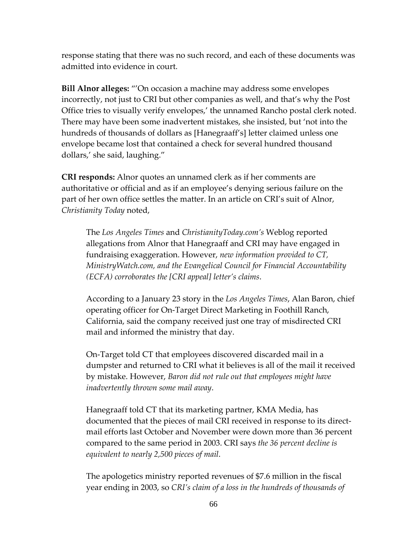response stating that there was no such record, and each of these documents was admitted into evidence in court.

**Bill Alnor alleges:** "'On occasion a machine may address some envelopes incorrectly, not just to CRI but other companies as well, and that's why the Post Office tries to visually verify envelopes,' the unnamed Rancho postal clerk noted. There may have been some inadvertent mistakes, she insisted, but 'not into the hundreds of thousands of dollars as [Hanegraaff's] letter claimed unless one envelope became lost that contained a check for several hundred thousand dollars,' she said, laughing."

**CRI responds:** Alnor quotes an unnamed clerk as if her comments are authoritative or official and as if an employee's denying serious failure on the part of her own office settles the matter. In an article on CRI's suit of Alnor, *Christianity Today* noted,

The *Los Angeles Times* and *ChristianityToday.com's* Weblog reported allegations from Alnor that Hanegraaff and CRI may have engaged in fundraising exaggeration. However, *new information provided to CT, MinistryWatch.com, and the Evangelical Council for Financial Accountability (ECFA) corroborates the [CRI appeal] letter's claims*.

According to a January 23 story in the *Los Angeles Times*, Alan Baron, chief operating officer for On-Target Direct Marketing in Foothill Ranch, California, said the company received just one tray of misdirected CRI mail and informed the ministry that day.

On-Target told CT that employees discovered discarded mail in a dumpster and returned to CRI what it believes is all of the mail it received by mistake. However, *Baron did not rule out that employees might have inadvertently thrown some mail away*.

Hanegraaff told CT that its marketing partner, KMA Media, has documented that the pieces of mail CRI received in response to its directmail efforts last October and November were down more than 36 percent compared to the same period in 2003. CRI says *the 36 percent decline is equivalent to nearly 2,500 pieces of mail*.

The apologetics ministry reported revenues of \$7.6 million in the fiscal year ending in 2003, so *CRI's claim of a loss in the hundreds of thousands of*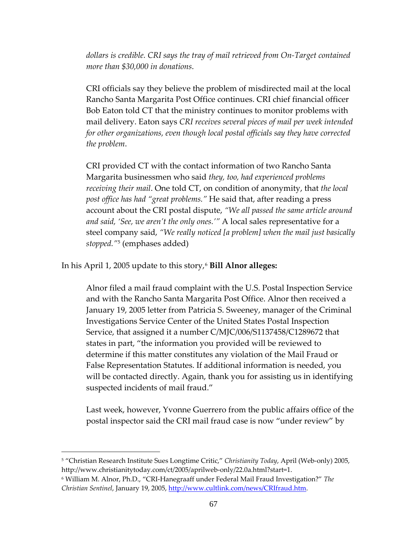*dollars is credible. CRI says the tray of mail retrieved from On-Target contained more than \$30,000 in donations*.

CRI officials say they believe the problem of misdirected mail at the local Rancho Santa Margarita Post Office continues. CRI chief financial officer Bob Eaton told CT that the ministry continues to monitor problems with mail delivery. Eaton says *CRI receives several pieces of mail per week intended for other organizations, even though local postal officials say they have corrected the problem*.

CRI provided CT with the contact information of two Rancho Santa Margarita businessmen who said *they, too, had experienced problems receiving their mail*. One told CT, on condition of anonymity, that *the local post office has had "great problems."* He said that, after reading a press account about the CRI postal dispute, *"We all passed the same article around and said, 'See, we aren't the only ones.'"* A local sales representative for a steel company said, *"We really noticed [a problem] when the mail just basically stopped."*[5](#page-66-0) (emphases added)

In his April 1, 2005 update to this story,<sup>[6](#page-66-1)</sup> **Bill Alnor alleges:** 

Alnor filed a mail fraud complaint with the U.S. Postal Inspection Service and with the Rancho Santa Margarita Post Office. Alnor then received a January 19, 2005 letter from Patricia S. Sweeney, manager of the Criminal Investigations Service Center of the United States Postal Inspection Service, that assigned it a number C/MJC/006/S1137458/C1289672 that states in part, "the information you provided will be reviewed to determine if this matter constitutes any violation of the Mail Fraud or False Representation Statutes. If additional information is needed, you will be contacted directly. Again, thank you for assisting us in identifying suspected incidents of mail fraud."

Last week, however, Yvonne Guerrero from the public affairs office of the postal inspector said the CRI mail fraud case is now "under review" by

<span id="page-66-0"></span><sup>5</sup> "Christian Research Institute Sues Longtime Critic," *Christianity Today*, April (Web-only) 2005, [http://www.christianitytoday.com/ct/2005/aprilweb-only/22.0a.html?start=1.](http://www.christianitytoday.com/ct/2005/aprilweb-only/22.0a.html?start=1)

<span id="page-66-1"></span><sup>6</sup> William M. Alnor, Ph.D., "CRI-Hanegraaff under Federal Mail Fraud Investigation?" *The Christian Sentinel*, January 19, 2005, [http://www.cultlink.com/news/CRIfraud.htm.](http://www.cultlink.com/news/CRIfraud.htm)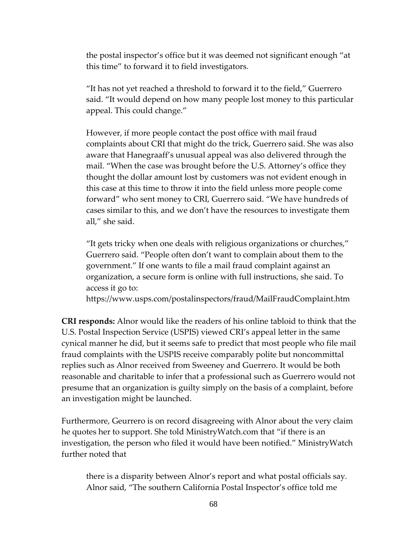the postal inspector's office but it was deemed not significant enough "at this time" to forward it to field investigators.

"It has not yet reached a threshold to forward it to the field," Guerrero said. "It would depend on how many people lost money to this particular appeal. This could change."

However, if more people contact the post office with mail fraud complaints about CRI that might do the trick, Guerrero said. She was also aware that Hanegraaff's unusual appeal was also delivered through the mail. "When the case was brought before the U.S. Attorney's office they thought the dollar amount lost by customers was not evident enough in this case at this time to throw it into the field unless more people come forward" who sent money to CRI, Guerrero said. "We have hundreds of cases similar to this, and we don't have the resources to investigate them all," she said.

"It gets tricky when one deals with religious organizations or churches," Guerrero said. "People often don't want to complain about them to the government." If one wants to file a mail fraud complaint against an organization, a secure form is online with full instructions, she said. To access it go to:

https://www.usps.com/postalinspectors/fraud/MailFraudComplaint.htm

**CRI responds:** Alnor would like the readers of his online tabloid to think that the U.S. Postal Inspection Service (USPIS) viewed CRI's appeal letter in the same cynical manner he did, but it seems safe to predict that most people who file mail fraud complaints with the USPIS receive comparably polite but noncommittal replies such as Alnor received from Sweeney and Guerrero. It would be both reasonable and charitable to infer that a professional such as Guerrero would not presume that an organization is guilty simply on the basis of a complaint, before an investigation might be launched.

Furthermore, Geurrero is on record disagreeing with Alnor about the very claim he quotes her to support. She told MinistryWatch.com that "if there is an investigation, the person who filed it would have been notified." MinistryWatch further noted that

there is a disparity between Alnor's report and what postal officials say. Alnor said, "The southern California Postal Inspector's office told me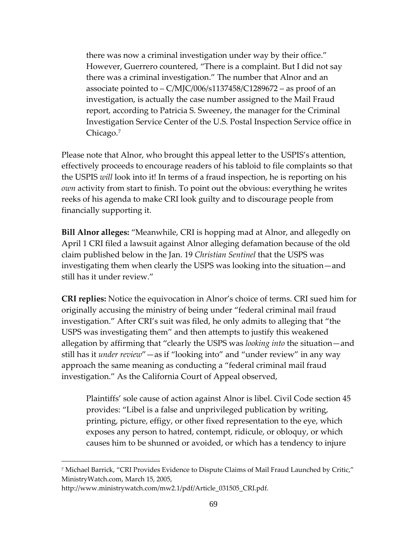there was now a criminal investigation under way by their office." However, Guerrero countered, "There is a complaint. But I did not say there was a criminal investigation." The number that Alnor and an associate pointed to – C/MJC/006/s1137458/C1289672 – as proof of an investigation, is actually the case number assigned to the Mail Fraud report, according to Patricia S. Sweeney, the manager for the Criminal Investigation Service Center of the U.S. Postal Inspection Service office in Chicago.[7](#page-68-0)

Please note that Alnor, who brought this appeal letter to the USPIS's attention, effectively proceeds to encourage readers of his tabloid to file complaints so that the USPIS *will* look into it! In terms of a fraud inspection, he is reporting on his *own* activity from start to finish. To point out the obvious: everything he writes reeks of his agenda to make CRI look guilty and to discourage people from financially supporting it.

**Bill Alnor alleges:** "Meanwhile, CRI is hopping mad at Alnor, and allegedly on April 1 CRI filed a lawsuit against Alnor alleging defamation because of the old claim published below in the Jan. 19 *Christian Sentinel* that the USPS was investigating them when clearly the USPS was looking into the situation—and still has it under review."

**CRI replies:** Notice the equivocation in Alnor's choice of terms. CRI sued him for originally accusing the ministry of being under "federal criminal mail fraud investigation." After CRI's suit was filed, he only admits to alleging that "the USPS was investigating them" and then attempts to justify this weakened allegation by affirming that "clearly the USPS was *looking into* the situation—and still has it *under review*"—as if "looking into" and "under review" in any way approach the same meaning as conducting a "federal criminal mail fraud investigation." As the California Court of Appeal observed,

Plaintiffs' sole cause of action against Alnor is libel. Civil Code section 45 provides: "Libel is a false and unprivileged publication by writing, printing, picture, effigy, or other fixed representation to the eye, which exposes any person to hatred, contempt, ridicule, or obloquy, or which causes him to be shunned or avoided, or which has a tendency to injure

<span id="page-68-0"></span><sup>&</sup>lt;sup>7</sup> Michael Barrick, "CRI Provides Evidence to Dispute Claims of Mail Fraud Launched by Critic," MinistryWatch.com, March 15, 2005,

http://www.ministrywatch.com/mw2.1/pdf/Article\_031505\_CRI.pdf.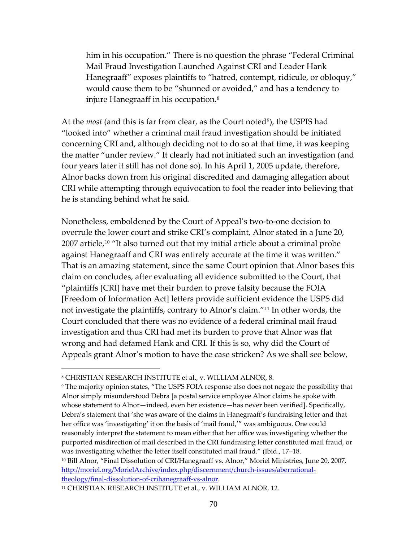him in his occupation." There is no question the phrase "Federal Criminal Mail Fraud Investigation Launched Against CRI and Leader Hank Hanegraaff" exposes plaintiffs to "hatred, contempt, ridicule, or obloquy," would cause them to be "shunned or avoided," and has a tendency to injure Hanegraaff in his occupation.<sup>[8](#page-69-0)</sup>

At the *most* (and this is far from clear, as the Court noted<sup>9</sup>), the USPIS had "looked into" whether a criminal mail fraud investigation should be initiated concerning CRI and, although deciding not to do so at that time, it was keeping the matter "under review." It clearly had not initiated such an investigation (and four years later it still has not done so). In his April 1, 2005 update, therefore, Alnor backs down from his original discredited and damaging allegation about CRI while attempting through equivocation to fool the reader into believing that he is standing behind what he said.

Nonetheless, emboldened by the Court of Appeal's two-to-one decision to overrule the lower court and strike CRI's complaint, Alnor stated in a June 20,  $2007$  article,<sup>[10](#page-69-2)</sup> "It also turned out that my initial article about a criminal probe against Hanegraaff and CRI was entirely accurate at the time it was written." That is an amazing statement, since the same Court opinion that Alnor bases this claim on concludes, after evaluating all evidence submitted to the Court, that "plaintiffs [CRI] have met their burden to prove falsity because the FOIA [Freedom of Information Act] letters provide sufficient evidence the USPS did not investigate the plaintiffs, contrary to Alnor's claim."[11](#page-69-3) In other words, the Court concluded that there was no evidence of a federal criminal mail fraud investigation and thus CRI had met its burden to prove that Alnor was flat wrong and had defamed Hank and CRI. If this is so, why did the Court of Appeals grant Alnor's motion to have the case stricken? As we shall see below,

 $\overline{a}$ 

<span id="page-69-2"></span><sup>10</sup> Bill Alnor, "Final Dissolution of CRI/Hanegraaff vs. Alnor," Moriel Ministries, June 20, 2007, [http://moriel.org/MorielArchive/index.php/discernment/church-issues/aberrational](http://moriel.org/MorielArchive/index.php/discernment/church-issues/aberrational-theology/final-dissolution-of-crihanegraaff-vs-alnor)[theology/final-dissolution-of-crihanegraaff-vs-alnor.](http://moriel.org/MorielArchive/index.php/discernment/church-issues/aberrational-theology/final-dissolution-of-crihanegraaff-vs-alnor)

<span id="page-69-0"></span><sup>8</sup> CHRISTIAN RESEARCH INSTITUTE et al., v. WILLIAM ALNOR, 8.

<span id="page-69-1"></span><sup>9</sup> The majority opinion states, "The USPS FOIA response also does not negate the possibility that Alnor simply misunderstood Debra [a postal service employee Alnor claims he spoke with whose statement to Alnor—indeed, even her existence—has never been verified]. Specifically, Debra's statement that 'she was aware of the claims in Hanegraaff's fundraising letter and that her office was 'investigating' it on the basis of 'mail fraud,'" was ambiguous. One could reasonably interpret the statement to mean either that her office was investigating whether the purported misdirection of mail described in the CRI fundraising letter constituted mail fraud, or was investigating whether the letter itself constituted mail fraud." (Ibid., 17–18.

<span id="page-69-3"></span><sup>11</sup> CHRISTIAN RESEARCH INSTITUTE et al., v. WILLIAM ALNOR, 12.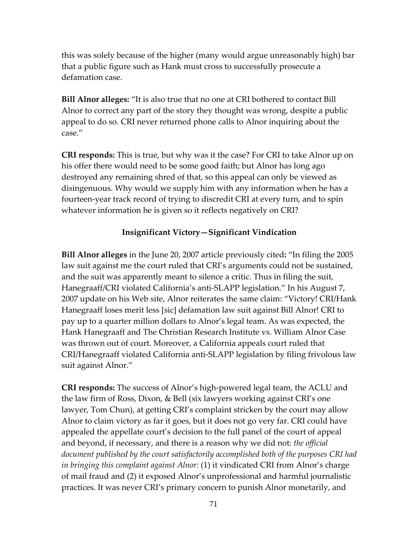this was solely because of the higher (many would argue unreasonably high) bar that a public figure such as Hank must cross to successfully prosecute a defamation case.

**Bill Alnor alleges:** "It is also true that no one at CRI bothered to contact Bill Alnor to correct any part of the story they thought was wrong, despite a public appeal to do so. CRI never returned phone calls to Alnor inquiring about the case."

**CRI responds:** This is true, but why was it the case? For CRI to take Alnor up on his offer there would need to be some good faith; but Alnor has long ago destroyed any remaining shred of that, so this appeal can only be viewed as disingenuous. Why would we supply him with any information when he has a fourteen-year track record of trying to discredit CRI at every turn, and to spin whatever information he is given so it reflects negatively on CRI?

#### **Insignificant Victory—Significant Vindication**

**Bill Alnor alleges** in the June 20, 2007 article previously cited**:** "In filing the 2005 law suit against me the court ruled that CRI's arguments could not be sustained, and the suit was apparently meant to silence a critic. Thus in filing the suit, Hanegraaff/CRI violated California's anti-SLAPP legislation." In his August 7, 2007 update on his Web site, Alnor reiterates the same claim: "Victory! CRI/Hank Hanegraaff loses merit less [sic] defamation law suit against Bill Alnor! CRI to pay up to a quarter million dollars to Alnor's legal team. As was expected, the Hank Hanegraaff and The Christian Research Institute vs. William Alnor Case was thrown out of court. Moreover, a California appeals court ruled that CRI/Hanegraaff violated California anti-SLAPP legislation by filing frivolous law suit against Alnor."

**CRI responds:** The success of Alnor's high-powered legal team, the ACLU and the law firm of Ross, Dixon, & Bell (six lawyers working against CRI's one lawyer, Tom Chun), at getting CRI's complaint stricken by the court may allow Alnor to claim victory as far it goes, but it does not go very far. CRI could have appealed the appellate court's decision to the full panel of the court of appeal and beyond, if necessary, and there is a reason why we did not: *the official document published by the court satisfactorily accomplished both of the purposes CRI had in bringing this complaint against Alnor:* (1) it vindicated CRI from Alnor's charge of mail fraud and (2) it exposed Alnor's unprofessional and harmful journalistic practices. It was never CRI's primary concern to punish Alnor monetarily, and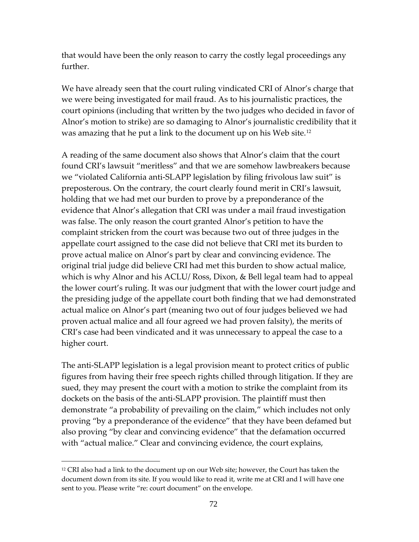that would have been the only reason to carry the costly legal proceedings any further.

We have already seen that the court ruling vindicated CRI of Alnor's charge that we were being investigated for mail fraud. As to his journalistic practices, the court opinions (including that written by the two judges who decided in favor of Alnor's motion to strike) are so damaging to Alnor's journalistic credibility that it was amazing that he put a link to the document up on his Web site.[12](#page-71-0)

A reading of the same document also shows that Alnor's claim that the court found CRI's lawsuit "meritless" and that we are somehow lawbreakers because we "violated California anti-SLAPP legislation by filing frivolous law suit" is preposterous. On the contrary, the court clearly found merit in CRI's lawsuit, holding that we had met our burden to prove by a preponderance of the evidence that Alnor's allegation that CRI was under a mail fraud investigation was false. The only reason the court granted Alnor's petition to have the complaint stricken from the court was because two out of three judges in the appellate court assigned to the case did not believe that CRI met its burden to prove actual malice on Alnor's part by clear and convincing evidence. The original trial judge did believe CRI had met this burden to show actual malice, which is why Alnor and his ACLU/ Ross, Dixon, & Bell legal team had to appeal the lower court's ruling. It was our judgment that with the lower court judge and the presiding judge of the appellate court both finding that we had demonstrated actual malice on Alnor's part (meaning two out of four judges believed we had proven actual malice and all four agreed we had proven falsity), the merits of CRI's case had been vindicated and it was unnecessary to appeal the case to a higher court.

The anti-SLAPP legislation is a legal provision meant to protect critics of public figures from having their free speech rights chilled through litigation. If they are sued, they may present the court with a motion to strike the complaint from its dockets on the basis of the anti-SLAPP provision. The plaintiff must then demonstrate "a probability of prevailing on the claim," which includes not only proving "by a preponderance of the evidence" that they have been defamed but also proving "by clear and convincing evidence" that the defamation occurred with "actual malice." Clear and convincing evidence, the court explains,

<span id="page-71-0"></span><sup>&</sup>lt;sup>12</sup> CRI also had a link to the document up on our Web site; however, the Court has taken the document down from its site. If you would like to read it, write me at CRI and I will have one sent to you. Please write "re: court document" on the envelope.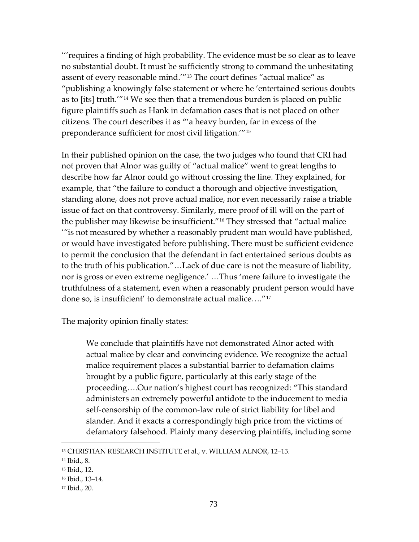'''requires a finding of high probability. The evidence must be so clear as to leave no substantial doubt. It must be sufficiently strong to command the unhesitating assent of every reasonable mind.'"[13](#page-72-0) The court defines "actual malice" as "publishing a knowingly false statement or where he 'entertained serious doubts as to [its] truth.'"[14](#page-72-1) We see then that a tremendous burden is placed on public figure plaintiffs such as Hank in defamation cases that is not placed on other citizens. The court describes it as "'a heavy burden, far in excess of the preponderance sufficient for most civil litigation.'"[15](#page-72-2)

In their published opinion on the case, the two judges who found that CRI had not proven that Alnor was guilty of "actual malice" went to great lengths to describe how far Alnor could go without crossing the line. They explained, for example, that "the failure to conduct a thorough and objective investigation, standing alone, does not prove actual malice, nor even necessarily raise a triable issue of fact on that controversy. Similarly, mere proof of ill will on the part of the publisher may likewise be insufficient."[16](#page-72-3) They stressed that "actual malice '"is not measured by whether a reasonably prudent man would have published, or would have investigated before publishing. There must be sufficient evidence to permit the conclusion that the defendant in fact entertained serious doubts as to the truth of his publication."…Lack of due care is not the measure of liability, nor is gross or even extreme negligence.' …Thus 'mere failure to investigate the truthfulness of a statement, even when a reasonably prudent person would have done so, is insufficient' to demonstrate actual malice…."[17](#page-72-4)

The majority opinion finally states:

We conclude that plaintiffs have not demonstrated Alnor acted with actual malice by clear and convincing evidence. We recognize the actual malice requirement places a substantial barrier to defamation claims brought by a public figure, particularly at this early stage of the proceeding….Our nation's highest court has recognized: "This standard administers an extremely powerful antidote to the inducement to media self-censorship of the common-law rule of strict liability for libel and slander. And it exacts a correspondingly high price from the victims of defamatory falsehood. Plainly many deserving plaintiffs, including some

<span id="page-72-0"></span><sup>13</sup> CHRISTIAN RESEARCH INSTITUTE et al., v. WILLIAM ALNOR, 12–13.

<span id="page-72-1"></span><sup>14</sup> Ibid., 8.

<span id="page-72-2"></span><sup>15</sup> Ibid., 12.

<span id="page-72-3"></span><sup>16</sup> Ibid., 13–14.

<span id="page-72-4"></span><sup>17</sup> Ibid., 20.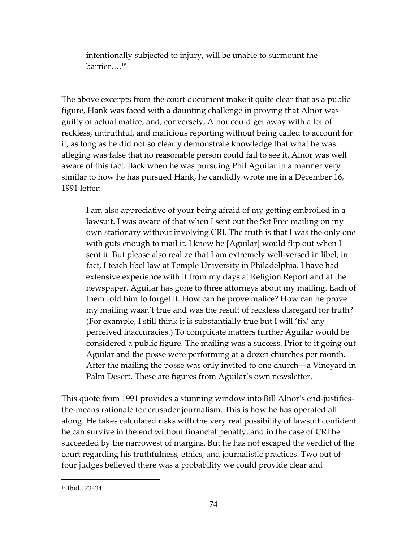intentionally subjected to injury, will be unable to surmount the barrier….[18](#page-73-0)

The above excerpts from the court document make it quite clear that as a public figure, Hank was faced with a daunting challenge in proving that Alnor was guilty of actual malice, and, conversely, Alnor could get away with a lot of reckless, untruthful, and malicious reporting without being called to account for it, as long as he did not so clearly demonstrate knowledge that what he was alleging was false that no reasonable person could fail to see it. Alnor was well aware of this fact. Back when he was pursuing Phil Aguilar in a manner very similar to how he has pursued Hank, he candidly wrote me in a December 16, 1991 letter:

I am also appreciative of your being afraid of my getting embroiled in a lawsuit. I was aware of that when I sent out the Set Free mailing on my own stationary without involving CRI. The truth is that I was the only one with guts enough to mail it. I knew he [Aguilar] would flip out when I sent it. But please also realize that I am extremely well-versed in libel; in fact, I teach libel law at Temple University in Philadelphia. I have had extensive experience with it from my days at Religion Report and at the newspaper. Aguilar has gone to three attorneys about my mailing. Each of them told him to forget it. How can he prove malice? How can he prove my mailing wasn't true and was the result of reckless disregard for truth? (For example, I still think it is substantially true but I will 'fix' any perceived inaccuracies.) To complicate matters further Aguilar would be considered a public figure. The mailing was a success. Prior to it going out Aguilar and the posse were performing at a dozen churches per month. After the mailing the posse was only invited to one church—a Vineyard in Palm Desert. These are figures from Aguilar's own newsletter.

This quote from 1991 provides a stunning window into Bill Alnor's end-justifiesthe-means rationale for crusader journalism. This is how he has operated all along. He takes calculated risks with the very real possibility of lawsuit confident he can survive in the end without financial penalty, and in the case of CRI he succeeded by the narrowest of margins. But he has not escaped the verdict of the court regarding his truthfulness, ethics, and journalistic practices. Two out of four judges believed there was a probability we could provide clear and

<span id="page-73-0"></span><sup>18</sup> Ibid., 23–34.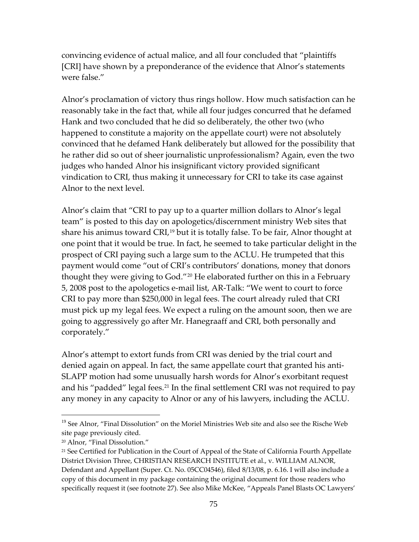convincing evidence of actual malice, and all four concluded that "plaintiffs [CRI] have shown by a preponderance of the evidence that Alnor's statements were false."

Alnor's proclamation of victory thus rings hollow. How much satisfaction can he reasonably take in the fact that, while all four judges concurred that he defamed Hank and two concluded that he did so deliberately, the other two (who happened to constitute a majority on the appellate court) were not absolutely convinced that he defamed Hank deliberately but allowed for the possibility that he rather did so out of sheer journalistic unprofessionalism? Again, even the two judges who handed Alnor his insignificant victory provided significant vindication to CRI, thus making it unnecessary for CRI to take its case against Alnor to the next level.

Alnor's claim that "CRI to pay up to a quarter million dollars to Alnor's legal team" is posted to this day on apologetics/discernment ministry Web sites that share his animus toward CRI,<sup>[19](#page-74-0)</sup> but it is totally false. To be fair, Alnor thought at one point that it would be true. In fact, he seemed to take particular delight in the prospect of CRI paying such a large sum to the ACLU. He trumpeted that this payment would come "out of CRI's contributors' donations, money that donors thought they were giving to God."[20](#page-74-1) He elaborated further on this in a February 5, 2008 post to the apologetics e-mail list, AR-Talk: "We went to court to force CRI to pay more than \$250,000 in legal fees. The court already ruled that CRI must pick up my legal fees. We expect a ruling on the amount soon, then we are going to aggressively go after Mr. Hanegraaff and CRI, both personally and corporately."

Alnor's attempt to extort funds from CRI was denied by the trial court and denied again on appeal. In fact, the same appellate court that granted his anti-SLAPP motion had some unusually harsh words for Alnor's exorbitant request and his "padded" legal fees.<sup>[21](#page-74-2)</sup> In the final settlement CRI was not required to pay any money in any capacity to Alnor or any of his lawyers, including the ACLU.

<span id="page-74-0"></span><sup>&</sup>lt;sup>19</sup> See Alnor, "Final Dissolution" on the Moriel Ministries Web site and also see the Rische Web site page previously cited.

<span id="page-74-2"></span><span id="page-74-1"></span><sup>20</sup> Alnor, "Final Dissolution."

<sup>&</sup>lt;sup>21</sup> See Certified for Publication in the Court of Appeal of the State of California Fourth Appellate District Division Three, CHRISTIAN RESEARCH INSTITUTE et al., v. WILLIAM ALNOR, Defendant and Appellant (Super. Ct. No. 05CC04546), filed 8/13/08, p. 6.16. I will also include a copy of this document in my package containing the original document for those readers who specifically request it (see footnote 27). See also Mike McKee, "Appeals Panel Blasts OC Lawyers'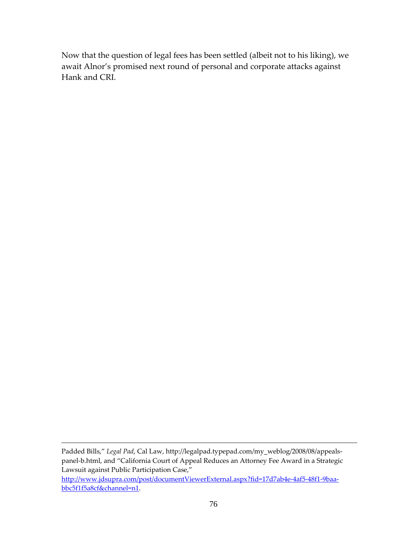Now that the question of legal fees has been settled (albeit not to his liking), we await Alnor's promised next round of personal and corporate attacks against Hank and CRI.

Padded Bills," *Legal Pad*, Cal Law, [http://legalpad.typepad.com/my\\_weblog/2008/08/appeals](http://legalpad.typepad.com/my_weblog/2008/08/appeals-panel-b.html)[panel-b.html,](http://legalpad.typepad.com/my_weblog/2008/08/appeals-panel-b.html) and "California Court of Appeal Reduces an Attorney Fee Award in a Strategic Lawsuit against Public Participation Case,"

 $\overline{a}$ 

[http://www.jdsupra.com/post/documentViewerExternal.aspx?fid=17d7ab4e-4af5-48f1-9baa](http://www.jdsupra.com/post/documentViewerExternal.aspx?fid=17d7ab4e-4af5-48f1-9baa-bbc5f1f5a8cf&channel=n1)[bbc5f1f5a8cf&channel=n1.](http://www.jdsupra.com/post/documentViewerExternal.aspx?fid=17d7ab4e-4af5-48f1-9baa-bbc5f1f5a8cf&channel=n1)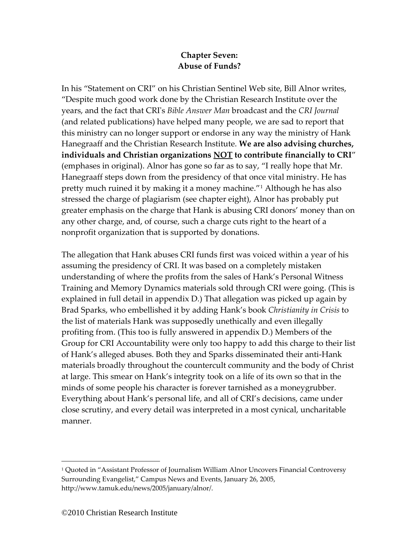# **Chapter Seven: Abuse of Funds?**

In his "Statement on CRI" on his Christian Sentinel Web site, Bill Alnor writes, "Despite much good work done by the Christian Research Institute over the years, and the fact that CRI's *Bible Answer Man* broadcast and the *CRI Journal* (and related publications) have helped many people, we are sad to report that this ministry can no longer support or endorse in any way the ministry of Hank Hanegraaff and the Christian Research Institute. **We are also advising churches, individuals and Christian organizations NOT to contribute financially to CRI**" (emphases in original). Alnor has gone so far as to say, "I really hope that Mr. Hanegraaff steps down from the presidency of that once vital ministry. He has pretty much ruined it by making it a money machine."[1](#page-76-0) Although he has also stressed the charge of plagiarism (see chapter eight), Alnor has probably put greater emphasis on the charge that Hank is abusing CRI donors' money than on any other charge, and, of course, such a charge cuts right to the heart of a nonprofit organization that is supported by donations.

The allegation that Hank abuses CRI funds first was voiced within a year of his assuming the presidency of CRI. It was based on a completely mistaken understanding of where the profits from the sales of Hank's Personal Witness Training and Memory Dynamics materials sold through CRI were going. (This is explained in full detail in appendix D*.*) That allegation was picked up again by Brad Sparks, who embellished it by adding Hank's book *Christianity in Crisis* to the list of materials Hank was supposedly unethically and even illegally profiting from. (This too is fully answered in appendix D.) Members of the Group for CRI Accountability were only too happy to add this charge to their list of Hank's alleged abuses. Both they and Sparks disseminated their anti-Hank materials broadly throughout the countercult community and the body of Christ at large. This smear on Hank's integrity took on a life of its own so that in the minds of some people his character is forever tarnished as a moneygrubber. Everything about Hank's personal life, and all of CRI's decisions, came under close scrutiny, and every detail was interpreted in a most cynical, uncharitable manner.

<span id="page-76-0"></span><sup>1</sup> Quoted in "Assistant Professor of Journalism William Alnor Uncovers Financial Controversy Surrounding Evangelist," Campus News and Events, January 26, 2005, http://www.tamuk.edu/news/2005/january/alnor/.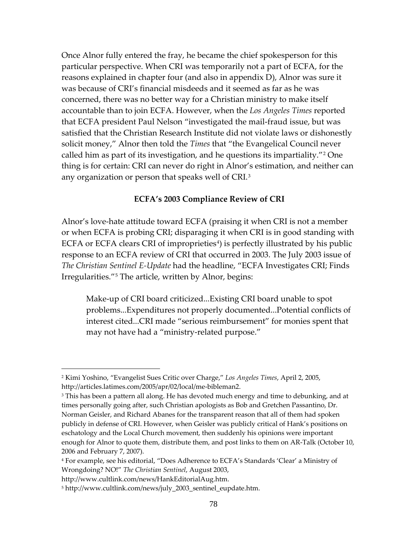Once Alnor fully entered the fray, he became the chief spokesperson for this particular perspective. When CRI was temporarily not a part of ECFA, for the reasons explained in chapter four (and also in appendix D), Alnor was sure it was because of CRI's financial misdeeds and it seemed as far as he was concerned, there was no better way for a Christian ministry to make itself accountable than to join ECFA. However, when the *Los Angeles Times* reported that ECFA president Paul Nelson "investigated the mail-fraud issue, but was satisfied that the Christian Research Institute did not violate laws or dishonestly solicit money," Alnor then told the *Times* that "the Evangelical Council never called him as part of its investigation, and he questions its impartiality."[2](#page-77-0) One thing is for certain: CRI can never do right in Alnor's estimation, and neither can any organization or person that speaks well of CRI.[3](#page-77-1)

#### **ECFA's 2003 Compliance Review of CRI**

Alnor's love-hate attitude toward ECFA (praising it when CRI is not a member or when ECFA is probing CRI; disparaging it when CRI is in good standing with ECFA or ECFA clears CRI of improprieties<sup>[4](#page-77-2)</sup>) is perfectly illustrated by his public response to an ECFA review of CRI that occurred in 2003. The July 2003 issue of *The Christian Sentinel E-Update* had the headline, "ECFA Investigates CRI; Finds Irregularities."[5](#page-77-3) The article, written by Alnor, begins:

Make-up of CRI board criticized...Existing CRI board unable to spot problems...Expenditures not properly documented...Potential conflicts of interest cited...CRI made "serious reimbursement" for monies spent that may not have had a "ministry-related purpose."

<span id="page-77-0"></span><sup>2</sup> Kimi Yoshino, "Evangelist Sues Critic over Charge," *Los Angeles Times*, April 2, 2005, http://articles.latimes.com/2005/apr/02/local/me-bibleman2.

<span id="page-77-1"></span><sup>&</sup>lt;sup>3</sup> This has been a pattern all along. He has devoted much energy and time to debunking, and at times personally going after, such Christian apologists as Bob and Gretchen Passantino, Dr. Norman Geisler, and Richard Abanes for the transparent reason that all of them had spoken publicly in defense of CRI. However, when Geisler was publicly critical of Hank's positions on eschatology and the Local Church movement, then suddenly his opinions were important enough for Alnor to quote them, distribute them, and post links to them on AR-Talk (October 10, 2006 and February 7, 2007).

<span id="page-77-2"></span><sup>4</sup> For example, see his editorial, "Does Adherence to ECFA's Standards 'Clear' a Ministry of Wrongdoing? NO!" *The Christian Sentinel*, August 2003,

http://www.cultlink.com/news/HankEditorialAug.htm.

<span id="page-77-3"></span><sup>5</sup> http://www.cultlink.com/news/july\_2003\_sentinel\_eupdate.htm.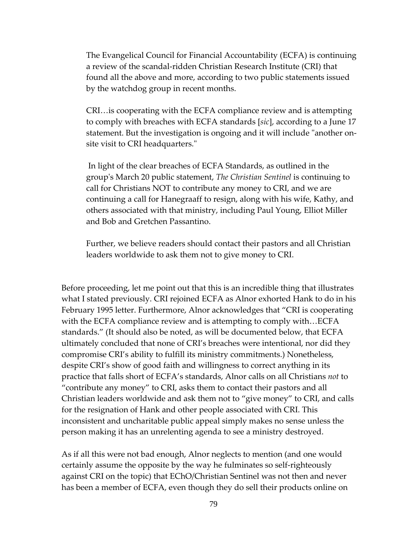The Evangelical Council for Financial Accountability (ECFA) is continuing a review of the scandal-ridden Christian Research Institute (CRI) that found all the above and more, according to two public statements issued by the watchdog group in recent months.

CRI…is cooperating with the ECFA compliance review and is attempting to comply with breaches with ECFA standards [*sic*], according to a June 17 statement. But the investigation is ongoing and it will include "another onsite visit to CRI headquarters."

In light of the clear breaches of ECFA Standards, as outlined in the group's March 20 public statement, *The Christian Sentinel* is continuing to call for Christians NOT to contribute any money to CRI, and we are continuing a call for Hanegraaff to resign, along with his wife, Kathy, and others associated with that ministry, including Paul Young, Elliot Miller and Bob and Gretchen Passantino.

Further, we believe readers should contact their pastors and all Christian leaders worldwide to ask them not to give money to CRI.

Before proceeding, let me point out that this is an incredible thing that illustrates what I stated previously. CRI rejoined ECFA as Alnor exhorted Hank to do in his February 1995 letter. Furthermore, Alnor acknowledges that "CRI is cooperating with the ECFA compliance review and is attempting to comply with…ECFA standards." (It should also be noted, as will be documented below, that ECFA ultimately concluded that none of CRI's breaches were intentional, nor did they compromise CRI's ability to fulfill its ministry commitments.) Nonetheless, despite CRI's show of good faith and willingness to correct anything in its practice that falls short of ECFA's standards, Alnor calls on all Christians *not* to "contribute any money" to CRI, asks them to contact their pastors and all Christian leaders worldwide and ask them not to "give money" to CRI, and calls for the resignation of Hank and other people associated with CRI. This inconsistent and uncharitable public appeal simply makes no sense unless the person making it has an unrelenting agenda to see a ministry destroyed.

As if all this were not bad enough, Alnor neglects to mention (and one would certainly assume the opposite by the way he fulminates so self-righteously against CRI on the topic) that EChO/Christian Sentinel was not then and never has been a member of ECFA, even though they do sell their products online on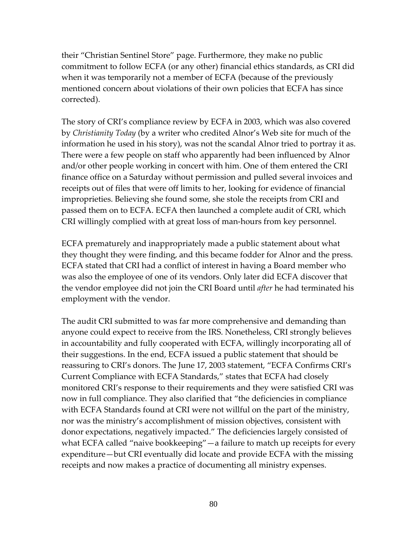their "Christian Sentinel Store" page. Furthermore, they make no public commitment to follow ECFA (or any other) financial ethics standards, as CRI did when it was temporarily not a member of ECFA (because of the previously mentioned concern about violations of their own policies that ECFA has since corrected).

The story of CRI's compliance review by ECFA in 2003, which was also covered by *Christianity Today* (by a writer who credited Alnor's Web site for much of the information he used in his story), was not the scandal Alnor tried to portray it as. There were a few people on staff who apparently had been influenced by Alnor and/or other people working in concert with him. One of them entered the CRI finance office on a Saturday without permission and pulled several invoices and receipts out of files that were off limits to her, looking for evidence of financial improprieties. Believing she found some, she stole the receipts from CRI and passed them on to ECFA. ECFA then launched a complete audit of CRI, which CRI willingly complied with at great loss of man-hours from key personnel.

ECFA prematurely and inappropriately made a public statement about what they thought they were finding, and this became fodder for Alnor and the press. ECFA stated that CRI had a conflict of interest in having a Board member who was also the employee of one of its vendors. Only later did ECFA discover that the vendor employee did not join the CRI Board until *after* he had terminated his employment with the vendor.

The audit CRI submitted to was far more comprehensive and demanding than anyone could expect to receive from the IRS. Nonetheless, CRI strongly believes in accountability and fully cooperated with ECFA, willingly incorporating all of their suggestions. In the end, ECFA issued a public statement that should be reassuring to CRI's donors. The June 17, 2003 statement, "ECFA Confirms CRI's Current Compliance with ECFA Standards," states that ECFA had closely monitored CRI's response to their requirements and they were satisfied CRI was now in full compliance. They also clarified that "the deficiencies in compliance with ECFA Standards found at CRI were not willful on the part of the ministry, nor was the ministry's accomplishment of mission objectives, consistent with donor expectations, negatively impacted." The deficiencies largely consisted of what ECFA called "naive bookkeeping"—a failure to match up receipts for every expenditure—but CRI eventually did locate and provide ECFA with the missing receipts and now makes a practice of documenting all ministry expenses.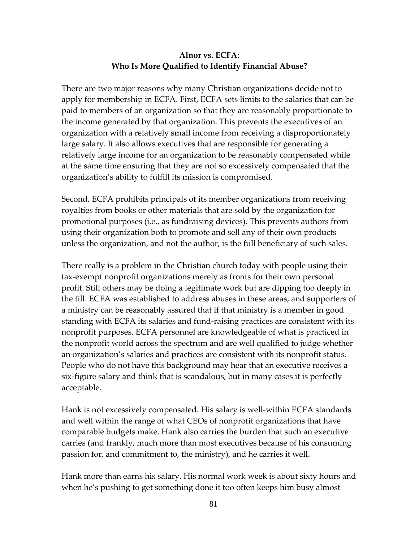## **Alnor vs. ECFA: Who Is More Qualified to Identify Financial Abuse?**

There are two major reasons why many Christian organizations decide not to apply for membership in ECFA. First, ECFA sets limits to the salaries that can be paid to members of an organization so that they are reasonably proportionate to the income generated by that organization. This prevents the executives of an organization with a relatively small income from receiving a disproportionately large salary. It also allows executives that are responsible for generating a relatively large income for an organization to be reasonably compensated while at the same time ensuring that they are not so excessively compensated that the organization's ability to fulfill its mission is compromised.

Second, ECFA prohibits principals of its member organizations from receiving royalties from books or other materials that are sold by the organization for promotional purposes (i.e., as fundraising devices). This prevents authors from using their organization both to promote and sell any of their own products unless the organization, and not the author, is the full beneficiary of such sales.

There really is a problem in the Christian church today with people using their tax-exempt nonprofit organizations merely as fronts for their own personal profit. Still others may be doing a legitimate work but are dipping too deeply in the till. ECFA was established to address abuses in these areas, and supporters of a ministry can be reasonably assured that if that ministry is a member in good standing with ECFA its salaries and fund-raising practices are consistent with its nonprofit purposes. ECFA personnel are knowledgeable of what is practiced in the nonprofit world across the spectrum and are well qualified to judge whether an organization's salaries and practices are consistent with its nonprofit status. People who do not have this background may hear that an executive receives a six-figure salary and think that is scandalous, but in many cases it is perfectly acceptable.

Hank is not excessively compensated. His salary is well-within ECFA standards and well within the range of what CEOs of nonprofit organizations that have comparable budgets make. Hank also carries the burden that such an executive carries (and frankly, much more than most executives because of his consuming passion for, and commitment to, the ministry), and he carries it well.

Hank more than earns his salary. His normal work week is about sixty hours and when he's pushing to get something done it too often keeps him busy almost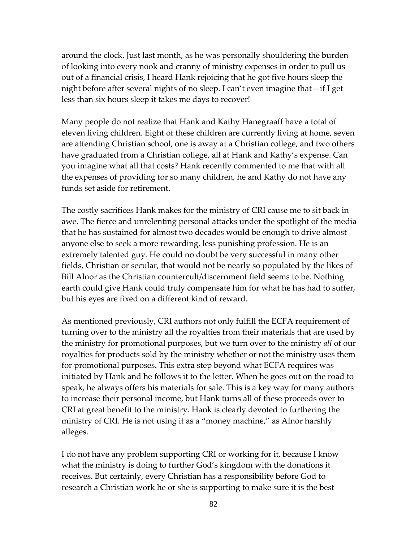around the clock. Just last month, as he was personally shouldering the burden of looking into every nook and cranny of ministry expenses in order to pull us out of a financial crisis, I heard Hank rejoicing that he got five hours sleep the night before after several nights of no sleep. I can't even imagine that—if I get less than six hours sleep it takes me days to recover!

Many people do not realize that Hank and Kathy Hanegraaff have a total of eleven living children. Eight of these children are currently living at home, seven are attending Christian school, one is away at a Christian college, and two others have graduated from a Christian college, all at Hank and Kathy's expense. Can you imagine what all that costs? Hank recently commented to me that with all the expenses of providing for so many children, he and Kathy do not have any funds set aside for retirement.

The costly sacrifices Hank makes for the ministry of CRI cause me to sit back in awe. The fierce and unrelenting personal attacks under the spotlight of the media that he has sustained for almost two decades would be enough to drive almost anyone else to seek a more rewarding, less punishing profession. He is an extremely talented guy. He could no doubt be very successful in many other fields, Christian or secular, that would not be nearly so populated by the likes of Bill Alnor as the Christian countercult/discernment field seems to be. Nothing earth could give Hank could truly compensate him for what he has had to suffer, but his eyes are fixed on a different kind of reward.

As mentioned previously, CRI authors not only fulfill the ECFA requirement of turning over to the ministry all the royalties from their materials that are used by the ministry for promotional purposes, but we turn over to the ministry *all* of our royalties for products sold by the ministry whether or not the ministry uses them for promotional purposes. This extra step beyond what ECFA requires was initiated by Hank and he follows it to the letter. When he goes out on the road to speak, he always offers his materials for sale. This is a key way for many authors to increase their personal income, but Hank turns all of these proceeds over to CRI at great benefit to the ministry. Hank is clearly devoted to furthering the ministry of CRI. He is not using it as a "money machine," as Alnor harshly alleges.

I do not have any problem supporting CRI or working for it, because I know what the ministry is doing to further God's kingdom with the donations it receives. But certainly, every Christian has a responsibility before God to research a Christian work he or she is supporting to make sure it is the best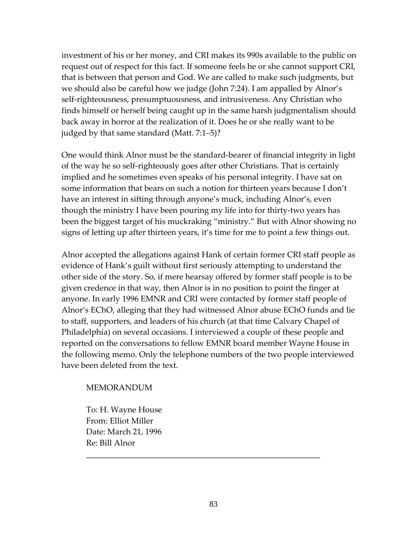investment of his or her money, and CRI makes its 990s available to the public on request out of respect for this fact. If someone feels he or she cannot support CRI, that is between that person and God. We are called to make such judgments, but we should also be careful how we judge (John 7:24). I am appalled by Alnor's self-righteousness, presumptuousness, and intrusiveness. Any Christian who finds himself or herself being caught up in the same harsh judgmentalism should back away in horror at the realization of it. Does he or she really want to be judged by that same standard (Matt. 7:1–5)?

One would think Alnor must be the standard-bearer of financial integrity in light of the way he so self-righteously goes after other Christians. That is certainly implied and he sometimes even speaks of his personal integrity. I have sat on some information that bears on such a notion for thirteen years because I don't have an interest in sifting through anyone's muck, including Alnor's, even though the ministry I have been pouring my life into for thirty-two years has been the biggest target of his muckraking "ministry." But with Alnor showing no signs of letting up after thirteen years, it's time for me to point a few things out.

Alnor accepted the allegations against Hank of certain former CRI staff people as evidence of Hank's guilt without first seriously attempting to understand the other side of the story. So, if mere hearsay offered by former staff people is to be given credence in that way, then Alnor is in no position to point the finger at anyone. In early 1996 EMNR and CRI were contacted by former staff people of Alnor's EChO, alleging that they had witnessed Alnor abuse EChO funds and lie to staff, supporters, and leaders of his church (at that time Calvary Chapel of Philadelphia) on several occasions. I interviewed a couple of these people and reported on the conversations to fellow EMNR board member Wayne House in the following memo. Only the telephone numbers of the two people interviewed have been deleted from the text.

#### MEMORANDUM

To: H. Wayne House From: Elliot Miller Date: March 21, 1996 Re: Bill Alnor

\_\_\_\_\_\_\_\_\_\_\_\_\_\_\_\_\_\_\_\_\_\_\_\_\_\_\_\_\_\_\_\_\_\_\_\_\_\_\_\_\_\_\_\_\_\_\_\_\_\_\_\_\_\_\_\_\_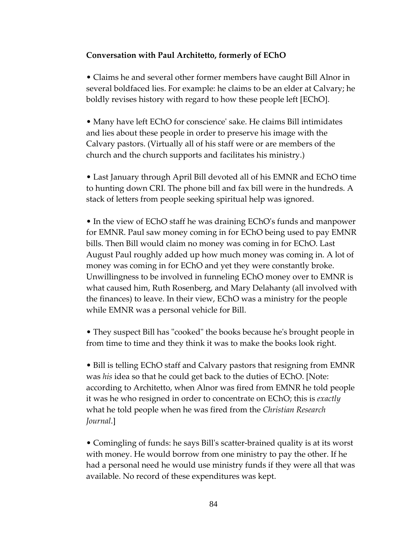### **Conversation with Paul Architetto, formerly of EChO**

• Claims he and several other former members have caught Bill Alnor in several boldfaced lies. For example: he claims to be an elder at Calvary; he boldly revises history with regard to how these people left [EChO].

• Many have left EChO for conscience' sake. He claims Bill intimidates and lies about these people in order to preserve his image with the Calvary pastors. (Virtually all of his staff were or are members of the church and the church supports and facilitates his ministry.)

• Last January through April Bill devoted all of his EMNR and EChO time to hunting down CRI. The phone bill and fax bill were in the hundreds. A stack of letters from people seeking spiritual help was ignored.

• In the view of EChO staff he was draining EChO's funds and manpower for EMNR. Paul saw money coming in for EChO being used to pay EMNR bills. Then Bill would claim no money was coming in for EChO. Last August Paul roughly added up how much money was coming in. A lot of money was coming in for EChO and yet they were constantly broke. Unwillingness to be involved in funneling EChO money over to EMNR is what caused him, Ruth Rosenberg, and Mary Delahanty (all involved with the finances) to leave. In their view, EChO was a ministry for the people while EMNR was a personal vehicle for Bill.

• They suspect Bill has "cooked" the books because he's brought people in from time to time and they think it was to make the books look right.

• Bill is telling EChO staff and Calvary pastors that resigning from EMNR was *his* idea so that he could get back to the duties of EChO. [Note: according to Architetto, when Alnor was fired from EMNR he told people it was he who resigned in order to concentrate on EChO; this is *exactly* what he told people when he was fired from the *Christian Research Journal*.]

• Comingling of funds: he says Bill's scatter-brained quality is at its worst with money. He would borrow from one ministry to pay the other. If he had a personal need he would use ministry funds if they were all that was available. No record of these expenditures was kept.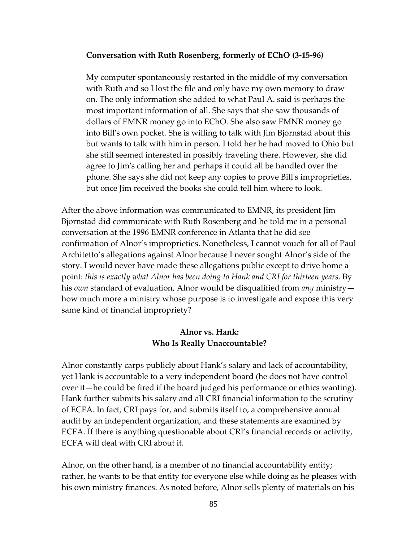#### **Conversation with Ruth Rosenberg, formerly of EChO (3-15-96)**

My computer spontaneously restarted in the middle of my conversation with Ruth and so I lost the file and only have my own memory to draw on. The only information she added to what Paul A. said is perhaps the most important information of all. She says that she saw thousands of dollars of EMNR money go into EChO. She also saw EMNR money go into Bill's own pocket. She is willing to talk with Jim Bjornstad about this but wants to talk with him in person. I told her he had moved to Ohio but she still seemed interested in possibly traveling there. However, she did agree to Jim's calling her and perhaps it could all be handled over the phone. She says she did not keep any copies to prove Bill's improprieties, but once Jim received the books she could tell him where to look.

After the above information was communicated to EMNR, its president Jim Bjornstad did communicate with Ruth Rosenberg and he told me in a personal conversation at the 1996 EMNR conference in Atlanta that he did see confirmation of Alnor's improprieties. Nonetheless, I cannot vouch for all of Paul Architetto's allegations against Alnor because I never sought Alnor's side of the story. I would never have made these allegations public except to drive home a point: *this is exactly what Alnor has been doing to Hank and CRI for thirteen years*. By his *own* standard of evaluation, Alnor would be disqualified from *any* ministry how much more a ministry whose purpose is to investigate and expose this very same kind of financial impropriety?

### **Alnor vs. Hank: Who Is Really Unaccountable?**

Alnor constantly carps publicly about Hank's salary and lack of accountability, yet Hank is accountable to a very independent board (he does not have control over it—he could be fired if the board judged his performance or ethics wanting). Hank further submits his salary and all CRI financial information to the scrutiny of ECFA. In fact, CRI pays for, and submits itself to, a comprehensive annual audit by an independent organization, and these statements are examined by ECFA. If there is anything questionable about CRI's financial records or activity, ECFA will deal with CRI about it.

Alnor, on the other hand, is a member of no financial accountability entity; rather, he wants to be that entity for everyone else while doing as he pleases with his own ministry finances. As noted before, Alnor sells plenty of materials on his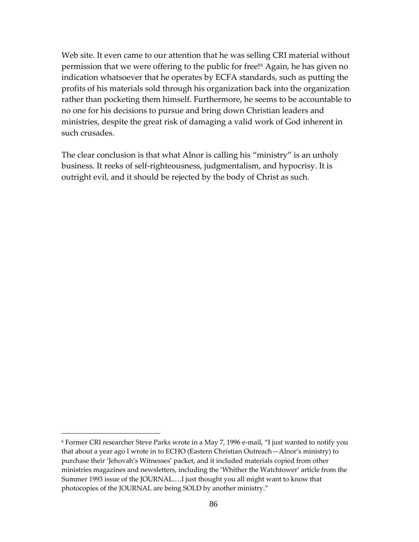Web site. It even came to our attention that he was selling CRI material without permission that we were offering to the public for free![6](#page-85-0) Again, he has given no indication whatsoever that he operates by ECFA standards, such as putting the profits of his materials sold through his organization back into the organization rather than pocketing them himself. Furthermore, he seems to be accountable to no one for his decisions to pursue and bring down Christian leaders and ministries, despite the great risk of damaging a valid work of God inherent in such crusades.

The clear conclusion is that what Alnor is calling his "ministry" is an unholy business. It reeks of self-righteousness, judgmentalism, and hypocrisy. It is outright evil, and it should be rejected by the body of Christ as such.

<span id="page-85-0"></span><sup>6</sup> Former CRI researcher Steve Parks wrote in a May 7, 1996 e-mail, "I just wanted to notify you that about a year ago I wrote in to ECHO (Eastern Christian Outreach—Alnor's ministry) to purchase their 'Jehovah's Witnesses' packet, and it included materials copied from other ministries magazines and newsletters, including the 'Whither the Watchtower' article from the Summer 1993 issue of the JOURNAL.…I just thought you all might want to know that photocopies of the JOURNAL are being SOLD by another ministry."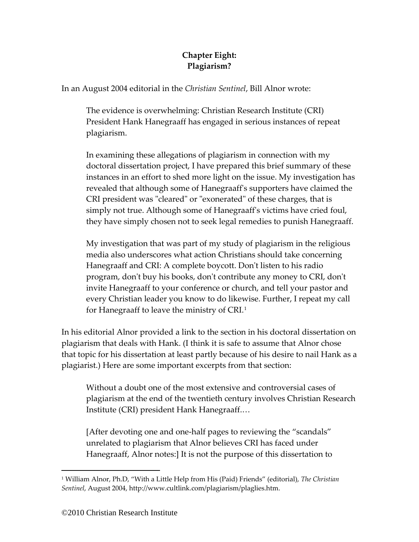# **Chapter Eight: Plagiarism?**

In an August 2004 editorial in the *Christian Sentinel*, Bill Alnor wrote:

The evidence is overwhelming: Christian Research Institute (CRI) President Hank Hanegraaff has engaged in serious instances of repeat plagiarism.

In examining these allegations of plagiarism in connection with my doctoral dissertation project, I have prepared this brief summary of these instances in an effort to shed more light on the issue. My investigation has revealed that although some of Hanegraaff's supporters have claimed the CRI president was "cleared" or "exonerated" of these charges, that is simply not true. Although some of Hanegraaff's victims have cried foul, they have simply chosen not to seek legal remedies to punish Hanegraaff.

My investigation that was part of my study of plagiarism in the religious media also underscores what action Christians should take concerning Hanegraaff and CRI: A complete boycott. Don't listen to his radio program, don't buy his books, don't contribute any money to CRI, don't invite Hanegraaff to your conference or church, and tell your pastor and every Christian leader you know to do likewise. Further, I repeat my call for Hanegraaff to leave the ministry of CRI.[1](#page-86-0)

In his editorial Alnor provided a link to the section in his doctoral dissertation on plagiarism that deals with Hank. (I think it is safe to assume that Alnor chose that topic for his dissertation at least partly because of his desire to nail Hank as a plagiarist.) Here are some important excerpts from that section:

Without a doubt one of the most extensive and controversial cases of plagiarism at the end of the twentieth century involves Christian Research Institute (CRI) president Hank Hanegraaff.…

[After devoting one and one-half pages to reviewing the "scandals" unrelated to plagiarism that Alnor believes CRI has faced under Hanegraaff, Alnor notes:] It is not the purpose of this dissertation to

<span id="page-86-0"></span><sup>1</sup> William Alnor, Ph.D, "With a Little Help from His (Paid) Friends" (editorial), *The Christian Sentinel*, August 2004[, http://www.cultlink.com/plagiarism/plaglies.htm.](http://www.cultlink.com/plagiarism/plaglies.htm)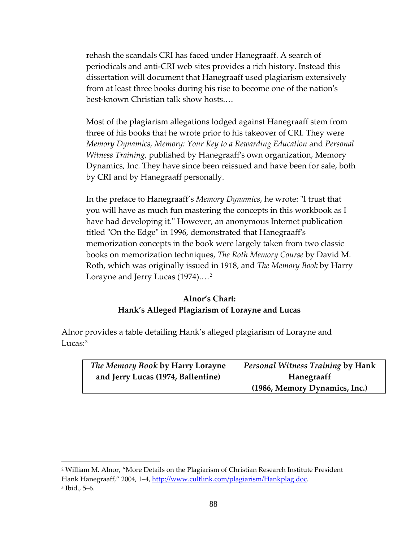rehash the scandals CRI has faced under Hanegraaff. A search of periodicals and anti-CRI web sites provides a rich history. Instead this dissertation will document that Hanegraaff used plagiarism extensively from at least three books during his rise to become one of the nation's best-known Christian talk show hosts.…

Most of the plagiarism allegations lodged against Hanegraaff stem from three of his books that he wrote prior to his takeover of CRI. They were *Memory Dynamics, Memory: Your Key to a Rewarding Education* and *Personal Witness Training*, published by Hanegraaff's own organization, Memory Dynamics, Inc. They have since been reissued and have been for sale, both by CRI and by Hanegraaff personally.

In the preface to Hanegraaff's *Memory Dynamics*, he wrote: "I trust that you will have as much fun mastering the concepts in this workbook as I have had developing it." However, an anonymous Internet publication titled "On the Edge" in 1996, demonstrated that Hanegraaff's memorization concepts in the book were largely taken from two classic books on memorization techniques, *The Roth Memory Course* by David M. Roth, which was originally issued in 1918, and *The Memory Book* by Harry Lorayne and Jerry Lucas (1974)....<sup>[2](#page-87-0)</sup>

## **Alnor's Chart: Hank's Alleged Plagiarism of Lorayne and Lucas**

Alnor provides a table detailing Hank's alleged plagiarism of Lorayne and Lucas[:3](#page-87-1)

| The Memory Book by Harry Lorayne   | Personal Witness Training by Hank |
|------------------------------------|-----------------------------------|
| and Jerry Lucas (1974, Ballentine) | Hanegraaff                        |
|                                    | (1986, Memory Dynamics, Inc.)     |

<span id="page-87-1"></span><span id="page-87-0"></span><sup>2</sup> William M. Alnor, "More Details on the Plagiarism of Christian Research Institute President Hank Hanegraaff," 2004, 1-4, [http://www.cultlink.com/plagiarism/Hankplag.doc.](http://www.cultlink.com/plagiarism/Hankplag.doc) <sup>3</sup> Ibid., 5–6.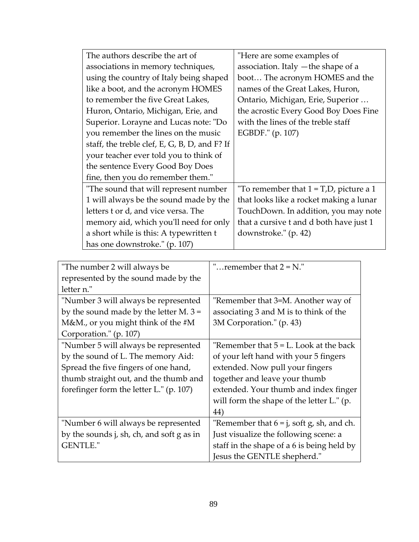| The authors describe the art of               | "Here are some examples of                |
|-----------------------------------------------|-------------------------------------------|
| associations in memory techniques,            | association. Italy - the shape of a       |
| using the country of Italy being shaped       | boot The acronym HOMES and the            |
| like a boot, and the acronym HOMES            | names of the Great Lakes, Huron,          |
| to remember the five Great Lakes,             | Ontario, Michigan, Erie, Superior         |
| Huron, Ontario, Michigan, Erie, and           | the acrostic Every Good Boy Does Fine     |
| Superior. Lorayne and Lucas note: "Do         | with the lines of the treble staff        |
| you remember the lines on the music           | EGBDF." (p. 107)                          |
| staff, the treble clef, E, G, B, D, and F? If |                                           |
| your teacher ever told you to think of        |                                           |
| the sentence Every Good Boy Does              |                                           |
| fine, then you do remember them."             |                                           |
| "The sound that will represent number         | "To remember that $1 = T,D$ , picture a 1 |
| 1 will always be the sound made by the        | that looks like a rocket making a lunar   |
| letters t or d, and vice versa. The           | TouchDown. In addition, you may note      |
| memory aid, which you'll need for only        | that a cursive t and d both have just 1   |
| a short while is this: A typewritten t        | downstroke." (p. 42)                      |
| has one downstroke." (p. 107)                 |                                           |

| "The number 2 will always be              | " $remember that 2 = N$ ."                   |
|-------------------------------------------|----------------------------------------------|
| represented by the sound made by the      |                                              |
| letter n."                                |                                              |
| "Number 3 will always be represented      | "Remember that 3=M. Another way of           |
| by the sound made by the letter M. $3 =$  | associating 3 and M is to think of the       |
| M&M., or you might think of the $#M$      | 3M Corporation." (p. 43)                     |
| Corporation." (p. 107)                    |                                              |
| "Number 5 will always be represented      | "Remember that $5 = L$ . Look at the back    |
| by the sound of L. The memory Aid:        | of your left hand with your 5 fingers        |
| Spread the five fingers of one hand,      | extended. Now pull your fingers              |
| thumb straight out, and the thumb and     | together and leave your thumb                |
| forefinger form the letter L." (p. 107)   | extended. Your thumb and index finger        |
|                                           | will form the shape of the letter L." (p.    |
|                                           | 44)                                          |
| "Number 6 will always be represented      | "Remember that $6 = j$ , soft g, sh, and ch. |
| by the sounds j, sh, ch, and soft g as in | Just visualize the following scene: a        |
| <b>GENTLE."</b>                           | staff in the shape of a 6 is being held by   |
|                                           | Jesus the GENTLE shepherd."                  |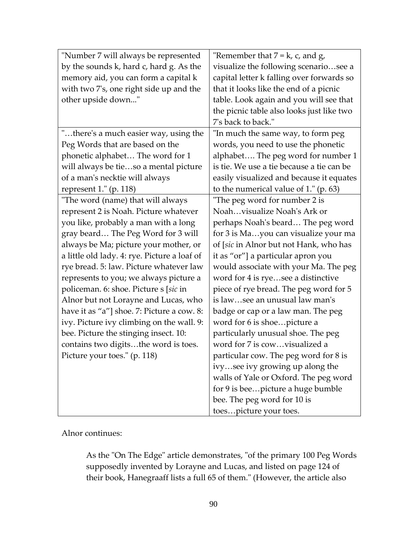| "Number 7 will always be represented         | "Remember that $7 = k$ , c, and g,        |
|----------------------------------------------|-------------------------------------------|
| by the sounds k, hard c, hard g. As the      | visualize the following scenariosee a     |
| memory aid, you can form a capital k         | capital letter k falling over forwards so |
| with two 7's, one right side up and the      | that it looks like the end of a picnic    |
| other upside down"                           | table. Look again and you will see that   |
|                                              | the picnic table also looks just like two |
|                                              | 7's back to back."                        |
| "there's a much easier way, using the        | "In much the same way, to form peg        |
| Peg Words that are based on the              | words, you need to use the phonetic       |
| phonetic alphabet The word for 1             | alphabet The peg word for number 1        |
| will always be tieso a mental picture        | is tie. We use a tie because a tie can be |
| of a man's necktie will always               | easily visualized and because it equates  |
| represent $1."$ (p. 118)                     | to the numerical value of $1."$ (p. 63)   |
| "The word (name) that will always            | "The peg word for number 2 is             |
| represent 2 is Noah. Picture whatever        | Noahvisualize Noah's Ark or               |
| you like, probably a man with a long         | perhaps Noah's beard The peg word         |
| gray beard The Peg Word for 3 will           | for 3 is Mayou can visualize your ma      |
| always be Ma; picture your mother, or        | of [sic in Alnor but not Hank, who has    |
| a little old lady. 4: rye. Picture a loaf of | it as "or"] a particular apron you        |
| rye bread. 5: law. Picture whatever law      | would associate with your Ma. The peg     |
| represents to you; we always picture a       | word for 4 is ryesee a distinctive        |
| policeman. 6: shoe. Picture s [sic in        | piece of rye bread. The peg word for 5    |
| Alnor but not Lorayne and Lucas, who         | is lawsee an unusual law man's            |
| have it as "a"] shoe. 7: Picture a cow. 8:   | badge or cap or a law man. The peg        |
| ivy. Picture ivy climbing on the wall. 9:    | word for 6 is shoepicture a               |
| bee. Picture the stinging insect. 10:        | particularly unusual shoe. The peg        |
| contains two digitsthe word is toes.         | word for 7 is cowvisualized a             |
| Picture your toes." (p. 118)                 | particular cow. The peg word for 8 is     |
|                                              | ivysee ivy growing up along the           |
|                                              | walls of Yale or Oxford. The peg word     |
|                                              | for 9 is beepicture a huge bumble         |
|                                              | bee. The peg word for 10 is               |
|                                              | toespicture your toes.                    |

Alnor continues:

As the "On The Edge" article demonstrates, "of the primary 100 Peg Words supposedly invented by Lorayne and Lucas, and listed on page 124 of their book, Hanegraaff lists a full 65 of them." (However, the article also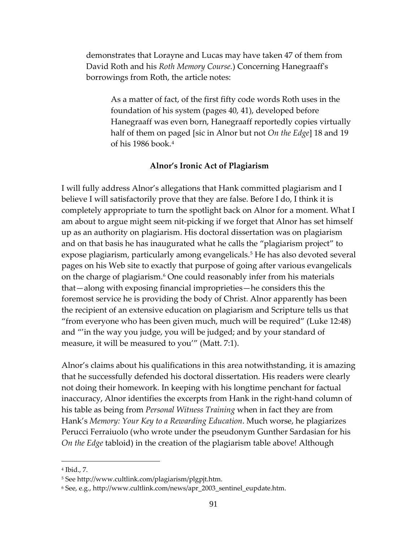demonstrates that Lorayne and Lucas may have taken 47 of them from David Roth and his *Roth Memory Course.*) Concerning Hanegraaff's borrowings from Roth, the article notes:

As a matter of fact, of the first fifty code words Roth uses in the foundation of his system (pages 40, 41), developed before Hanegraaff was even born, Hanegraaff reportedly copies virtually half of them on paged [sic in Alnor but not *On the Edge*] 18 and 19 of his 1986 book. $4$ 

#### **Alnor's Ironic Act of Plagiarism**

I will fully address Alnor's allegations that Hank committed plagiarism and I believe I will satisfactorily prove that they are false. Before I do, I think it is completely appropriate to turn the spotlight back on Alnor for a moment. What I am about to argue might seem nit-picking if we forget that Alnor has set himself up as an authority on plagiarism. His doctoral dissertation was on plagiarism and on that basis he has inaugurated what he calls the "plagiarism project" to expose plagiarism, particularly among evangelicals.[5](#page-90-1) He has also devoted several pages on his Web site to exactly that purpose of going after various evangelicals on the charge of plagiarism.<sup>6</sup> One could reasonably infer from his materials that—along with exposing financial improprieties—he considers this the foremost service he is providing the body of Christ. Alnor apparently has been the recipient of an extensive education on plagiarism and Scripture tells us that "from everyone who has been given much, much will be required" (Luke 12:48) and "'in the way you judge, you will be judged; and by your standard of measure, it will be measured to you'" (Matt. 7:1).

Alnor's claims about his qualifications in this area notwithstanding, it is amazing that he successfully defended his doctoral dissertation. His readers were clearly not doing their homework. In keeping with his longtime penchant for factual inaccuracy, Alnor identifies the excerpts from Hank in the right-hand column of his table as being from *Personal Witness Training* when in fact they are from Hank's *Memory: Your Key to a Rewarding Education*. Much worse, he plagiarizes Perucci Ferraiuolo (who wrote under the pseudonym Gunther Sardasian for his *On the Edge* tabloid) in the creation of the plagiarism table above! Although

<span id="page-90-0"></span><sup>4</sup> Ibid., 7.

<span id="page-90-1"></span><sup>5</sup> See [http://www.cultlink.com/plagiarism/plgpjt.htm.](http://www.cultlink.com/plagiarism/plgpjt.htm)

<span id="page-90-2"></span><sup>6</sup> See, e.g.[, http://www.cultlink.com/news/apr\\_2003\\_sentinel\\_eupdate.htm.](http://www.cultlink.com/news/apr_2003_sentinel_eupdate.htm)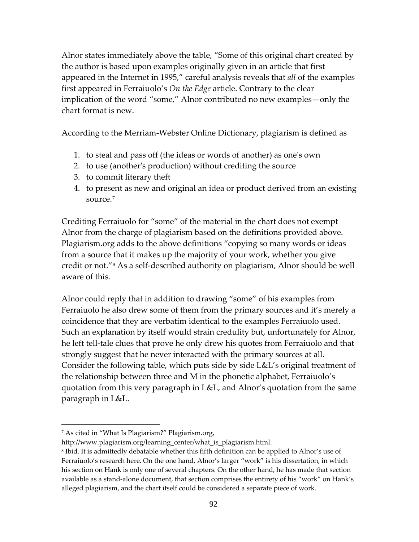Alnor states immediately above the table, "Some of this original chart created by the author is based upon examples originally given in an article that first appeared in the Internet in 1995," careful analysis reveals that *all* of the examples first appeared in Ferraiuolo's *On the Edge* article. Contrary to the clear implication of the word "some," Alnor contributed no new examples—only the chart format is new.

According to the Merriam-Webster Online Dictionary, plagiarism is defined as

- 1. to steal and pass off (the ideas or words of another) as one's own
- 2. to use (another's production) without crediting the source
- 3. to commit literary theft
- 4. to present as new and original an idea or product derived from an existing source.[7](#page-91-0)

Crediting Ferraiuolo for "some" of the material in the chart does not exempt Alnor from the charge of plagiarism based on the definitions provided above. Plagiarism.org adds to the above definitions "copying so many words or ideas from a source that it makes up the majority of your work, whether you give credit or not."[8](#page-91-1) As a self-described authority on plagiarism, Alnor should be well aware of this.

Alnor could reply that in addition to drawing "some" of his examples from Ferraiuolo he also drew some of them from the primary sources and it's merely a coincidence that they are verbatim identical to the examples Ferraiuolo used. Such an explanation by itself would strain credulity but, unfortunately for Alnor, he left tell-tale clues that prove he only drew his quotes from Ferraiuolo and that strongly suggest that he never interacted with the primary sources at all. Consider the following table, which puts side by side L&L's original treatment of the relationship between three and M in the phonetic alphabet, Ferraiuolo's quotation from this very paragraph in L&L, and Alnor's quotation from the same paragraph in L&L.

<span id="page-91-0"></span><sup>7</sup> As cited in "What Is Plagiarism?" Plagiarism.org,

[http://www.plagiarism.org/learning\\_center/what\\_is\\_plagiarism.html.](http://www.plagiarism.org/learning_center/what_is_plagiarism.html)

<span id="page-91-1"></span><sup>8</sup> Ibid. It is admittedly debatable whether this fifth definition can be applied to Alnor's use of Ferraiuolo's research here. On the one hand, Alnor's larger "work" is his dissertation, in which his section on Hank is only one of several chapters. On the other hand, he has made that section available as a stand-alone document, that section comprises the entirety of his "work" on Hank's alleged plagiarism, and the chart itself could be considered a separate piece of work.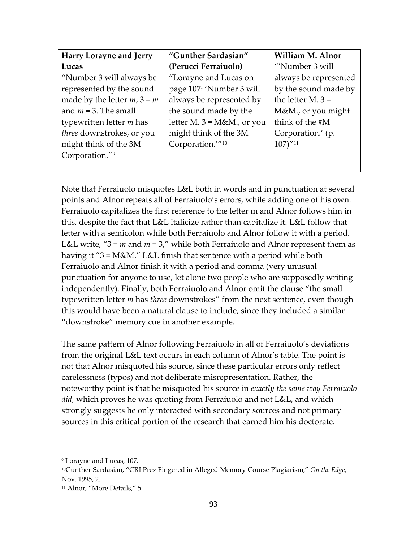| Harry Lorayne and Jerry       | "Gunther Sardasian"            | William M. Alnor       |
|-------------------------------|--------------------------------|------------------------|
| Lucas                         | (Perucci Ferraiuolo)           | "Number 3 will         |
| "Number 3 will always be      | "Lorayne and Lucas on          | always be represented  |
| represented by the sound      | page 107: 'Number 3 will       | by the sound made by   |
| made by the letter $m; 3 = m$ | always be represented by       | the letter M. $3 =$    |
| and $m = 3$ . The small       | the sound made by the          | M&M., or you might     |
| typewritten letter $m$ has    | letter M. $3 = M\&M$ ., or you | think of the #M        |
| three downstrokes, or you     | might think of the 3M          | Corporation.' (p.      |
| might think of the 3M         | Corporation." <sup>10</sup>    | $107)''$ <sup>11</sup> |
| Corporation."9                |                                |                        |
|                               |                                |                        |

Note that Ferraiuolo misquotes L&L both in words and in punctuation at several points and Alnor repeats all of Ferraiuolo's errors, while adding one of his own. Ferraiuolo capitalizes the first reference to the letter m and Alnor follows him in this, despite the fact that L&L italicize rather than capitalize it. L&L follow that letter with a semicolon while both Ferraiuolo and Alnor follow it with a period. L&L write,  $-3 = m$  and  $m = 3$ ," while both Ferraiuolo and Alnor represent them as having it "3 = M&M." L&L finish that sentence with a period while both Ferraiuolo and Alnor finish it with a period and comma (very unusual punctuation for anyone to use, let alone two people who are supposedly writing independently). Finally, both Ferraiuolo and Alnor omit the clause "the small typewritten letter *m* has *three* downstrokes" from the next sentence, even though this would have been a natural clause to include, since they included a similar "downstroke" memory cue in another example.

The same pattern of Alnor following Ferraiuolo in all of Ferraiuolo's deviations from the original L&L text occurs in each column of Alnor's table. The point is not that Alnor misquoted his source, since these particular errors only reflect carelessness (typos) and not deliberate misrepresentation. Rather, the noteworthy point is that he misquoted his source in *exactly the same way Ferraiuolo did*, which proves he was quoting from Ferraiuolo and not L&L, and which strongly suggests he only interacted with secondary sources and not primary sources in this critical portion of the research that earned him his doctorate.

<span id="page-92-0"></span><sup>9</sup> Lorayne and Lucas, 107.

<span id="page-92-1"></span><sup>10</sup>Gunther Sardasian, "CRI Prez Fingered in Alleged Memory Course Plagiarism," *On the Edge*, Nov. 1995, 2.

<span id="page-92-2"></span><sup>&</sup>lt;sup>11</sup> Alnor, "More Details," 5.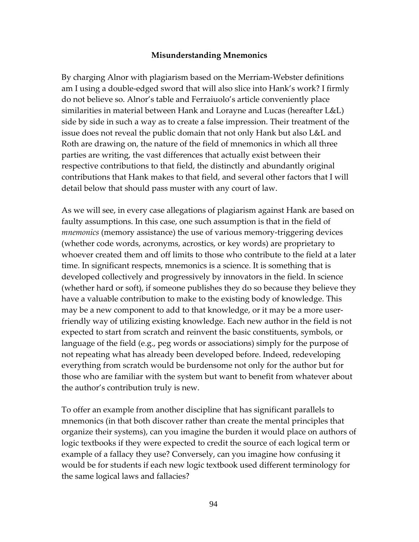### **Misunderstanding Mnemonics**

By charging Alnor with plagiarism based on the Merriam-Webster definitions am I using a double-edged sword that will also slice into Hank's work? I firmly do not believe so. Alnor's table and Ferraiuolo's article conveniently place similarities in material between Hank and Lorayne and Lucas (hereafter L&L) side by side in such a way as to create a false impression. Their treatment of the issue does not reveal the public domain that not only Hank but also L&L and Roth are drawing on, the nature of the field of mnemonics in which all three parties are writing, the vast differences that actually exist between their respective contributions to that field, the distinctly and abundantly original contributions that Hank makes to that field, and several other factors that I will detail below that should pass muster with any court of law.

As we will see, in every case allegations of plagiarism against Hank are based on faulty assumptions. In this case, one such assumption is that in the field of *mnemonics* (memory assistance) the use of various memory-triggering devices (whether code words, acronyms, acrostics, or key words) are proprietary to whoever created them and off limits to those who contribute to the field at a later time. In significant respects, mnemonics is a science. It is something that is developed collectively and progressively by innovators in the field. In science (whether hard or soft), if someone publishes they do so because they believe they have a valuable contribution to make to the existing body of knowledge. This may be a new component to add to that knowledge, or it may be a more userfriendly way of utilizing existing knowledge. Each new author in the field is not expected to start from scratch and reinvent the basic constituents, symbols, or language of the field (e.g., peg words or associations) simply for the purpose of not repeating what has already been developed before. Indeed, redeveloping everything from scratch would be burdensome not only for the author but for those who are familiar with the system but want to benefit from whatever about the author's contribution truly is new.

To offer an example from another discipline that has significant parallels to mnemonics (in that both discover rather than create the mental principles that organize their systems), can you imagine the burden it would place on authors of logic textbooks if they were expected to credit the source of each logical term or example of a fallacy they use? Conversely, can you imagine how confusing it would be for students if each new logic textbook used different terminology for the same logical laws and fallacies?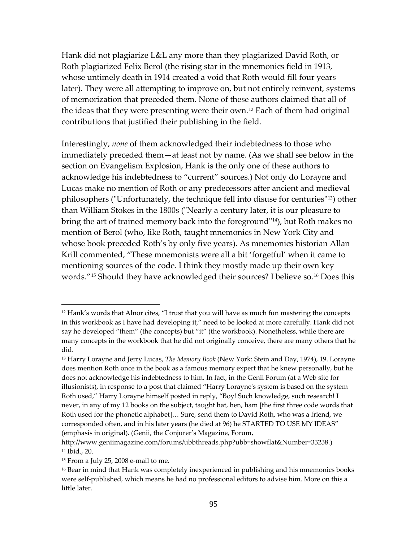Hank did not plagiarize L&L any more than they plagiarized David Roth, or Roth plagiarized Felix Berol (the rising star in the mnemonics field in 1913, whose untimely death in 1914 created a void that Roth would fill four years later). They were all attempting to improve on, but not entirely reinvent, systems of memorization that preceded them. None of these authors claimed that all of the ideas that they were presenting were their own.[12](#page-94-0) Each of them had original contributions that justified their publishing in the field.

Interestingly, *none* of them acknowledged their indebtedness to those who immediately preceded them—at least not by name. (As we shall see below in the section on Evangelism Explosion, Hank is the only one of these authors to acknowledge his indebtedness to "current" sources.) Not only do Lorayne and Lucas make no mention of Roth or any predecessors after ancient and medieval philosophers ("Unfortunately, the technique fell into disuse for centuries"[13](#page-94-1)) other than William Stokes in the 1800s ("Nearly a century later, it is our pleasure to bring the art of trained memory back into the foreground"[14](#page-94-2)), but Roth makes no mention of Berol (who, like Roth, taught mnemonics in New York City and whose book preceded Roth's by only five years). As mnemonics historian Allan Krill commented, "These mnemonists were all a bit 'forgetful' when it came to mentioning sources of the code. I think they mostly made up their own key words."[15](#page-94-3) Should they have acknowledged their sources? I believe so.[16](#page-94-4) Does this

<span id="page-94-0"></span><sup>12</sup> Hank's words that Alnor cites, "I trust that you will have as much fun mastering the concepts in this workbook as I have had developing it," need to be looked at more carefully. Hank did not say he developed "them" (the concepts) but "it" (the workbook). Nonetheless, while there are many concepts in the workbook that he did not originally conceive, there are many others that he did.

<span id="page-94-1"></span><sup>13</sup> Harry Lorayne and Jerry Lucas, *The Memory Book* (New York: Stein and Day, 1974), 19. Lorayne does mention Roth once in the book as a famous memory expert that he knew personally, but he does not acknowledge his indebtedness to him. In fact, in the Genii Forum (at a Web site for illusionists), in response to a post that claimed "Harry Lorayne's system is based on the system Roth used," Harry Lorayne himself posted in reply, "Boy! Such knowledge, such research! I never, in any of my 12 books on the subject, taught hat, hen, ham [the first three code words that Roth used for the phonetic alphabet]… Sure, send them to David Roth, who was a friend, we corresponded often, and in his later years (he died at 96) he STARTED TO USE MY IDEAS" (emphasis in original). (Genii, the Conjurer's Magazine, Forum,

<span id="page-94-2"></span>[http://www.geniimagazine.com/forums/ubbthreads.php?ubb=showflat&Number=33238.](http://www.geniimagazine.com/forums/ubbthreads.php?ubb=showflat&Number=33238)) <sup>14</sup> Ibid., 20.

<span id="page-94-3"></span><sup>15</sup> From a July 25, 2008 e-mail to me.

<span id="page-94-4"></span><sup>&</sup>lt;sup>16</sup> Bear in mind that Hank was completely inexperienced in publishing and his mnemonics books were self-published, which means he had no professional editors to advise him. More on this a little later.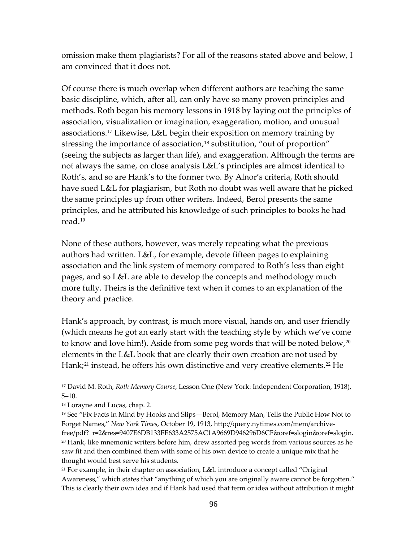omission make them plagiarists? For all of the reasons stated above and below, I am convinced that it does not.

Of course there is much overlap when different authors are teaching the same basic discipline, which, after all, can only have so many proven principles and methods. Roth began his memory lessons in 1918 by laying out the principles of association, visualization or imagination, exaggeration, motion, and unusual associations.[17](#page-95-0) Likewise, L&L begin their exposition on memory training by stressing the importance of association,<sup>[18](#page-95-1)</sup> substitution, "out of proportion" (seeing the subjects as larger than life), and exaggeration. Although the terms are not always the same, on close analysis L&L's principles are almost identical to Roth's, and so are Hank's to the former two. By Alnor's criteria, Roth should have sued L&L for plagiarism, but Roth no doubt was well aware that he picked the same principles up from other writers. Indeed, Berol presents the same principles, and he attributed his knowledge of such principles to books he had read.[19](#page-95-2)

None of these authors, however, was merely repeating what the previous authors had written. L&L, for example, devote fifteen pages to explaining association and the link system of memory compared to Roth's less than eight pages, and so L&L are able to develop the concepts and methodology much more fully. Theirs is the definitive text when it comes to an explanation of the theory and practice.

<span id="page-95-5"></span>Hank's approach, by contrast, is much more visual, hands on, and user friendly (which means he got an early start with the teaching style by which we've come to know and love him!). Aside from some peg words that will be noted below,<sup>[20](#page-95-3)</sup> elements in the L&L book that are clearly their own creation are not used by Hank;<sup>[21](#page-95-4)</sup> instead, he offers his own distinctive and very creative elements.<sup>[22](#page-95-5)</sup> He

<span id="page-95-0"></span><sup>17</sup> David M. Roth, *Roth Memory Course*, Lesson One (New York: Independent Corporation, 1918), 5–10.

<span id="page-95-1"></span><sup>18</sup> Lorayne and Lucas, chap. 2.

<span id="page-95-3"></span><span id="page-95-2"></span><sup>19</sup> See "Fix Facts in Mind by Hooks and Slips—Berol, Memory Man, Tells the Public How Not to Forget Names," *New York Times*, October 19, 1913, [http://query.nytimes.com/mem/archive](http://query.nytimes.com/mem/archive-free/pdf?_r=2&res=9407E6DB133FE633A2575AC1A9669D946296D6CF&oref=slogin&oref=slogin)[free/pdf?\\_r=2&res=9407E6DB133FE633A2575AC1A9669D946296D6CF&oref=slogin&oref=slogin.](http://query.nytimes.com/mem/archive-free/pdf?_r=2&res=9407E6DB133FE633A2575AC1A9669D946296D6CF&oref=slogin&oref=slogin)  $20$  Hank, like mnemonic writers before him, drew assorted peg words from various sources as he saw fit and then combined them with some of his own device to create a unique mix that he thought would best serve his students.

<span id="page-95-4"></span><sup>21</sup> For example, in their chapter on association, L&L introduce a concept called "Original Awareness," which states that "anything of which you are originally aware cannot be forgotten." This is clearly their own idea and if Hank had used that term or idea without attribution it might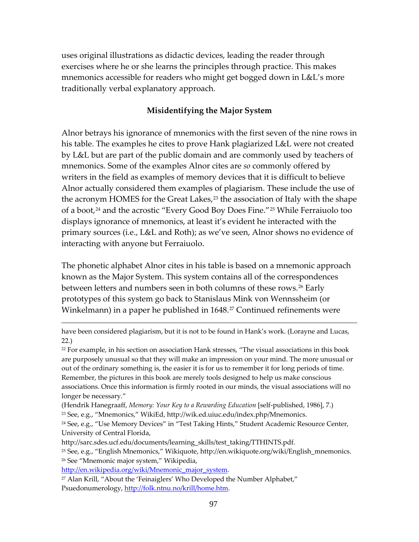uses original illustrations as didactic devices, leading the reader through exercises where he or she learns the principles through practice. This makes mnemonics accessible for readers who might get bogged down in L&L's more traditionally verbal explanatory approach.

#### **Misidentifying the Major System**

Alnor betrays his ignorance of mnemonics with the first seven of the nine rows in his table. The examples he cites to prove Hank plagiarized L&L were not created by L&L but are part of the public domain and are commonly used by teachers of mnemonics. Some of the examples Alnor cites are *so* commonly offered by writers in the field as examples of memory devices that it is difficult to believe Alnor actually considered them examples of plagiarism. These include the use of the acronym HOMES for the Great Lakes, $23$  the association of Italy with the shape of a boot,<sup>[24](#page-96-1)</sup> and the acrostic "Every Good Boy Does Fine."<sup>[25](#page-96-2)</sup> While Ferraiuolo too displays ignorance of mnemonics, at least it's evident he interacted with the primary sources (i.e., L&L and Roth); as we've seen, Alnor shows no evidence of interacting with anyone but Ferraiuolo.

The phonetic alphabet Alnor cites in his table is based on a mnemonic approach known as the Major System. This system contains all of the correspondences between letters and numbers seen in both columns of these rows.<sup>[26](#page-96-3)</sup> Early prototypes of this system go back to Stanislaus Mink von Wennssheim (or Winkelmann) in a paper he published in 1648.<sup>[27](#page-96-4)</sup> Continued refinements were

<span id="page-96-0"></span>(Hendrik Hanegraaff, *Memory: Your Key to a Rewarding Education* [self-published, 1986], 7.) <sup>23</sup> See, e.g., "Mnemonics," WikiEd, [http://wik.ed.uiuc.edu/index.php/Mnemonics.](http://wik.ed.uiuc.edu/index.php/Mnemonics)

<span id="page-96-3"></span><span id="page-96-2"></span><sup>25</sup> See, e.g., "English Mnemonics," Wikiquote, [http://en.wikiquote.org/wiki/English\\_mnemonics.](http://en.wikiquote.org/wiki/English_mnemonics) <sup>26</sup> See "Mnemonic major system," Wikipedia,

[http://en.wikipedia.org/wiki/Mnemonic\\_major\\_system.](http://en.wikipedia.org/wiki/Mnemonic_major_system)

have been considered plagiarism, but it is not to be found in Hank's work. (Lorayne and Lucas, 22.)

<sup>22</sup> For example, in his section on association Hank stresses, "The visual associations in this book are purposely unusual so that they will make an impression on your mind. The more unusual or out of the ordinary something is, the easier it is for us to remember it for long periods of time. Remember, the pictures in this book are merely tools designed to help us make conscious associations. Once this information is firmly rooted in our minds, the visual associations will no longer be necessary."

<span id="page-96-1"></span><sup>&</sup>lt;sup>24</sup> See, e.g., "Use Memory Devices" in "Test Taking Hints," Student Academic Resource Center, University of Central Florida,

[http://sarc.sdes.ucf.edu/documents/learning\\_skills/test\\_taking/TTHINTS.pdf.](http://sarc.sdes.ucf.edu/documents/learning_skills/test_taking/TTHINTS.pdf)

<span id="page-96-4"></span><sup>&</sup>lt;sup>27</sup> Alan Krill, "About the 'Feinaiglers' Who Developed the Number Alphabet," Psuedonumerology, [http://folk.ntnu.no/krill/home.htm.](http://folk.ntnu.no/krill/home.htm)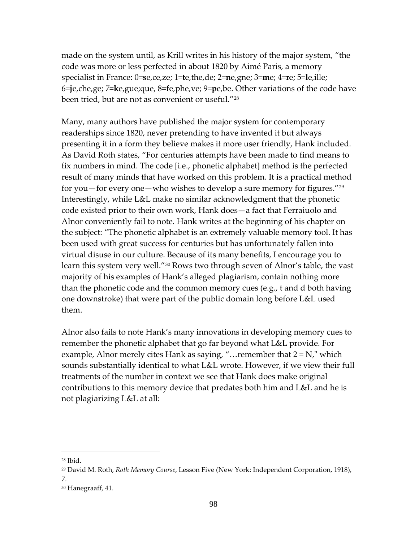made on the system until, as Krill writes in his history of the major system, "the code was more or less perfected in about 1820 by Aimé Paris, a memory specialist in France: 0=**s**e,ce,ze; 1=**t**e,the,de; 2=**n**e,gne; 3=**m**e; 4=**r**e; 5=**l**e,ille; 6=**j**e,che,ge; 7**=k**e,gue;que, 8**=f**e,phe,ve; 9=**p**e,be. Other variations of the code have been tried, but are not as convenient or useful."[28](#page-97-0)

Many, many authors have published the major system for contemporary readerships since 1820, never pretending to have invented it but always presenting it in a form they believe makes it more user friendly, Hank included. As David Roth states, "For centuries attempts have been made to find means to fix numbers in mind. The code [i.e., phonetic alphabet] method is the perfected result of many minds that have worked on this problem. It is a practical method for you—for every one—who wishes to develop a sure memory for figures." $29$ Interestingly, while L&L make no similar acknowledgment that the phonetic code existed prior to their own work, Hank does—a fact that Ferraiuolo and Alnor conveniently fail to note. Hank writes at the beginning of his chapter on the subject: "The phonetic alphabet is an extremely valuable memory tool. It has been used with great success for centuries but has unfortunately fallen into virtual disuse in our culture. Because of its many benefits, I encourage you to learn this system very well."<sup>[30](#page-97-2)</sup> Rows two through seven of Alnor's table, the vast majority of his examples of Hank's alleged plagiarism, contain nothing more than the phonetic code and the common memory cues (e.g., t and d both having one downstroke) that were part of the public domain long before L&L used them.

Alnor also fails to note Hank's many innovations in developing memory cues to remember the phonetic alphabet that go far beyond what L&L provide. For example, Alnor merely cites Hank as saying, "... remember that  $2 = N$ ," which sounds substantially identical to what L&L wrote. However, if we view their full treatments of the number in context we see that Hank does make original contributions to this memory device that predates both him and L&L and he is not plagiarizing L&L at all:

<span id="page-97-0"></span><sup>28</sup> Ibid.

<span id="page-97-1"></span><sup>29</sup> David M. Roth, *Roth Memory Course*, Lesson Five (New York: Independent Corporation, 1918), 7.

<span id="page-97-2"></span><sup>30</sup> Hanegraaff, 41.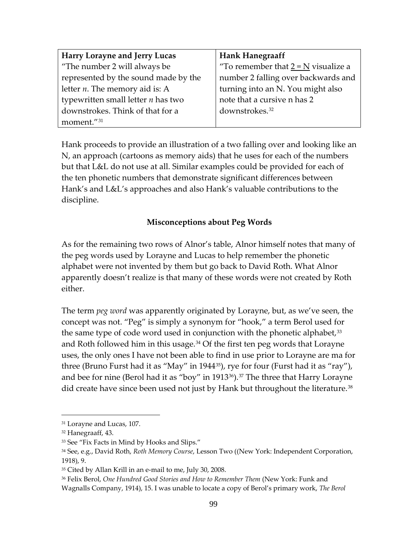| <b>Harry Lorayne and Jerry Lucas</b> | <b>Hank Hanegraaff</b>                |
|--------------------------------------|---------------------------------------|
| "The number 2 will always be         | "To remember that $2 = N$ visualize a |
| represented by the sound made by the | number 2 falling over backwards and   |
| letter $n$ . The memory aid is: A    | turning into an N. You might also     |
| typewritten small letter $n$ has two | note that a cursive n has 2           |
| downstrokes. Think of that for a     | downstrokes. <sup>32</sup>            |
| moment."31                           |                                       |

Hank proceeds to provide an illustration of a two falling over and looking like an N, an approach (cartoons as memory aids) that he uses for each of the numbers but that L&L do not use at all. Similar examples could be provided for each of the ten phonetic numbers that demonstrate significant differences between Hank's and L&L's approaches and also Hank's valuable contributions to the discipline.

## **Misconceptions about Peg Words**

As for the remaining two rows of Alnor's table, Alnor himself notes that many of the peg words used by Lorayne and Lucas to help remember the phonetic alphabet were not invented by them but go back to David Roth. What Alnor apparently doesn't realize is that many of these words were not created by Roth either.

The term *peg word* was apparently originated by Lorayne, but, as we've seen, the concept was not. "Peg" is simply a synonym for "hook," a term Berol used for the same type of code word used in conjunction with the phonetic alphabet,  $33$ and Roth followed him in this usage.<sup>[34](#page-98-3)</sup> Of the first ten peg words that Lorayne uses, the only ones I have not been able to find in use prior to Lorayne are ma for three (Bruno Furst had it as "May" in 1944[35\)](#page-98-4), rye for four (Furst had it as "ray"), and bee for nine (Berol had it as "boy" in 1913 $36$ ).  $37$  The three that Harry Lorayne did create have since been used not just by Hank but throughout the literature.<sup>38</sup>

<span id="page-98-6"></span><span id="page-98-1"></span><span id="page-98-0"></span><sup>&</sup>lt;sup>31</sup> Lorayne and Lucas, 107.

<sup>32</sup> Hanegraaff, 43.

<span id="page-98-2"></span><sup>&</sup>lt;sup>33</sup> See "Fix Facts in Mind by Hooks and Slips."

<span id="page-98-3"></span><sup>34</sup> See, e.g., David Roth, *Roth Memory Course*, Lesson Two ((New York: Independent Corporation, 1918), 9.

<span id="page-98-4"></span><sup>&</sup>lt;sup>35</sup> Cited by Allan Krill in an e-mail to me, July 30, 2008.

<span id="page-98-5"></span><sup>36</sup> Felix Berol, *One Hundred Good Stories and How to Remember Them* (New York: Funk and Wagnalls Company, 1914), 15. I was unable to locate a copy of Berol's primary work, *The Berol*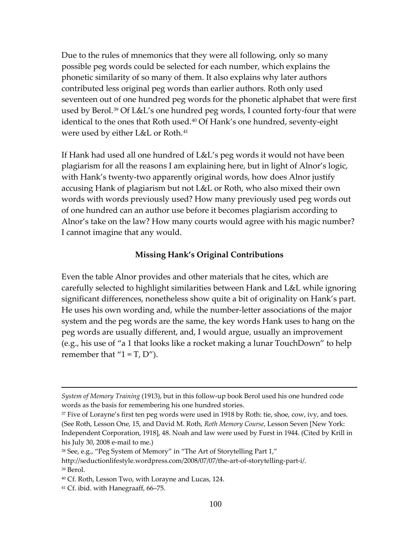Due to the rules of mnemonics that they were all following, only so many possible peg words could be selected for each number, which explains the phonetic similarity of so many of them. It also explains why later authors contributed less original peg words than earlier authors. Roth only used seventeen out of one hundred peg words for the phonetic alphabet that were first used by Berol.<sup>[39](#page-99-0)</sup> Of L&L's one hundred peg words, I counted forty-four that were identical to the ones that Roth used.<sup>[40](#page-99-1)</sup> Of Hank's one hundred, seventy-eight were used by either L&L or Roth.[41](#page-99-2)

If Hank had used all one hundred of L&L's peg words it would not have been plagiarism for all the reasons I am explaining here, but in light of Alnor's logic, with Hank's twenty-two apparently original words, how does Alnor justify accusing Hank of plagiarism but not L&L or Roth, who also mixed their own words with words previously used? How many previously used peg words out of one hundred can an author use before it becomes plagiarism according to Alnor's take on the law? How many courts would agree with his magic number? I cannot imagine that any would.

### **Missing Hank's Original Contributions**

Even the table Alnor provides and other materials that he cites, which are carefully selected to highlight similarities between Hank and L&L while ignoring significant differences, nonetheless show quite a bit of originality on Hank's part. He uses his own wording and, while the number-letter associations of the major system and the peg words are the same, the key words Hank uses to hang on the peg words are usually different, and, I would argue, usually an improvement (e.g., his use of "a 1 that looks like a rocket making a lunar TouchDown" to help remember that  $i = T$ ,  $D'$ ).

*System of Memory Training* (1913), but in this follow-up book Berol used his one hundred code words as the basis for remembering his one hundred stories.

<sup>&</sup>lt;sup>37</sup> Five of Lorayne's first ten peg words were used in 1918 by Roth: tie, shoe, cow, ivy, and toes. (See Roth, Lesson One, 15, and David M. Roth, *Roth Memory Course*, Lesson Seven [New York: Independent Corporation, 1918], 48. Noah and law were used by Furst in 1944. (Cited by Krill in his July 30, 2008 e-mail to me.)

<sup>&</sup>lt;sup>38</sup> See, e.g., "Peg System of Memory" in "The Art of Storytelling Part 1,"

<span id="page-99-0"></span>[http://seductionlifestyle.wordpress.com/2008/07/07/the-art-of-storytelling-part-i/.](http://seductionlifestyle.wordpress.com/2008/07/07/the-art-of-storytelling-part-i/) <sup>39</sup> Berol.

<span id="page-99-1"></span><sup>40</sup> Cf. Roth, Lesson Two, with Lorayne and Lucas, 124.

<span id="page-99-2"></span><sup>41</sup> Cf. ibid. with Hanegraaff, 66–75.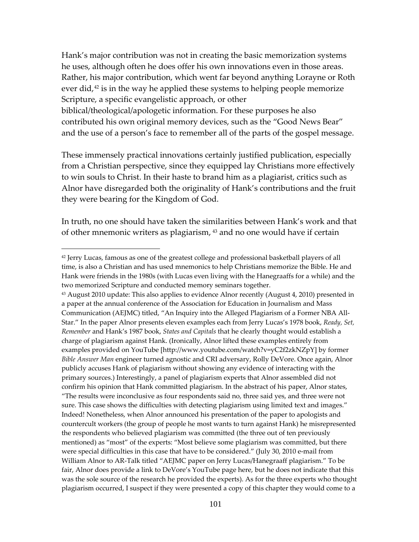Hank's major contribution was not in creating the basic memorization systems he uses, although often he does offer his own innovations even in those areas. Rather, his major contribution, which went far beyond anything Lorayne or Roth ever did, $42$  is in the way he applied these systems to helping people memorize Scripture, a specific evangelistic approach, or other biblical/theological/apologetic information. For these purposes he also contributed his own original memory devices, such as the "Good News Bear" and the use of a person's face to remember all of the parts of the gospel message.

These immensely practical innovations certainly justified publication, especially from a Christian perspective, since they equipped lay Christians more effectively to win souls to Christ. In their haste to brand him as a plagiarist, critics such as Alnor have disregarded both the originality of Hank's contributions and the fruit they were bearing for the Kingdom of God.

In truth, no one should have taken the similarities between Hank's work and that of other mnemonic writers as plagiarism, <sup>[43](#page-100-1)</sup> and no one would have if certain

 $\overline{a}$ 

"The results were inconclusive as four respondents said no, three said yes, and three were not sure. This case shows the difficulties with detecting plagiarism using limited text and images." Indeed! Nonetheless, when Alnor announced his presentation of the paper to apologists and countercult workers (the group of people he most wants to turn against Hank) he misrepresented the respondents who believed plagiarism was committed (the three out of ten previously mentioned) as "most" of the experts: "Most believe some plagiarism was committed, but there were special difficulties in this case that have to be considered." (July 30, 2010 e-mail from William Alnor to AR-Talk titled "AEJMC paper on Jerry Lucas/Hanegraaff plagiarism." To be fair, Alnor does provide a link to DeVore's YouTube page here, but he does not indicate that this was the sole source of the research he provided the experts). As for the three experts who thought plagiarism occurred, I suspect if they were presented a copy of this chapter they would come to a

<span id="page-100-0"></span><sup>42</sup> Jerry Lucas, famous as one of the greatest college and professional basketball players of all time, is also a Christian and has used mnemonics to help Christians memorize the Bible. He and Hank were friends in the 1980s (with Lucas even living with the Hanegraaffs for a while) and the two memorized Scripture and conducted memory seminars together.

<span id="page-100-1"></span><sup>43</sup> August 2010 update: This also applies to evidence Alnor recently (August 4, 2010) presented in a paper at the annual conference of the Association for Education in Journalism and Mass Communication (AEJMC) titled, "An Inquiry into the Alleged Plagiarism of a Former NBA All-Star." In the paper Alnor presents eleven examples each from Jerry Lucas's 1978 book, *Ready, Set, Remember* and Hank's 1987 book, *States and Capitals* that he clearly thought would establish a charge of plagiarism against Hank. (Ironically, Alnor lifted these examples entirely from examples provided on YouTube [http://www.youtube.com/watch?v=yC2f2zkNZpY] by former *Bible Answer Man* engineer turned agnostic and CRI adversary, Rolly DeVore. Once again, Alnor publicly accuses Hank of plagiarism without showing any evidence of interacting with the primary sources.) Interestingly, a panel of plagiarism experts that Alnor assembled did not confirm his opinion that Hank committed plagiarism. In the abstract of his paper, Alnor states,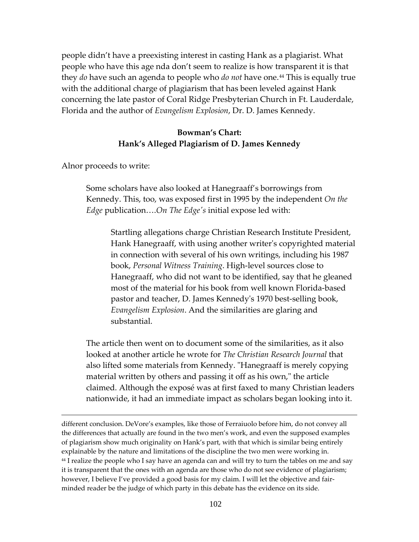people didn't have a preexisting interest in casting Hank as a plagiarist. What people who have this age nda don't seem to realize is how transparent it is that they *do* have such an agenda to people who *do not* have one.[44](#page-101-0) This is equally true with the additional charge of plagiarism that has been leveled against Hank concerning the late pastor of Coral Ridge Presbyterian Church in Ft. Lauderdale, Florida and the author of *Evangelism Explosion*, Dr. D. James Kennedy.

## **Bowman's Chart: Hank's Alleged Plagiarism of D. James Kennedy**

Alnor proceeds to write:

 $\overline{a}$ 

Some scholars have also looked at Hanegraaff's borrowings from Kennedy. This, too, was exposed first in 1995 by the independent *On the Edge* publication….*On The Edge's* initial expose led with:

Startling allegations charge Christian Research Institute President, Hank Hanegraaff, with using another writer's copyrighted material in connection with several of his own writings, including his 1987 book, *Personal Witness Training*. High-level sources close to Hanegraaff, who did not want to be identified, say that he gleaned most of the material for his book from well known Florida-based pastor and teacher, D. James Kennedy's 1970 best-selling book, *Evangelism Explosion*. And the similarities are glaring and substantial.

The article then went on to document some of the similarities, as it also looked at another article he wrote for *The Christian Research Journal* that also lifted some materials from Kennedy. "Hanegraaff is merely copying material written by others and passing it off as his own," the article claimed. Although the exposé was at first faxed to many Christian leaders nationwide, it had an immediate impact as scholars began looking into it.

<span id="page-101-0"></span>different conclusion. DeVore's examples, like those of Ferraiuolo before him, do not convey all the differences that actually are found in the two men's work, and even the supposed examples of plagiarism show much originality on Hank's part, with that which is similar being entirely explainable by the nature and limitations of the discipline the two men were working in. <sup>44</sup> I realize the people who I say have an agenda can and will try to turn the tables on me and say it is transparent that the ones with an agenda are those who do not see evidence of plagiarism; however, I believe I've provided a good basis for my claim. I will let the objective and fairminded reader be the judge of which party in this debate has the evidence on its side.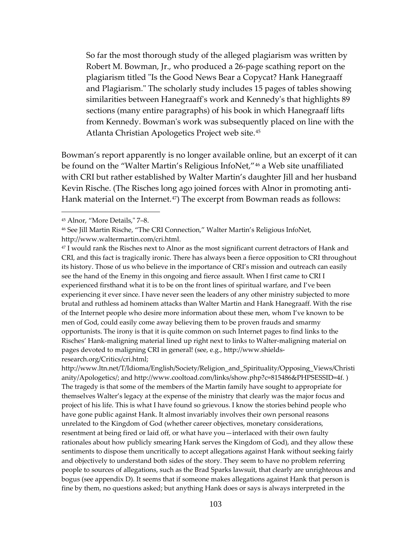So far the most thorough study of the alleged plagiarism was written by Robert M. Bowman, Jr., who produced a 26-page scathing report on the plagiarism titled "Is the Good News Bear a Copycat? Hank Hanegraaff and Plagiarism." The scholarly study includes 15 pages of tables showing similarities between Hanegraaff's work and Kennedy's that highlights 89 sections (many entire paragraphs) of his book in which Hanegraaff lifts from Kennedy. Bowman's work was subsequently placed on line with the Atlanta Christian Apologetics Project web site.<sup>[45](#page-102-0)</sup>

Bowman's report apparently is no longer available online, but an excerpt of it can be found on the "Walter Martin's Religious InfoNet,"<sup>[46](#page-102-1)</sup> a Web site unaffiliated with CRI but rather established by Walter Martin's daughter Jill and her husband Kevin Rische. (The Risches long ago joined forces with Alnor in promoting anti-Hank material on the Internet.<sup>[47](#page-102-2)</sup>) The excerpt from Bowman reads as follows:

 $\overline{a}$ 

[http://www.ltn.net/T/Idioma/English/Society/Religion\\_and\\_Spirituality/Opposing\\_Views/Christi](http://www.ltn.net/T/Idioma/English/Society/Religion_and_Spirituality/Opposing_Views/Christianity/Apologetics/) [anity/Apologetics/;](http://www.ltn.net/T/Idioma/English/Society/Religion_and_Spirituality/Opposing_Views/Christianity/Apologetics/) and [http://www.cooltoad.com/links/show.php?c=815486&PHPSESSID=4f.](http://www.cooltoad.com/links/show.php?c=815486&PHPSESSID=4f) ) The tragedy is that some of the members of the Martin family have sought to appropriate for themselves Walter's legacy at the expense of the ministry that clearly was the major focus and project of his life. This is what I have found so grievous. I know the stories behind people who have gone public against Hank. It almost invariably involves their own personal reasons unrelated to the Kingdom of God (whether career objectives, monetary considerations, resentment at being fired or laid off, or what have you—interlaced with their own faulty rationales about how publicly smearing Hank serves the Kingdom of God), and they allow these sentiments to dispose them uncritically to accept allegations against Hank without seeking fairly and objectively to understand both sides of the story. They seem to have no problem referring people to sources of allegations, such as the Brad Sparks lawsuit, that clearly are unrighteous and bogus (see appendix D). It seems that if someone makes allegations against Hank that person is fine by them, no questions asked; but anything Hank does or says is always interpreted in the

<span id="page-102-0"></span><sup>45</sup> Alnor, "More Details," 7–8.

<span id="page-102-1"></span><sup>46</sup> See Jill Martin Rische, "The CRI Connection," Walter Martin's Religious InfoNet, [http://www.waltermartin.com/cri.html.](http://www.waltermartin.com/cri.html)

<span id="page-102-2"></span><sup>47</sup> I would rank the Risches next to Alnor as the most significant current detractors of Hank and CRI, and this fact is tragically ironic. There has always been a fierce opposition to CRI throughout its history. Those of us who believe in the importance of CRI's mission and outreach can easily see the hand of the Enemy in this ongoing and fierce assault. When I first came to CRI I experienced firsthand what it is to be on the front lines of spiritual warfare, and I've been experiencing it ever since. I have never seen the leaders of any other ministry subjected to more brutal and ruthless ad hominem attacks than Walter Martin and Hank Hanegraaff. With the rise of the Internet people who desire more information about these men, whom I've known to be men of God, could easily come away believing them to be proven frauds and smarmy opportunists. The irony is that it is quite common on such Internet pages to find links to the Risches' Hank-maligning material lined up right next to links to Walter-maligning material on pages devoted to maligning CRI in general! (see, e.g., [http://www.shields](http://www.shields-research.org/Critics/cri.html)[research.org/Critics/cri.html;](http://www.shields-research.org/Critics/cri.html)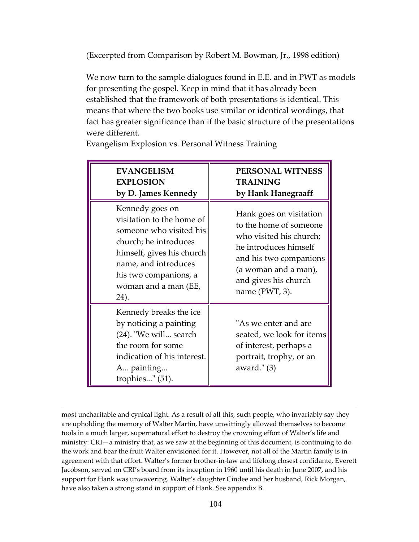(Excerpted from Comparison by Robert M. Bowman, Jr., 1998 edition)

We now turn to the sample dialogues found in E.E. and in PWT as models for presenting the gospel. Keep in mind that it has already been established that the framework of both presentations is identical. This means that where the two books use similar or identical wordings, that fact has greater significance than if the basic structure of the presentations were different.

| <b>EVANGELISM</b><br><b>EXPLOSION</b><br>by D. James Kennedy                                                                                                                                                   | PERSONAL WITNESS<br>TRAINING<br>by Hank Hanegraaff                                                                                                                                                   |
|----------------------------------------------------------------------------------------------------------------------------------------------------------------------------------------------------------------|------------------------------------------------------------------------------------------------------------------------------------------------------------------------------------------------------|
| Kennedy goes on<br>visitation to the home of<br>someone who visited his<br>church; he introduces<br>himself, gives his church<br>name, and introduces<br>his two companions, a<br>woman and a man (EE,<br>24). | Hank goes on visitation<br>to the home of someone<br>who visited his church;<br>he introduces himself<br>and his two companions<br>(a woman and a man),<br>and gives his church<br>name $(PWT, 3)$ . |
| Kennedy breaks the ice<br>by noticing a painting<br>(24). "We will search<br>the room for some<br>indication of his interest.<br>A painting<br>trophies" $(51)$ .                                              | "As we enter and are<br>seated, we look for items<br>of interest, perhaps a<br>portrait, trophy, or an<br>award." $(3)$                                                                              |

Evangelism Explosion vs. Personal Witness Training

most uncharitable and cynical light. As a result of all this, such people, who invariably say they are upholding the memory of Walter Martin, have unwittingly allowed themselves to become tools in a much larger, supernatural effort to destroy the crowning effort of Walter's life and ministry: CRI—a ministry that, as we saw at the beginning of this document, is continuing to do the work and bear the fruit Walter envisioned for it. However, not all of the Martin family is in agreement with that effort. Walter's former brother-in-law and lifelong closest confidante, Everett Jacobson, served on CRI's board from its inception in 1960 until his death in June 2007, and his support for Hank was unwavering. Walter's daughter Cindee and her husband, Rick Morgan, have also taken a strong stand in support of Hank. See appendix B.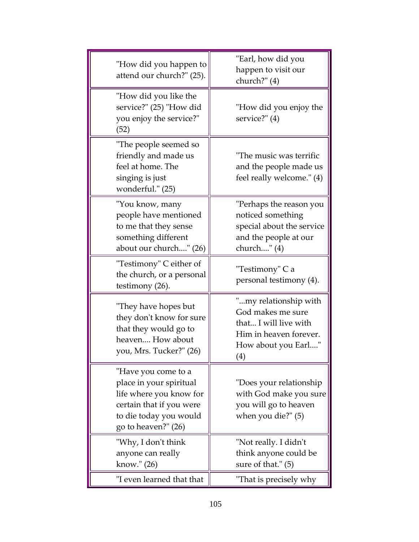| "How did you happen to<br>attend our church?" (25).                                                                                                    | "Earl, how did you<br>happen to visit our<br>church?" (4)                                                                   |
|--------------------------------------------------------------------------------------------------------------------------------------------------------|-----------------------------------------------------------------------------------------------------------------------------|
| "How did you like the<br>service?" (25) "How did<br>you enjoy the service?"<br>(52)                                                                    | "How did you enjoy the<br>service?" (4)                                                                                     |
| "The people seemed so<br>friendly and made us<br>feel at home. The<br>singing is just<br>wonderful." (25)                                              | "The music was terrific<br>and the people made us<br>feel really welcome." (4)                                              |
| "You know, many<br>people have mentioned<br>to me that they sense<br>something different<br>about our church" (26)                                     | "Perhaps the reason you<br>noticed something<br>special about the service<br>and the people at our<br>church" (4)           |
| "Testimony" C either of<br>the church, or a personal<br>testimony (26).                                                                                | "Testimony" C a<br>personal testimony (4).                                                                                  |
| "They have hopes but<br>they don't know for sure<br>that they would go to<br>heaven How about<br>you, Mrs. Tucker?" (26)                               | "my relationship with<br>God makes me sure<br>that I will live with<br>Him in heaven forever.<br>How about you Earl"<br>(4) |
| "Have you come to a<br>place in your spiritual<br>life where you know for<br>certain that if you were<br>to die today you would<br>go to heaven?" (26) | "Does your relationship<br>with God make you sure<br>you will go to heaven<br>when you die?" (5)                            |
| "Why, I don't think<br>anyone can really<br>know." (26)                                                                                                | "Not really. I didn't<br>think anyone could be<br>sure of that." (5)                                                        |
| "I even learned that that                                                                                                                              | "That is precisely why                                                                                                      |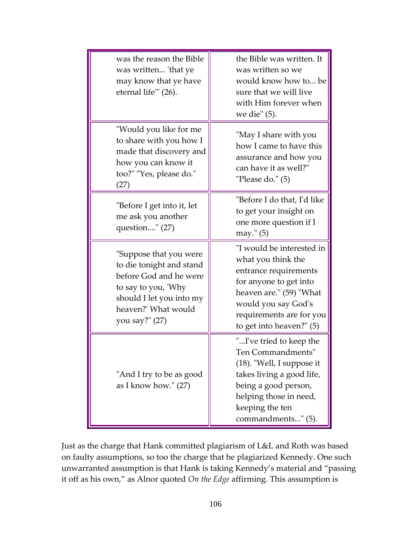| was the reason the Bible<br>was written 'that ye<br>may know that ye have<br>eternal life" (26).                                                                         | the Bible was written. It<br>was written so we<br>would know how to be<br>sure that we will live<br>with Him forever when<br>we die" (5).                                                                    |
|--------------------------------------------------------------------------------------------------------------------------------------------------------------------------|--------------------------------------------------------------------------------------------------------------------------------------------------------------------------------------------------------------|
| "Would you like for me<br>to share with you how I<br>made that discovery and<br>how you can know it<br>too?" "Yes, please do."<br>(27)                                   | "May I share with you<br>how I came to have this<br>assurance and how you<br>can have it as well?"<br>"Please do." (5)                                                                                       |
| "Before I get into it, let<br>me ask you another<br>question" (27)                                                                                                       | "Before I do that, I'd like<br>to get your insight on<br>one more question if I<br>may." (5)                                                                                                                 |
| "Suppose that you were<br>to die tonight and stand<br>before God and he were<br>to say to you, 'Why<br>should I let you into my<br>heaven?' What would<br>you say?" (27) | "I would be interested in<br>what you think the<br>entrance requirements<br>for anyone to get into<br>heaven are." (59) "What<br>would you say God's<br>requirements are for you<br>to get into heaven?" (5) |
| "And I try to be as good<br>as I know how." (27)                                                                                                                         | "I've tried to keep the<br>Ten Commandments"<br>$(18)$ . "Well, I suppose it<br>takes living a good life,<br>being a good person,<br>helping those in need,<br>keeping the ten<br>commandments" (5).         |

Just as the charge that Hank committed plagiarism of L&L and Roth was based on faulty assumptions, so too the charge that he plagiarized Kennedy. One such unwarranted assumption is that Hank is taking Kennedy's material and "passing it off as his own," as Alnor quoted *On the Edge* affirming. This assumption is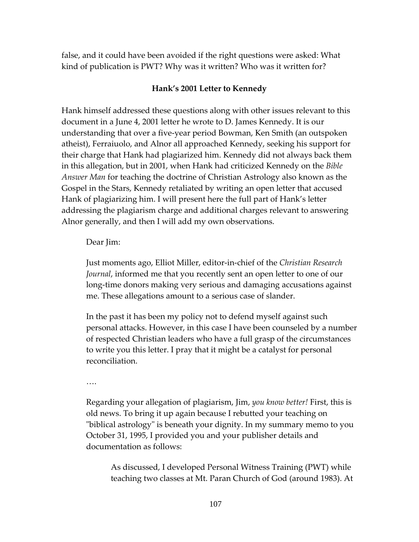false, and it could have been avoided if the right questions were asked: What kind of publication is PWT? Why was it written? Who was it written for?

#### **Hank's 2001 Letter to Kennedy**

Hank himself addressed these questions along with other issues relevant to this document in a June 4, 2001 letter he wrote to D. James Kennedy. It is our understanding that over a five-year period Bowman, Ken Smith (an outspoken atheist), Ferraiuolo, and Alnor all approached Kennedy, seeking his support for their charge that Hank had plagiarized him. Kennedy did not always back them in this allegation, but in 2001, when Hank had criticized Kennedy on the *Bible Answer Man* for teaching the doctrine of Christian Astrology also known as the Gospel in the Stars, Kennedy retaliated by writing an open letter that accused Hank of plagiarizing him. I will present here the full part of Hank's letter addressing the plagiarism charge and additional charges relevant to answering Alnor generally, and then I will add my own observations.

#### Dear Jim:

Just moments ago, Elliot Miller, editor-in-chief of the *Christian Research Journal*, informed me that you recently sent an open letter to one of our long-time donors making very serious and damaging accusations against me. These allegations amount to a serious case of slander.

In the past it has been my policy not to defend myself against such personal attacks. However, in this case I have been counseled by a number of respected Christian leaders who have a full grasp of the circumstances to write you this letter. I pray that it might be a catalyst for personal reconciliation.

….

Regarding your allegation of plagiarism, Jim, *you know better!* First, this is old news. To bring it up again because I rebutted your teaching on "biblical astrology" is beneath your dignity. In my summary memo to you October 31, 1995, I provided you and your publisher details and documentation as follows:

As discussed, I developed Personal Witness Training (PWT) while teaching two classes at Mt. Paran Church of God (around 1983). At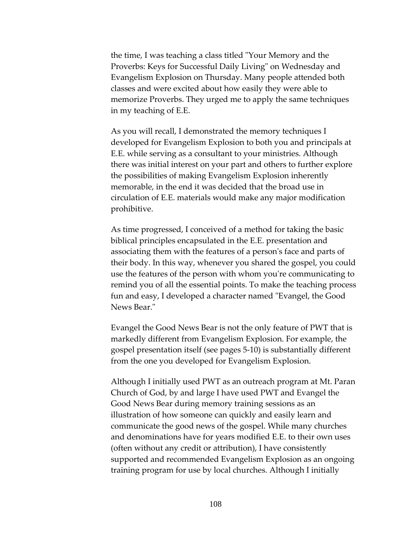the time, I was teaching a class titled "Your Memory and the Proverbs: Keys for Successful Daily Living" on Wednesday and Evangelism Explosion on Thursday. Many people attended both classes and were excited about how easily they were able to memorize Proverbs. They urged me to apply the same techniques in my teaching of E.E.

As you will recall, I demonstrated the memory techniques I developed for Evangelism Explosion to both you and principals at E.E. while serving as a consultant to your ministries. Although there was initial interest on your part and others to further explore the possibilities of making Evangelism Explosion inherently memorable, in the end it was decided that the broad use in circulation of E.E. materials would make any major modification prohibitive.

As time progressed, I conceived of a method for taking the basic biblical principles encapsulated in the E.E. presentation and associating them with the features of a person's face and parts of their body. In this way, whenever you shared the gospel, you could use the features of the person with whom you're communicating to remind you of all the essential points. To make the teaching process fun and easy, I developed a character named "Evangel, the Good News Bear."

Evangel the Good News Bear is not the only feature of PWT that is markedly different from Evangelism Explosion. For example, the gospel presentation itself (see pages 5-10) is substantially different from the one you developed for Evangelism Explosion.

Although I initially used PWT as an outreach program at Mt. Paran Church of God, by and large I have used PWT and Evangel the Good News Bear during memory training sessions as an illustration of how someone can quickly and easily learn and communicate the good news of the gospel. While many churches and denominations have for years modified E.E. to their own uses (often without any credit or attribution), I have consistently supported and recommended Evangelism Explosion as an ongoing training program for use by local churches. Although I initially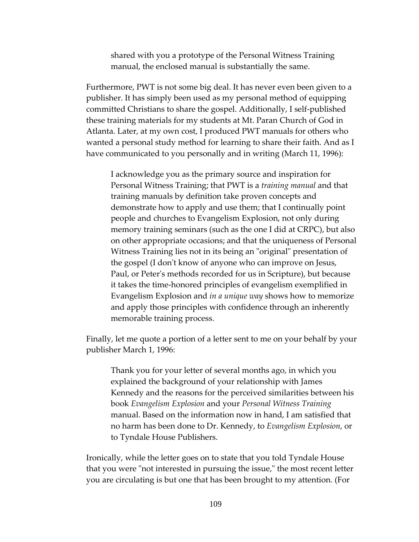shared with you a prototype of the Personal Witness Training manual, the enclosed manual is substantially the same.

Furthermore, PWT is not some big deal. It has never even been given to a publisher. It has simply been used as my personal method of equipping committed Christians to share the gospel. Additionally, I self-published these training materials for my students at Mt. Paran Church of God in Atlanta. Later, at my own cost, I produced PWT manuals for others who wanted a personal study method for learning to share their faith. And as I have communicated to you personally and in writing (March 11, 1996):

I acknowledge you as the primary source and inspiration for Personal Witness Training; that PWT is a *training manual* and that training manuals by definition take proven concepts and demonstrate how to apply and use them; that I continually point people and churches to Evangelism Explosion, not only during memory training seminars (such as the one I did at CRPC), but also on other appropriate occasions; and that the uniqueness of Personal Witness Training lies not in its being an "original" presentation of the gospel (I don't know of anyone who can improve on Jesus, Paul, or Peter's methods recorded for us in Scripture), but because it takes the time-honored principles of evangelism exemplified in Evangelism Explosion and *in a unique way* shows how to memorize and apply those principles with confidence through an inherently memorable training process.

Finally, let me quote a portion of a letter sent to me on your behalf by your publisher March 1, 1996:

Thank you for your letter of several months ago, in which you explained the background of your relationship with James Kennedy and the reasons for the perceived similarities between his book *Evangelism Explosion* and your *Personal Witness Training* manual. Based on the information now in hand, I am satisfied that no harm has been done to Dr. Kennedy, to *Evangelism Explosion*, or to Tyndale House Publishers.

Ironically, while the letter goes on to state that you told Tyndale House that you were "not interested in pursuing the issue," the most recent letter you are circulating is but one that has been brought to my attention. (For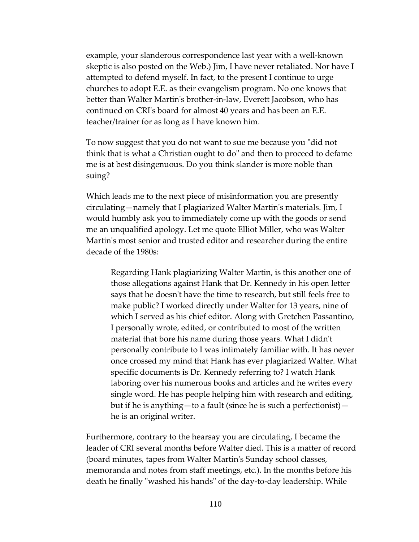example, your slanderous correspondence last year with a well-known skeptic is also posted on the Web.) Jim, I have never retaliated. Nor have I attempted to defend myself. In fact, to the present I continue to urge churches to adopt E.E. as their evangelism program. No one knows that better than Walter Martin's brother-in-law, Everett Jacobson, who has continued on CRI's board for almost 40 years and has been an E.E. teacher/trainer for as long as I have known him.

To now suggest that you do not want to sue me because you "did not think that is what a Christian ought to do" and then to proceed to defame me is at best disingenuous. Do you think slander is more noble than suing?

Which leads me to the next piece of misinformation you are presently circulating—namely that I plagiarized Walter Martin's materials. Jim, I would humbly ask you to immediately come up with the goods or send me an unqualified apology. Let me quote Elliot Miller, who was Walter Martin's most senior and trusted editor and researcher during the entire decade of the 1980s:

Regarding Hank plagiarizing Walter Martin, is this another one of those allegations against Hank that Dr. Kennedy in his open letter says that he doesn't have the time to research, but still feels free to make public? I worked directly under Walter for 13 years, nine of which I served as his chief editor. Along with Gretchen Passantino, I personally wrote, edited, or contributed to most of the written material that bore his name during those years. What I didn't personally contribute to I was intimately familiar with. It has never once crossed my mind that Hank has ever plagiarized Walter. What specific documents is Dr. Kennedy referring to? I watch Hank laboring over his numerous books and articles and he writes every single word. He has people helping him with research and editing, but if he is anything—to a fault (since he is such a perfectionist) he is an original writer.

Furthermore, contrary to the hearsay you are circulating, I became the leader of CRI several months before Walter died. This is a matter of record (board minutes, tapes from Walter Martin's Sunday school classes, memoranda and notes from staff meetings, etc.). In the months before his death he finally "washed his hands" of the day-to-day leadership. While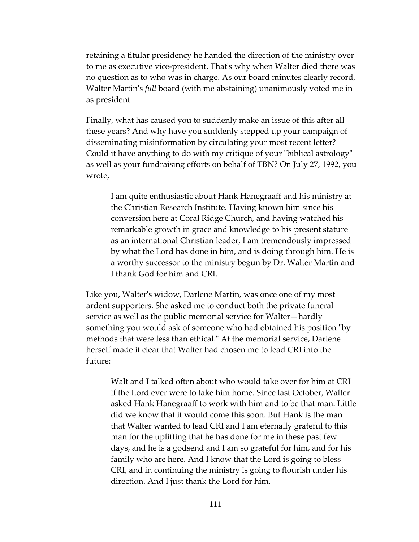retaining a titular presidency he handed the direction of the ministry over to me as executive vice-president. That's why when Walter died there was no question as to who was in charge. As our board minutes clearly record, Walter Martin's *full* board (with me abstaining) unanimously voted me in as president.

Finally, what has caused you to suddenly make an issue of this after all these years? And why have you suddenly stepped up your campaign of disseminating misinformation by circulating your most recent letter? Could it have anything to do with my critique of your "biblical astrology" as well as your fundraising efforts on behalf of TBN? On July 27, 1992, you wrote,

I am quite enthusiastic about Hank Hanegraaff and his ministry at the Christian Research Institute. Having known him since his conversion here at Coral Ridge Church, and having watched his remarkable growth in grace and knowledge to his present stature as an international Christian leader, I am tremendously impressed by what the Lord has done in him, and is doing through him. He is a worthy successor to the ministry begun by Dr. Walter Martin and I thank God for him and CRI.

Like you, Walter's widow, Darlene Martin, was once one of my most ardent supporters. She asked me to conduct both the private funeral service as well as the public memorial service for Walter—hardly something you would ask of someone who had obtained his position "by methods that were less than ethical." At the memorial service, Darlene herself made it clear that Walter had chosen me to lead CRI into the future:

Walt and I talked often about who would take over for him at CRI if the Lord ever were to take him home. Since last October, Walter asked Hank Hanegraaff to work with him and to be that man. Little did we know that it would come this soon. But Hank is the man that Walter wanted to lead CRI and I am eternally grateful to this man for the uplifting that he has done for me in these past few days, and he is a godsend and I am so grateful for him, and for his family who are here. And I know that the Lord is going to bless CRI, and in continuing the ministry is going to flourish under his direction. And I just thank the Lord for him.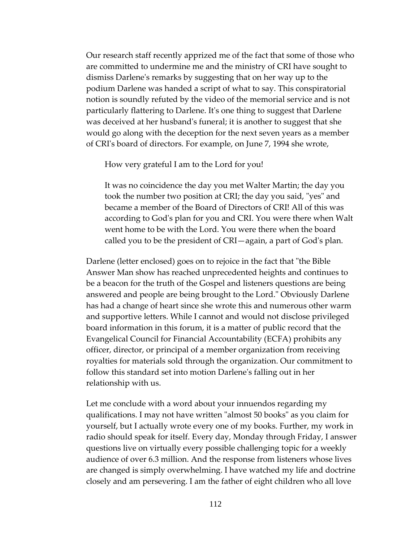Our research staff recently apprized me of the fact that some of those who are committed to undermine me and the ministry of CRI have sought to dismiss Darlene's remarks by suggesting that on her way up to the podium Darlene was handed a script of what to say. This conspiratorial notion is soundly refuted by the video of the memorial service and is not particularly flattering to Darlene. It's one thing to suggest that Darlene was deceived at her husband's funeral; it is another to suggest that she would go along with the deception for the next seven years as a member of CRI's board of directors. For example, on June 7, 1994 she wrote,

How very grateful I am to the Lord for you!

It was no coincidence the day you met Walter Martin; the day you took the number two position at CRI; the day you said, "yes" and became a member of the Board of Directors of CRI! All of this was according to God's plan for you and CRI. You were there when Walt went home to be with the Lord. You were there when the board called you to be the president of CRI—again, a part of God's plan.

Darlene (letter enclosed) goes on to rejoice in the fact that "the Bible Answer Man show has reached unprecedented heights and continues to be a beacon for the truth of the Gospel and listeners questions are being answered and people are being brought to the Lord." Obviously Darlene has had a change of heart since she wrote this and numerous other warm and supportive letters. While I cannot and would not disclose privileged board information in this forum, it is a matter of public record that the Evangelical Council for Financial Accountability (ECFA) prohibits any officer, director, or principal of a member organization from receiving royalties for materials sold through the organization. Our commitment to follow this standard set into motion Darlene's falling out in her relationship with us.

Let me conclude with a word about your innuendos regarding my qualifications. I may not have written "almost 50 books" as you claim for yourself, but I actually wrote every one of my books. Further, my work in radio should speak for itself. Every day, Monday through Friday, I answer questions live on virtually every possible challenging topic for a weekly audience of over 6.3 million. And the response from listeners whose lives are changed is simply overwhelming. I have watched my life and doctrine closely and am persevering. I am the father of eight children who all love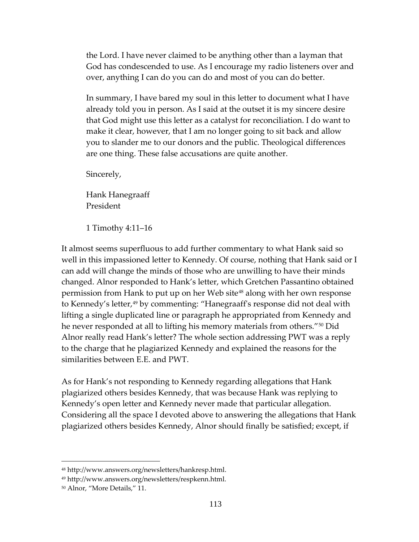the Lord. I have never claimed to be anything other than a layman that God has condescended to use. As I encourage my radio listeners over and over, anything I can do you can do and most of you can do better.

In summary, I have bared my soul in this letter to document what I have already told you in person. As I said at the outset it is my sincere desire that God might use this letter as a catalyst for reconciliation. I do want to make it clear, however, that I am no longer going to sit back and allow you to slander me to our donors and the public. Theological differences are one thing. These false accusations are quite another.

Sincerely,

Hank Hanegraaff President

1 Timothy 4:11–16

It almost seems superfluous to add further commentary to what Hank said so well in this impassioned letter to Kennedy. Of course, nothing that Hank said or I can add will change the minds of those who are unwilling to have their minds changed. Alnor responded to Hank's letter, which Gretchen Passantino obtained permission from Hank to put up on her Web site<sup>[48](#page-112-0)</sup> along with her own response to Kennedy's letter,<sup>[49](#page-112-1)</sup> by commenting: "Hanegraaff's response did not deal with lifting a single duplicated line or paragraph he appropriated from Kennedy and he never responded at all to lifting his memory materials from others."[50](#page-112-2) Did Alnor really read Hank's letter? The whole section addressing PWT was a reply to the charge that he plagiarized Kennedy and explained the reasons for the similarities between E.E. and PWT.

As for Hank's not responding to Kennedy regarding allegations that Hank plagiarized others besides Kennedy, that was because Hank was replying to Kennedy's open letter and Kennedy never made that particular allegation. Considering all the space I devoted above to answering the allegations that Hank plagiarized others besides Kennedy, Alnor should finally be satisfied; except, if

<span id="page-112-0"></span><sup>48</sup> [http://www.answers.org/newsletters/hankresp.html.](http://www.answers.org/newsletters/hankresp.html) 

<span id="page-112-1"></span><sup>49</sup> [http://www.answers.org/newsletters/respkenn.html.](http://www.answers.org/newsletters/respkenn.html)

<span id="page-112-2"></span><sup>50</sup> Alnor, "More Details," 11.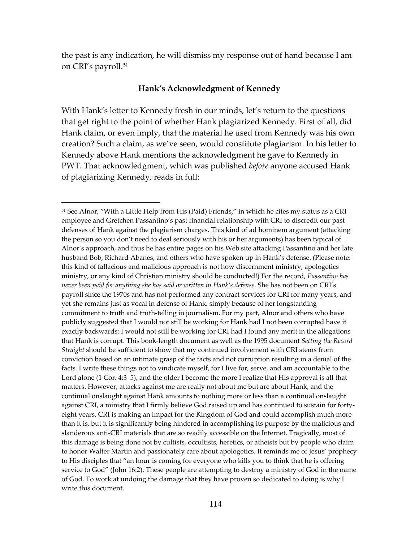the past is any indication, he will dismiss my response out of hand because I am on CRI's payroll.<sup>[51](#page-113-0)</sup>

#### **Hank's Acknowledgment of Kennedy**

With Hank's letter to Kennedy fresh in our minds, let's return to the questions that get right to the point of whether Hank plagiarized Kennedy. First of all, did Hank claim, or even imply, that the material he used from Kennedy was his own creation? Such a claim, as we've seen, would constitute plagiarism. In his letter to Kennedy above Hank mentions the acknowledgment he gave to Kennedy in PWT. That acknowledgment, which was published *before* anyone accused Hank of plagiarizing Kennedy, reads in full:

<span id="page-113-0"></span><sup>&</sup>lt;sup>51</sup> See Alnor, "With a Little Help from His (Paid) Friends," in which he cites my status as a CRI employee and Gretchen Passantino's past financial relationship with CRI to discredit our past defenses of Hank against the plagiarism charges. This kind of ad hominem argument (attacking the person so you don't need to deal seriously with his or her arguments) has been typical of Alnor's approach, and thus he has entire pages on his Web site attacking Passantino and her late husband Bob, Richard Abanes, and others who have spoken up in Hank's defense. (Please note: this kind of fallacious and malicious approach is not how discernment ministry, apologetics ministry, or any kind of Christian ministry should be conducted!) For the record, *Passantino has never been paid for anything she has said or written in Hank's defense*. She has not been on CRI's payroll since the 1970s and has not performed any contract services for CRI for many years, and yet she remains just as vocal in defense of Hank, simply because of her longstanding commitment to truth and truth-telling in journalism. For my part, Alnor and others who have publicly suggested that I would not still be working for Hank had I not been corrupted have it exactly backwards: I would not still be working for CRI had I found any merit in the allegations that Hank is corrupt. This book-length document as well as the 1995 document *Setting the Record Straight* should be sufficient to show that my continued involvement with CRI stems from conviction based on an intimate grasp of the facts and not corruption resulting in a denial of the facts. I write these things not to vindicate myself, for I live for, serve, and am accountable to the Lord alone (1 Cor. 4:3–5), and the older I become the more I realize that His approval is all that matters. However, attacks against me are really not about me but are about Hank, and the continual onslaught against Hank amounts to nothing more or less than a continual onslaught against CRI, a ministry that I firmly believe God raised up and has continued to sustain for fortyeight years. CRI is making an impact for the Kingdom of God and could accomplish much more than it is, but it is significantly being hindered in accomplishing its purpose by the malicious and slanderous anti-CRI materials that are so readily accessible on the Internet. Tragically, most of this damage is being done not by cultists, occultists, heretics, or atheists but by people who claim to honor Walter Martin and passionately care about apologetics. It reminds me of Jesus' prophecy to His disciples that "an hour is coming for everyone who kills you to think that he is offering service to God" (John 16:2). These people are attempting to destroy a ministry of God in the name of God. To work at undoing the damage that they have proven so dedicated to doing is why I write this document.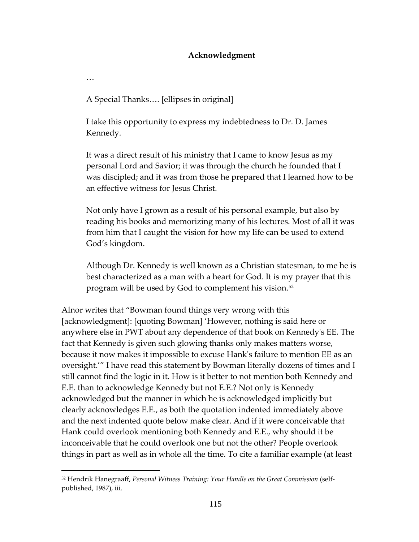## **Acknowledgment**

…

 $\overline{a}$ 

A Special Thanks…. [ellipses in original]

I take this opportunity to express my indebtedness to Dr. D. James Kennedy.

It was a direct result of his ministry that I came to know Jesus as my personal Lord and Savior; it was through the church he founded that I was discipled; and it was from those he prepared that I learned how to be an effective witness for Jesus Christ.

Not only have I grown as a result of his personal example, but also by reading his books and memorizing many of his lectures. Most of all it was from him that I caught the vision for how my life can be used to extend God's kingdom.

Although Dr. Kennedy is well known as a Christian statesman, to me he is best characterized as a man with a heart for God. It is my prayer that this program will be used by God to complement his vision.[52](#page-114-0)

Alnor writes that "Bowman found things very wrong with this [acknowledgment]: [quoting Bowman] 'However, nothing is said here or anywhere else in PWT about any dependence of that book on Kennedy's EE. The fact that Kennedy is given such glowing thanks only makes matters worse, because it now makes it impossible to excuse Hank's failure to mention EE as an oversight.'" I have read this statement by Bowman literally dozens of times and I still cannot find the logic in it. How is it better to not mention both Kennedy and E.E. than to acknowledge Kennedy but not E.E.? Not only is Kennedy acknowledged but the manner in which he is acknowledged implicitly but clearly acknowledges E.E., as both the quotation indented immediately above and the next indented quote below make clear. And if it were conceivable that Hank could overlook mentioning both Kennedy and E.E., why should it be inconceivable that he could overlook one but not the other? People overlook things in part as well as in whole all the time. To cite a familiar example (at least

<span id="page-114-0"></span><sup>52</sup> Hendrik Hanegraaff, *Personal Witness Training: Your Handle on the Great Commission* (selfpublished, 1987), iii.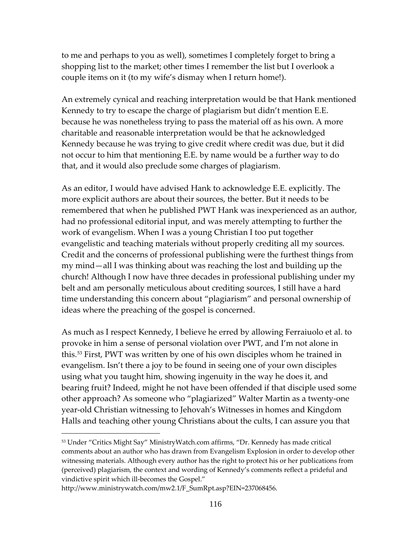to me and perhaps to you as well), sometimes I completely forget to bring a shopping list to the market; other times I remember the list but I overlook a couple items on it (to my wife's dismay when I return home!).

An extremely cynical and reaching interpretation would be that Hank mentioned Kennedy to try to escape the charge of plagiarism but didn't mention E.E. because he was nonetheless trying to pass the material off as his own. A more charitable and reasonable interpretation would be that he acknowledged Kennedy because he was trying to give credit where credit was due, but it did not occur to him that mentioning E.E. by name would be a further way to do that, and it would also preclude some charges of plagiarism.

As an editor, I would have advised Hank to acknowledge E.E. explicitly. The more explicit authors are about their sources, the better. But it needs to be remembered that when he published PWT Hank was inexperienced as an author, had no professional editorial input, and was merely attempting to further the work of evangelism. When I was a young Christian I too put together evangelistic and teaching materials without properly crediting all my sources. Credit and the concerns of professional publishing were the furthest things from my mind—all I was thinking about was reaching the lost and building up the church! Although I now have three decades in professional publishing under my belt and am personally meticulous about crediting sources, I still have a hard time understanding this concern about "plagiarism" and personal ownership of ideas where the preaching of the gospel is concerned.

As much as I respect Kennedy, I believe he erred by allowing Ferraiuolo et al. to provoke in him a sense of personal violation over PWT, and I'm not alone in this.[53](#page-115-0) First, PWT was written by one of his own disciples whom he trained in evangelism. Isn't there a joy to be found in seeing one of your own disciples using what you taught him, showing ingenuity in the way he does it, and bearing fruit? Indeed, might he not have been offended if that disciple used some other approach? As someone who "plagiarized" Walter Martin as a twenty-one year-old Christian witnessing to Jehovah's Witnesses in homes and Kingdom Halls and teaching other young Christians about the cults, I can assure you that

<span id="page-115-0"></span><sup>53</sup> Under "Critics Might Say" MinistryWatch.com affirms, "Dr. Kennedy has made critical comments about an author who has drawn from Evangelism Explosion in order to develop other witnessing materials. Although every author has the right to protect his or her publications from (perceived) plagiarism, the context and wording of Kennedy's comments reflect a prideful and vindictive spirit which ill-becomes the Gospel."

[http://www.ministrywatch.com/mw2.1/F\\_SumRpt.asp?EIN=237068456.](http://www.ministrywatch.com/mw2.1/F_SumRpt.asp?EIN=237068456)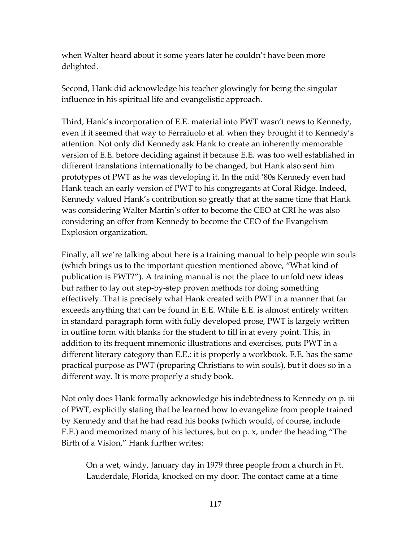when Walter heard about it some years later he couldn't have been more delighted.

Second, Hank did acknowledge his teacher glowingly for being the singular influence in his spiritual life and evangelistic approach.

Third, Hank's incorporation of E.E. material into PWT wasn't news to Kennedy, even if it seemed that way to Ferraiuolo et al. when they brought it to Kennedy's attention. Not only did Kennedy ask Hank to create an inherently memorable version of E.E. before deciding against it because E.E. was too well established in different translations internationally to be changed, but Hank also sent him prototypes of PWT as he was developing it. In the mid '80s Kennedy even had Hank teach an early version of PWT to his congregants at Coral Ridge. Indeed, Kennedy valued Hank's contribution so greatly that at the same time that Hank was considering Walter Martin's offer to become the CEO at CRI he was also considering an offer from Kennedy to become the CEO of the Evangelism Explosion organization.

Finally, all we're talking about here is a training manual to help people win souls (which brings us to the important question mentioned above, "What kind of publication is PWT?"). A training manual is not the place to unfold new ideas but rather to lay out step-by-step proven methods for doing something effectively. That is precisely what Hank created with PWT in a manner that far exceeds anything that can be found in E.E. While E.E. is almost entirely written in standard paragraph form with fully developed prose, PWT is largely written in outline form with blanks for the student to fill in at every point. This, in addition to its frequent mnemonic illustrations and exercises, puts PWT in a different literary category than E.E.: it is properly a workbook. E.E. has the same practical purpose as PWT (preparing Christians to win souls), but it does so in a different way. It is more properly a study book.

Not only does Hank formally acknowledge his indebtedness to Kennedy on p. iii of PWT, explicitly stating that he learned how to evangelize from people trained by Kennedy and that he had read his books (which would, of course, include E.E.) and memorized many of his lectures, but on p. x, under the heading "The Birth of a Vision," Hank further writes:

On a wet, windy, January day in 1979 three people from a church in Ft. Lauderdale, Florida, knocked on my door. The contact came at a time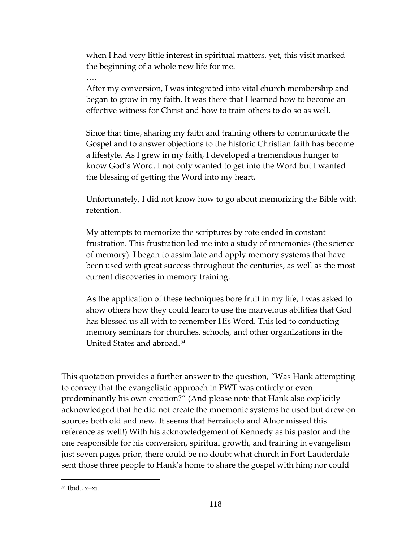when I had very little interest in spiritual matters, yet, this visit marked the beginning of a whole new life for me.

….

After my conversion, I was integrated into vital church membership and began to grow in my faith. It was there that I learned how to become an effective witness for Christ and how to train others to do so as well.

Since that time, sharing my faith and training others to communicate the Gospel and to answer objections to the historic Christian faith has become a lifestyle. As I grew in my faith, I developed a tremendous hunger to know God's Word. I not only wanted to get into the Word but I wanted the blessing of getting the Word into my heart.

Unfortunately, I did not know how to go about memorizing the Bible with retention.

My attempts to memorize the scriptures by rote ended in constant frustration. This frustration led me into a study of mnemonics (the science of memory). I began to assimilate and apply memory systems that have been used with great success throughout the centuries, as well as the most current discoveries in memory training.

As the application of these techniques bore fruit in my life, I was asked to show others how they could learn to use the marvelous abilities that God has blessed us all with to remember His Word. This led to conducting memory seminars for churches, schools, and other organizations in the United States and abroad.[54](#page-117-0)

This quotation provides a further answer to the question, "Was Hank attempting to convey that the evangelistic approach in PWT was entirely or even predominantly his own creation?" (And please note that Hank also explicitly acknowledged that he did not create the mnemonic systems he used but drew on sources both old and new. It seems that Ferraiuolo and Alnor missed this reference as well!) With his acknowledgement of Kennedy as his pastor and the one responsible for his conversion, spiritual growth, and training in evangelism just seven pages prior, there could be no doubt what church in Fort Lauderdale sent those three people to Hank's home to share the gospel with him; nor could

<span id="page-117-0"></span><sup>54</sup> Ibid., x–xi.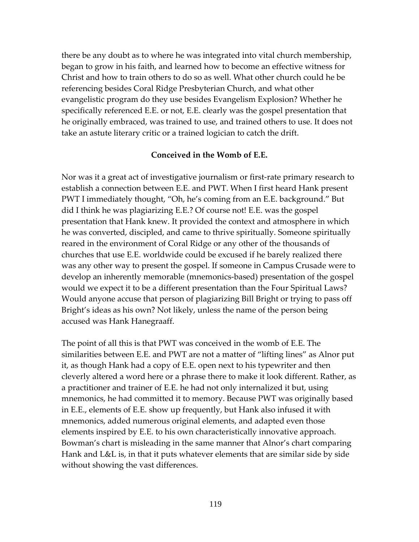there be any doubt as to where he was integrated into vital church membership, began to grow in his faith, and learned how to become an effective witness for Christ and how to train others to do so as well. What other church could he be referencing besides Coral Ridge Presbyterian Church, and what other evangelistic program do they use besides Evangelism Explosion? Whether he specifically referenced E.E. or not, E.E. clearly was the gospel presentation that he originally embraced, was trained to use, and trained others to use. It does not take an astute literary critic or a trained logician to catch the drift.

### **Conceived in the Womb of E.E.**

Nor was it a great act of investigative journalism or first-rate primary research to establish a connection between E.E. and PWT. When I first heard Hank present PWT I immediately thought, "Oh, he's coming from an E.E. background." But did I think he was plagiarizing E.E.? Of course not! E.E. was the gospel presentation that Hank knew. It provided the context and atmosphere in which he was converted, discipled, and came to thrive spiritually. Someone spiritually reared in the environment of Coral Ridge or any other of the thousands of churches that use E.E. worldwide could be excused if he barely realized there was any other way to present the gospel. If someone in Campus Crusade were to develop an inherently memorable (mnemonics-based) presentation of the gospel would we expect it to be a different presentation than the Four Spiritual Laws? Would anyone accuse that person of plagiarizing Bill Bright or trying to pass off Bright's ideas as his own? Not likely, unless the name of the person being accused was Hank Hanegraaff.

The point of all this is that PWT was conceived in the womb of E.E. The similarities between E.E. and PWT are not a matter of "lifting lines" as Alnor put it, as though Hank had a copy of E.E. open next to his typewriter and then cleverly altered a word here or a phrase there to make it look different. Rather, as a practitioner and trainer of E.E. he had not only internalized it but, using mnemonics, he had committed it to memory. Because PWT was originally based in E.E., elements of E.E. show up frequently, but Hank also infused it with mnemonics, added numerous original elements, and adapted even those elements inspired by E.E. to his own characteristically innovative approach. Bowman's chart is misleading in the same manner that Alnor's chart comparing Hank and L&L is, in that it puts whatever elements that are similar side by side without showing the vast differences.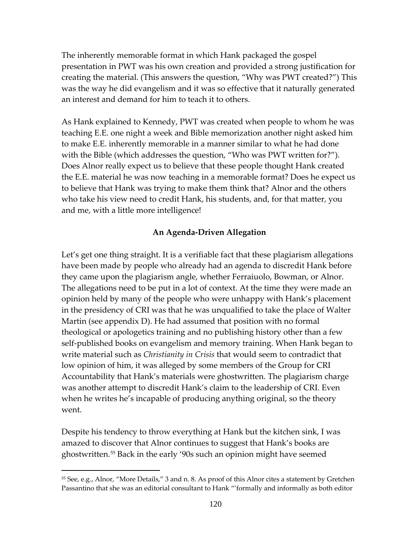The inherently memorable format in which Hank packaged the gospel presentation in PWT was his own creation and provided a strong justification for creating the material. (This answers the question, "Why was PWT created?") This was the way he did evangelism and it was so effective that it naturally generated an interest and demand for him to teach it to others.

As Hank explained to Kennedy, PWT was created when people to whom he was teaching E.E. one night a week and Bible memorization another night asked him to make E.E. inherently memorable in a manner similar to what he had done with the Bible (which addresses the question, "Who was PWT written for?"). Does Alnor really expect us to believe that these people thought Hank created the E.E. material he was now teaching in a memorable format? Does he expect us to believe that Hank was trying to make them think that? Alnor and the others who take his view need to credit Hank, his students, and, for that matter, you and me, with a little more intelligence!

## **An Agenda-Driven Allegation**

Let's get one thing straight. It is a verifiable fact that these plagiarism allegations have been made by people who already had an agenda to discredit Hank before they came upon the plagiarism angle, whether Ferraiuolo, Bowman, or Alnor. The allegations need to be put in a lot of context. At the time they were made an opinion held by many of the people who were unhappy with Hank's placement in the presidency of CRI was that he was unqualified to take the place of Walter Martin (see appendix D). He had assumed that position with no formal theological or apologetics training and no publishing history other than a few self-published books on evangelism and memory training. When Hank began to write material such as *Christianity in Crisis* that would seem to contradict that low opinion of him, it was alleged by some members of the Group for CRI Accountability that Hank's materials were ghostwritten. The plagiarism charge was another attempt to discredit Hank's claim to the leadership of CRI. Even when he writes he's incapable of producing anything original, so the theory went.

Despite his tendency to throw everything at Hank but the kitchen sink, I was amazed to discover that Alnor continues to suggest that Hank's books are ghostwritten.[55](#page-119-0) Back in the early '90s such an opinion might have seemed

<span id="page-119-0"></span><sup>55</sup> See, e.g., Alnor, "More Details," 3 and n. 8. As proof of this Alnor cites a statement by Gretchen Passantino that she was an editorial consultant to Hank "'formally and informally as both editor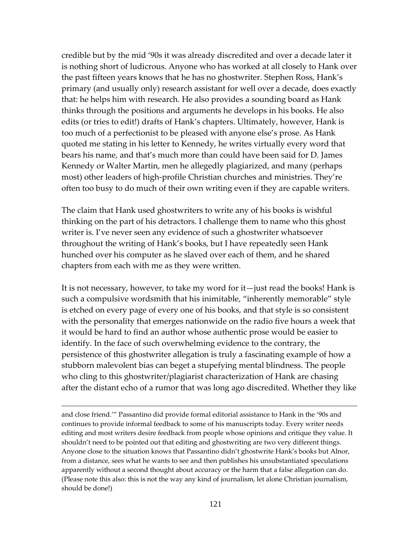credible but by the mid '90s it was already discredited and over a decade later it is nothing short of ludicrous. Anyone who has worked at all closely to Hank over the past fifteen years knows that he has no ghostwriter. Stephen Ross, Hank's primary (and usually only) research assistant for well over a decade, does exactly that: he helps him with research. He also provides a sounding board as Hank thinks through the positions and arguments he develops in his books. He also edits (or tries to edit!) drafts of Hank's chapters. Ultimately, however, Hank is too much of a perfectionist to be pleased with anyone else's prose. As Hank quoted me stating in his letter to Kennedy, he writes virtually every word that bears his name, and that's much more than could have been said for D. James Kennedy or Walter Martin, men he allegedly plagiarized, and many (perhaps most) other leaders of high-profile Christian churches and ministries. They're often too busy to do much of their own writing even if they are capable writers.

The claim that Hank used ghostwriters to write any of his books is wishful thinking on the part of his detractors. I challenge them to name who this ghost writer is. I've never seen any evidence of such a ghostwriter whatsoever throughout the writing of Hank's books, but I have repeatedly seen Hank hunched over his computer as he slaved over each of them, and he shared chapters from each with me as they were written.

It is not necessary, however, to take my word for it—just read the books! Hank is such a compulsive wordsmith that his inimitable, "inherently memorable" style is etched on every page of every one of his books, and that style is so consistent with the personality that emerges nationwide on the radio five hours a week that it would be hard to find an author whose authentic prose would be easier to identify. In the face of such overwhelming evidence to the contrary, the persistence of this ghostwriter allegation is truly a fascinating example of how a stubborn malevolent bias can beget a stupefying mental blindness. The people who cling to this ghostwriter/plagiarist characterization of Hank are chasing after the distant echo of a rumor that was long ago discredited. Whether they like

and close friend.'" Passantino did provide formal editorial assistance to Hank in the '90s and continues to provide informal feedback to some of his manuscripts today. Every writer needs editing and most writers desire feedback from people whose opinions and critique they value. It shouldn't need to be pointed out that editing and ghostwriting are two very different things. Anyone close to the situation knows that Passantino didn't ghostwrite Hank's books but Alnor, from a distance, sees what he wants to see and then publishes his unsubstantiated speculations apparently without a second thought about accuracy or the harm that a false allegation can do. (Please note this also: this is not the way any kind of journalism, let alone Christian journalism, should be done!)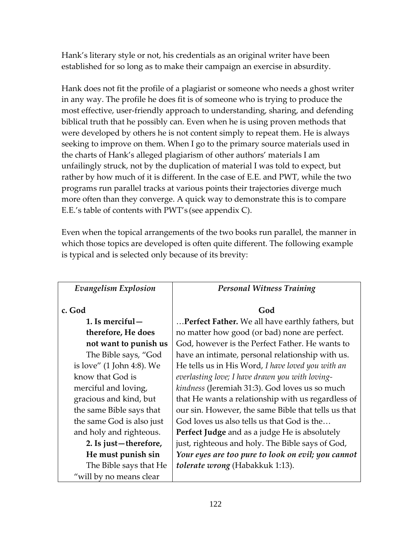Hank's literary style or not, his credentials as an original writer have been established for so long as to make their campaign an exercise in absurdity.

Hank does not fit the profile of a plagiarist or someone who needs a ghost writer in any way. The profile he does fit is of someone who is trying to produce the most effective, user-friendly approach to understanding, sharing, and defending biblical truth that he possibly can. Even when he is using proven methods that were developed by others he is not content simply to repeat them. He is always seeking to improve on them. When I go to the primary source materials used in the charts of Hank's alleged plagiarism of other authors' materials I am unfailingly struck, not by the duplication of material I was told to expect, but rather by how much of it is different. In the case of E.E. and PWT, while the two programs run parallel tracks at various points their trajectories diverge much more often than they converge. A quick way to demonstrate this is to compare E.E.'s table of contents with PWT's (see appendix C).

Even when the topical arrangements of the two books run parallel, the manner in which those topics are developed is often quite different. The following example is typical and is selected only because of its brevity:

| Evangelism Explosion      | <b>Personal Witness Training</b>                    |
|---------------------------|-----------------------------------------------------|
| c. God                    | God                                                 |
| 1. Is merciful $-$        | Perfect Father. We all have earthly fathers, but    |
| therefore, He does        | no matter how good (or bad) none are perfect.       |
| not want to punish us     | God, however is the Perfect Father. He wants to     |
| The Bible says, "God      | have an intimate, personal relationship with us.    |
| is love" (1 John 4:8). We | He tells us in His Word, I have loved you with an   |
| know that God is          | everlasting love; I have drawn you with loving-     |
| merciful and loving,      | kindness (Jeremiah 31:3). God loves us so much      |
| gracious and kind, but    | that He wants a relationship with us regardless of  |
| the same Bible says that  | our sin. However, the same Bible that tells us that |
| the same God is also just | God loves us also tells us that God is the          |
| and holy and righteous.   | Perfect Judge and as a judge He is absolutely       |
| 2. Is just-therefore,     | just, righteous and holy. The Bible says of God,    |
| He must punish sin        | Your eyes are too pure to look on evil; you cannot  |
| The Bible says that He    | tolerate wrong (Habakkuk 1:13).                     |
| "will by no means clear   |                                                     |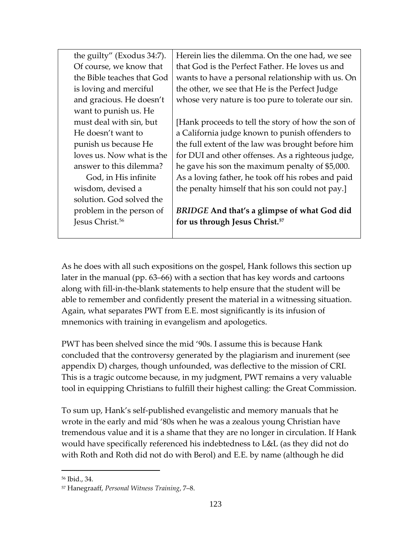| the guilty" (Exodus 34:7).  | Herein lies the dilemma. On the one had, we see    |
|-----------------------------|----------------------------------------------------|
| Of course, we know that     | that God is the Perfect Father. He loves us and    |
| the Bible teaches that God  | wants to have a personal relationship with us. On  |
| is loving and merciful      | the other, we see that He is the Perfect Judge     |
| and gracious. He doesn't    | whose very nature is too pure to tolerate our sin. |
| want to punish us. He       |                                                    |
| must deal with sin, but     | [Hank proceeds to tell the story of how the son of |
| He doesn't want to          | a California judge known to punish offenders to    |
| punish us because He        | the full extent of the law was brought before him  |
| loves us. Now what is the   | for DUI and other offenses. As a righteous judge,  |
| answer to this dilemma?     | he gave his son the maximum penalty of \$5,000.    |
| God, in His infinite        | As a loving father, he took off his robes and paid |
| wisdom, devised a           | the penalty himself that his son could not pay.]   |
| solution. God solved the    |                                                    |
| problem in the person of    | BRIDGE And that's a glimpse of what God did        |
| Jesus Christ. <sup>56</sup> | for us through Jesus Christ. <sup>57</sup>         |
|                             |                                                    |

As he does with all such expositions on the gospel, Hank follows this section up later in the manual (pp. 63–66) with a section that has key words and cartoons along with fill-in-the-blank statements to help ensure that the student will be able to remember and confidently present the material in a witnessing situation. Again, what separates PWT from E.E. most significantly is its infusion of mnemonics with training in evangelism and apologetics.

PWT has been shelved since the mid '90s. I assume this is because Hank concluded that the controversy generated by the plagiarism and inurement (see appendix D) charges, though unfounded, was deflective to the mission of CRI. This is a tragic outcome because, in my judgment, PWT remains a very valuable tool in equipping Christians to fulfill their highest calling: the Great Commission.

To sum up, Hank's self-published evangelistic and memory manuals that he wrote in the early and mid '80s when he was a zealous young Christian have tremendous value and it is a shame that they are no longer in circulation. If Hank would have specifically referenced his indebtedness to L&L (as they did not do with Roth and Roth did not do with Berol) and E.E. by name (although he did

<span id="page-122-0"></span><sup>56</sup> Ibid., 34.

<span id="page-122-1"></span><sup>57</sup> Hanegraaff, *Personal Witness Training*, 7–8.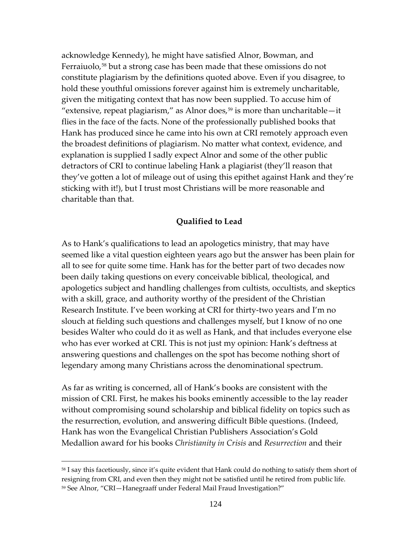acknowledge Kennedy), he might have satisfied Alnor, Bowman, and Ferraiuolo,<sup>[58](#page-123-0)</sup> but a strong case has been made that these omissions do not constitute plagiarism by the definitions quoted above. Even if you disagree, to hold these youthful omissions forever against him is extremely uncharitable, given the mitigating context that has now been supplied. To accuse him of "extensive, repeat plagiarism," as Alnor does, $59$  is more than uncharitable—it flies in the face of the facts. None of the professionally published books that Hank has produced since he came into his own at CRI remotely approach even the broadest definitions of plagiarism. No matter what context, evidence, and explanation is supplied I sadly expect Alnor and some of the other public detractors of CRI to continue labeling Hank a plagiarist (they'll reason that they've gotten a lot of mileage out of using this epithet against Hank and they're sticking with it!), but I trust most Christians will be more reasonable and charitable than that.

### **Qualified to Lead**

As to Hank's qualifications to lead an apologetics ministry, that may have seemed like a vital question eighteen years ago but the answer has been plain for all to see for quite some time. Hank has for the better part of two decades now been daily taking questions on every conceivable biblical, theological, and apologetics subject and handling challenges from cultists, occultists, and skeptics with a skill, grace, and authority worthy of the president of the Christian Research Institute. I've been working at CRI for thirty-two years and I'm no slouch at fielding such questions and challenges myself, but I know of no one besides Walter who could do it as well as Hank, and that includes everyone else who has ever worked at CRI. This is not just my opinion: Hank's deftness at answering questions and challenges on the spot has become nothing short of legendary among many Christians across the denominational spectrum.

As far as writing is concerned, all of Hank's books are consistent with the mission of CRI. First, he makes his books eminently accessible to the lay reader without compromising sound scholarship and biblical fidelity on topics such as the resurrection, evolution, and answering difficult Bible questions. (Indeed, Hank has won the Evangelical Christian Publishers Association's Gold Medallion award for his books *Christianity in Crisis* and *Resurrection* and their

<span id="page-123-1"></span><span id="page-123-0"></span><sup>&</sup>lt;sup>58</sup> I say this facetiously, since it's quite evident that Hank could do nothing to satisfy them short of resigning from CRI, and even then they might not be satisfied until he retired from public life. <sup>59</sup> See Alnor, "CRI—Hanegraaff under Federal Mail Fraud Investigation?"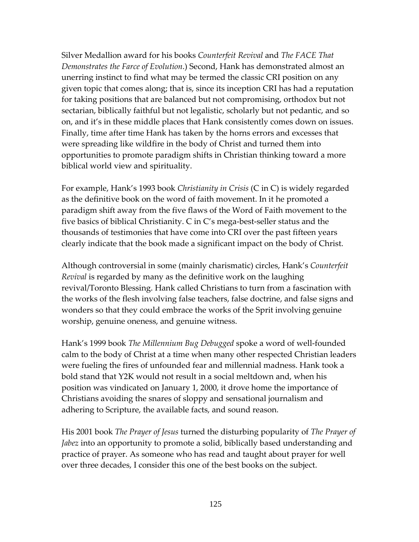Silver Medallion award for his books *Counterfeit Revival* and *The FACE That Demonstrates the Farce of Evolution*.) Second, Hank has demonstrated almost an unerring instinct to find what may be termed the classic CRI position on any given topic that comes along; that is, since its inception CRI has had a reputation for taking positions that are balanced but not compromising, orthodox but not sectarian, biblically faithful but not legalistic, scholarly but not pedantic, and so on, and it's in these middle places that Hank consistently comes down on issues. Finally, time after time Hank has taken by the horns errors and excesses that were spreading like wildfire in the body of Christ and turned them into opportunities to promote paradigm shifts in Christian thinking toward a more biblical world view and spirituality.

For example, Hank's 1993 book *Christianity in Crisis* (C in C) is widely regarded as the definitive book on the word of faith movement. In it he promoted a paradigm shift away from the five flaws of the Word of Faith movement to the five basics of biblical Christianity. C in C's mega-best-seller status and the thousands of testimonies that have come into CRI over the past fifteen years clearly indicate that the book made a significant impact on the body of Christ.

Although controversial in some (mainly charismatic) circles, Hank's *Counterfeit Revival* is regarded by many as the definitive work on the laughing revival/Toronto Blessing. Hank called Christians to turn from a fascination with the works of the flesh involving false teachers, false doctrine, and false signs and wonders so that they could embrace the works of the Sprit involving genuine worship, genuine oneness, and genuine witness.

Hank's 1999 book *The Millennium Bug Debugged* spoke a word of well-founded calm to the body of Christ at a time when many other respected Christian leaders were fueling the fires of unfounded fear and millennial madness. Hank took a bold stand that Y2K would not result in a social meltdown and, when his position was vindicated on January 1, 2000, it drove home the importance of Christians avoiding the snares of sloppy and sensational journalism and adhering to Scripture, the available facts, and sound reason.

His 2001 book *The Prayer of Jesus* turned the disturbing popularity of *The Prayer of Jabez* into an opportunity to promote a solid, biblically based understanding and practice of prayer. As someone who has read and taught about prayer for well over three decades, I consider this one of the best books on the subject.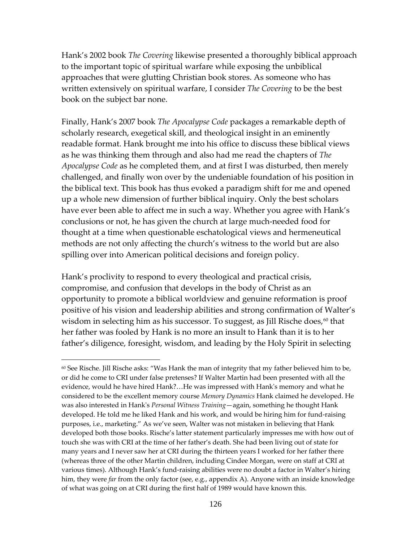Hank's 2002 book *The Covering* likewise presented a thoroughly biblical approach to the important topic of spiritual warfare while exposing the unbiblical approaches that were glutting Christian book stores. As someone who has written extensively on spiritual warfare, I consider *The Covering* to be the best book on the subject bar none.

Finally, Hank's 2007 book *The Apocalypse Code* packages a remarkable depth of scholarly research, exegetical skill, and theological insight in an eminently readable format. Hank brought me into his office to discuss these biblical views as he was thinking them through and also had me read the chapters of *The Apocalypse Code* as he completed them, and at first I was disturbed, then merely challenged, and finally won over by the undeniable foundation of his position in the biblical text. This book has thus evoked a paradigm shift for me and opened up a whole new dimension of further biblical inquiry. Only the best scholars have ever been able to affect me in such a way. Whether you agree with Hank's conclusions or not, he has given the church at large much-needed food for thought at a time when questionable eschatological views and hermeneutical methods are not only affecting the church's witness to the world but are also spilling over into American political decisions and foreign policy.

Hank's proclivity to respond to every theological and practical crisis, compromise, and confusion that develops in the body of Christ as an opportunity to promote a biblical worldview and genuine reformation is proof positive of his vision and leadership abilities and strong confirmation of Walter's wisdom in selecting him as his successor. To suggest, as Jill Rische does,<sup>[60](#page-125-0)</sup> that her father was fooled by Hank is no more an insult to Hank than it is to her father's diligence, foresight, wisdom, and leading by the Holy Spirit in selecting

<span id="page-125-0"></span><sup>&</sup>lt;sup>60</sup> See Rische. Jill Rische asks: "Was Hank the man of integrity that my father believed him to be, or did he come to CRI under false pretenses? If Walter Martin had been presented with all the evidence, would he have hired Hank?…He was impressed with Hank's memory and what he considered to be the excellent memory course *Memory Dynamics* Hank claimed he developed. He was also interested in Hank's *Personal Witness Training*—again, something he thought Hank developed. He told me he liked Hank and his work, and would be hiring him for fund-raising purposes, i.e., marketing." As we've seen, Walter was not mistaken in believing that Hank developed both those books. Rische's latter statement particularly impresses me with how out of touch she was with CRI at the time of her father's death. She had been living out of state for many years and I never saw her at CRI during the thirteen years I worked for her father there (whereas three of the other Martin children, including Cindee Morgan, were on staff at CRI at various times). Although Hank's fund-raising abilities were no doubt a factor in Walter's hiring him, they were *far* from the only factor (see, e.g., appendix A). Anyone with an inside knowledge of what was going on at CRI during the first half of 1989 would have known this.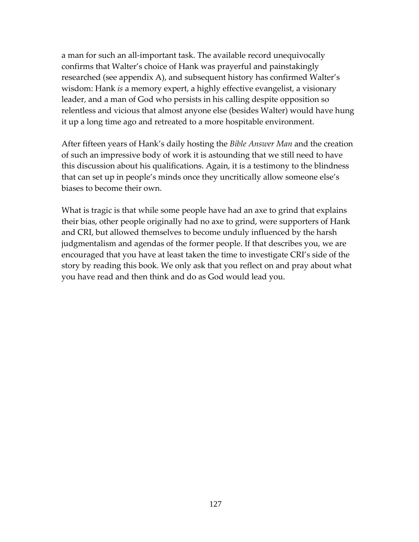a man for such an all-important task. The available record unequivocally confirms that Walter's choice of Hank was prayerful and painstakingly researched (see appendix A), and subsequent history has confirmed Walter's wisdom: Hank *is* a memory expert, a highly effective evangelist, a visionary leader, and a man of God who persists in his calling despite opposition so relentless and vicious that almost anyone else (besides Walter) would have hung it up a long time ago and retreated to a more hospitable environment.

After fifteen years of Hank's daily hosting the *Bible Answer Man* and the creation of such an impressive body of work it is astounding that we still need to have this discussion about his qualifications. Again, it is a testimony to the blindness that can set up in people's minds once they uncritically allow someone else's biases to become their own.

What is tragic is that while some people have had an axe to grind that explains their bias, other people originally had no axe to grind, were supporters of Hank and CRI, but allowed themselves to become unduly influenced by the harsh judgmentalism and agendas of the former people. If that describes you, we are encouraged that you have at least taken the time to investigate CRI's side of the story by reading this book. We only ask that you reflect on and pray about what you have read and then think and do as God would lead you.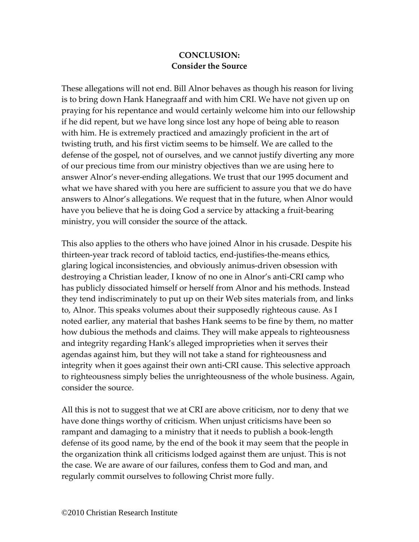## **CONCLUSION: Consider the Source**

These allegations will not end. Bill Alnor behaves as though his reason for living is to bring down Hank Hanegraaff and with him CRI. We have not given up on praying for his repentance and would certainly welcome him into our fellowship if he did repent, but we have long since lost any hope of being able to reason with him. He is extremely practiced and amazingly proficient in the art of twisting truth, and his first victim seems to be himself. We are called to the defense of the gospel, not of ourselves, and we cannot justify diverting any more of our precious time from our ministry objectives than we are using here to answer Alnor's never-ending allegations. We trust that our 1995 document and what we have shared with you here are sufficient to assure you that we do have answers to Alnor's allegations. We request that in the future, when Alnor would have you believe that he is doing God a service by attacking a fruit-bearing ministry, you will consider the source of the attack.

This also applies to the others who have joined Alnor in his crusade. Despite his thirteen-year track record of tabloid tactics, end-justifies-the-means ethics, glaring logical inconsistencies, and obviously animus-driven obsession with destroying a Christian leader, I know of no one in Alnor's anti-CRI camp who has publicly dissociated himself or herself from Alnor and his methods. Instead they tend indiscriminately to put up on their Web sites materials from, and links to, Alnor. This speaks volumes about their supposedly righteous cause. As I noted earlier, any material that bashes Hank seems to be fine by them, no matter how dubious the methods and claims. They will make appeals to righteousness and integrity regarding Hank's alleged improprieties when it serves their agendas against him, but they will not take a stand for righteousness and integrity when it goes against their own anti-CRI cause. This selective approach to righteousness simply belies the unrighteousness of the whole business. Again, consider the source.

All this is not to suggest that we at CRI are above criticism, nor to deny that we have done things worthy of criticism. When unjust criticisms have been so rampant and damaging to a ministry that it needs to publish a book-length defense of its good name, by the end of the book it may seem that the people in the organization think all criticisms lodged against them are unjust. This is not the case. We are aware of our failures, confess them to God and man, and regularly commit ourselves to following Christ more fully.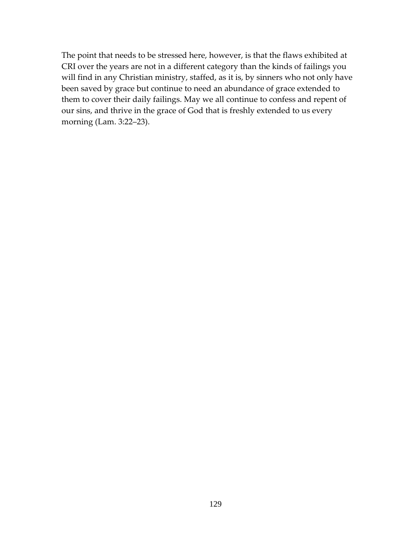The point that needs to be stressed here, however, is that the flaws exhibited at CRI over the years are not in a different category than the kinds of failings you will find in any Christian ministry, staffed, as it is, by sinners who not only have been saved by grace but continue to need an abundance of grace extended to them to cover their daily failings. May we all continue to confess and repent of our sins, and thrive in the grace of God that is freshly extended to us every morning (Lam. 3:22–23).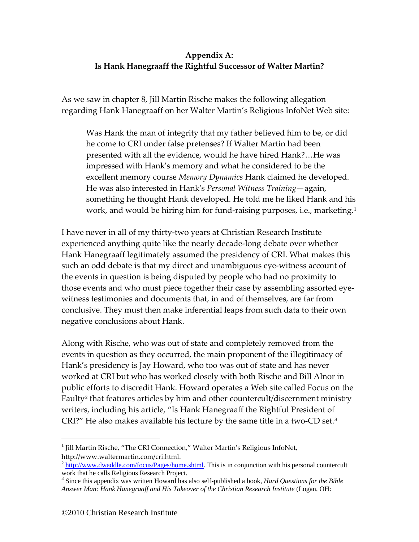# **Appendix A: Is Hank Hanegraaff the Rightful Successor of Walter Martin?**

As we saw in chapter 8, Jill Martin Rische makes the following allegation regarding Hank Hanegraaff on her Walter Martin's Religious InfoNet Web site:

Was Hank the man of integrity that my father believed him to be, or did he come to CRI under false pretenses? If Walter Martin had been presented with all the evidence, would he have hired Hank?…He was impressed with Hank's memory and what he considered to be the excellent memory course *Memory Dynamics* Hank claimed he developed. He was also interested in Hank's *Personal Witness Training*—again, something he thought Hank developed. He told me he liked Hank and his work, and would be hiring him for fund-raising purposes, i.e., marketing.<sup>[1](#page-129-0)</sup>

I have never in all of my thirty-two years at Christian Research Institute experienced anything quite like the nearly decade-long debate over whether Hank Hanegraaff legitimately assumed the presidency of CRI. What makes this such an odd debate is that my direct and unambiguous eye-witness account of the events in question is being disputed by people who had no proximity to those events and who must piece together their case by assembling assorted eyewitness testimonies and documents that, in and of themselves, are far from conclusive. They must then make inferential leaps from such data to their own negative conclusions about Hank.

Along with Rische, who was out of state and completely removed from the events in question as they occurred, the main proponent of the illegitimacy of Hank's presidency is Jay Howard, who too was out of state and has never worked at CRI but who has worked closely with both Rische and Bill Alnor in public efforts to discredit Hank. Howard operates a Web site called Focus on the Faulty<sup>[2](#page-129-1)</sup> that features articles by him and other countercult/discernment ministry writers, including his article, "Is Hank Hanegraaff the Rightful President of CRI?" He also makes available his lecture by the same title in a two-CD set.[3](#page-129-2)

<span id="page-129-0"></span><sup>&</sup>lt;sup>1</sup> Jill Martin Rische, "The CRI Connection," Walter Martin's Religious InfoNet, [http://www.waltermartin.com/cri.html.](http://www.waltermartin.com/cri.html)

<span id="page-129-1"></span> $2<sup>2</sup>$  [http://www.dwaddle.com/focus/Pages/home.shtml.](http://www.dwaddle.com/focus/Pages/home.shtml) This is in conjunction with his personal countercult work that he calls Religious Research Project.

<span id="page-129-2"></span><sup>3</sup> Since this appendix was written Howard has also self-published a book, *Hard Questions for the Bible Answer Man: Hank Hanegraaff and His Takeover of the Christian Research Institute* (Logan, OH: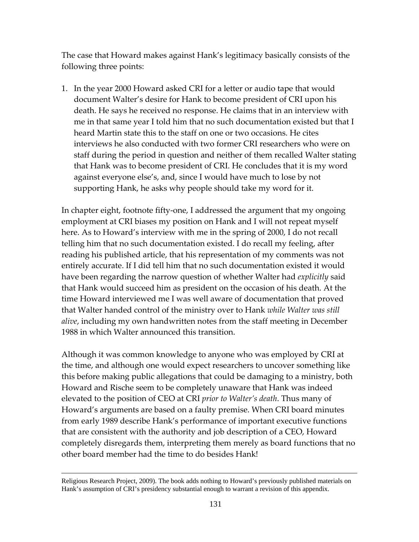The case that Howard makes against Hank's legitimacy basically consists of the following three points:

1. In the year 2000 Howard asked CRI for a letter or audio tape that would document Walter's desire for Hank to become president of CRI upon his death. He says he received no response. He claims that in an interview with me in that same year I told him that no such documentation existed but that I heard Martin state this to the staff on one or two occasions. He cites interviews he also conducted with two former CRI researchers who were on staff during the period in question and neither of them recalled Walter stating that Hank was to become president of CRI. He concludes that it is my word against everyone else's, and, since I would have much to lose by not supporting Hank, he asks why people should take my word for it.

In chapter eight, footnote fifty-one, I addressed the argument that my ongoing employment at CRI biases my position on Hank and I will not repeat myself here. As to Howard's interview with me in the spring of 2000, I do not recall telling him that no such documentation existed. I do recall my feeling, after reading his published article, that his representation of my comments was not entirely accurate. If I did tell him that no such documentation existed it would have been regarding the narrow question of whether Walter had *explicitly* said that Hank would succeed him as president on the occasion of his death. At the time Howard interviewed me I was well aware of documentation that proved that Walter handed control of the ministry over to Hank *while Walter was still alive*, including my own handwritten notes from the staff meeting in December 1988 in which Walter announced this transition.

Although it was common knowledge to anyone who was employed by CRI at the time, and although one would expect researchers to uncover something like this before making public allegations that could be damaging to a ministry, both Howard and Rische seem to be completely unaware that Hank was indeed elevated to the position of CEO at CRI *prior to Walter's death*. Thus many of Howard's arguments are based on a faulty premise. When CRI board minutes from early 1989 describe Hank's performance of important executive functions that are consistent with the authority and job description of a CEO, Howard completely disregards them, interpreting them merely as board functions that no other board member had the time to do besides Hank!

Religious Research Project, 2009). The book adds nothing to Howard's previously published materials on Hank's assumption of CRI's presidency substantial enough to warrant a revision of this appendix.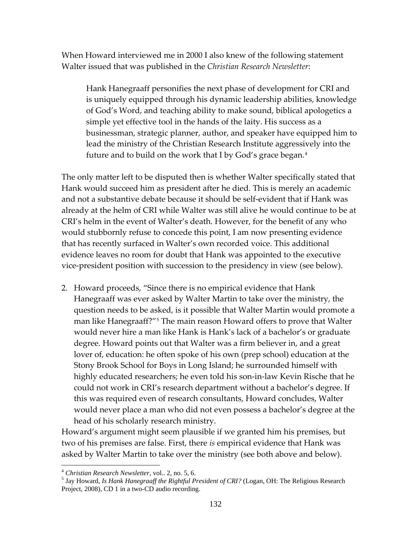When Howard interviewed me in 2000 I also knew of the following statement Walter issued that was published in the *Christian Research Newsletter*:

Hank Hanegraaff personifies the next phase of development for CRI and is uniquely equipped through his dynamic leadership abilities, knowledge of God's Word, and teaching ability to make sound, biblical apologetics a simple yet effective tool in the hands of the laity. His success as a businessman, strategic planner, author, and speaker have equipped him to lead the ministry of the Christian Research Institute aggressively into the future and to build on the work that I by God's grace began.<sup>[4](#page-131-0)</sup>

The only matter left to be disputed then is whether Walter specifically stated that Hank would succeed him as president after he died. This is merely an academic and not a substantive debate because it should be self-evident that if Hank was already at the helm of CRI while Walter was still alive he would continue to be at CRI's helm in the event of Walter's death. However, for the benefit of any who would stubbornly refuse to concede this point, I am now presenting evidence that has recently surfaced in Walter's own recorded voice. This additional evidence leaves no room for doubt that Hank was appointed to the executive vice-president position with succession to the presidency in view (see below).

2. Howard proceeds, "Since there is no empirical evidence that Hank Hanegraaff was ever asked by Walter Martin to take over the ministry, the question needs to be asked, is it possible that Walter Martin would promote a man like Hanegraaff?"[5](#page-131-1) The main reason Howard offers to prove that Walter would never hire a man like Hank is Hank's lack of a bachelor's or graduate degree. Howard points out that Walter was a firm believer in, and a great lover of, education: he often spoke of his own (prep school) education at the Stony Brook School for Boys in Long Island; he surrounded himself with highly educated researchers; he even told his son-in-law Kevin Rische that he could not work in CRI's research department without a bachelor's degree. If this was required even of research consultants, Howard concludes, Walter would never place a man who did not even possess a bachelor's degree at the head of his scholarly research ministry.

Howard's argument might seem plausible if we granted him his premises, but two of his premises are false. First, there *is* empirical evidence that Hank was asked by Walter Martin to take over the ministry (see both above and below).

<span id="page-131-1"></span><span id="page-131-0"></span><sup>&</sup>lt;sup>4</sup> *Christian Research Newsletter, vol.. 2, no. 5, 6.*<br><sup>5</sup> Jay Howard, *Is Hank Hanegraaff the Rightful President of CRI?* (Logan, OH: The Religious Research Project, 2008), CD 1 in a two-CD audio recording.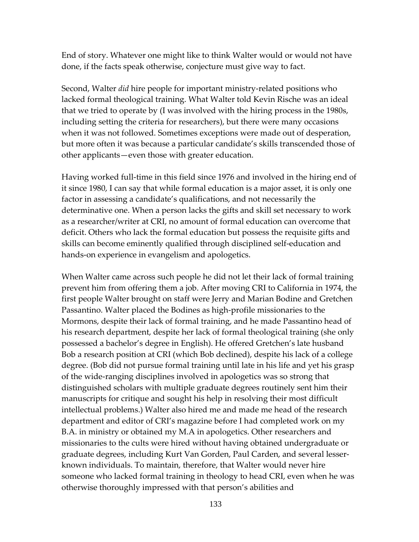End of story. Whatever one might like to think Walter would or would not have done, if the facts speak otherwise, conjecture must give way to fact.

Second, Walter *did* hire people for important ministry-related positions who lacked formal theological training. What Walter told Kevin Rische was an ideal that we tried to operate by (I was involved with the hiring process in the 1980s, including setting the criteria for researchers), but there were many occasions when it was not followed. Sometimes exceptions were made out of desperation, but more often it was because a particular candidate's skills transcended those of other applicants—even those with greater education.

Having worked full-time in this field since 1976 and involved in the hiring end of it since 1980, I can say that while formal education is a major asset, it is only one factor in assessing a candidate's qualifications, and not necessarily the determinative one. When a person lacks the gifts and skill set necessary to work as a researcher/writer at CRI, no amount of formal education can overcome that deficit. Others who lack the formal education but possess the requisite gifts and skills can become eminently qualified through disciplined self-education and hands-on experience in evangelism and apologetics.

When Walter came across such people he did not let their lack of formal training prevent him from offering them a job. After moving CRI to California in 1974, the first people Walter brought on staff were Jerry and Marian Bodine and Gretchen Passantino. Walter placed the Bodines as high-profile missionaries to the Mormons, despite their lack of formal training, and he made Passantino head of his research department, despite her lack of formal theological training (she only possessed a bachelor's degree in English). He offered Gretchen's late husband Bob a research position at CRI (which Bob declined), despite his lack of a college degree. (Bob did not pursue formal training until late in his life and yet his grasp of the wide-ranging disciplines involved in apologetics was so strong that distinguished scholars with multiple graduate degrees routinely sent him their manuscripts for critique and sought his help in resolving their most difficult intellectual problems.) Walter also hired me and made me head of the research department and editor of CRI's magazine before I had completed work on my B.A. in ministry or obtained my M.A in apologetics. Other researchers and missionaries to the cults were hired without having obtained undergraduate or graduate degrees, including Kurt Van Gorden, Paul Carden, and several lesserknown individuals. To maintain, therefore, that Walter would never hire someone who lacked formal training in theology to head CRI, even when he was otherwise thoroughly impressed with that person's abilities and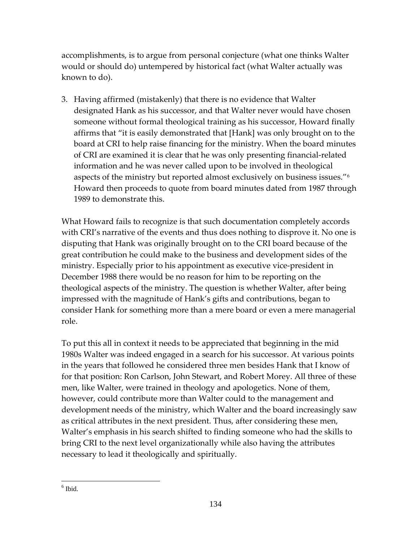accomplishments, is to argue from personal conjecture (what one thinks Walter would or should do) untempered by historical fact (what Walter actually was known to do).

3. Having affirmed (mistakenly) that there is no evidence that Walter designated Hank as his successor, and that Walter never would have chosen someone without formal theological training as his successor, Howard finally affirms that "it is easily demonstrated that [Hank] was only brought on to the board at CRI to help raise financing for the ministry. When the board minutes of CRI are examined it is clear that he was only presenting financial-related information and he was never called upon to be involved in theological aspects of the ministry but reported almost exclusively on business issues.["6](#page-133-0) Howard then proceeds to quote from board minutes dated from 1987 through 1989 to demonstrate this.

What Howard fails to recognize is that such documentation completely accords with CRI's narrative of the events and thus does nothing to disprove it. No one is disputing that Hank was originally brought on to the CRI board because of the great contribution he could make to the business and development sides of the ministry. Especially prior to his appointment as executive vice-president in December 1988 there would be no reason for him to be reporting on the theological aspects of the ministry. The question is whether Walter, after being impressed with the magnitude of Hank's gifts and contributions, began to consider Hank for something more than a mere board or even a mere managerial role.

To put this all in context it needs to be appreciated that beginning in the mid 1980s Walter was indeed engaged in a search for his successor. At various points in the years that followed he considered three men besides Hank that I know of for that position: Ron Carlson, John Stewart, and Robert Morey. All three of these men, like Walter, were trained in theology and apologetics. None of them, however, could contribute more than Walter could to the management and development needs of the ministry, which Walter and the board increasingly saw as critical attributes in the next president. Thus, after considering these men, Walter's emphasis in his search shifted to finding someone who had the skills to bring CRI to the next level organizationally while also having the attributes necessary to lead it theologically and spiritually.

<span id="page-133-0"></span> $<sup>6</sup>$  Ibid.</sup>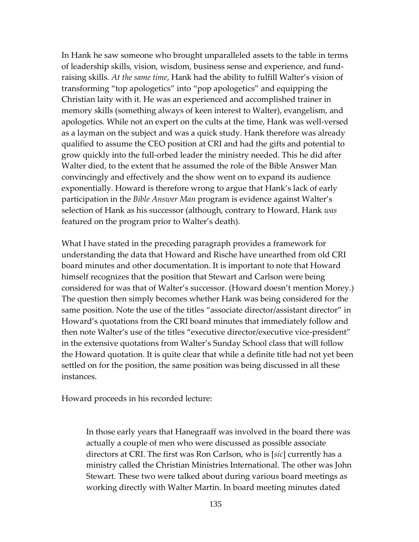In Hank he saw someone who brought unparalleled assets to the table in terms of leadership skills, vision, wisdom, business sense and experience, and fundraising skills. *At the same time*, Hank had the ability to fulfill Walter's vision of transforming "top apologetics" into "pop apologetics" and equipping the Christian laity with it. He was an experienced and accomplished trainer in memory skills (something always of keen interest to Walter), evangelism, and apologetics. While not an expert on the cults at the time, Hank was well-versed as a layman on the subject and was a quick study. Hank therefore was already qualified to assume the CEO position at CRI and had the gifts and potential to grow quickly into the full-orbed leader the ministry needed. This he did after Walter died, to the extent that he assumed the role of the Bible Answer Man convincingly and effectively and the show went on to expand its audience exponentially. Howard is therefore wrong to argue that Hank's lack of early participation in the *Bible Answer Man* program is evidence against Walter's selection of Hank as his successor (although, contrary to Howard, Hank *was* featured on the program prior to Walter's death).

What I have stated in the preceding paragraph provides a framework for understanding the data that Howard and Rische have unearthed from old CRI board minutes and other documentation. It is important to note that Howard himself recognizes that the position that Stewart and Carlson were being considered for was that of Walter's successor. (Howard doesn't mention Morey.) The question then simply becomes whether Hank was being considered for the same position. Note the use of the titles "associate director/assistant director" in Howard's quotations from the CRI board minutes that immediately follow and then note Walter's use of the titles "executive director/executive vice-president" in the extensive quotations from Walter's Sunday School class that will follow the Howard quotation. It is quite clear that while a definite title had not yet been settled on for the position, the same position was being discussed in all these instances.

Howard proceeds in his recorded lecture:

In those early years that Hanegraaff was involved in the board there was actually a couple of men who were discussed as possible associate directors at CRI. The first was Ron Carlson, who is [*sic*] currently has a ministry called the Christian Ministries International. The other was John Stewart. These two were talked about during various board meetings as working directly with Walter Martin. In board meeting minutes dated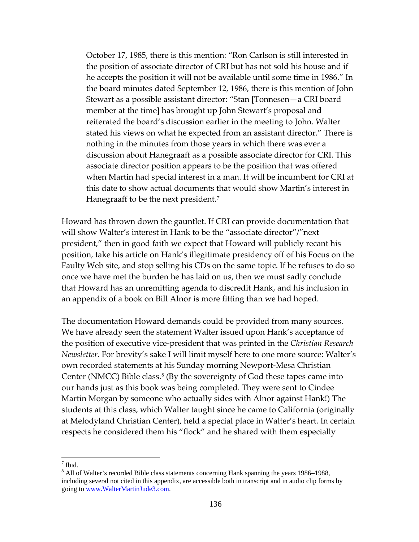October 17, 1985, there is this mention: "Ron Carlson is still interested in the position of associate director of CRI but has not sold his house and if he accepts the position it will not be available until some time in 1986." In the board minutes dated September 12, 1986, there is this mention of John Stewart as a possible assistant director: "Stan [Tonnesen—a CRI board member at the time] has brought up John Stewart's proposal and reiterated the board's discussion earlier in the meeting to John. Walter stated his views on what he expected from an assistant director." There is nothing in the minutes from those years in which there was ever a discussion about Hanegraaff as a possible associate director for CRI. This associate director position appears to be the position that was offered when Martin had special interest in a man. It will be incumbent for CRI at this date to show actual documents that would show Martin's interest in Hanegraaff to be the next president.<sup>[7](#page-135-0)</sup>

Howard has thrown down the gauntlet. If CRI can provide documentation that will show Walter's interest in Hank to be the "associate director"/"next president," then in good faith we expect that Howard will publicly recant his position, take his article on Hank's illegitimate presidency off of his Focus on the Faulty Web site, and stop selling his CDs on the same topic. If he refuses to do so once we have met the burden he has laid on us, then we must sadly conclude that Howard has an unremitting agenda to discredit Hank, and his inclusion in an appendix of a book on Bill Alnor is more fitting than we had hoped.

The documentation Howard demands could be provided from many sources. We have already seen the statement Walter issued upon Hank's acceptance of the position of executive vice-president that was printed in the *Christian Research Newsletter*. For brevity's sake I will limit myself here to one more source: Walter's own recorded statements at his Sunday morning Newport-Mesa Christian Center (NMCC) Bible class.<sup>[8](#page-135-1)</sup> (By the sovereignty of God these tapes came into our hands just as this book was being completed. They were sent to Cindee Martin Morgan by someone who actually sides with Alnor against Hank!) The students at this class, which Walter taught since he came to California (originally at Melodyland Christian Center), held a special place in Walter's heart. In certain respects he considered them his "flock" and he shared with them especially

<span id="page-135-0"></span> <sup>7</sup> Ibid.

<span id="page-135-1"></span><sup>&</sup>lt;sup>8</sup> All of Walter's recorded Bible class statements concerning Hank spanning the years 1986–1988, including several not cited in this appendix, are accessible both in transcript and in audio clip forms by going t[o www.WalterMartinJude3.com.](http://www.waltermartinjude3.com/)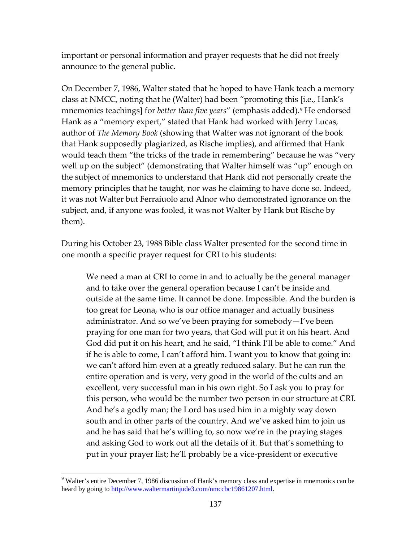important or personal information and prayer requests that he did not freely announce to the general public.

On December 7, 1986, Walter stated that he hoped to have Hank teach a memory class at NMCC, noting that he (Walter) had been "promoting this [i.e., Hank's mnemonics teachings] for *better than five years*" (emphasis added).<sup>[9](#page-136-0)</sup> He endorsed Hank as a "memory expert," stated that Hank had worked with Jerry Lucas, author of *The Memory Book* (showing that Walter was not ignorant of the book that Hank supposedly plagiarized, as Rische implies), and affirmed that Hank would teach them "the tricks of the trade in remembering" because he was "very well up on the subject" (demonstrating that Walter himself was "up" enough on the subject of mnemonics to understand that Hank did not personally create the memory principles that he taught, nor was he claiming to have done so. Indeed, it was not Walter but Ferraiuolo and Alnor who demonstrated ignorance on the subject, and, if anyone was fooled, it was not Walter by Hank but Rische by them).

During his October 23, 1988 Bible class Walter presented for the second time in one month a specific prayer request for CRI to his students:

We need a man at CRI to come in and to actually be the general manager and to take over the general operation because I can't be inside and outside at the same time. It cannot be done. Impossible. And the burden is too great for Leona, who is our office manager and actually business administrator. And so we've been praying for somebody—I've been praying for one man for two years, that God will put it on his heart. And God did put it on his heart, and he said, "I think I'll be able to come." And if he is able to come, I can't afford him. I want you to know that going in: we can't afford him even at a greatly reduced salary. But he can run the entire operation and is very, very good in the world of the cults and an excellent, very successful man in his own right. So I ask you to pray for this person, who would be the number two person in our structure at CRI. And he's a godly man; the Lord has used him in a mighty way down south and in other parts of the country. And we've asked him to join us and he has said that he's willing to, so now we're in the praying stages and asking God to work out all the details of it. But that's something to put in your prayer list; he'll probably be a vice-president or executive

<span id="page-136-0"></span> <sup>9</sup> Walter's entire December 7, 1986 discussion of Hank's memory class and expertise in mnemonics can be heard by going to [http://www.waltermartinjude3.com/nmccbc19861207.html.](http://www.waltermartinjude3.com/nmccbc19861207.html)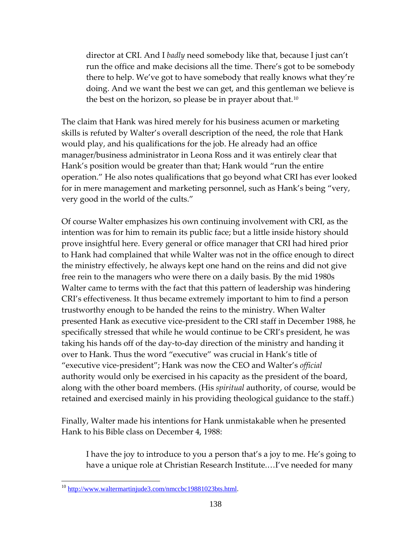director at CRI. And I *badly* need somebody like that, because I just can't run the office and make decisions all the time. There's got to be somebody there to help. We've got to have somebody that really knows what they're doing. And we want the best we can get, and this gentleman we believe is the best on the horizon, so please be in prayer about that.<sup>[10](#page-137-0)</sup>

The claim that Hank was hired merely for his business acumen or marketing skills is refuted by Walter's overall description of the need, the role that Hank would play, and his qualifications for the job. He already had an office manager/business administrator in Leona Ross and it was entirely clear that Hank's position would be greater than that; Hank would "run the entire operation." He also notes qualifications that go beyond what CRI has ever looked for in mere management and marketing personnel, such as Hank's being "very, very good in the world of the cults."

Of course Walter emphasizes his own continuing involvement with CRI, as the intention was for him to remain its public face; but a little inside history should prove insightful here. Every general or office manager that CRI had hired prior to Hank had complained that while Walter was not in the office enough to direct the ministry effectively, he always kept one hand on the reins and did not give free rein to the managers who were there on a daily basis. By the mid 1980s Walter came to terms with the fact that this pattern of leadership was hindering CRI's effectiveness. It thus became extremely important to him to find a person trustworthy enough to be handed the reins to the ministry. When Walter presented Hank as executive vice-president to the CRI staff in December 1988, he specifically stressed that while he would continue to be CRI's president, he was taking his hands off of the day-to-day direction of the ministry and handing it over to Hank. Thus the word "executive" was crucial in Hank's title of "executive vice-president"; Hank was now the CEO and Walter's *official* authority would only be exercised in his capacity as the president of the board, along with the other board members. (His *spiritual* authority, of course, would be retained and exercised mainly in his providing theological guidance to the staff.)

Finally, Walter made his intentions for Hank unmistakable when he presented Hank to his Bible class on December 4, 1988:

I have the joy to introduce to you a person that's a joy to me. He's going to have a unique role at Christian Research Institute.…I've needed for many

<span id="page-137-0"></span> <sup>10</sup> [http://www.waltermartinjude3.com/nmccbc19881023bts.html.](http://www.waltermartinjude3.com/nmccbc19881023bts.html)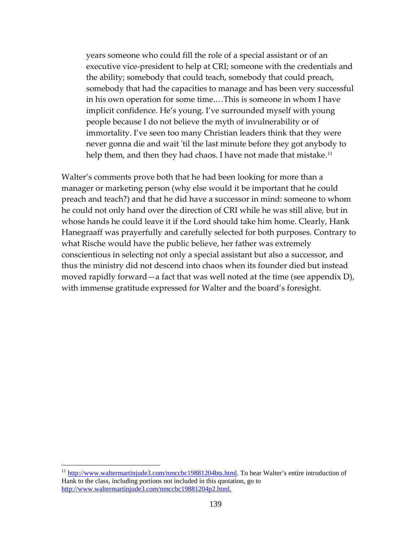years someone who could fill the role of a special assistant or of an executive vice-president to help at CRI; someone with the credentials and the ability; somebody that could teach, somebody that could preach, somebody that had the capacities to manage and has been very successful in his own operation for some time.…This is someone in whom I have implicit confidence. He's young. I've surrounded myself with young people because I do not believe the myth of invulnerability or of immortality. I've seen too many Christian leaders think that they were never gonna die and wait 'til the last minute before they got anybody to help them, and then they had chaos. I have not made that mistake.<sup>[11](#page-138-0)</sup>

Walter's comments prove both that he had been looking for more than a manager or marketing person (why else would it be important that he could preach and teach?) and that he did have a successor in mind: someone to whom he could not only hand over the direction of CRI while he was still alive, but in whose hands he could leave it if the Lord should take him home. Clearly, Hank Hanegraaff was prayerfully and carefully selected for both purposes. Contrary to what Rische would have the public believe, her father was extremely conscientious in selecting not only a special assistant but also a successor, and thus the ministry did not descend into chaos when its founder died but instead moved rapidly forward—a fact that was well noted at the time (see appendix D), with immense gratitude expressed for Walter and the board's foresight.

<span id="page-138-0"></span><sup>&</sup>lt;sup>11</sup> [http://www.waltermartinjude3.com/nmccbc19881204bts.html.](http://www.waltermartinjude3.com/nmccbc19881204bts.html) To hear Walter's entire introduction of Hank to the class, including portions not included in this quotation, go to <http://www.waltermartinjude3.com/nmccbc19881204p2.html.>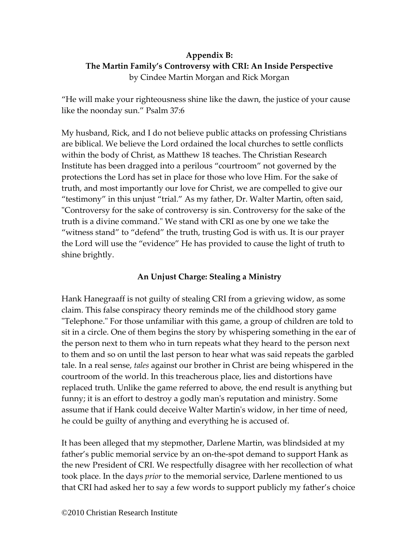# **Appendix B: The Martin Family's Controversy with CRI: An Inside Perspective**  by Cindee Martin Morgan and Rick Morgan

"He will make your righteousness shine like the dawn, the justice of your cause like the noonday sun." Psalm 37:6

My husband, Rick, and I do not believe public attacks on professing Christians are biblical. We believe the Lord ordained the local churches to settle conflicts within the body of Christ, as Matthew 18 teaches. The Christian Research Institute has been dragged into a perilous "courtroom" not governed by the protections the Lord has set in place for those who love Him. For the sake of truth, and most importantly our love for Christ, we are compelled to give our "testimony" in this unjust "trial." As my father, Dr. Walter Martin, often said, "Controversy for the sake of controversy is sin. Controversy for the sake of the truth is a divine command." We stand with CRI as one by one we take the "witness stand" to "defend" the truth, trusting God is with us. It is our prayer the Lord will use the "evidence" He has provided to cause the light of truth to shine brightly.

## **An Unjust Charge: Stealing a Ministry**

Hank Hanegraaff is not guilty of stealing CRI from a grieving widow, as some claim. This false conspiracy theory reminds me of the childhood story game "Telephone." For those unfamiliar with this game, a group of children are told to sit in a circle. One of them begins the story by whispering something in the ear of the person next to them who in turn repeats what they heard to the person next to them and so on until the last person to hear what was said repeats the garbled tale. In a real sense, *tales* against our brother in Christ are being whispered in the courtroom of the world. In this treacherous place, lies and distortions have replaced truth. Unlike the game referred to above, the end result is anything but funny; it is an effort to destroy a godly man's reputation and ministry. Some assume that if Hank could deceive Walter Martin's widow, in her time of need, he could be guilty of anything and everything he is accused of.

It has been alleged that my stepmother, Darlene Martin, was blindsided at my father's public memorial service by an on-the-spot demand to support Hank as the new President of CRI. We respectfully disagree with her recollection of what took place. In the days *prior* to the memorial service, Darlene mentioned to us that CRI had asked her to say a few words to support publicly my father's choice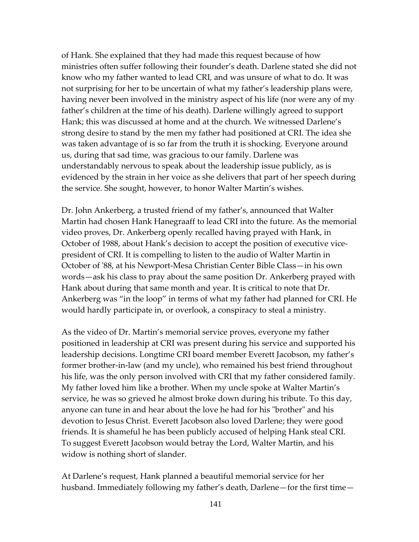of Hank. She explained that they had made this request because of how ministries often suffer following their founder's death. Darlene stated she did not know who my father wanted to lead CRI, and was unsure of what to do. It was not surprising for her to be uncertain of what my father's leadership plans were, having never been involved in the ministry aspect of his life (nor were any of my father's children at the time of his death). Darlene willingly agreed to support Hank; this was discussed at home and at the church. We witnessed Darlene's strong desire to stand by the men my father had positioned at CRI. The idea she was taken advantage of is so far from the truth it is shocking. Everyone around us, during that sad time, was gracious to our family. Darlene was understandably nervous to speak about the leadership issue publicly, as is evidenced by the strain in her voice as she delivers that part of her speech during the service. She sought, however, to honor Walter Martin's wishes.

Dr. John Ankerberg, a trusted friend of my father's, announced that Walter Martin had chosen Hank Hanegraaff to lead CRI into the future. As the memorial video proves, Dr. Ankerberg openly recalled having prayed with Hank, in October of 1988, about Hank's decision to accept the position of executive vicepresident of CRI. It is compelling to listen to the audio of Walter Martin in October of '88, at his Newport-Mesa Christian Center Bible Class—in his own words—ask his class to pray about the same position Dr. Ankerberg prayed with Hank about during that same month and year. It is critical to note that Dr. Ankerberg was "in the loop" in terms of what my father had planned for CRI. He would hardly participate in, or overlook, a conspiracy to steal a ministry.

As the video of Dr. Martin's memorial service proves, everyone my father positioned in leadership at CRI was present during his service and supported his leadership decisions. Longtime CRI board member Everett Jacobson, my father's former brother-in-law (and my uncle), who remained his best friend throughout his life, was the only person involved with CRI that my father considered family. My father loved him like a brother. When my uncle spoke at Walter Martin's service, he was so grieved he almost broke down during his tribute. To this day, anyone can tune in and hear about the love he had for his "brother" and his devotion to Jesus Christ. Everett Jacobson also loved Darlene; they were good friends. It is shameful he has been publicly accused of helping Hank steal CRI. To suggest Everett Jacobson would betray the Lord, Walter Martin, and his widow is nothing short of slander.

At Darlene's request, Hank planned a beautiful memorial service for her husband. Immediately following my father's death, Darlene—for the first time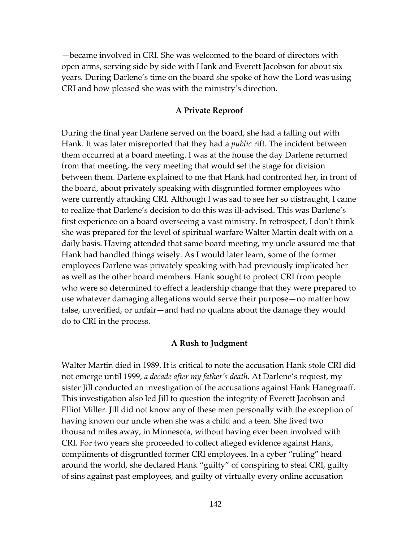—became involved in CRI. She was welcomed to the board of directors with open arms, serving side by side with Hank and Everett Jacobson for about six years. During Darlene's time on the board she spoke of how the Lord was using CRI and how pleased she was with the ministry's direction.

### **A Private Reproof**

During the final year Darlene served on the board, she had a falling out with Hank. It was later misreported that they had a *public* rift. The incident between them occurred at a board meeting. I was at the house the day Darlene returned from that meeting, the very meeting that would set the stage for division between them. Darlene explained to me that Hank had confronted her, in front of the board, about privately speaking with disgruntled former employees who were currently attacking CRI. Although I was sad to see her so distraught, I came to realize that Darlene's decision to do this was ill-advised. This was Darlene's first experience on a board overseeing a vast ministry. In retrospect, I don't think she was prepared for the level of spiritual warfare Walter Martin dealt with on a daily basis. Having attended that same board meeting, my uncle assured me that Hank had handled things wisely. As I would later learn, some of the former employees Darlene was privately speaking with had previously implicated her as well as the other board members. Hank sought to protect CRI from people who were so determined to effect a leadership change that they were prepared to use whatever damaging allegations would serve their purpose—no matter how false, unverified, or unfair—and had no qualms about the damage they would do to CRI in the process.

#### **A Rush to Judgment**

Walter Martin died in 1989. It is critical to note the accusation Hank stole CRI did not emerge until 1999, *a decade after my father's death.* At Darlene's request, my sister Jill conducted an investigation of the accusations against Hank Hanegraaff. This investigation also led Jill to question the integrity of Everett Jacobson and Elliot Miller. Jill did not know any of these men personally with the exception of having known our uncle when she was a child and a teen. She lived two thousand miles away, in Minnesota, without having ever been involved with CRI. For two years she proceeded to collect alleged evidence against Hank, compliments of disgruntled former CRI employees. In a cyber "ruling" heard around the world, she declared Hank "guilty" of conspiring to steal CRI, guilty of sins against past employees, and guilty of virtually every online accusation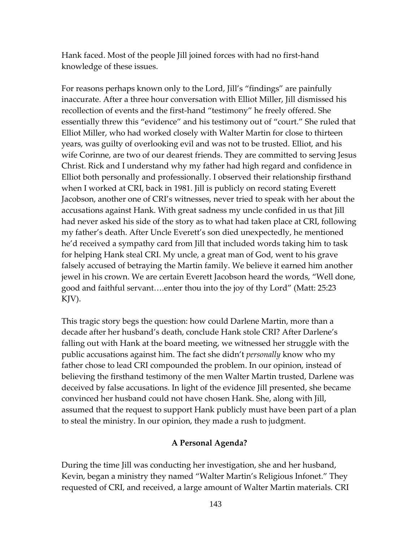Hank faced. Most of the people Jill joined forces with had no first-hand knowledge of these issues.

For reasons perhaps known only to the Lord, Jill's "findings" are painfully inaccurate. After a three hour conversation with Elliot Miller, Jill dismissed his recollection of events and the first-hand "testimony" he freely offered. She essentially threw this "evidence" and his testimony out of "court." She ruled that Elliot Miller, who had worked closely with Walter Martin for close to thirteen years, was guilty of overlooking evil and was not to be trusted. Elliot, and his wife Corinne, are two of our dearest friends. They are committed to serving Jesus Christ. Rick and I understand why my father had high regard and confidence in Elliot both personally and professionally. I observed their relationship firsthand when I worked at CRI, back in 1981. Jill is publicly on record stating Everett Jacobson, another one of CRI's witnesses, never tried to speak with her about the accusations against Hank. With great sadness my uncle confided in us that Jill had never asked his side of the story as to what had taken place at CRI, following my father's death. After Uncle Everett's son died unexpectedly, he mentioned he'd received a sympathy card from Jill that included words taking him to task for helping Hank steal CRI. My uncle, a great man of God, went to his grave falsely accused of betraying the Martin family. We believe it earned him another jewel in his crown. We are certain Everett Jacobson heard the words, "Well done, good and faithful servant….enter thou into the joy of thy Lord" (Matt: 25:23 KJV).

This tragic story begs the question: how could Darlene Martin, more than a decade after her husband's death, conclude Hank stole CRI? After Darlene's falling out with Hank at the board meeting, we witnessed her struggle with the public accusations against him. The fact she didn't *personally* know who my father chose to lead CRI compounded the problem. In our opinion, instead of believing the firsthand testimony of the men Walter Martin trusted, Darlene was deceived by false accusations. In light of the evidence Jill presented, she became convinced her husband could not have chosen Hank. She, along with Jill, assumed that the request to support Hank publicly must have been part of a plan to steal the ministry. In our opinion, they made a rush to judgment.

## **A Personal Agenda?**

During the time Jill was conducting her investigation, she and her husband, Kevin, began a ministry they named "Walter Martin's Religious Infonet." They requested of CRI, and received, a large amount of Walter Martin materials. CRI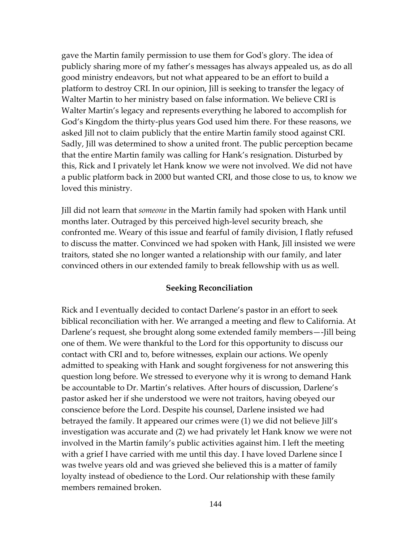gave the Martin family permission to use them for God's glory. The idea of publicly sharing more of my father's messages has always appealed us, as do all good ministry endeavors, but not what appeared to be an effort to build a platform to destroy CRI. In our opinion, Jill is seeking to transfer the legacy of Walter Martin to her ministry based on false information. We believe CRI is Walter Martin's legacy and represents everything he labored to accomplish for God's Kingdom the thirty-plus years God used him there. For these reasons, we asked Jill not to claim publicly that the entire Martin family stood against CRI. Sadly, Jill was determined to show a united front. The public perception became that the entire Martin family was calling for Hank's resignation. Disturbed by this, Rick and I privately let Hank know we were not involved. We did not have a public platform back in 2000 but wanted CRI, and those close to us, to know we loved this ministry.

Jill did not learn that *someone* in the Martin family had spoken with Hank until months later. Outraged by this perceived high-level security breach, she confronted me. Weary of this issue and fearful of family division, I flatly refused to discuss the matter. Convinced we had spoken with Hank, Jill insisted we were traitors, stated she no longer wanted a relationship with our family, and later convinced others in our extended family to break fellowship with us as well.

### **Seeking Reconciliation**

Rick and I eventually decided to contact Darlene's pastor in an effort to seek biblical reconciliation with her. We arranged a meeting and flew to California. At Darlene's request, she brought along some extended family members—-Jill being one of them. We were thankful to the Lord for this opportunity to discuss our contact with CRI and to, before witnesses, explain our actions. We openly admitted to speaking with Hank and sought forgiveness for not answering this question long before. We stressed to everyone why it is wrong to demand Hank be accountable to Dr. Martin's relatives. After hours of discussion, Darlene's pastor asked her if she understood we were not traitors, having obeyed our conscience before the Lord. Despite his counsel, Darlene insisted we had betrayed the family. It appeared our crimes were (1) we did not believe Jill's investigation was accurate and (2) we had privately let Hank know we were not involved in the Martin family's public activities against him. I left the meeting with a grief I have carried with me until this day. I have loved Darlene since I was twelve years old and was grieved she believed this is a matter of family loyalty instead of obedience to the Lord. Our relationship with these family members remained broken.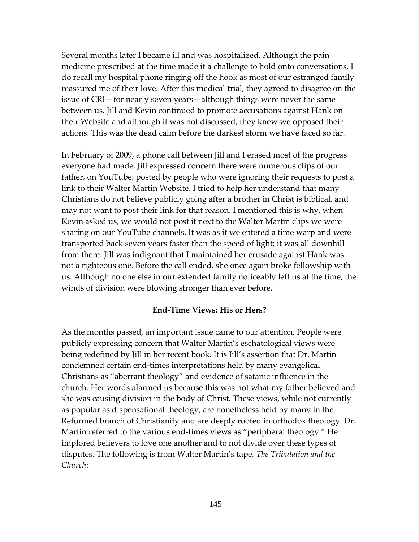Several months later I became ill and was hospitalized. Although the pain medicine prescribed at the time made it a challenge to hold onto conversations, I do recall my hospital phone ringing off the hook as most of our estranged family reassured me of their love. After this medical trial, they agreed to disagree on the issue of CRI—for nearly seven years—although things were never the same between us. Jill and Kevin continued to promote accusations against Hank on their Website and although it was not discussed, they knew we opposed their actions. This was the dead calm before the darkest storm we have faced so far.

In February of 2009, a phone call between Jill and I erased most of the progress everyone had made. Jill expressed concern there were numerous clips of our father, on YouTube, posted by people who were ignoring their requests to post a link to their Walter Martin Website. I tried to help her understand that many Christians do not believe publicly going after a brother in Christ is biblical, and may not want to post their link for that reason. I mentioned this is why, when Kevin asked us, we would not post it next to the Walter Martin clips we were sharing on our YouTube channels. It was as if we entered a time warp and were transported back seven years faster than the speed of light; it was all downhill from there. Jill was indignant that I maintained her crusade against Hank was not a righteous one. Before the call ended, she once again broke fellowship with us. Although no one else in our extended family noticeably left us at the time, the winds of division were blowing stronger than ever before.

### **End-Time Views: His or Hers?**

As the months passed, an important issue came to our attention. People were publicly expressing concern that Walter Martin's eschatological views were being redefined by Jill in her recent book. It is Jill's assertion that Dr. Martin condemned certain end-times interpretations held by many evangelical Christians as "aberrant theology" and evidence of satanic influence in the church. Her words alarmed us because this was not what my father believed and she was causing division in the body of Christ. These views, while not currently as popular as dispensational theology, are nonetheless held by many in the Reformed branch of Christianity and are deeply rooted in orthodox theology. Dr. Martin referred to the various end-times views as "peripheral theology." He implored believers to love one another and to not divide over these types of disputes. The following is from Walter Martin's tape, *The Tribulation and the Church*: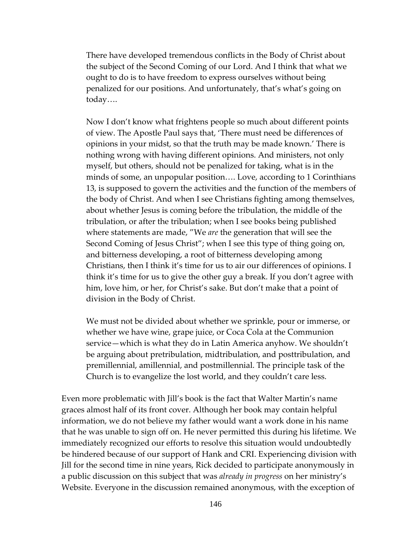There have developed tremendous conflicts in the Body of Christ about the subject of the Second Coming of our Lord. And I think that what we ought to do is to have freedom to express ourselves without being penalized for our positions. And unfortunately, that's what's going on today….

Now I don't know what frightens people so much about different points of view. The Apostle Paul says that, 'There must need be differences of opinions in your midst, so that the truth may be made known.' There is nothing wrong with having different opinions. And ministers, not only myself, but others, should not be penalized for taking, what is in the minds of some, an unpopular position…. Love, according to 1 Corinthians 13, is supposed to govern the activities and the function of the members of the body of Christ. And when I see Christians fighting among themselves, about whether Jesus is coming before the tribulation, the middle of the tribulation, or after the tribulation; when I see books being published where statements are made, "We *are* the generation that will see the Second Coming of Jesus Christ"; when I see this type of thing going on, and bitterness developing, a root of bitterness developing among Christians, then I think it's time for us to air our differences of opinions. I think it's time for us to give the other guy a break. If you don't agree with him, love him, or her, for Christ's sake. But don't make that a point of division in the Body of Christ.

We must not be divided about whether we sprinkle, pour or immerse, or whether we have wine, grape juice, or Coca Cola at the Communion service—which is what they do in Latin America anyhow. We shouldn't be arguing about pretribulation, midtribulation, and posttribulation, and premillennial, amillennial, and postmillennial. The principle task of the Church is to evangelize the lost world, and they couldn't care less.

Even more problematic with Jill's book is the fact that Walter Martin's name graces almost half of its front cover. Although her book may contain helpful information, we do not believe my father would want a work done in his name that he was unable to sign off on. He never permitted this during his lifetime. We immediately recognized our efforts to resolve this situation would undoubtedly be hindered because of our support of Hank and CRI. Experiencing division with Jill for the second time in nine years, Rick decided to participate anonymously in a public discussion on this subject that was *already in progress* on her ministry's Website. Everyone in the discussion remained anonymous, with the exception of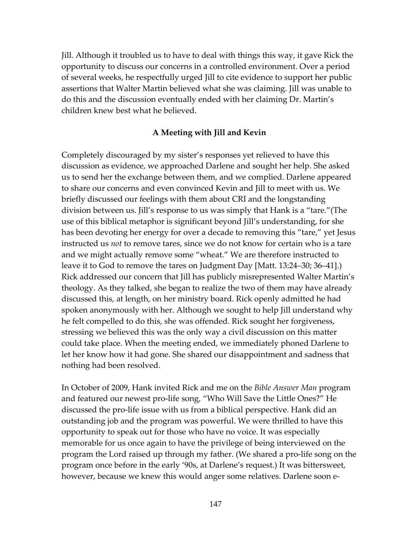Jill. Although it troubled us to have to deal with things this way, it gave Rick the opportunity to discuss our concerns in a controlled environment. Over a period of several weeks, he respectfully urged Jill to cite evidence to support her public assertions that Walter Martin believed what she was claiming. Jill was unable to do this and the discussion eventually ended with her claiming Dr. Martin's children knew best what he believed.

#### **A Meeting with Jill and Kevin**

Completely discouraged by my sister's responses yet relieved to have this discussion as evidence, we approached Darlene and sought her help. She asked us to send her the exchange between them, and we complied. Darlene appeared to share our concerns and even convinced Kevin and Jill to meet with us. We briefly discussed our feelings with them about CRI and the longstanding division between us. Jill's response to us was simply that Hank is a "tare."(The use of this biblical metaphor is significant beyond Jill's understanding, for she has been devoting her energy for over a decade to removing this "tare," yet Jesus instructed us *not* to remove tares, since we do not know for certain who is a tare and we might actually remove some "wheat." We are therefore instructed to leave it to God to remove the tares on Judgment Day [Matt. 13:24–30; 36–41].) Rick addressed our concern that Jill has publicly misrepresented Walter Martin's theology. As they talked, she began to realize the two of them may have already discussed this, at length, on her ministry board. Rick openly admitted he had spoken anonymously with her. Although we sought to help Jill understand why he felt compelled to do this, she was offended. Rick sought her forgiveness, stressing we believed this was the only way a civil discussion on this matter could take place. When the meeting ended, we immediately phoned Darlene to let her know how it had gone. She shared our disappointment and sadness that nothing had been resolved.

In October of 2009, Hank invited Rick and me on the *Bible Answer Man* program and featured our newest pro-life song, "Who Will Save the Little Ones?" He discussed the pro-life issue with us from a biblical perspective. Hank did an outstanding job and the program was powerful. We were thrilled to have this opportunity to speak out for those who have no voice. It was especially memorable for us once again to have the privilege of being interviewed on the program the Lord raised up through my father. (We shared a pro-life song on the program once before in the early '90s, at Darlene's request.) It was bittersweet, however, because we knew this would anger some relatives. Darlene soon e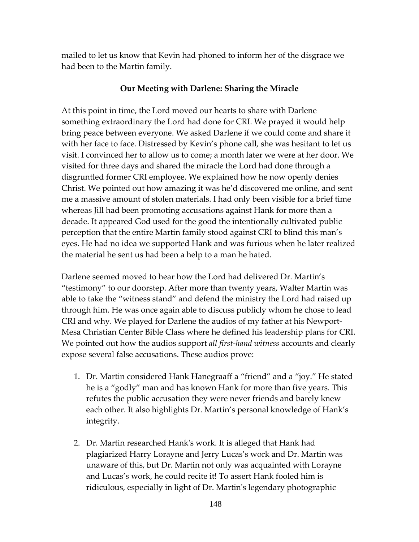mailed to let us know that Kevin had phoned to inform her of the disgrace we had been to the Martin family.

## **Our Meeting with Darlene: Sharing the Miracle**

At this point in time, the Lord moved our hearts to share with Darlene something extraordinary the Lord had done for CRI. We prayed it would help bring peace between everyone. We asked Darlene if we could come and share it with her face to face. Distressed by Kevin's phone call, she was hesitant to let us visit. I convinced her to allow us to come; a month later we were at her door. We visited for three days and shared the miracle the Lord had done through a disgruntled former CRI employee. We explained how he now openly denies Christ. We pointed out how amazing it was he'd discovered me online, and sent me a massive amount of stolen materials. I had only been visible for a brief time whereas Jill had been promoting accusations against Hank for more than a decade. It appeared God used for the good the intentionally cultivated public perception that the entire Martin family stood against CRI to blind this man's eyes. He had no idea we supported Hank and was furious when he later realized the material he sent us had been a help to a man he hated.

Darlene seemed moved to hear how the Lord had delivered Dr. Martin's "testimony" to our doorstep. After more than twenty years, Walter Martin was able to take the "witness stand" and defend the ministry the Lord had raised up through him. He was once again able to discuss publicly whom he chose to lead CRI and why. We played for Darlene the audios of my father at his Newport-Mesa Christian Center Bible Class where he defined his leadership plans for CRI. We pointed out how the audios support *all first-hand witness* accounts and clearly expose several false accusations. These audios prove:

- 1. Dr. Martin considered Hank Hanegraaff a "friend" and a "joy." He stated he is a "godly" man and has known Hank for more than five years. This refutes the public accusation they were never friends and barely knew each other. It also highlights Dr. Martin's personal knowledge of Hank's integrity.
- 2. Dr. Martin researched Hank's work. It is alleged that Hank had plagiarized Harry Lorayne and Jerry Lucas's work and Dr. Martin was unaware of this, but Dr. Martin not only was acquainted with Lorayne and Lucas's work, he could recite it! To assert Hank fooled him is ridiculous, especially in light of Dr. Martin's legendary photographic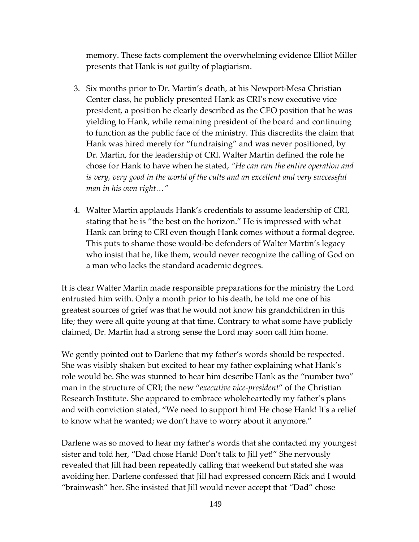memory. These facts complement the overwhelming evidence Elliot Miller presents that Hank is *not* guilty of plagiarism.

- 3. Six months prior to Dr. Martin's death, at his Newport-Mesa Christian Center class, he publicly presented Hank as CRI's new executive vice president, a position he clearly described as the CEO position that he was yielding to Hank, while remaining president of the board and continuing to function as the public face of the ministry. This discredits the claim that Hank was hired merely for "fundraising" and was never positioned, by Dr. Martin, for the leadership of CRI. Walter Martin defined the role he chose for Hank to have when he stated, *"He can run the entire operation and is very, very good in the world of the cults and an excellent and very successful man in his own right…"*
- 4. Walter Martin applauds Hank's credentials to assume leadership of CRI, stating that he is "the best on the horizon." He is impressed with what Hank can bring to CRI even though Hank comes without a formal degree. This puts to shame those would-be defenders of Walter Martin's legacy who insist that he, like them, would never recognize the calling of God on a man who lacks the standard academic degrees.

It is clear Walter Martin made responsible preparations for the ministry the Lord entrusted him with. Only a month prior to his death, he told me one of his greatest sources of grief was that he would not know his grandchildren in this life; they were all quite young at that time. Contrary to what some have publicly claimed, Dr. Martin had a strong sense the Lord may soon call him home.

We gently pointed out to Darlene that my father's words should be respected. She was visibly shaken but excited to hear my father explaining what Hank's role would be. She was stunned to hear him describe Hank as the "number two" man in the structure of CRI; the new "*executive vice-president*" of the Christian Research Institute. She appeared to embrace wholeheartedly my father's plans and with conviction stated, "We need to support him! He chose Hank! It's a relief to know what he wanted; we don't have to worry about it anymore."

Darlene was so moved to hear my father's words that she contacted my youngest sister and told her, "Dad chose Hank! Don't talk to Jill yet!" She nervously revealed that Jill had been repeatedly calling that weekend but stated she was avoiding her. Darlene confessed that Jill had expressed concern Rick and I would "brainwash" her. She insisted that Jill would never accept that "Dad" chose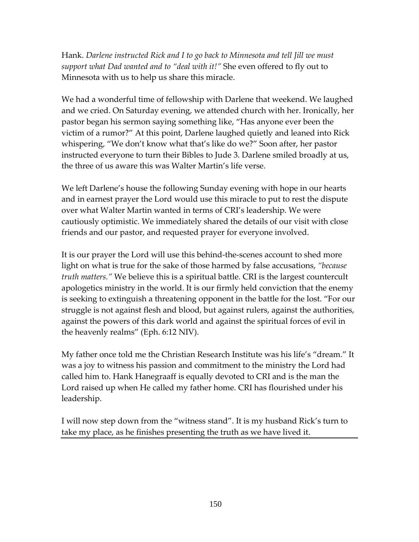Hank. *Darlene instructed Rick and I to go back to Minnesota and tell Jill we must support what Dad wanted and to "deal with it!"* She even offered to fly out to Minnesota with us to help us share this miracle.

We had a wonderful time of fellowship with Darlene that weekend. We laughed and we cried. On Saturday evening, we attended church with her. Ironically, her pastor began his sermon saying something like, "Has anyone ever been the victim of a rumor?" At this point, Darlene laughed quietly and leaned into Rick whispering, "We don't know what that's like do we?" Soon after, her pastor instructed everyone to turn their Bibles to Jude 3. Darlene smiled broadly at us, the three of us aware this was Walter Martin's life verse.

We left Darlene's house the following Sunday evening with hope in our hearts and in earnest prayer the Lord would use this miracle to put to rest the dispute over what Walter Martin wanted in terms of CRI's leadership. We were cautiously optimistic. We immediately shared the details of our visit with close friends and our pastor, and requested prayer for everyone involved.

It is our prayer the Lord will use this behind-the-scenes account to shed more light on what is true for the sake of those harmed by false accusations, *"because truth matters."* We believe this is a spiritual battle. CRI is the largest countercult apologetics ministry in the world. It is our firmly held conviction that the enemy is seeking to extinguish a threatening opponent in the battle for the lost. "For our struggle is not against flesh and blood, but against rulers, against the authorities, against the powers of this dark world and against the spiritual forces of evil in the heavenly realms" (Eph. 6:12 NIV).

My father once told me the Christian Research Institute was his life's "dream." It was a joy to witness his passion and commitment to the ministry the Lord had called him to. Hank Hanegraaff is equally devoted to CRI and is the man the Lord raised up when He called my father home. CRI has flourished under his leadership.

I will now step down from the "witness stand". It is my husband Rick's turn to take my place, as he finishes presenting the truth as we have lived it.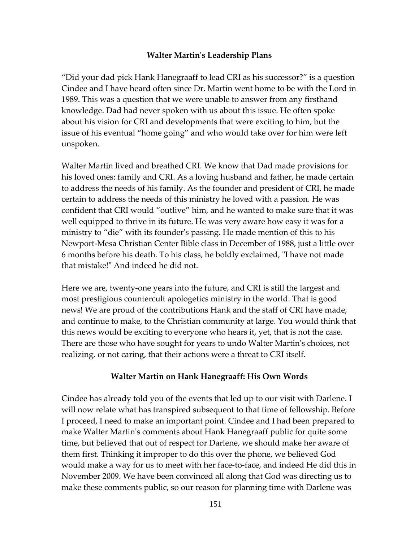## **Walter Martin's Leadership Plans**

"Did your dad pick Hank Hanegraaff to lead CRI as his successor?" is a question Cindee and I have heard often since Dr. Martin went home to be with the Lord in 1989. This was a question that we were unable to answer from any firsthand knowledge. Dad had never spoken with us about this issue. He often spoke about his vision for CRI and developments that were exciting to him, but the issue of his eventual "home going" and who would take over for him were left unspoken.

Walter Martin lived and breathed CRI. We know that Dad made provisions for his loved ones: family and CRI. As a loving husband and father, he made certain to address the needs of his family. As the founder and president of CRI, he made certain to address the needs of this ministry he loved with a passion. He was confident that CRI would "outlive" him, and he wanted to make sure that it was well equipped to thrive in its future. He was very aware how easy it was for a ministry to "die" with its founder's passing. He made mention of this to his Newport-Mesa Christian Center Bible class in December of 1988, just a little over 6 months before his death. To his class, he boldly exclaimed, "I have not made that mistake!" And indeed he did not.

Here we are, twenty-one years into the future, and CRI is still the largest and most prestigious countercult apologetics ministry in the world. That is good news! We are proud of the contributions Hank and the staff of CRI have made, and continue to make, to the Christian community at large. You would think that this news would be exciting to everyone who hears it, yet, that is not the case. There are those who have sought for years to undo Walter Martin's choices, not realizing, or not caring, that their actions were a threat to CRI itself.

## **Walter Martin on Hank Hanegraaff: His Own Words**

Cindee has already told you of the events that led up to our visit with Darlene. I will now relate what has transpired subsequent to that time of fellowship. Before I proceed, I need to make an important point. Cindee and I had been prepared to make Walter Martin's comments about Hank Hanegraaff public for quite some time, but believed that out of respect for Darlene, we should make her aware of them first. Thinking it improper to do this over the phone, we believed God would make a way for us to meet with her face-to-face, and indeed He did this in November 2009. We have been convinced all along that God was directing us to make these comments public, so our reason for planning time with Darlene was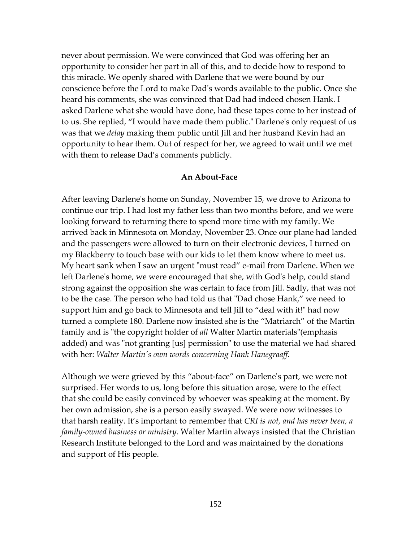never about permission. We were convinced that God was offering her an opportunity to consider her part in all of this, and to decide how to respond to this miracle. We openly shared with Darlene that we were bound by our conscience before the Lord to make Dad's words available to the public. Once she heard his comments, she was convinced that Dad had indeed chosen Hank. I asked Darlene what she would have done, had these tapes come to her instead of to us. She replied, "I would have made them public." Darlene's only request of us was that we *delay* making them public until Jill and her husband Kevin had an opportunity to hear them. Out of respect for her, we agreed to wait until we met with them to release Dad's comments publicly.

#### **An About-Face**

After leaving Darlene's home on Sunday, November 15, we drove to Arizona to continue our trip. I had lost my father less than two months before, and we were looking forward to returning there to spend more time with my family. We arrived back in Minnesota on Monday, November 23. Once our plane had landed and the passengers were allowed to turn on their electronic devices, I turned on my Blackberry to touch base with our kids to let them know where to meet us. My heart sank when I saw an urgent "must read" e-mail from Darlene. When we left Darlene's home, we were encouraged that she, with God's help, could stand strong against the opposition she was certain to face from Jill. Sadly, that was not to be the case. The person who had told us that "Dad chose Hank," we need to support him and go back to Minnesota and tell Jill to "deal with it!" had now turned a complete 180. Darlene now insisted she is the "Matriarch" of the Martin family and is "the copyright holder of *all* Walter Martin materials"(emphasis added) and was "not granting [us] permission" to use the material we had shared with her: *Walter Martin's own words concerning Hank Hanegraaff.* 

Although we were grieved by this "about-face" on Darlene's part, we were not surprised. Her words to us, long before this situation arose, were to the effect that she could be easily convinced by whoever was speaking at the moment. By her own admission, she is a person easily swayed. We were now witnesses to that harsh reality. It's important to remember that *CRI is not, and has never been, a family-owned business or ministry*. Walter Martin always insisted that the Christian Research Institute belonged to the Lord and was maintained by the donations and support of His people.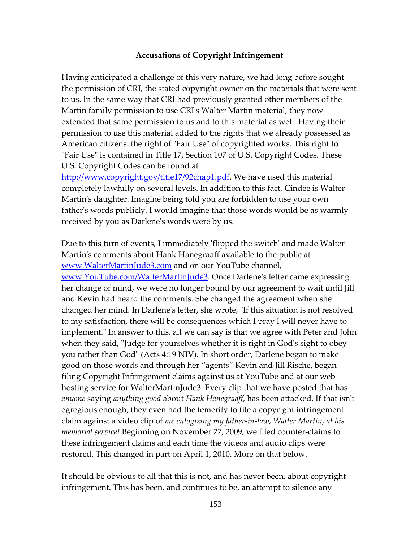## **Accusations of Copyright Infringement**

Having anticipated a challenge of this very nature, we had long before sought the permission of CRI, the stated copyright owner on the materials that were sent to us. In the same way that CRI had previously granted other members of the Martin family permission to use CRI's Walter Martin material, they now extended that same permission to us and to this material as well. Having their permission to use this material added to the rights that we already possessed as American citizens: the right of "Fair Use" of copyrighted works. This right to "Fair Use" is contained in Title 17, Section 107 of U.S. Copyright Codes. These U.S. Copyright Codes can be found at

[http://www.copyright.gov/title17/92chap1.pdf.](http://www.copyright.gov/title17/92chap1.pdf) We have used this material completely lawfully on several levels. In addition to this fact, Cindee is Walter Martin's daughter. Imagine being told you are forbidden to use your own father's words publicly. I would imagine that those words would be as warmly received by you as Darlene's words were by us.

Due to this turn of events, I immediately 'flipped the switch' and made Walter Martin's comments about Hank Hanegraaff available to the public at www.WalterMartinJude3.com and on our YouTube channel, www.YouTube.com/WalterMartinJude3. Once Darlene's letter came expressing her change of mind, we were no longer bound by our agreement to wait until Jill and Kevin had heard the comments. She changed the agreement when she changed her mind. In Darlene's letter, she wrote, "If this situation is not resolved to my satisfaction, there will be consequences which I pray I will never have to implement." In answer to this, all we can say is that we agree with Peter and John when they said, "Judge for yourselves whether it is right in God's sight to obey you rather than God" (Acts 4:19 NIV). In short order, Darlene began to make good on those words and through her "agents" Kevin and Jill Rische, began filing Copyright Infringement claims against us at YouTube and at our web hosting service for WalterMartinJude3. Every clip that we have posted that has *anyone* saying *anything good* about *Hank Hanegraaff*, has been attacked. If that isn't egregious enough, they even had the temerity to file a copyright infringement claim against a video clip of *me eulogizing my father-in-law, Walter Martin, at his memorial service!* Beginning on November 27, 2009, we filed counter-claims to these infringement claims and each time the videos and audio clips were restored. This changed in part on April 1, 2010. More on that below.

It should be obvious to all that this is not, and has never been, about copyright infringement. This has been, and continues to be, an attempt to silence any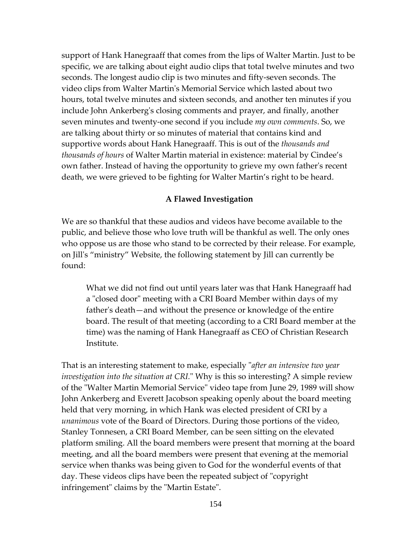support of Hank Hanegraaff that comes from the lips of Walter Martin. Just to be specific, we are talking about eight audio clips that total twelve minutes and two seconds. The longest audio clip is two minutes and fifty-seven seconds. The video clips from Walter Martin's Memorial Service which lasted about two hours, total twelve minutes and sixteen seconds, and another ten minutes if you include John Ankerberg's closing comments and prayer, and finally, another seven minutes and twenty-one second if you include *my own comments*. So, we are talking about thirty or so minutes of material that contains kind and supportive words about Hank Hanegraaff. This is out of the *thousands and thousands of hours* of Walter Martin material in existence: material by Cindee's own father. Instead of having the opportunity to grieve my own father's recent death, we were grieved to be fighting for Walter Martin's right to be heard.

#### **A Flawed Investigation**

We are so thankful that these audios and videos have become available to the public, and believe those who love truth will be thankful as well. The only ones who oppose us are those who stand to be corrected by their release. For example, on Jill's "ministry" Website, the following statement by Jill can currently be found:

What we did not find out until years later was that Hank Hanegraaff had a "closed door" meeting with a CRI Board Member within days of my father's death—and without the presence or knowledge of the entire board. The result of that meeting (according to a CRI Board member at the time) was the naming of Hank Hanegraaff as CEO of Christian Research Institute.

That is an interesting statement to make, especially "*after an intensive two year investigation into the situation at CRI.*" Why is this so interesting? A simple review of the "Walter Martin Memorial Service" video tape from June 29, 1989 will show John Ankerberg and Everett Jacobson speaking openly about the board meeting held that very morning, in which Hank was elected president of CRI by a *unanimous* vote of the Board of Directors. During those portions of the video, Stanley Tonnesen, a CRI Board Member, can be seen sitting on the elevated platform smiling. All the board members were present that morning at the board meeting, and all the board members were present that evening at the memorial service when thanks was being given to God for the wonderful events of that day. These videos clips have been the repeated subject of "copyright infringement" claims by the "Martin Estate".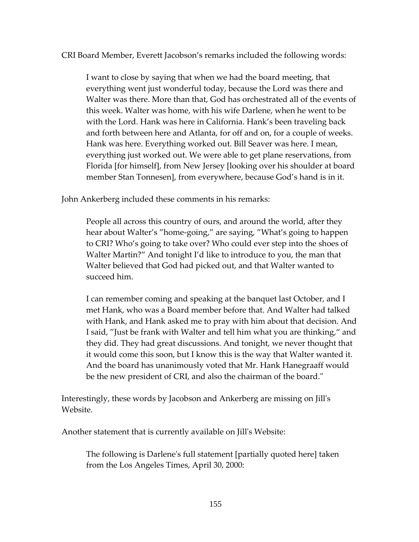CRI Board Member, Everett Jacobson's remarks included the following words:

I want to close by saying that when we had the board meeting, that everything went just wonderful today, because the Lord was there and Walter was there. More than that, God has orchestrated all of the events of this week. Walter was home, with his wife Darlene, when he went to be with the Lord. Hank was here in California. Hank's been traveling back and forth between here and Atlanta, for off and on, for a couple of weeks. Hank was here. Everything worked out. Bill Seaver was here. I mean, everything just worked out. We were able to get plane reservations, from Florida [for himself], from New Jersey [looking over his shoulder at board member Stan Tonnesen], from everywhere, because God's hand is in it.

John Ankerberg included these comments in his remarks:

People all across this country of ours, and around the world, after they hear about Walter's "home-going," are saying, "What's going to happen to CRI? Who's going to take over? Who could ever step into the shoes of Walter Martin?" And tonight I'd like to introduce to you, the man that Walter believed that God had picked out, and that Walter wanted to succeed him.

I can remember coming and speaking at the banquet last October, and I met Hank, who was a Board member before that. And Walter had talked with Hank, and Hank asked me to pray with him about that decision. And I said, "Just be frank with Walter and tell him what you are thinking," and they did. They had great discussions. And tonight, we never thought that it would come this soon, but I know this is the way that Walter wanted it. And the board has unanimously voted that Mr. Hank Hanegraaff would be the new president of CRI, and also the chairman of the board."

Interestingly, these words by Jacobson and Ankerberg are missing on Jill's Website.

Another statement that is currently available on Jill's Website:

The following is Darlene's full statement [partially quoted here] taken from the Los Angeles Times, April 30, 2000: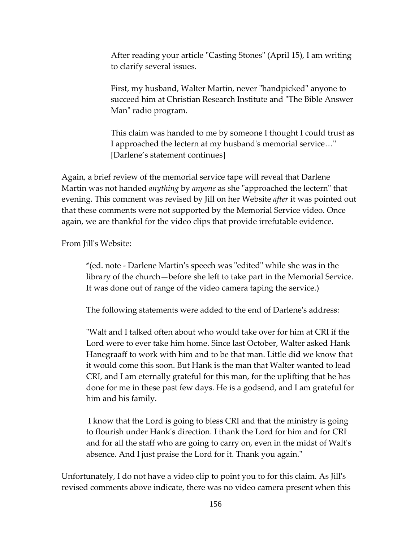After reading your article "Casting Stones" (April 15), I am writing to clarify several issues.

First, my husband, Walter Martin, never "handpicked" anyone to succeed him at Christian Research Institute and "The Bible Answer Man" radio program.

This claim was handed to me by someone I thought I could trust as I approached the lectern at my husband's memorial service…" [Darlene's statement continues]

Again, a brief review of the memorial service tape will reveal that Darlene Martin was not handed *anything* by *anyone* as she "approached the lectern" that evening. This comment was revised by Jill on her Website *after* it was pointed out that these comments were not supported by the Memorial Service video. Once again, we are thankful for the video clips that provide irrefutable evidence.

From Jill's Website:

\*(ed. note - Darlene Martin's speech was "edited" while she was in the library of the church—before she left to take part in the Memorial Service. It was done out of range of the video camera taping the service.)

The following statements were added to the end of Darlene's address:

"Walt and I talked often about who would take over for him at CRI if the Lord were to ever take him home. Since last October, Walter asked Hank Hanegraaff to work with him and to be that man. Little did we know that it would come this soon. But Hank is the man that Walter wanted to lead CRI, and I am eternally grateful for this man, for the uplifting that he has done for me in these past few days. He is a godsend, and I am grateful for him and his family.

I know that the Lord is going to bless CRI and that the ministry is going to flourish under Hank's direction. I thank the Lord for him and for CRI and for all the staff who are going to carry on, even in the midst of Walt's absence. And I just praise the Lord for it. Thank you again."

Unfortunately, I do not have a video clip to point you to for this claim. As Jill's revised comments above indicate, there was no video camera present when this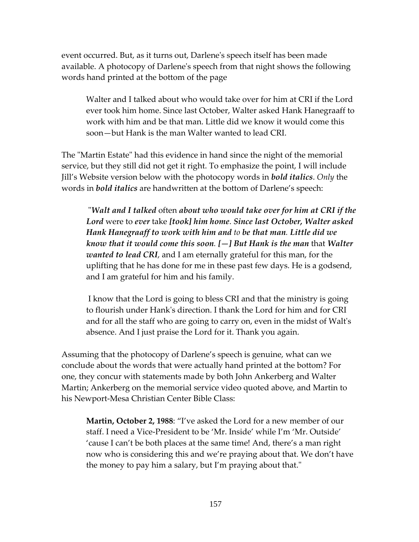event occurred. But, as it turns out, Darlene's speech itself has been made available. A photocopy of Darlene's speech from that night shows the following words hand printed at the bottom of the page

Walter and I talked about who would take over for him at CRI if the Lord ever took him home. Since last October, Walter asked Hank Hanegraaff to work with him and be that man. Little did we know it would come this soon—but Hank is the man Walter wanted to lead CRI.

The "Martin Estate" had this evidence in hand since the night of the memorial service, but they still did not get it right. To emphasize the point, I will include Jill's Website version below with the photocopy words in *bold italics*. *Only* the words in *bold italics* are handwritten at the bottom of Darlene's speech:

"*Walt and I talked* often *about who would take over for him at CRI if the Lord* were to *ever* take *[took] him home*. *Since last October, Walter asked Hank Hanegraaff to work with him and to be that man. Little did we know that it would come this soon. [—] But Hank is the man* that *Walter wanted to lead CRI*, and I am eternally grateful for this man, for the uplifting that he has done for me in these past few days. He is a godsend, and I am grateful for him and his family.

I know that the Lord is going to bless CRI and that the ministry is going to flourish under Hank's direction. I thank the Lord for him and for CRI and for all the staff who are going to carry on, even in the midst of Walt's absence. And I just praise the Lord for it. Thank you again.

Assuming that the photocopy of Darlene's speech is genuine, what can we conclude about the words that were actually hand printed at the bottom? For one, they concur with statements made by both John Ankerberg and Walter Martin; Ankerberg on the memorial service video quoted above, and Martin to his Newport-Mesa Christian Center Bible Class:

**Martin, October 2, 1988**: "I've asked the Lord for a new member of our staff. I need a Vice-President to be 'Mr. Inside' while I'm 'Mr. Outside' 'cause I can't be both places at the same time! And, there's a man right now who is considering this and we're praying about that. We don't have the money to pay him a salary, but I'm praying about that."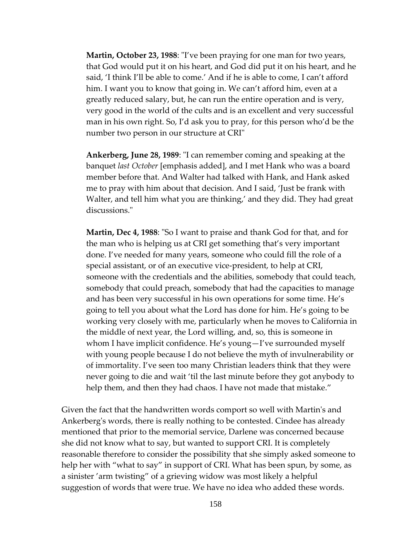**Martin, October 23, 1988**: "I've been praying for one man for two years, that God would put it on his heart, and God did put it on his heart, and he said, 'I think I'll be able to come.' And if he is able to come, I can't afford him. I want you to know that going in. We can't afford him, even at a greatly reduced salary, but, he can run the entire operation and is very, very good in the world of the cults and is an excellent and very successful man in his own right. So, I'd ask you to pray, for this person who'd be the number two person in our structure at CRI"

**Ankerberg, June 28, 1989**: "I can remember coming and speaking at the banquet *last October* [emphasis added], and I met Hank who was a board member before that. And Walter had talked with Hank, and Hank asked me to pray with him about that decision. And I said, 'Just be frank with Walter, and tell him what you are thinking,' and they did. They had great discussions."

**Martin, Dec 4, 1988**: "So I want to praise and thank God for that, and for the man who is helping us at CRI get something that's very important done. I've needed for many years, someone who could fill the role of a special assistant, or of an executive vice-president, to help at CRI, someone with the credentials and the abilities, somebody that could teach, somebody that could preach, somebody that had the capacities to manage and has been very successful in his own operations for some time. He's going to tell you about what the Lord has done for him. He's going to be working very closely with me, particularly when he moves to California in the middle of next year, the Lord willing, and, so, this is someone in whom I have implicit confidence. He's young—I've surrounded myself with young people because I do not believe the myth of invulnerability or of immortality. I've seen too many Christian leaders think that they were never going to die and wait 'til the last minute before they got anybody to help them, and then they had chaos. I have not made that mistake."

Given the fact that the handwritten words comport so well with Martin's and Ankerberg's words, there is really nothing to be contested. Cindee has already mentioned that prior to the memorial service, Darlene was concerned because she did not know what to say, but wanted to support CRI. It is completely reasonable therefore to consider the possibility that she simply asked someone to help her with "what to say" in support of CRI. What has been spun, by some, as a sinister 'arm twisting" of a grieving widow was most likely a helpful suggestion of words that were true. We have no idea who added these words.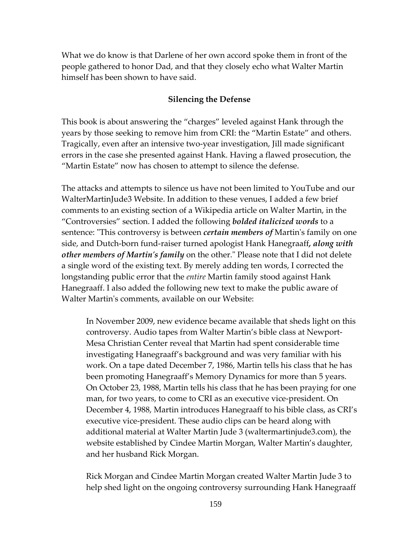What we do know is that Darlene of her own accord spoke them in front of the people gathered to honor Dad, and that they closely echo what Walter Martin himself has been shown to have said.

#### **Silencing the Defense**

This book is about answering the "charges" leveled against Hank through the years by those seeking to remove him from CRI: the "Martin Estate" and others. Tragically, even after an intensive two-year investigation, Jill made significant errors in the case she presented against Hank. Having a flawed prosecution, the "Martin Estate" now has chosen to attempt to silence the defense.

The attacks and attempts to silence us have not been limited to YouTube and our WalterMartinJude3 Website. In addition to these venues, I added a few brief comments to an existing section of a Wikipedia article on Walter Martin, in the "Controversies" section. I added the following *bolded italicized words* to a sentence: "This controversy is between *certain members of* Martin's family on one side, and Dutch-born fund-raiser turned apologist Hank Hanegraaff*, along with other members of Martin's family* on the other." Please note that I did not delete a single word of the existing text. By merely adding ten words, I corrected the longstanding public error that the *entire* Martin family stood against Hank Hanegraaff. I also added the following new text to make the public aware of Walter Martin's comments, available on our Website:

In November 2009, new evidence became available that sheds light on this controversy. Audio tapes from Walter Martin's bible class at Newport-Mesa Christian Center reveal that Martin had spent considerable time investigating Hanegraaff's background and was very familiar with his work. On a tape dated December 7, 1986, Martin tells his class that he has been promoting Hanegraaff's Memory Dynamics for more than 5 years. On October 23, 1988, Martin tells his class that he has been praying for one man, for two years, to come to CRI as an executive vice-president. On December 4, 1988, Martin introduces Hanegraaff to his bible class, as CRI's executive vice-president. These audio clips can be heard along with additional material at Walter Martin Jude 3 (waltermartinjude3.com), the website established by Cindee Martin Morgan, Walter Martin's daughter, and her husband Rick Morgan.

Rick Morgan and Cindee Martin Morgan created Walter Martin Jude 3 to help shed light on the ongoing controversy surrounding Hank Hanegraaff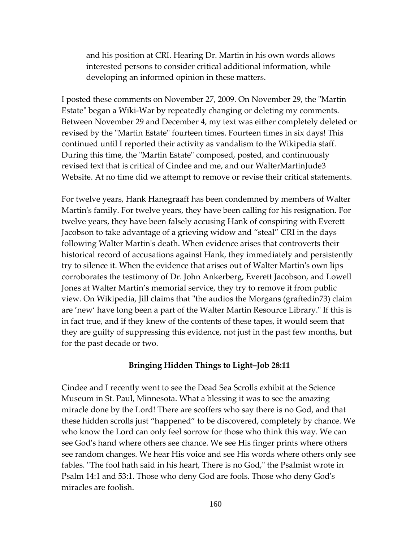and his position at CRI. Hearing Dr. Martin in his own words allows interested persons to consider critical additional information, while developing an informed opinion in these matters.

I posted these comments on November 27, 2009. On November 29, the "Martin Estate" began a Wiki-War by repeatedly changing or deleting my comments. Between November 29 and December 4, my text was either completely deleted or revised by the "Martin Estate" fourteen times. Fourteen times in six days! This continued until I reported their activity as vandalism to the Wikipedia staff. During this time, the "Martin Estate" composed, posted, and continuously revised text that is critical of Cindee and me, and our WalterMartinJude3 Website. At no time did we attempt to remove or revise their critical statements.

For twelve years, Hank Hanegraaff has been condemned by members of Walter Martin's family. For twelve years, they have been calling for his resignation. For twelve years, they have been falsely accusing Hank of conspiring with Everett Jacobson to take advantage of a grieving widow and "steal" CRI in the days following Walter Martin's death. When evidence arises that controverts their historical record of accusations against Hank, they immediately and persistently try to silence it. When the evidence that arises out of Walter Martin's own lips corroborates the testimony of Dr. John Ankerberg, Everett Jacobson, and Lowell Jones at Walter Martin's memorial service, they try to remove it from public view. On Wikipedia, Jill claims that "the audios the Morgans (graftedin73) claim are 'new' have long been a part of the Walter Martin Resource Library." If this is in fact true, and if they knew of the contents of these tapes, it would seem that they are guilty of suppressing this evidence, not just in the past few months, but for the past decade or two.

#### **Bringing Hidden Things to Light–Job 28:11**

Cindee and I recently went to see the Dead Sea Scrolls exhibit at the Science Museum in St. Paul, Minnesota. What a blessing it was to see the amazing miracle done by the Lord! There are scoffers who say there is no God, and that these hidden scrolls just "happened" to be discovered, completely by chance. We who know the Lord can only feel sorrow for those who think this way. We can see God's hand where others see chance. We see His finger prints where others see random changes. We hear His voice and see His words where others only see fables. "The fool hath said in his heart, There is no God," the Psalmist wrote in Psalm 14:1 and 53:1. Those who deny God are fools. Those who deny God's miracles are foolish.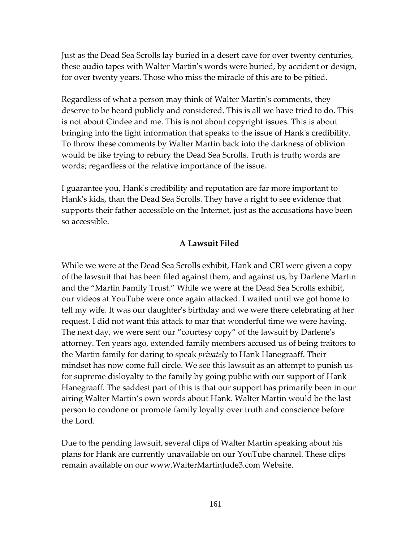Just as the Dead Sea Scrolls lay buried in a desert cave for over twenty centuries, these audio tapes with Walter Martin's words were buried, by accident or design, for over twenty years. Those who miss the miracle of this are to be pitied.

Regardless of what a person may think of Walter Martin's comments, they deserve to be heard publicly and considered. This is all we have tried to do. This is not about Cindee and me. This is not about copyright issues. This is about bringing into the light information that speaks to the issue of Hank's credibility. To throw these comments by Walter Martin back into the darkness of oblivion would be like trying to rebury the Dead Sea Scrolls. Truth is truth; words are words; regardless of the relative importance of the issue.

I guarantee you, Hank's credibility and reputation are far more important to Hank's kids, than the Dead Sea Scrolls. They have a right to see evidence that supports their father accessible on the Internet, just as the accusations have been so accessible.

#### **A Lawsuit Filed**

While we were at the Dead Sea Scrolls exhibit, Hank and CRI were given a copy of the lawsuit that has been filed against them, and against us, by Darlene Martin and the "Martin Family Trust." While we were at the Dead Sea Scrolls exhibit, our videos at YouTube were once again attacked. I waited until we got home to tell my wife. It was our daughter's birthday and we were there celebrating at her request. I did not want this attack to mar that wonderful time we were having. The next day, we were sent our "courtesy copy" of the lawsuit by Darlene's attorney. Ten years ago, extended family members accused us of being traitors to the Martin family for daring to speak *privately* to Hank Hanegraaff. Their mindset has now come full circle. We see this lawsuit as an attempt to punish us for supreme disloyalty to the family by going public with our support of Hank Hanegraaff. The saddest part of this is that our support has primarily been in our airing Walter Martin's own words about Hank. Walter Martin would be the last person to condone or promote family loyalty over truth and conscience before the Lord.

Due to the pending lawsuit, several clips of Walter Martin speaking about his plans for Hank are currently unavailable on our YouTube channel. These clips remain available on our www.WalterMartinJude3.com Website.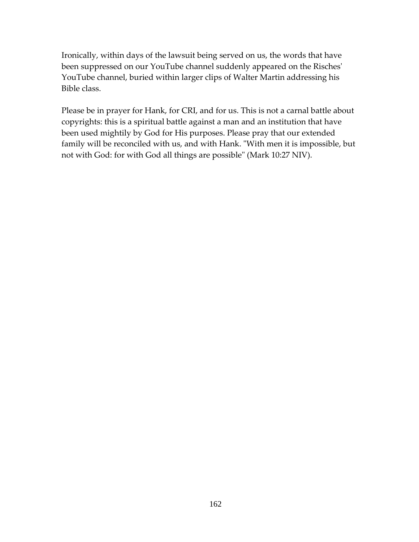Ironically, within days of the lawsuit being served on us, the words that have been suppressed on our YouTube channel suddenly appeared on the Risches' YouTube channel, buried within larger clips of Walter Martin addressing his Bible class.

Please be in prayer for Hank, for CRI, and for us. This is not a carnal battle about copyrights: this is a spiritual battle against a man and an institution that have been used mightily by God for His purposes. Please pray that our extended family will be reconciled with us, and with Hank. "With men it is impossible, but not with God: for with God all things are possible" (Mark 10:27 NIV).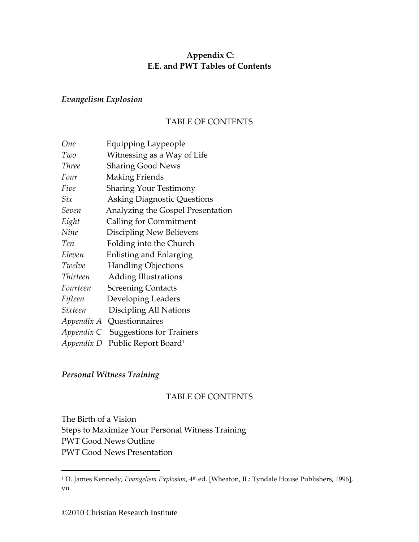# **Appendix C: E.E. and PWT Tables of Contents**

## *Evangelism Explosion*

## TABLE OF CONTENTS

| One          | Equipping Laypeople                |
|--------------|------------------------------------|
| Two          | Witnessing as a Way of Life        |
| <b>Three</b> | <b>Sharing Good News</b>           |
| Four         | Making Friends                     |
| Five         | <b>Sharing Your Testimony</b>      |
| Six          | <b>Asking Diagnostic Questions</b> |
| Seven        | Analyzing the Gospel Presentation  |
| Eight        | Calling for Commitment             |
| Nine         | Discipling New Believers           |
| Ten          | Folding into the Church            |
| Eleven       | Enlisting and Enlarging            |
| Twelve       | <b>Handling Objections</b>         |
| Thirteen     | <b>Adding Illustrations</b>        |
| Fourteen     | <b>Screening Contacts</b>          |
| Fifteen      | Developing Leaders                 |
| Sixteen      | Discipling All Nations             |
|              | <i>Appendix A</i> Questionnaires   |
| Appendix C   | <b>Suggestions for Trainers</b>    |
| Appendix D   | Public Report Board <sup>1</sup>   |

# *Personal Witness Training*

### TABLE OF CONTENTS

The Birth of a Vision Steps to Maximize Your Personal Witness Training PWT Good News Outline PWT Good News Presentation

<span id="page-162-0"></span><sup>&</sup>lt;sup>1</sup> D. James Kennedy, *Evangelism Explosion*, 4<sup>th</sup> ed. [Wheaton, IL: Tyndale House Publishers, 1996], vii.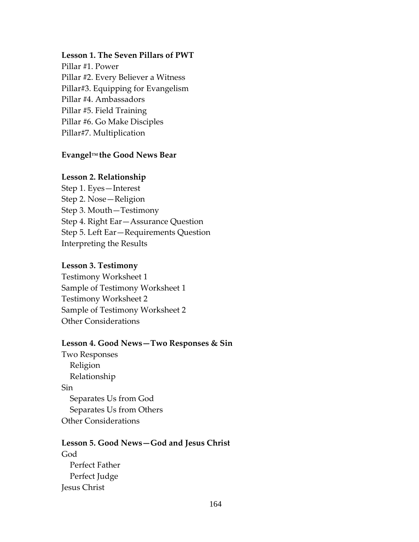## **Lesson 1. The Seven Pillars of PWT**

Pillar #1. Power Pillar #2. Every Believer a Witness Pillar#3. Equipping for Evangelism Pillar #4. Ambassadors Pillar #5. Field Training Pillar #6. Go Make Disciples Pillar#7. Multiplication

## **EvangelTM the Good News Bear**

## **Lesson 2. Relationship**

Step 1. Eyes—Interest Step 2. Nose—Religion Step 3. Mouth—Testimony Step 4. Right Ear—Assurance Question Step 5. Left Ear—Requirements Question Interpreting the Results

## **Lesson 3. Testimony**

Testimony Worksheet 1 Sample of Testimony Worksheet 1 Testimony Worksheet 2 Sample of Testimony Worksheet 2 Other Considerations

### **Lesson 4. Good News—Two Responses & Sin**

Two Responses Religion Relationship Sin Separates Us from God Separates Us from Others Other Considerations

# **Lesson 5. Good News—God and Jesus Christ** God Perfect Father Perfect Judge Jesus Christ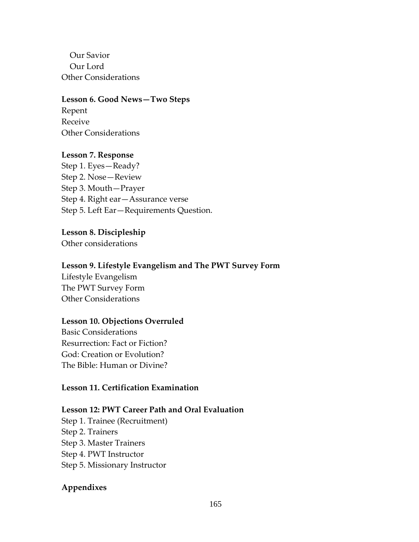Our Savior Our Lord Other Considerations

**Lesson 6. Good News—Two Steps** Repent Receive Other Considerations

### **Lesson 7. Response**

Step 1. Eyes—Ready? Step 2. Nose—Review Step 3. Mouth—Prayer Step 4. Right ear—Assurance verse Step 5. Left Ear—Requirements Question.

#### **Lesson 8. Discipleship**

Other considerations

#### **Lesson 9. Lifestyle Evangelism and The PWT Survey Form**

Lifestyle Evangelism The PWT Survey Form Other Considerations

#### **Lesson 10. Objections Overruled**

Basic Considerations Resurrection: Fact or Fiction? God: Creation or Evolution? The Bible: Human or Divine?

### **Lesson 11. Certification Examination**

## **Lesson 12: PWT Career Path and Oral Evaluation**

Step 1. Trainee (Recruitment) Step 2. Trainers Step 3. Master Trainers Step 4. PWT Instructor Step 5. Missionary Instructor

### **Appendixes**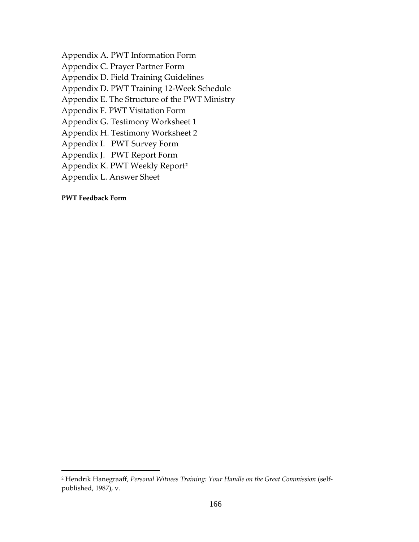Appendix A. PWT Information Form Appendix C. Prayer Partner Form Appendix D. Field Training Guidelines Appendix D. PWT Training 12-Week Schedule Appendix E. The Structure of the PWT Ministry Appendix F. PWT Visitation Form Appendix G. Testimony Worksheet 1 Appendix H. Testimony Worksheet 2 Appendix I. PWT Survey Form Appendix J. PWT Report Form Appendix K. PWT Weekly Report**[2](#page-165-0)** Appendix L. Answer Sheet

**PWT Feedback Form**

<span id="page-165-0"></span><sup>2</sup> Hendrik Hanegraaff, *Personal Witness Training: Your Handle on the Great Commission* (selfpublished, 1987), v.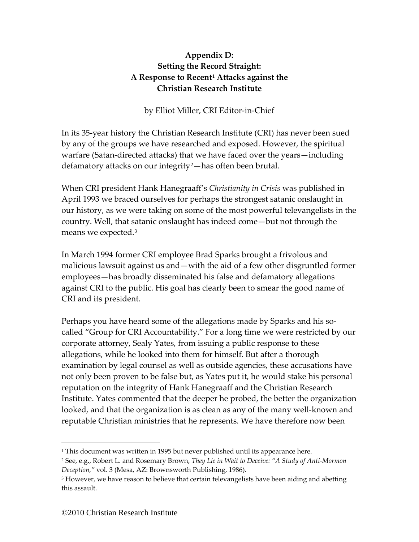# **Appendix D: Setting the Record Straight: A Response to Recent[1](#page-166-0) Attacks against the Christian Research Institute**

by Elliot Miller, CRI Editor-in-Chief

In its 35-year history the Christian Research Institute (CRI) has never been sued by any of the groups we have researched and exposed. However, the spiritual warfare (Satan-directed attacks) that we have faced over the years—including defamatory attacks on our integrity<sup>[2](#page-166-1)</sup>—has often been brutal.

When CRI president Hank Hanegraaff's *Christianity in Crisis* was published in April 1993 we braced ourselves for perhaps the strongest satanic onslaught in our history, as we were taking on some of the most powerful televangelists in the country. Well, that satanic onslaught has indeed come—but not through the means we expected.[3](#page-166-2)

In March 1994 former CRI employee Brad Sparks brought a frivolous and malicious lawsuit against us and—with the aid of a few other disgruntled former employees—has broadly disseminated his false and defamatory allegations against CRI to the public. His goal has clearly been to smear the good name of CRI and its president.

Perhaps you have heard some of the allegations made by Sparks and his socalled "Group for CRI Accountability." For a long time we were restricted by our corporate attorney, Sealy Yates, from issuing a public response to these allegations, while he looked into them for himself. But after a thorough examination by legal counsel as well as outside agencies, these accusations have not only been proven to be false but, as Yates put it, he would stake his personal reputation on the integrity of Hank Hanegraaff and the Christian Research Institute. Yates commented that the deeper he probed, the better the organization looked, and that the organization is as clean as any of the many well-known and reputable Christian ministries that he represents. We have therefore now been

<span id="page-166-0"></span><sup>&</sup>lt;sup>1</sup> This document was written in 1995 but never published until its appearance here.

<span id="page-166-1"></span><sup>2</sup> See, e.g., Robert L. and Rosemary Brown, *They Lie in Wait to Deceive: "A Study of Anti-Mormon Deception,"* vol. 3 (Mesa, AZ: Brownsworth Publishing, 1986).

<span id="page-166-2"></span><sup>&</sup>lt;sup>3</sup> However, we have reason to believe that certain televangelists have been aiding and abetting this assault.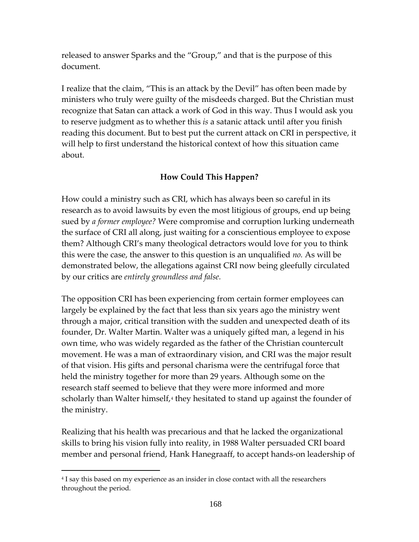released to answer Sparks and the "Group," and that is the purpose of this document.

I realize that the claim, "This is an attack by the Devil" has often been made by ministers who truly were guilty of the misdeeds charged. But the Christian must recognize that Satan can attack a work of God in this way. Thus I would ask you to reserve judgment as to whether this *is* a satanic attack until after you finish reading this document. But to best put the current attack on CRI in perspective, it will help to first understand the historical context of how this situation came about.

# **How Could This Happen?**

How could a ministry such as CRI, which has always been so careful in its research as to avoid lawsuits by even the most litigious of groups, end up being sued by *a former employee?* Were compromise and corruption lurking underneath the surface of CRI all along, just waiting for a conscientious employee to expose them? Although CRI's many theological detractors would love for you to think this were the case, the answer to this question is an unqualified *no.* As will be demonstrated below, the allegations against CRI now being gleefully circulated by our critics are *entirely groundless and false.* 

The opposition CRI has been experiencing from certain former employees can largely be explained by the fact that less than six years ago the ministry went through a major, critical transition with the sudden and unexpected death of its founder, Dr. Walter Martin. Walter was a uniquely gifted man, a legend in his own time, who was widely regarded as the father of the Christian countercult movement. He was a man of extraordinary vision, and CRI was the major result of that vision. His gifts and personal charisma were the centrifugal force that held the ministry together for more than 29 years. Although some on the research staff seemed to believe that they were more informed and more scholarly than Walter himself, $4$  they hesitated to stand up against the founder of the ministry.

Realizing that his health was precarious and that he lacked the organizational skills to bring his vision fully into reality, in 1988 Walter persuaded CRI board member and personal friend, Hank Hanegraaff, to accept hands-on leadership of

<span id="page-167-0"></span><sup>4</sup> I say this based on my experience as an insider in close contact with all the researchers throughout the period.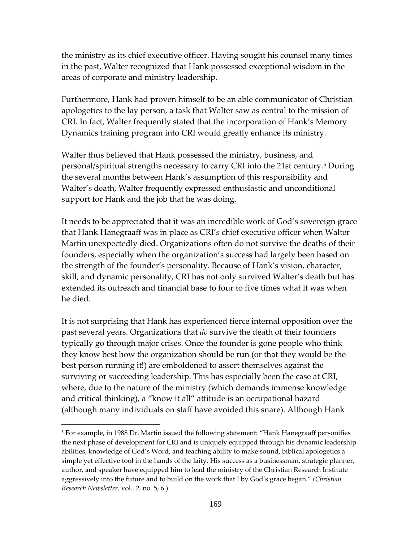the ministry as its chief executive officer. Having sought his counsel many times in the past, Walter recognized that Hank possessed exceptional wisdom in the areas of corporate and ministry leadership.

Furthermore, Hank had proven himself to be an able communicator of Christian apologetics to the lay person, a task that Walter saw as central to the mission of CRI. In fact, Walter frequently stated that the incorporation of Hank's Memory Dynamics training program into CRI would greatly enhance its ministry.

Walter thus believed that Hank possessed the ministry, business, and personal/spiritual strengths necessary to carry CRI into the 21st century.[5](#page-168-0) During the several months between Hank's assumption of this responsibility and Walter's death, Walter frequently expressed enthusiastic and unconditional support for Hank and the job that he was doing.

It needs to be appreciated that it was an incredible work of God's sovereign grace that Hank Hanegraaff was in place as CRI's chief executive officer when Walter Martin unexpectedly died. Organizations often do not survive the deaths of their founders, especially when the organization's success had largely been based on the strength of the founder's personality. Because of Hank's vision, character, skill, and dynamic personality, CRI has not only survived Walter's death but has extended its outreach and financial base to four to five times what it was when he died.

It is not surprising that Hank has experienced fierce internal opposition over the past several years. Organizations that *do* survive the death of their founders typically go through major crises. Once the founder is gone people who think they know best how the organization should be run (or that they would be the best person running it!) are emboldened to assert themselves against the surviving or succeeding leadership. This has especially been the case at CRI, where, due to the nature of the ministry (which demands immense knowledge and critical thinking), a "know it all" attitude is an occupational hazard (although many individuals on staff have avoided this snare). Although Hank

<span id="page-168-0"></span><sup>5</sup> For example, in 1988 Dr. Martin issued the following statement: "Hank Hanegraaff personifies the next phase of development for CRI and is uniquely equipped through his dynamic leadership abilities, knowledge of God's Word, and teaching ability to make sound, biblical apologetics a simple yet effective tool in the hands of the laity. His success as a businessman, strategic planner, author, and speaker have equipped him to lead the ministry of the Christian Research Institute aggressively into the future and to build on the work that I by God's grace began." *(Christian Research Newsletter,* vol.. 2, no. 5, 6.)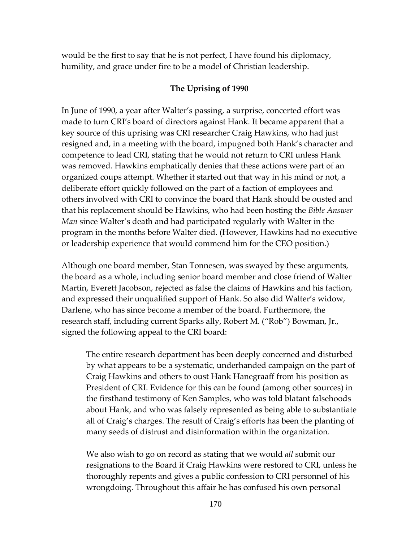would be the first to say that he is not perfect, I have found his diplomacy, humility, and grace under fire to be a model of Christian leadership.

#### **The Uprising of 1990**

In June of 1990, a year after Walter's passing, a surprise, concerted effort was made to turn CRI's board of directors against Hank. It became apparent that a key source of this uprising was CRI researcher Craig Hawkins, who had just resigned and, in a meeting with the board, impugned both Hank's character and competence to lead CRI, stating that he would not return to CRI unless Hank was removed. Hawkins emphatically denies that these actions were part of an organized coups attempt. Whether it started out that way in his mind or not, a deliberate effort quickly followed on the part of a faction of employees and others involved with CRI to convince the board that Hank should be ousted and that his replacement should be Hawkins, who had been hosting the *Bible Answer Man* since Walter's death and had participated regularly with Walter in the program in the months before Walter died. (However, Hawkins had no executive or leadership experience that would commend him for the CEO position.)

Although one board member, Stan Tonnesen, was swayed by these arguments, the board as a whole, including senior board member and close friend of Walter Martin, Everett Jacobson, rejected as false the claims of Hawkins and his faction, and expressed their unqualified support of Hank. So also did Walter's widow, Darlene, who has since become a member of the board. Furthermore, the research staff, including current Sparks ally, Robert M. ("Rob") Bowman, Jr., signed the following appeal to the CRI board:

The entire research department has been deeply concerned and disturbed by what appears to be a systematic, underhanded campaign on the part of Craig Hawkins and others to oust Hank Hanegraaff from his position as President of CRI. Evidence for this can be found (among other sources) in the firsthand testimony of Ken Samples, who was told blatant falsehoods about Hank, and who was falsely represented as being able to substantiate all of Craig's charges. The result of Craig's efforts has been the planting of many seeds of distrust and disinformation within the organization.

We also wish to go on record as stating that we would *all* submit our resignations to the Board if Craig Hawkins were restored to CRI, unless he thoroughly repents and gives a public confession to CRI personnel of his wrongdoing. Throughout this affair he has confused his own personal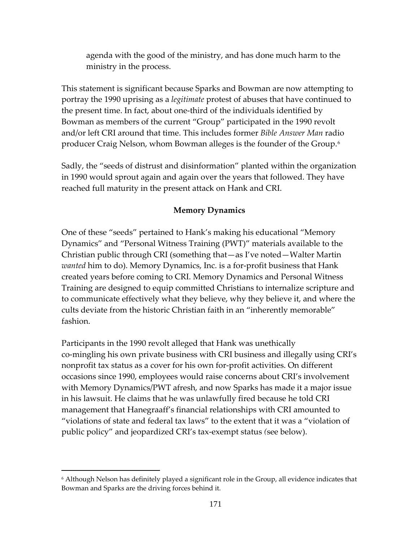agenda with the good of the ministry, and has done much harm to the ministry in the process.

This statement is significant because Sparks and Bowman are now attempting to portray the 1990 uprising as a *legitimate* protest of abuses that have continued to the present time. In fact, about one-third of the individuals identified by Bowman as members of the current "Group" participated in the 1990 revolt and/or left CRI around that time. This includes former *Bible Answer Man* radio producer Craig Nelson, whom Bowman alleges is the founder of the Group.[6](#page-170-0)

Sadly, the "seeds of distrust and disinformation" planted within the organization in 1990 would sprout again and again over the years that followed. They have reached full maturity in the present attack on Hank and CRI.

# **Memory Dynamics**

One of these "seeds" pertained to Hank's making his educational "Memory Dynamics" and "Personal Witness Training (PWT)" materials available to the Christian public through CRI (something that—as I've noted—Walter Martin *wanted* him to do). Memory Dynamics, Inc. is a for-profit business that Hank created years before coming to CRI. Memory Dynamics and Personal Witness Training are designed to equip committed Christians to internalize scripture and to communicate effectively what they believe, why they believe it, and where the cults deviate from the historic Christian faith in an "inherently memorable" fashion.

Participants in the 1990 revolt alleged that Hank was unethically co-mingling his own private business with CRI business and illegally using CRI's nonprofit tax status as a cover for his own for-profit activities. On different occasions since 1990, employees would raise concerns about CRI's involvement with Memory Dynamics/PWT afresh, and now Sparks has made it a major issue in his lawsuit. He claims that he was unlawfully fired because he told CRI management that Hanegraaff's financial relationships with CRI amounted to "violations of state and federal tax laws" to the extent that it was a "violation of public policy" and jeopardized CRI's tax-exempt status *(*see below).

<span id="page-170-0"></span><sup>6</sup> Although Nelson has definitely played a significant role in the Group, all evidence indicates that Bowman and Sparks are the driving forces behind it.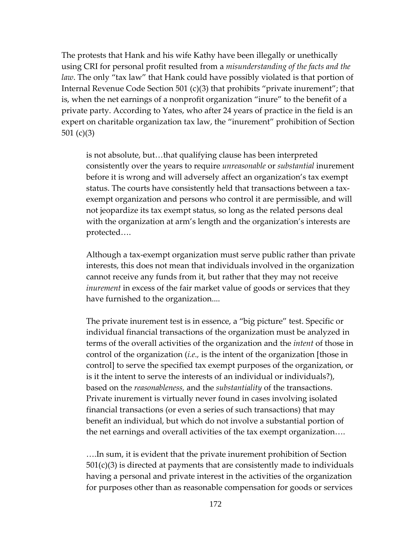The protests that Hank and his wife Kathy have been illegally or unethically using CRI for personal profit resulted from a *misunderstanding of the facts and the law*. The only "tax law" that Hank could have possibly violated is that portion of Internal Revenue Code Section 501 (c)(3) that prohibits "private inurement"; that is, when the net earnings of a nonprofit organization "inure" to the benefit of a private party. According to Yates, who after 24 years of practice in the field is an expert on charitable organization tax law, the "inurement" prohibition of Section 501 (c)(3)

is not absolute, but…that qualifying clause has been interpreted consistently over the years to require *unreasonable* or *substantial* inurement before it is wrong and will adversely affect an organization's tax exempt status. The courts have consistently held that transactions between a taxexempt organization and persons who control it are permissible, and will not jeopardize its tax exempt status, so long as the related persons deal with the organization at arm's length and the organization's interests are protected….

Although a tax-exempt organization must serve public rather than private interests, this does not mean that individuals involved in the organization cannot receive any funds from it, but rather that they may not receive *inurement* in excess of the fair market value of goods or services that they have furnished to the organization....

The private inurement test is in essence, a "big picture" test. Specific or individual financial transactions of the organization must be analyzed in terms of the overall activities of the organization and the *intent* of those in control of the organization (*i.e.,* is the intent of the organization [those in control] to serve the specified tax exempt purposes of the organization, or is it the intent to serve the interests of an individual or individuals?), based on the *reasonableness,* and the *substantiality* of the transactions. Private inurement is virtually never found in cases involving isolated financial transactions (or even a series of such transactions) that may benefit an individual, but which do not involve a substantial portion of the net earnings and overall activities of the tax exempt organization….

….In sum, it is evident that the private inurement prohibition of Section  $501(c)(3)$  is directed at payments that are consistently made to individuals having a personal and private interest in the activities of the organization for purposes other than as reasonable compensation for goods or services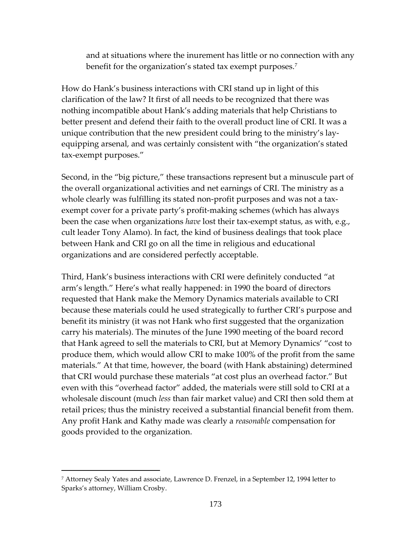and at situations where the inurement has little or no connection with any benefit for the organization's stated tax exempt purposes.<sup>[7](#page-172-0)</sup>

How do Hank's business interactions with CRI stand up in light of this clarification of the law? It first of all needs to be recognized that there was nothing incompatible about Hank's adding materials that help Christians to better present and defend their faith to the overall product line of CRI. It was a unique contribution that the new president could bring to the ministry's layequipping arsenal, and was certainly consistent with "the organization's stated tax-exempt purposes."

Second, in the "big picture," these transactions represent but a minuscule part of the overall organizational activities and net earnings of CRI. The ministry as a whole clearly was fulfilling its stated non-profit purposes and was not a taxexempt cover for a private party's profit-making schemes (which has always been the case when organizations *have* lost their tax-exempt status, as with, e.g., cult leader Tony Alamo). In fact, the kind of business dealings that took place between Hank and CRI go on all the time in religious and educational organizations and are considered perfectly acceptable.

Third, Hank's business interactions with CRI were definitely conducted "at arm's length." Here's what really happened: in 1990 the board of directors requested that Hank make the Memory Dynamics materials available to CRI because these materials could he used strategically to further CRI's purpose and benefit its ministry (it was not Hank who first suggested that the organization carry his materials). The minutes of the June 1990 meeting of the board record that Hank agreed to sell the materials to CRI, but at Memory Dynamics' "cost to produce them, which would allow CRI to make 100% of the profit from the same materials." At that time, however, the board (with Hank abstaining) determined that CRI would purchase these materials "at cost plus an overhead factor." But even with this "overhead factor" added, the materials were still sold to CRI at a wholesale discount (much *less* than fair market value) and CRI then sold them at retail prices; thus the ministry received a substantial financial benefit from them. Any profit Hank and Kathy made was clearly a *reasonable* compensation for goods provided to the organization.

<span id="page-172-0"></span><sup>7</sup> Attorney Sealy Yates and associate, Lawrence D. Frenzel, in a September 12, 1994 letter to Sparks's attorney, William Crosby.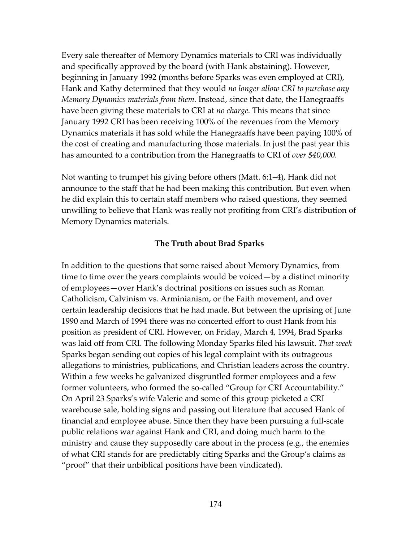Every sale thereafter of Memory Dynamics materials to CRI was individually and specifically approved by the board (with Hank abstaining). However, beginning in January 1992 (months before Sparks was even employed at CRI), Hank and Kathy determined that they would *no longer allow CRI to purchase any Memory Dynamics materials from them.* Instead, since that date, the Hanegraaffs have been giving these materials to CRI at *no charge.* This means that since January 1992 CRI has been receiving 100% of the revenues from the Memory Dynamics materials it has sold while the Hanegraaffs have been paying 100% of the cost of creating and manufacturing those materials. In just the past year this has amounted to a contribution from the Hanegraaffs to CRI of *over \$40,000.*

Not wanting to trumpet his giving before others (Matt. 6:1–4), Hank did not announce to the staff that he had been making this contribution. But even when he did explain this to certain staff members who raised questions, they seemed unwilling to believe that Hank was really not profiting from CRI's distribution of Memory Dynamics materials.

#### **The Truth about Brad Sparks**

In addition to the questions that some raised about Memory Dynamics, from time to time over the years complaints would be voiced—by a distinct minority of employees—over Hank's doctrinal positions on issues such as Roman Catholicism, Calvinism vs. Arminianism, or the Faith movement, and over certain leadership decisions that he had made. But between the uprising of June 1990 and March of 1994 there was no concerted effort to oust Hank from his position as president of CRI. However, on Friday, March 4, 1994, Brad Sparks was laid off from CRI. The following Monday Sparks filed his lawsuit. *That week*  Sparks began sending out copies of his legal complaint with its outrageous allegations to ministries, publications, and Christian leaders across the country. Within a few weeks he galvanized disgruntled former employees and a few former volunteers, who formed the so-called "Group for CRI Accountability." On April 23 Sparks's wife Valerie and some of this group picketed a CRI warehouse sale, holding signs and passing out literature that accused Hank of financial and employee abuse. Since then they have been pursuing a full-scale public relations war against Hank and CRI, and doing much harm to the ministry and cause they supposedly care about in the process (e.g., the enemies of what CRI stands for are predictably citing Sparks and the Group's claims as "proof" that their unbiblical positions have been vindicated).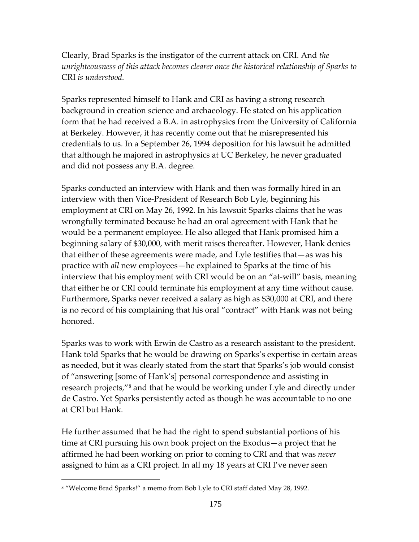Clearly, Brad Sparks is the instigator of the current attack on CRI. And *the unrighteousness of this attack becomes clearer once the historical relationship of Sparks to*  CRI *is understood.* 

Sparks represented himself to Hank and CRI as having a strong research background in creation science and archaeology. He stated on his application form that he had received a B.A. in astrophysics from the University of California at Berkeley. However, it has recently come out that he misrepresented his credentials to us. In a September 26, 1994 deposition for his lawsuit he admitted that although he majored in astrophysics at UC Berkeley, he never graduated and did not possess any B.A. degree.

Sparks conducted an interview with Hank and then was formally hired in an interview with then Vice-President of Research Bob Lyle, beginning his employment at CRI on May 26, 1992. In his lawsuit Sparks claims that he was wrongfully terminated because he had an oral agreement with Hank that he would be a permanent employee. He also alleged that Hank promised him a beginning salary of \$30,000, with merit raises thereafter. However, Hank denies that either of these agreements were made, and Lyle testifies that—as was his practice with *all* new employees—he explained to Sparks at the time of his interview that his employment with CRI would be on an "at-will" basis, meaning that either he or CRI could terminate his employment at any time without cause. Furthermore, Sparks never received a salary as high as \$30,000 at CRI, and there is no record of his complaining that his oral "contract" with Hank was not being honored.

Sparks was to work with Erwin de Castro as a research assistant to the president. Hank told Sparks that he would be drawing on Sparks's expertise in certain areas as needed, but it was clearly stated from the start that Sparks's job would consist of "answering [some of Hank's] personal correspondence and assisting in research projects,"[8](#page-174-0) and that he would be working under Lyle and directly under de Castro. Yet Sparks persistently acted as though he was accountable to no one at CRI but Hank.

He further assumed that he had the right to spend substantial portions of his time at CRI pursuing his own book project on the Exodus—a project that he affirmed he had been working on prior to coming to CRI and that was *never* assigned to him as a CRI project. In all my 18 years at CRI I've never seen

<span id="page-174-0"></span><sup>8</sup> "Welcome Brad Sparks!" a memo from Bob Lyle to CRI staff dated May 28, 1992.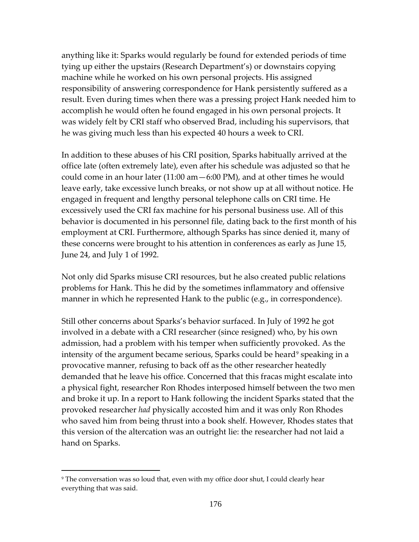anything like it: Sparks would regularly be found for extended periods of time tying up either the upstairs (Research Department's) or downstairs copying machine while he worked on his own personal projects. His assigned responsibility of answering correspondence for Hank persistently suffered as a result. Even during times when there was a pressing project Hank needed him to accomplish he would often he found engaged in his own personal projects. It was widely felt by CRI staff who observed Brad, including his supervisors, that he was giving much less than his expected 40 hours a week to CRI.

In addition to these abuses of his CRI position, Sparks habitually arrived at the office late (often extremely late), even after his schedule was adjusted so that he could come in an hour later (11:00 am—6:00 PM), and at other times he would leave early, take excessive lunch breaks, or not show up at all without notice. He engaged in frequent and lengthy personal telephone calls on CRI time. He excessively used the CRI fax machine for his personal business use. All of this behavior is documented in his personnel file, dating back to the first month of his employment at CRI. Furthermore, although Sparks has since denied it, many of these concerns were brought to his attention in conferences as early as June 15, June 24, and July 1 of 1992.

Not only did Sparks misuse CRI resources, but he also created public relations problems for Hank. This he did by the sometimes inflammatory and offensive manner in which he represented Hank to the public (e.g., in correspondence).

Still other concerns about Sparks's behavior surfaced. In July of 1992 he got involved in a debate with a CRI researcher (since resigned) who, by his own admission, had a problem with his temper when sufficiently provoked. As the intensity of the argument became serious, Sparks could be heard<sup>[9](#page-175-0)</sup> speaking in a provocative manner, refusing to back off as the other researcher heatedly demanded that he leave his office. Concerned that this fracas might escalate into a physical fight, researcher Ron Rhodes interposed himself between the two men and broke it up. In a report to Hank following the incident Sparks stated that the provoked researcher *had* physically accosted him and it was only Ron Rhodes who saved him from being thrust into a book shelf. However, Rhodes states that this version of the altercation was an outright lie: the researcher had not laid a hand on Sparks.

<span id="page-175-0"></span><sup>9</sup> The conversation was so loud that, even with my office door shut, I could clearly hear everything that was said.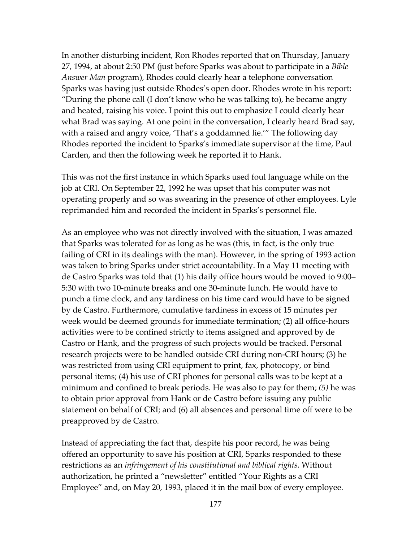In another disturbing incident, Ron Rhodes reported that on Thursday, January 27, 1994, at about 2:50 PM (just before Sparks was about to participate in a *Bible Answer Man* program), Rhodes could clearly hear a telephone conversation Sparks was having just outside Rhodes's open door. Rhodes wrote in his report: "During the phone call (I don't know who he was talking to), he became angry and heated, raising his voice. I point this out to emphasize I could clearly hear what Brad was saying. At one point in the conversation, I clearly heard Brad say, with a raised and angry voice, 'That's a goddamned lie.'" The following day Rhodes reported the incident to Sparks's immediate supervisor at the time, Paul Carden, and then the following week he reported it to Hank.

This was not the first instance in which Sparks used foul language while on the job at CRI. On September 22, 1992 he was upset that his computer was not operating properly and so was swearing in the presence of other employees. Lyle reprimanded him and recorded the incident in Sparks's personnel file.

As an employee who was not directly involved with the situation, I was amazed that Sparks was tolerated for as long as he was (this, in fact, is the only true failing of CRI in its dealings with the man). However, in the spring of 1993 action was taken to bring Sparks under strict accountability. In a May 11 meeting with de Castro Sparks was told that (1) his daily office hours would be moved to 9:00– 5:30 with two 10-minute breaks and one 30-minute lunch. He would have to punch a time clock, and any tardiness on his time card would have to be signed by de Castro. Furthermore, cumulative tardiness in excess of 15 minutes per week would be deemed grounds for immediate termination; (2) all office-hours activities were to be confined strictly to items assigned and approved by de Castro or Hank, and the progress of such projects would be tracked. Personal research projects were to be handled outside CRI during non-CRI hours; (3) he was restricted from using CRI equipment to print, fax, photocopy, or bind personal items; (4) his use of CRI phones for personal calls was to be kept at a minimum and confined to break periods. He was also to pay for them; *(5)* he was to obtain prior approval from Hank or de Castro before issuing any public statement on behalf of CRI; and (6) all absences and personal time off were to be preapproved by de Castro.

Instead of appreciating the fact that, despite his poor record, he was being offered an opportunity to save his position at CRI, Sparks responded to these restrictions as an *infringement of his constitutional and biblical rights.* Without authorization, he printed a "newsletter" entitled "Your Rights as a CRI Employee" and, on May 20, 1993, placed it in the mail box of every employee.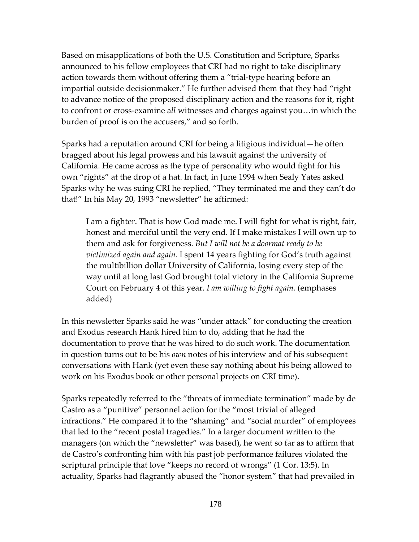Based on misapplications of both the U.S. Constitution and Scripture, Sparks announced to his fellow employees that CRI had no right to take disciplinary action towards them without offering them a "trial-type hearing before an impartial outside decisionmaker." He further advised them that they had "right to advance notice of the proposed disciplinary action and the reasons for it, right to confront or cross-examine a*ll* witnesses and charges against you…in which the burden of proof is on the accusers," and so forth.

Sparks had a reputation around CRI for being a litigious individual—he often bragged about his legal prowess and his lawsuit against the university of California. He came across as the type of personality who would fight for his own "rights" at the drop of a hat. In fact, in June 1994 when Sealy Yates asked Sparks why he was suing CRI he replied, "They terminated me and they can't do that!" In his May 20, 1993 "newsletter" he affirmed:

I am a fighter. That is how God made me. I will fight for what is right, fair, honest and merciful until the very end. If I make mistakes I will own up to them and ask for forgiveness. *But I will not be a doormat ready to he victimized again and again.* I spent 14 years fighting for God's truth against the multibillion dollar University of California, losing every step of the way until at long last God brought total victory in the California Supreme Court on February 4 of this year. *I am willing to fight again.* (emphases added)

In this newsletter Sparks said he was "under attack" for conducting the creation and Exodus research Hank hired him to do, adding that he had the documentation to prove that he was hired to do such work. The documentation in question turns out to be his *own* notes of his interview and of his subsequent conversations with Hank (yet even these say nothing about his being allowed to work on his Exodus book or other personal projects on CRI time).

Sparks repeatedly referred to the "threats of immediate termination" made by de Castro as a "punitive" personnel action for the "most trivial of alleged infractions." He compared it to the "shaming" and "social murder" of employees that led to the "recent postal tragedies." In a larger document written to the managers (on which the "newsletter" was based), he went so far as to affirm that de Castro's confronting him with his past job performance failures violated the scriptural principle that love "keeps no record of wrongs" (1 Cor. 13:5). In actuality, Sparks had flagrantly abused the "honor system" that had prevailed in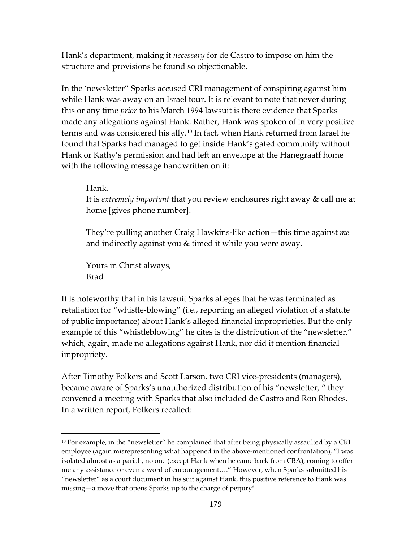Hank's department, making it *necessary* for de Castro to impose on him the structure and provisions he found so objectionable.

In the 'newsletter" Sparks accused CRI management of conspiring against him while Hank was away on an Israel tour. It is relevant to note that never during this or any time *prior* to his March 1994 lawsuit is there evidence that Sparks made any allegations against Hank. Rather, Hank was spoken of in very positive terms and was considered his ally.<sup>[10](#page-178-0)</sup> In fact, when Hank returned from Israel he found that Sparks had managed to get inside Hank's gated community without Hank or Kathy's permission and had left an envelope at the Hanegraaff home with the following message handwritten on it:

## Hank,

 $\overline{a}$ 

It is *extremely important* that you review enclosures right away & call me at home [gives phone number].

They're pulling another Craig Hawkins-like action—this time against *me* and indirectly against you & timed it while you were away.

Yours in Christ always, Brad

It is noteworthy that in his lawsuit Sparks alleges that he was terminated as retaliation for "whistle-blowing" (i.e., reporting an alleged violation of a statute of public importance) about Hank's alleged financial improprieties. But the only example of this "whistleblowing" he cites is the distribution of the "newsletter," which, again, made no allegations against Hank, nor did it mention financial impropriety.

After Timothy Folkers and Scott Larson, two CRI vice-presidents (managers), became aware of Sparks's unauthorized distribution of his "newsletter, " they convened a meeting with Sparks that also included de Castro and Ron Rhodes. In a written report, Folkers recalled:

<span id="page-178-0"></span> $10$  For example, in the "newsletter" he complained that after being physically assaulted by a CRI employee (again misrepresenting what happened in the above-mentioned confrontation), "I was isolated almost as a pariah, no one (except Hank when he came back from CBA), coming to offer me any assistance or even a word of encouragement…." However, when Sparks submitted his "newsletter" as a court document in his suit against Hank, this positive reference to Hank was missing—a move that opens Sparks up to the charge of perjury!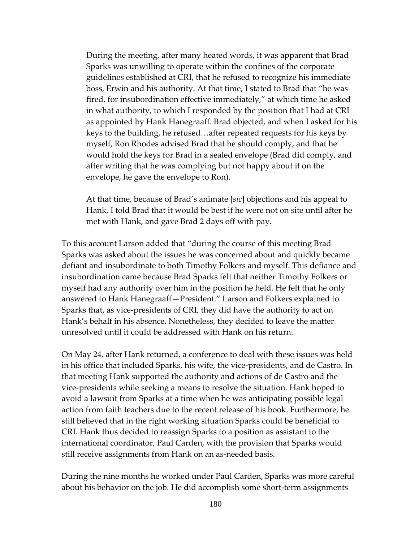During the meeting, after many heated words, it was apparent that Brad Sparks was unwilling to operate within the confines of the corporate guidelines established at CRI, that he refused to recognize his immediate boss, Erwin and his authority. At that time, I stated to Brad that "he was fired, for insubordination effective immediately," at which time he asked in what authority, to which I responded by the position that I had at CRI as appointed by Hank Hanegraaff. Brad objected, and when I asked for his keys to the building, he refused…after repeated requests for his keys by myself, Ron Rhodes advised Brad that he should comply, and that he would hold the keys for Brad in a sealed envelope (Brad did comply, and after writing that he was complying but not happy about it on the envelope, he gave the envelope to Ron).

At that time, because of Brad's animate [*sic*] objections and his appeal to Hank, I told Brad that it would be best if he were not on site until after he met with Hank, and gave Brad 2 days off with pay.

To this account Larson added that "during the course of this meeting Brad Sparks was asked about the issues he was concerned about and quickly became defiant and insubordinate to both Timothy Folkers and myself. This defiance and insubordination came because Brad Sparks felt that neither Timothy Folkers or myself had any authority over him in the position he held. He felt that he only answered to Hank Hanegraaff—President." Larson and Folkers explained to Sparks that, as vice-presidents of CRI, they did have the authority to act on Hank's behalf in his absence. Nonetheless, they decided to leave the matter unresolved until it could be addressed with Hank on his return.

On May 24, after Hank returned, a conference to deal with these issues was held in his office that included Sparks, his wife, the vice-presidents, and de Castro. In that meeting Hank supported the authority and actions of de Castro and the vice-presidents while seeking a means to resolve the situation. Hank hoped to avoid a lawsuit from Sparks at a time when he was anticipating possible legal action from faith teachers due to the recent release of his book. Furthermore, he still believed that in the right working situation Sparks could be beneficial to CRI. Hank thus decided to reassign Sparks to a position as assistant to the international coordinator, Paul Carden, with the provision that Sparks would still receive assignments from Hank on an as-needed basis.

During the nine months he worked under Paul Carden, Sparks was more careful about his behavior on the job. He did accomplish some short-term assignments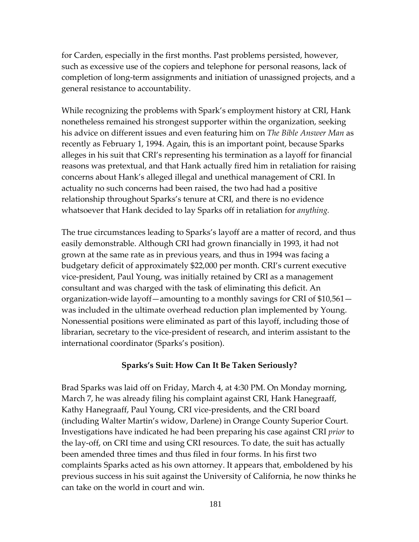for Carden, especially in the first months. Past problems persisted, however, such as excessive use of the copiers and telephone for personal reasons, lack of completion of long-term assignments and initiation of unassigned projects, and a general resistance to accountability.

While recognizing the problems with Spark's employment history at CRI, Hank nonetheless remained his strongest supporter within the organization, seeking his advice on different issues and even featuring him on *The Bible Answer Man* as recently as February 1, 1994. Again, this is an important point, because Sparks alleges in his suit that CRI's representing his termination as a layoff for financial reasons was pretextual, and that Hank actually fired him in retaliation for raising concerns about Hank's alleged illegal and unethical management of CRI. In actuality no such concerns had been raised, the two had had a positive relationship throughout Sparks's tenure at CRI, and there is no evidence whatsoever that Hank decided to lay Sparks off in retaliation for *anything.* 

The true circumstances leading to Sparks's layoff are a matter of record, and thus easily demonstrable. Although CRI had grown financially in 1993, it had not grown at the same rate as in previous years, and thus in 1994 was facing a budgetary deficit of approximately \$22,000 per month. CRI's current executive vice-president, Paul Young, was initially retained by CRI as a management consultant and was charged with the task of eliminating this deficit. An organization-wide layoff—amounting to a monthly savings for CRI of \$10,561 was included in the ultimate overhead reduction plan implemented by Young. Nonessential positions were eliminated as part of this layoff, including those of librarian, secretary to the vice-president of research, and interim assistant to the international coordinator (Sparks's position).

## **Sparks's Suit: How Can It Be Taken Seriously?**

Brad Sparks was laid off on Friday, March 4, at 4:30 PM. On Monday morning, March 7, he was already filing his complaint against CRI, Hank Hanegraaff, Kathy Hanegraaff, Paul Young, CRI vice-presidents, and the CRI board (including Walter Martin's widow, Darlene) in Orange County Superior Court. Investigations have indicated he had been preparing his case against CRI *prior* to the lay-off, on CRI time and using CRI resources. To date, the suit has actually been amended three times and thus filed in four forms. In his first two complaints Sparks acted as his own attorney. It appears that, emboldened by his previous success in his suit against the University of California, he now thinks he can take on the world in court and win.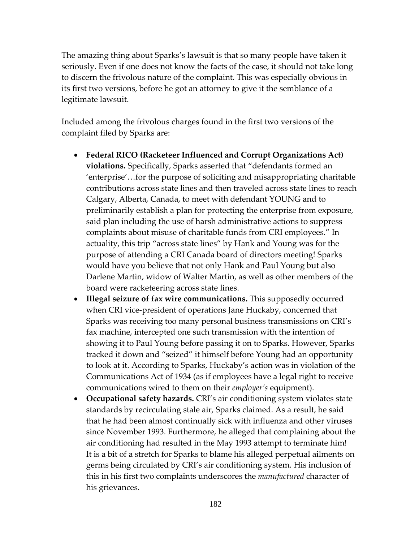The amazing thing about Sparks's lawsuit is that so many people have taken it seriously. Even if one does not know the facts of the case, it should not take long to discern the frivolous nature of the complaint. This was especially obvious in its first two versions, before he got an attorney to give it the semblance of a legitimate lawsuit.

Included among the frivolous charges found in the first two versions of the complaint filed by Sparks are:

- **Federal RICO (Racketeer Influenced and Corrupt Organizations Act) violations.** Specifically, Sparks asserted that "defendants formed an 'enterprise'…for the purpose of soliciting and misappropriating charitable contributions across state lines and then traveled across state lines to reach Calgary, Alberta, Canada, to meet with defendant YOUNG and to preliminarily establish a plan for protecting the enterprise from exposure, said plan including the use of harsh administrative actions to suppress complaints about misuse of charitable funds from CRI employees." In actuality, this trip "across state lines" by Hank and Young was for the purpose of attending a CRI Canada board of directors meeting! Sparks would have you believe that not only Hank and Paul Young but also Darlene Martin, widow of Walter Martin, as well as other members of the board were racketeering across state lines.
- **Illegal seizure of fax wire communications.** This supposedly occurred when CRI vice-president of operations Jane Huckaby, concerned that Sparks was receiving too many personal business transmissions on CRI's fax machine, intercepted one such transmission with the intention of showing it to Paul Young before passing it on to Sparks. However, Sparks tracked it down and "seized" it himself before Young had an opportunity to look at it. According to Sparks, Huckaby's action was in violation of the Communications Act of 1934 (as if employees have a legal right to receive communications wired to them on their *employer's* equipment).
- **Occupational safety hazards.** CRI's air conditioning system violates state standards by recirculating stale air, Sparks claimed. As a result, he said that he had been almost continually sick with influenza and other viruses since November 1993. Furthermore, he alleged that complaining about the air conditioning had resulted in the May 1993 attempt to terminate him! It is a bit of a stretch for Sparks to blame his alleged perpetual ailments on germs being circulated by CRI's air conditioning system. His inclusion of this in his first two complaints underscores the *manufactured* character of his grievances.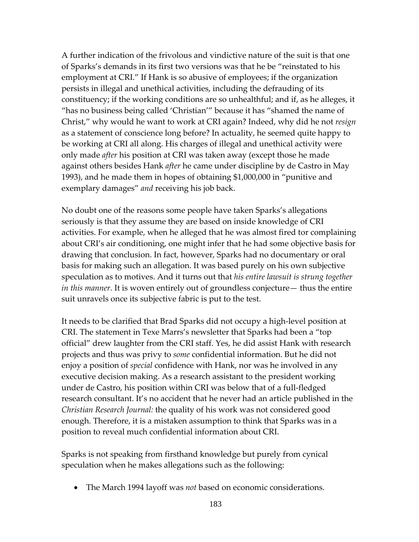A further indication of the frivolous and vindictive nature of the suit is that one of Sparks's demands in its first two versions was that he be "reinstated to his employment at CRI." If Hank is so abusive of employees; if the organization persists in illegal and unethical activities, including the defrauding of its constituency; if the working conditions are so unhealthful; and if, as he alleges, it "has no business being called 'Christian'" because it has "shamed the name of Christ," why would he want to work at CRI again? Indeed, why did he not *resign*  as a statement of conscience long before? In actuality, he seemed quite happy to be working at CRI all along. His charges of illegal and unethical activity were only made *after* his position at CRI was taken away (except those he made against others besides Hank *after* he came under discipline by de Castro in May 1993), and he made them in hopes of obtaining \$1,000,000 in "punitive and exemplary damages" *and* receiving his job back.

No doubt one of the reasons some people have taken Sparks's allegations seriously is that they assume they are based on inside knowledge of CRI activities. For example, when he alleged that he was almost fired tor complaining about CRI's air conditioning, one might infer that he had some objective basis for drawing that conclusion. In fact, however, Sparks had no documentary or oral basis for making such an allegation. It was based purely on his own subjective speculation as to motives. And it turns out that *his entire lawsuit is strung together in this manner.* It is woven entirely out of groundless conjecture— thus the entire suit unravels once its subjective fabric is put to the test.

It needs to be clarified that Brad Sparks did not occupy a high-level position at CRI. The statement in Texe Marrs's newsletter that Sparks had been a "top official" drew laughter from the CRI staff. Yes, he did assist Hank with research projects and thus was privy to *some* confidential information. But he did not enjoy a position of *special* confidence with Hank, nor was he involved in any executive decision making. As a research assistant to the president working under de Castro, his position within CRI was below that of a full-fledged research consultant. It's no accident that he never had an article published in the *Christian Research Journal:* the quality of his work was not considered good enough. Therefore, it is a mistaken assumption to think that Sparks was in a position to reveal much confidential information about CRI.

Sparks is not speaking from firsthand knowledge but purely from cynical speculation when he makes allegations such as the following:

• The March 1994 layoff was *not* based on economic considerations.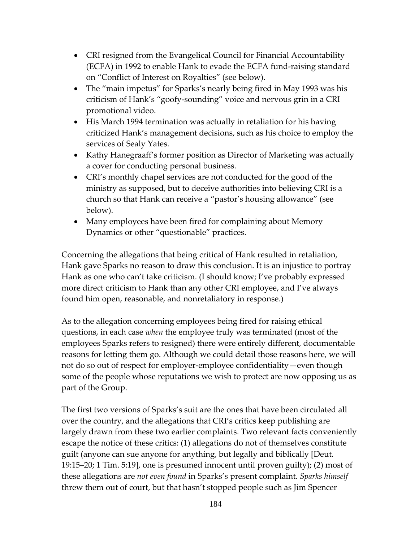- CRI resigned from the Evangelical Council for Financial Accountability (ECFA) in 1992 to enable Hank to evade the ECFA fund-raising standard on "Conflict of Interest on Royalties" (see below).
- The "main impetus" for Sparks's nearly being fired in May 1993 was his criticism of Hank's "goofy-sounding" voice and nervous grin in a CRI promotional video.
- His March 1994 termination was actually in retaliation for his having criticized Hank's management decisions, such as his choice to employ the services of Sealy Yates.
- Kathy Hanegraaff's former position as Director of Marketing was actually a cover for conducting personal business.
- CRI's monthly chapel services are not conducted for the good of the ministry as supposed, but to deceive authorities into believing CRI is a church so that Hank can receive a "pastor's housing allowance" (see below).
- Many employees have been fired for complaining about Memory Dynamics or other "questionable" practices.

Concerning the allegations that being critical of Hank resulted in retaliation, Hank gave Sparks no reason to draw this conclusion. It is an injustice to portray Hank as one who can't take criticism. (I should know; I've probably expressed more direct criticism to Hank than any other CRI employee, and I've always found him open, reasonable, and nonretaliatory in response.)

As to the allegation concerning employees being fired for raising ethical questions, in each case *when* the employee truly was terminated (most of the employees Sparks refers to resigned) there were entirely different, documentable reasons for letting them go. Although we could detail those reasons here, we will not do so out of respect for employer-employee confidentiality—even though some of the people whose reputations we wish to protect are now opposing us as part of the Group.

The first two versions of Sparks's suit are the ones that have been circulated all over the country, and the allegations that CRI's critics keep publishing are largely drawn from these two earlier complaints. Two relevant facts conveniently escape the notice of these critics: (1) allegations do not of themselves constitute guilt (anyone can sue anyone for anything, but legally and biblically [Deut. 19:15–20; 1 Tim. 5:19], one is presumed innocent until proven guilty); (2) most of these allegations are *not even found* in Sparks's present complaint. *Sparks himself*  threw them out of court, but that hasn't stopped people such as Jim Spencer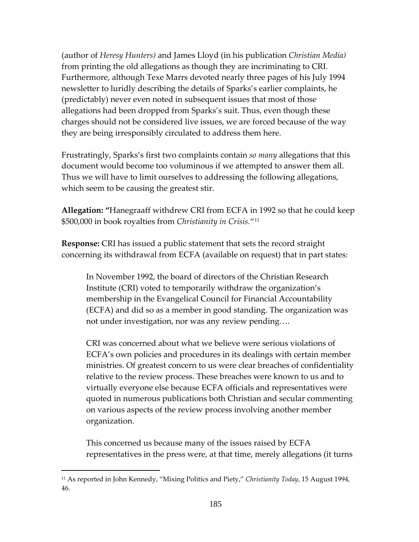(author of *Heresy Hunters)* and James Lloyd (in his publication *Christian Media)*  from printing the old allegations as though they are incriminating to CRI. Furthermore, although Texe Marrs devoted nearly three pages of his July 1994 newsletter to luridly describing the details of Sparks's earlier complaints, he (predictably) never even noted in subsequent issues that most of those allegations had been dropped from Sparks's suit. Thus, even though these charges should not be considered live issues, we are forced because of the way they are being irresponsibly circulated to address them here.

Frustratingly, Sparks's first two complaints contain *so many* allegations that this document would become too voluminous if we attempted to answer them all. Thus we will have to limit ourselves to addressing the following allegations, which seem to be causing the greatest stir.

**Allegation: "**Hanegraaff withdrew CRI from ECFA in 1992 so that he could keep \$500,000 in book royalties from *Christianity in Crisis.*"[11](#page-184-0)

**Response:** CRI has issued a public statement that sets the record straight concerning its withdrawal from ECFA (available on request) that in part states:

In November 1992, the board of directors of the Christian Research Institute (CRI) voted to temporarily withdraw the organization's membership in the Evangelical Council for Financial Accountability (ECFA) and did so as a member in good standing. The organization was not under investigation, nor was any review pending….

CRI was concerned about what we believe were serious violations of ECFA's own policies and procedures in its dealings with certain member ministries. Of greatest concern to us were clear breaches of confidentiality relative to the review process. These breaches were known to us and to virtually everyone else because ECFA officials and representatives were quoted in numerous publications both Christian and secular commenting on various aspects of the review process involving another member organization.

This concerned us because many of the issues raised by ECFA representatives in the press were, at that time, merely allegations (it turns

<span id="page-184-0"></span><sup>11</sup> As reported in John Kennedy, "Mixing Politics and Piety," *Christianity Today*, 15 August 1994, 46.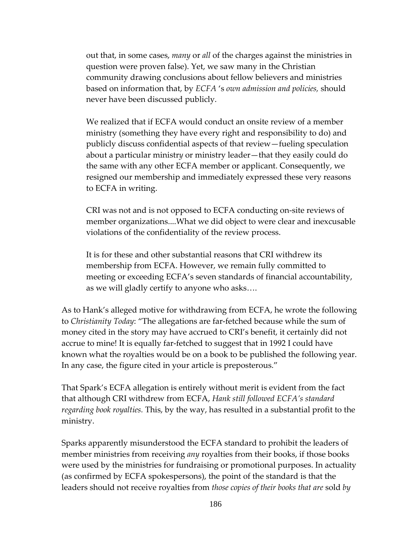out that, in some cases, *many* or *all* of the charges against the ministries in question were proven false). Yet, we saw many in the Christian community drawing conclusions about fellow believers and ministries based on information that, by *ECFA* 's *own admission and policies,* should never have been discussed publicly.

We realized that if ECFA would conduct an onsite review of a member ministry (something they have every right and responsibility to do) and publicly discuss confidential aspects of that review—fueling speculation about a particular ministr*y* or ministry leader—that they easily could do the same with any other ECFA member or applicant. Consequently, we resigned our membership and immediately expressed these very reasons to ECFA in writing.

CRI was not and is not opposed to ECFA conducting on-site reviews of member organizations....What we did object to were clear and inexcusable violations of the confidentiality of the review process.

It is for these and other substantial reasons that CRI withdrew its membership from ECFA. However, we remain fully committed to meeting or exceeding ECFA's seven standards of financial accountability, as we will gladly certify to anyone who asks….

As to Hank's alleged motive for withdrawing from ECFA, he wrote the following to *Christianity Today*: "The allegations are far-fetched because while the sum of money cited in the story may have accrued to CRI's benefit, it certainly did not accrue to mine! It is equally far-fetched to suggest that in 1992 I could have known what the royalties would be on a book to be published the following year. In any case, the figure cited in your article is preposterous."

That Spark's ECFA allegation is entirely without merit is evident from the fact that although CRI withdrew from ECFA, *Hank still followed ECFA's standard regarding book royalties.* This, by the way, has resulted in a substantial profit to the ministry.

Sparks apparently misunderstood the ECFA standard to prohibit the leaders of member ministries from receiving *any* royalties from their books, if those books were used by the ministries for fundraising or promotional purposes. In actuality (as confirmed by ECFA spokespersons), the point of the standard is that the leaders should not receive royalties from *those copies of their books that are* sold *by*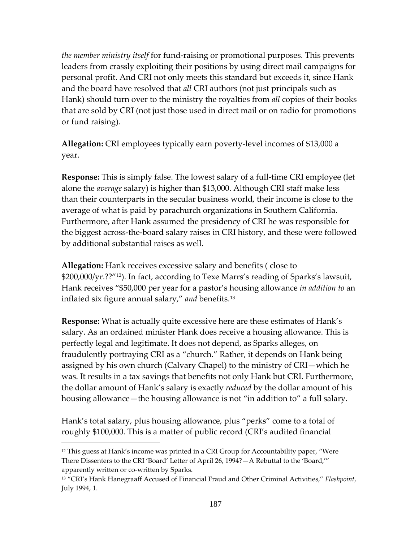*the member ministry itself* for fund-raising or promotional purposes. This prevents leaders from crassly exploiting their positions by using direct mail campaigns for personal profit. And CRI not only meets this standard but exceeds it, since Hank and the board have resolved that *all* CRI authors (not just principals such as Hank) should turn over to the ministry the royalties from *all* copies of their books that are sold by CRI (not just those used in direct mail or on radio for promotions or fund raising).

**Allegation:** CRI employees typically earn poverty-level incomes of \$13,000 a year.

**Response:** This is simply false. The lowest salary of a full-time CRI employee (let alone the *average* salary) is higher than \$13,000. Although CRI staff make less than their counterparts in the secular business world, their income is close to the average of what is paid by parachurch organizations in Southern California. Furthermore, after Hank assumed the presidency of CRI he was responsible for the biggest across-the-board salary raises in CRI history, and these were followed by additional substantial raises as well.

**Allegation:** Hank receives excessive salary and benefits ( close to \$200,000/yr.??"[12](#page-186-0)). In fact, according to Texe Marrs's reading of Sparks's lawsuit, Hank receives "\$50,000 per year for a pastor's housing allowance *in addition to* an inflated six figure annual salary," *and* benefits.[13](#page-186-1)

**Response:** What is actually quite excessive here are these estimates of Hank's salary. As an ordained minister Hank does receive a housing allowance. This is perfectly legal and legitimate. It does not depend, as Sparks alleges, on fraudulently portraying CRI as a "church." Rather, it depends on Hank being assigned by his own church (Calvary Chapel) to the ministry of CRI—which he was. It results in a tax savings that benefits not only Hank but CRI. Furthermore, the dollar amount of Hank's salary is exactly *reduced* by the dollar amount of his housing allowance—the housing allowance is not "in addition to" a full salary.

Hank's total salary, plus housing allowance, plus "perks" come to a total of roughly \$100,000. This is a matter of public record (CRI's audited financial

<span id="page-186-0"></span> $12$  This guess at Hank's income was printed in a CRI Group for Accountability paper, "Were There Dissenters to the CRI 'Board' Letter of April 26, 1994?—A Rebuttal to the 'Board,'" apparently written or co-written by Sparks.

<span id="page-186-1"></span><sup>13</sup> "CRI's Hank Hanegraaff Accused of Financial Fraud and Other Criminal Activities," *Flashpoint*, July 1994, 1.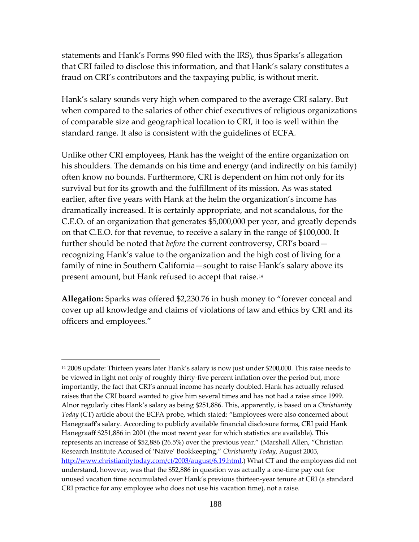statements and Hank's Forms 990 filed with the IRS), thus Sparks's allegation that CRI failed to disclose this information, and that Hank's salary constitutes a fraud on CRI's contributors and the taxpaying public, is without merit.

Hank's salary sounds very high when compared to the average CRI salary. But when compared to the salaries of other chief executives of religious organizations of comparable size and geographical location to CRI, it too is well within the standard range. It also is consistent with the guidelines of ECFA*.* 

Unlike other CRI employees, Hank has the weight of the entire organization on his shoulders. The demands on his time and energy (and indirectly on his family) often know no bounds. Furthermore, CRI is dependent on him not only for its survival but for its growth and the fulfillment of its mission. As was stated earlier, after five years with Hank at the helm the organization's income has dramatically increased. It is certainly appropriate, and not scandalous, for the C.E.O. of an organization that generates \$5,000,000 per year, and greatly depends on that C.E.O. for that revenue, to receive a salary in the range of \$100,000. It further should be noted that *before* the current controversy, CRI's board recognizing Hank's value to the organization and the high cost of living for a family of nine in Southern California—sought to raise Hank's salary above its present amount, but Hank refused to accept that raise.[14](#page-187-0)

**Allegation:** Sparks was offered \$2,230.76 in hush money to "forever conceal and cover up all knowledge and claims of violations of law and ethics by CRI and its officers and employees."

<span id="page-187-0"></span><sup>14</sup> 2008 update: Thirteen years later Hank's salary is now just under \$200,000. This raise needs to be viewed in light not only of roughly thirty-five percent inflation over the period but, more importantly, the fact that CRI's annual income has nearly doubled. Hank has actually refused raises that the CRI board wanted to give him several times and has not had a raise since 1999. Alnor regularly cites Hank's salary as being \$251,886. This, apparently, is based on a *Christianity Today* (CT) article about the ECFA probe, which stated: "Employees were also concerned about Hanegraaff's salary. According to publicly available financial disclosure forms, CRI paid Hank Hanegraaff \$251,886 in 2001 (the most recent year for which statistics are available). This represents an increase of \$52,886 (26.5%) over the previous year." (Marshall Allen, "Christian Research Institute Accused of 'Naïve' Bookkeeping," *Christianity Today*, August 2003, [http://www.christianitytoday.com/ct/2003/august/6.19.html.](http://www.christianitytoday.com/ct/2003/august/6.19.html)) What CT and the employees did not understand, however, was that the \$52,886 in question was actually a one-time pay out for unused vacation time accumulated over Hank's previous thirteen-year tenure at CRI (a standard CRI practice for any employee who does not use his vacation time), not a raise.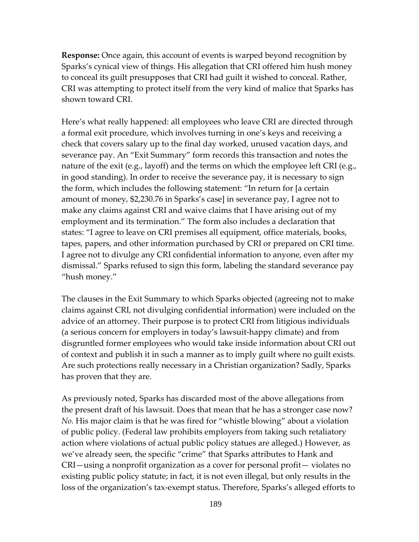**Response:** Once again, this account of events is warped beyond recognition by Sparks's cynical view of things. His allegation that CRI offered him hush money to conceal its guilt presupposes that CRI had guilt it wished to conceal. Rather, CRI was attempting to protect itself from the very kind of malice that Sparks has shown toward CRI.

Here's what really happened: all employees who leave CRI are directed through a formal exit procedure, which involves turning in one's keys and receiving a check that covers salary up to the final day worked, unused vacation days, and severance pay. An "Exit Summary" form records this transaction and notes the nature of the exit (e.g., layoff) and the terms on which the employee left CRI (e.g., in good standing). In order to receive the severance pay, it is necessary to sign the form, which includes the following statement: "In return for [a certain amount of money, \$2,230.76 in Sparks's case] in severance pay, I agree not to make any claims against CRI and waive claims that I have arising out of my employment and its termination." The form also includes a declaration that states: "I agree to leave on CRI premises all equipment, office materials, books, tapes, papers, and other information purchased by CRI or prepared on CRI time. I agree not to divulge any CRI confidential information to anyone, even after my dismissal." Sparks refused to sign this form, labeling the standard severance pay "hush money."

The clauses in the Exit Summary to which Sparks objected (agreeing not to make claims against CRI, not divulging confidential information) were included on the advice of an attorney. Their purpose is to protect CRI from litigious individuals (a serious concern for employers in today's lawsuit-happy climate) and from disgruntled former employees who would take inside information about CRI out of context and publish it in such a manner as to imply guilt where no guilt exists. Are such protections really necessary in a Christian organization? Sadly, Sparks has proven that they are.

As previously noted, Sparks has discarded most of the above allegations from the present draft of his lawsuit. Does that mean that he has a stronger case now? *No.* His major claim is that he was fired for "whistle blowing" about a violation of public policy. (Federal law prohibits employers from taking such retaliatory action where violations of actual public policy statues are alleged.) However, as we've already seen, the specific "crime" that Sparks attributes to Hank and CRI—using a nonprofit organization as a cover for personal profit— violates no existing public policy statute; in fact, it is not even illegal, but only results in the loss of the organization's tax-exempt status. Therefore, Sparks's alleged efforts to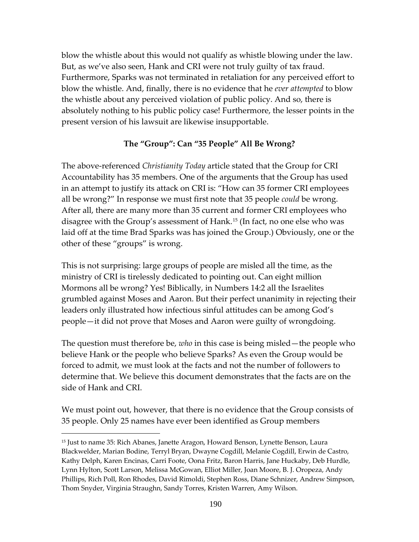blow the whistle about this would not qualify as whistle blowing under the law. But, as we've also seen, Hank and CRI were not truly guilty of tax fraud. Furthermore, Sparks was not terminated in retaliation for any perceived effort to blow the whistle. And, finally, there is no evidence that he *ever attempted* to blow the whistle about any perceived violation of public policy. And so, there is absolutely nothing to his public policy case! Furthermore, the lesser points in the present version of his lawsuit are likewise insupportable.

## **The "Group": Can "35 People" All Be Wrong?**

The above-referenced *Christianity Today* article stated that the Group for CRI Accountability has 35 members. One of the arguments that the Group has used in an attempt to justify its attack on CRI is: "How can 35 former CRI employees all be wrong?" In response we must first note that 35 people *could* be wrong. After all, there are many more than 35 current and former CRI employees who disagree with the Group's assessment of Hank.[15](#page-189-0) (In fact, no one else who was laid off at the time Brad Sparks was has joined the Group.) Obviously, one or the other of these "groups" is wrong.

This is not surprising: large groups of people are misled all the time, as the ministry of CRI is tirelessly dedicated to pointing out. Can eight million Mormons all be wrong? Yes! Biblically, in Numbers 14:2 all the Israelites grumbled against Moses and Aaron. But their perfect unanimity in rejecting their leaders only illustrated how infectious sinful attitudes can be among God's people—it did not prove that Moses and Aaron were guilty of wrongdoing.

The question must therefore be, *who* in this case is being misled—the people who believe Hank or the people who believe Sparks? As even the Group would be forced to admit, we must look at the facts and not the number of followers to determine that. We believe this document demonstrates that the facts are on the side of Hank and CRI.

We must point out, however, that there is no evidence that the Group consists of 35 people. Only 25 names have ever been identified as Group members

<span id="page-189-0"></span><sup>15</sup> Just to name 35: Rich Abanes, Janette Aragon, Howard Benson, Lynette Benson, Laura Blackwelder, Marian Bodine, Terryl Bryan, Dwayne Cogdill, Melanie Cogdill, Erwin de Castro, Kathy Delph, Karen Encinas, Carri Foote, Oona Fritz, Baron Harris, Jane Huckaby, Deb Hurdle, Lynn Hylton, Scott Larson, Melissa McGowan, Elliot Miller, Joan Moore, B. J. Oropeza, Andy Phillips, Rich Poll, Ron Rhodes, David Rimoldi, Stephen Ross, Diane Schnizer, Andrew Simpson, Thom Snyder, Virginia Straughn, Sandy Torres, Kristen Warren, Amy Wilson.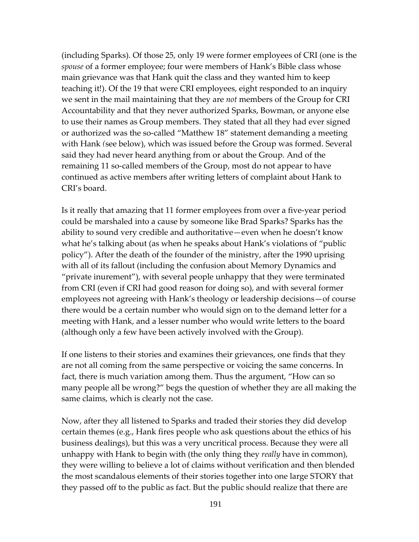(including Sparks). Of those 25, only 19 were former employees of CRI (one is the *spouse* of a former employee; four were members of Hank's Bible class whose main grievance was that Hank quit the class and they wanted him to keep teaching it!). Of the 19 that were CRI employees, eight responded to an inquiry we sent in the mail maintaining that they are *not* members of the Group for CRI Accountability and that they never authorized Sparks, Bowman, or anyone else to use their names as Group members. They stated that all they had ever signed or authorized was the so-called "Matthew 18" statement demanding a meeting with Hank *(*see below), which was issued before the Group was formed. Several said they had never heard anything from or about the Group. And of the remaining 11 so-called members of the Group, most do not appear to have continued as active members after writing letters of complaint about Hank to CRI's board.

Is it really that amazing that 11 former employees from over a five-year period could be marshaled into a cause by someone like Brad Sparks? Sparks has the ability to sound very credible and authoritative—even when he doesn't know what he's talking about (as when he speaks about Hank's violations of "public policy"). After the death of the founder of the ministry, after the 1990 uprising with all of its fallout (including the confusion about Memory Dynamics and "private inurement"), with several people unhappy that they were terminated from CRI (even if CRI had good reason for doing so), and with several former employees not agreeing with Hank's theology or leadership decisions—of course there would be a certain number who would sign on to the demand letter for a meeting with Hank, and a lesser number who would write letters to the board (although only a few have been actively involved with the Group).

If one listens to their stories and examines their grievances, one finds that they are not all coming from the same perspective or voicing the same concerns. In fact, there is much variation among them. Thus the argument, "How can so many people all be wrong?" begs the question of whether they are all making the same claims, which is clearly not the case.

Now, after they all listened to Sparks and traded their stories they did develop certain themes (e.g., Hank fires people who ask questions about the ethics of his business dealings), but this was a very uncritical process. Because they were all unhappy with Hank to begin with (the only thing they *really* have in common), they were willing to believe a lot of claims without verification and then blended the most scandalous elements of their stories together into one large STORY that they passed off to the public as fact. But the public should realize that there are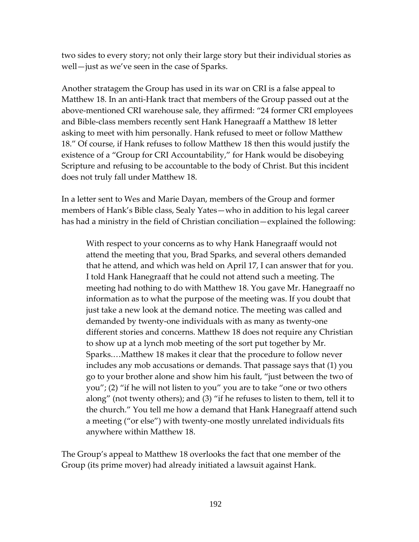two sides to every story; not only their large story but their individual stories as well—just as we've seen in the case of Sparks.

Another stratagem the Group has used in its war on CRI is a false appeal to Matthew 18. In an anti-Hank tract that members of the Group passed out at the above-mentioned CRI warehouse sale, they affirmed: "24 former CRI employees and Bible-class members recently sent Hank Hanegraaff a Matthew 18 letter asking to meet with him personally. Hank refused to meet or follow Matthew 18." Of course, if Hank refuses to follow Matthew 18 then this would justify the existence of a "Group for CRI Accountability," for Hank would be disobeying Scripture and refusing to be accountable to the body of Christ. But this incident does not truly fall under Matthew 18.

In a letter sent to Wes and Marie Dayan, members of the Group and former members of Hank's Bible class, Sealy Yates—who in addition to his legal career has had a ministry in the field of Christian conciliation—explained the following:

With respect to your concerns as to why Hank Hanegraaff would not attend the meeting that you, Brad Sparks, and several others demanded that he attend, and which was held on April 17, I can answer that for you. I told Hank Hanegraaff that he could not attend such a meeting. The meeting had nothing to do with Matthew 18. You gave Mr. Hanegraaff no information as to what the purpose of the meeting was. If you doubt that just take a new look at the demand notice. The meeting was called and demanded by twenty-one individuals with as many as twenty-one different stories and concerns. Matthew 18 does not require any Christian to show up at a lynch mob meeting of the sort put together by Mr. Sparks.…Matthew 18 makes it clear that the procedure to follow never includes any mob accusations or demands. That passage says that (1) you go to your brother alone and show him his fault, "just between the two of you"; (2) "if he will not listen to you" you are to take "one or two others along" (not twenty others); and (3) "if he refuses to listen to them, tell it to the church." You tell me how a demand that Hank Hanegraaff attend such a meeting ("or else") with twenty-one mostly unrelated individuals fits anywhere within Matthew 18.

The Group's appeal to Matthew 18 overlooks the fact that one member of the Group (its prime mover) had already initiated a lawsuit against Hank.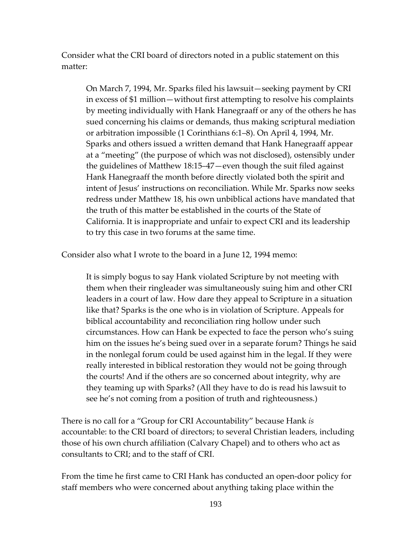Consider what the CRI board of directors noted in a public statement on this matter:

On March 7, 1994, Mr. Sparks filed his lawsuit—seeking payment by CRI in excess of \$1 million—without first attempting to resolve his complaints by meeting individually with Hank Hanegraaff or any of the others he has sued concerning his claims or demands, thus making scriptural mediation or arbitration impossible (1 Corinthians 6:1–8). On April 4, 1994, Mr. Sparks and others issued a written demand that Hank Hanegraaff appear at a "meeting" (the purpose of which was not disclosed), ostensibly under the guidelines of Matthew 18:15–47—even though the suit filed against Hank Hanegraaff the month before directly violated both the spirit and intent of Jesus' instructions on reconciliation. While Mr. Sparks now seeks redress under Matthew 18, his own unbiblical actions have mandated that the truth of this matter be established in the courts of the State of California. It is inappropriate and unfair to expect CRI and its leadership to try this case in two forums at the same time.

Consider also what I wrote to the board in a June 12, 1994 memo:

It is simply bogus to say Hank violated Scripture by not meeting with them when their ringleader was simultaneously suing him and other CRI leaders in a court of law. How dare they appeal to Scripture in a situation like that? Sparks is the one who is in violation of Scripture. Appeals for biblical accountability and reconciliation ring hollow under such circumstances. How can Hank be expected to face the person who's suing him on the issues he's being sued over in a separate forum? Things he said in the nonlegal forum could be used against him in the legal. If they were really interested in biblical restoration they would not be going through the courts! And if the others are so concerned about integrity, why are they teaming up with Sparks? (All they have to do is read his lawsuit to see he's not coming from a position of truth and righteousness.)

There is no call for a "Group for CRI Accountability" because Hank *is*  accountable: to the CRI board of directors; to several Christian leaders, including those of his own church affiliation (Calvary Chapel) and to others who act as consultants to CRI; and to the staff of CRI.

From the time he first came to CRI Hank has conducted an open-door policy for staff members who were concerned about anything taking place within the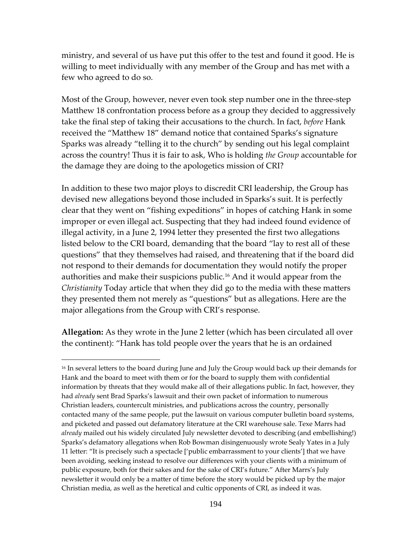ministry, and several of us have put this offer to the test and found it good. He is willing to meet individually with any member of the Group and has met with a few who agreed to do so.

Most of the Group, however, never even took step number one in the three-step Matthew 18 confrontation process before as a group they decided to aggressively take the final step of taking their accusations to the church. In fact, *before* Hank received the "Matthew 18" demand notice that contained Sparks's signature Sparks was already "telling it to the church" by sending out his legal complaint across the country! Thus it is fair to ask, Who is holding *the Group* accountable for the damage they are doing to the apologetics mission of CRI?

In addition to these two major ploys to discredit CRI leadership, the Group has devised new allegations beyond those included in Sparks's suit. It is perfectly clear that they went on "fishing expeditions" in hopes of catching Hank in some improper or even illegal act. Suspecting that they had indeed found evidence of illegal activity, in a June 2, 1994 letter they presented the first two allegations listed below to the CRI board, demanding that the board "lay to rest all of these questions" that they themselves had raised, and threatening that if the board did not respond to their demands for documentation they would notify the proper authorities and make their suspicions public.[16](#page-193-0) And it would appear from the *Christianity* Today article that when they did go to the media with these matters they presented them not merely as "questions" but as allegations. Here are the major allegations from the Group with CRI's response.

**Allegation:** As they wrote in the June 2 letter (which has been circulated all over the continent): "Hank has told people over the years that he is an ordained

<span id="page-193-0"></span><sup>&</sup>lt;sup>16</sup> In several letters to the board during June and July the Group would back up their demands for Hank and the board to meet with them or for the board to supply them with confidential information by threats that they would make all of their allegations public. In fact, however, they had *already* sent Brad Sparks's lawsuit and their own packet of information to numerous Christian leaders, countercult ministries, and publications across the country, personally contacted many of the same people, put the lawsuit on various computer bulletin board systems, and picketed and passed out defamatory literature at the CRI warehouse sale. Texe Marrs had *already* mailed out his widely circulated July newsletter devoted to describing (and embellishing!) Sparks's defamatory allegations when Rob Bowman disingenuously wrote Sealy Yates in a July 11 letter: "It is precisely such a spectacle ['public embarrassment to your clients'] that we have been avoiding, seeking instead to resolve our differences with your clients with a minimum of public exposure, both for their sakes and for the sake of CRI's future." After Marrs's July newsletter it would only be a matter of time before the story would be picked up by the major Christian media, as well as the heretical and cultic opponents of CRI, as indeed it was.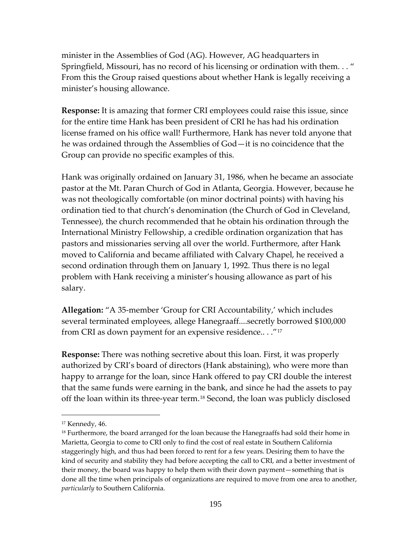minister in the Assemblies of God (AG). However, AG headquarters in Springfield, Missouri, has no record of his licensing or ordination with them. . . " From this the Group raised questions about whether Hank is legally receiving a minister's housing allowance.

**Response:** It is amazing that former CRI employees could raise this issue, since for the entire time Hank has been president of CRI he has had his ordination license framed on his office wall! Furthermore, Hank has never told anyone that he was ordained through the Assemblies of God—it is no coincidence that the Group can provide no specific examples of this.

Hank was originally ordained on January 31, 1986, when he became an associate pastor at the Mt. Paran Church of God in Atlanta, Georgia. However, because he was not theologically comfortable (on minor doctrinal points) with having his ordination tied to that church's denomination (the Church of God in Cleveland, Tennessee), the church recommended that he obtain his ordination through the International Ministry Fellowship, a credible ordination organization that has pastors and missionaries serving all over the world. Furthermore, after Hank moved to California and became affiliated with Calvary Chapel, he received a second ordination through them on January 1, 1992. Thus there is no legal problem with Hank receiving a minister's housing allowance as part of his salary.

**Allegation:** "A 35-member 'Group for CRI Accountability,' which includes several terminated employees, allege Hanegraaff....secretly borrowed \$100,000 from CRI as down payment for an expensive residence.. . ."[17](#page-194-0)

**Response:** There was nothing secretive about this loan. First, it was properly authorized by CRI's board of directors (Hank abstaining), who were more than happy to arrange for the loan, since Hank offered to pay CRI double the interest that the same funds were earning in the bank, and since he had the assets to pay off the loan within its three-year term.[18](#page-194-1) Second, the loan was publicly disclosed

<span id="page-194-0"></span><sup>17</sup> Kennedy, 46.

<span id="page-194-1"></span> $18$  Furthermore, the board arranged for the loan because the Hanegraaffs had sold their home in Marietta, Georgia to come to CRI only to find the cost of real estate in Southern California staggeringly high, and thus had been forced to rent for a few years. Desiring them to have the kind of security and stability they had before accepting the call to CRI, and a better investment of their money, the board was happy to help them with their down payment—something that is done all the time when principals of organizations are required to move from one area to another, *particularly* to Southern California.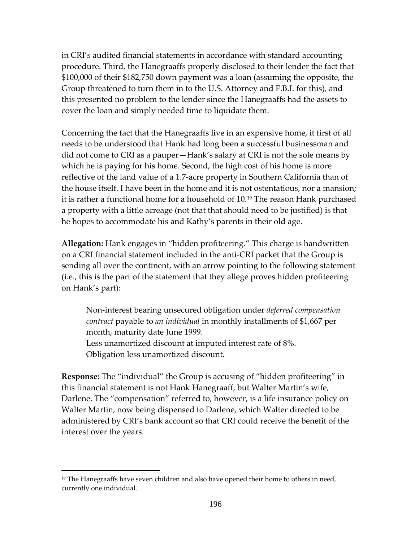in CRI's audited financial statements in accordance with standard accounting procedure. Third, the Hanegraaffs properly disclosed to their lender the fact that \$100,000 of their \$182,750 down payment was a loan (assuming the opposite, the Group threatened to turn them in to the U.S. Attorney and F.B.I. for this), and this presented no problem to the lender since the Hanegraaffs had the assets to cover the loan and simply needed time to liquidate them.

Concerning the fact that the Hanegraaffs live in an expensive home, it first of all needs to be understood that Hank had long been a successful businessman and did not come to CRI as a pauper—Hank's salary at CRI is not the sole means by which he is paying for his home. Second, the high cost of his home is more reflective of the land value of a 1.7-acre property in Southern California than of the house itself. I have been in the home and it is not ostentatious, nor a mansion; it is rather a functional home for a household of 10.[19](#page-195-0) The reason Hank purchased a property with a little acreage (not that that should need to be justified) is that he hopes to accommodate his and Kathy's parents in their old age.

**Allegation:** Hank engages in "hidden profiteering." This charge is handwritten on a CRI financial statement included in the anti-CRI packet that the Group is sending all over the continent, with an arrow pointing to the following statement (i.e., this is the part of the statement that they allege proves hidden profiteering on Hank's part):

Non-interest bearing unsecured obligation under *deferred compensation contract* payable to *an individual* in monthly installments of \$1,667 per month, maturity date June 1999. Less unamortized discount at imputed interest rate of 8%.

Obligation less unamortized discount.

 $\overline{a}$ 

**Response:** The "individual" the Group is accusing of "hidden profiteering" in this financial statement is not Hank Hanegraaff, but Walter Martin's wife, Darlene. The "compensation" referred to, however, is a life insurance policy on Walter Martin, now being dispensed to Darlene, which Walter directed to be administered by CRI's bank account so that CRI could receive the benefit of the interest over the years.

<span id="page-195-0"></span> $19$  The Hanegraaffs have seven children and also have opened their home to others in need, currently one individual.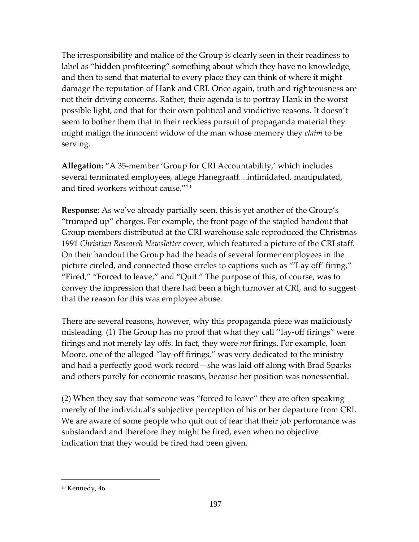The irresponsibility and malice of the Group is clearly seen in their readiness to label as "hidden profiteering" something about which they have no knowledge, and then to send that material to every place they can think of where it might damage the reputation of Hank and CRI. Once again, truth and righteousness are not their driving concerns. Rather, their agenda is to portray Hank in the worst possible light, and that for their own political and vindictive reasons. It doesn't seem to bother them that in their reckless pursuit of propaganda material they might malign the innocent widow of the man whose memory they *claim* to be serving.

**Allegation:** "A 35-member 'Group for CRI Accountability,' which includes several terminated employees, allege Hanegraaff....intimidated, manipulated, and fired workers without cause."[20](#page-196-0)

**Response:** As we've already partially seen, this is yet another of the Group's "trumped up" charges. For example, the front page of the stapled handout that Group members distributed at the CRI warehouse sale reproduced the Christmas 1991 *Christian Research Newsletter* cover, which featured a picture of the CRI staff. On their handout the Group had the heads of several former employees in the picture circled, and connected those circles to captions such as "'Lay off' firing," "Fired," "Forced to leave," and "Quit." The purpose of this, of course, was to convey the impression that there had been a high turnover at CRI, and to suggest that the reason for this was employee abuse.

There are several reasons, however, why this propaganda piece was maliciously misleading. (1) The Group has no proof that what they call ''lay-off firings" were firings and not merely lay offs. In fact, they were *not* firings. For example, Joan Moore, one of the alleged "lay-off firings," was very dedicated to the ministry and had a perfectly good work record—she was laid off along with Brad Sparks and others purely for economic reasons, because her position was nonessential.

(2) When they say that someone was "forced to leave" they are often speaking merely of the individual's subjective perception of his or her departure from CRI. We are aware of some people who quit out of fear that their job performance was substandard and therefore they might be fired, even when no objective indication that they would be fired had been given.

<span id="page-196-0"></span><sup>20</sup> Kennedy, 46.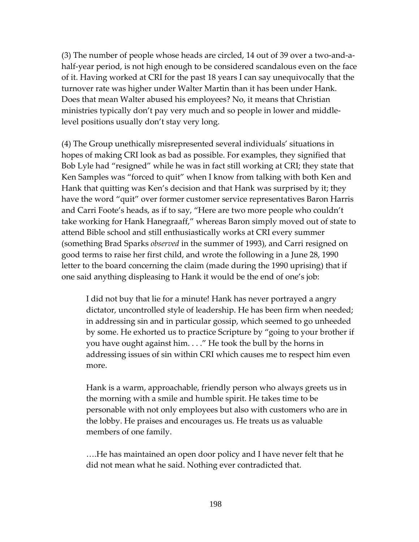(3) The number of people whose heads are circled, 14 out of 39 over a two-and-ahalf-year period, is not high enough to be considered scandalous even on the face of it. Having worked at CRI for the past 18 years I can say unequivocally that the turnover rate was higher under Walter Martin than it has been under Hank. Does that mean Walter abused his employees? No, it means that Christian ministries typically don't pay very much and so people in lower and middlelevel positions usually don't stay very long.

(4) The Group unethically misrepresented several individuals' situations in hopes of making CRI look as bad as possible. For examples, they signified that Bob Lyle had "resigned" while he was in fact still working at CRI; they state that Ken Samples was "forced to quit" when I know from talking with both Ken and Hank that quitting was Ken's decision and that Hank was surprised by it; they have the word "quit" over former customer service representatives Baron Harris and Carri Foote's heads, as if to say, "Here are two more people who couldn't take working for Hank Hanegraaff," whereas Baron simply moved out of state to attend Bible school and still enthusiastically works at CRI every summer (something Brad Sparks *observed* in the summer of 1993), and Carri resigned on good terms to raise her first child, and wrote the following in a June 28, 1990 letter to the board concerning the claim (made during the 1990 uprising) that if one said anything displeasing to Hank it would be the end of one's job:

I did not buy that lie for a minute! Hank has never portrayed a angry dictator, uncontrolled style of leadership. He has been firm when needed; in addressing sin and in particular gossip, which seemed to go unheeded by some. He exhorted us to practice Scripture by "going to your brother if you have ought against him. . . ." He took the bull by the horns in addressing issues of sin within CRI which causes me to respect him even more.

Hank is a warm, approachable, friendly person who always greets us in the morning with a smile and humble spirit. He takes time to be personable with not only employees but also with customers who are in the lobby. He praises and encourages us. He treats us as valuable members of one family.

….He has maintained an open door policy and I have never felt that he did not mean what he said. Nothing ever contradicted that.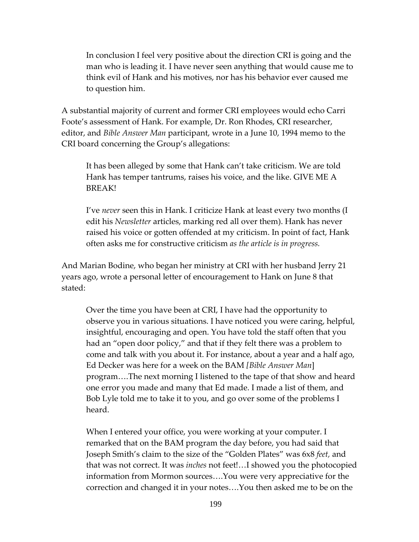In conclusion I feel very positive about the direction CRI is going and the man who is leading it. I have never seen anything that would cause me to think evil of Hank and his motives, nor has his behavior ever caused me to question him.

A substantial majority of current and former CRI employees would echo Carri Foote's assessment of Hank. For example, Dr. Ron Rhodes, CRI researcher, editor, and *Bible Answer Man* participant, wrote in a June 10, 1994 memo to the CRI board concerning the Group's allegations:

It has been alleged by some that Hank can't take criticism. We are told Hank has temper tantrums, raises his voice, and the like. GIVE ME A BREAK!

I've *never* seen this in Hank. I criticize Hank at least every two months (I edit his *Newsletter* articles, marking red all over them). Hank has never raised his voice or gotten offended at my criticism. In point of fact, Hank often asks me for constructive criticism *as the article is in progress.* 

And Marian Bodine, who began her ministry at CRI with her husband Jerry 21 years ago, wrote a personal letter of encouragement to Hank on June 8 that stated:

Over the time you have been at CRI, I have had the opportunity to observe you in various situations. I have noticed you were caring, helpful, insightful, encouraging and open. You have told the staff often that you had an "open door policy," and that if they felt there was a problem to come and talk with you about it. For instance, about a year and a half ago, Ed Decker was here for a week on the BAM *[Bible Answer Man*] program….The next morning I listened to the tape of that show and heard one error you made and many that Ed made. I made a list of them, and Bob Lyle told me to take it to you, and go over some of the problems I heard.

When I entered your office, you were working at your computer. I remarked that on the BAM program the day before, you had said that Joseph Smith's claim to the size of the "Golden Plates" was 6x8 *feet,* and that was not correct. It was *inches* not feet!…I showed you the photocopied information from Mormon sources….You were very appreciative for the correction and changed it in your notes….You then asked me to be on the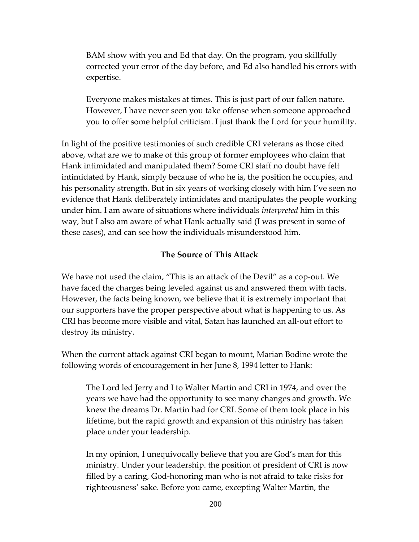BAM show with you and Ed that day. On the program, you skillfully corrected your error of the day before, and Ed also handled his errors with expertise.

Everyone makes mistakes at times. This is just part of our fallen nature. However, I have never seen you take offense when someone approached you to offer some helpful criticism. I just thank the Lord for your humility.

In light of the positive testimonies of such credible CRI veterans as those cited above, what are we to make of this group of former employees who claim that Hank intimidated and manipulated them? Some CRI staff no doubt have felt intimidated by Hank, simply because of who he is, the position he occupies, and his personality strength. But in six years of working closely with him I've seen no evidence that Hank deliberately intimidates and manipulates the people working under him. I am aware of situations where individuals *interpreted* him in this way, but I also am aware of what Hank actually said (I was present in some of these cases), and can see how the individuals misunderstood him.

## **The Source of This Attack**

We have not used the claim, "This is an attack of the Devil" as a cop-out. We have faced the charges being leveled against us and answered them with facts. However, the facts being known, we believe that it is extremely important that our supporters have the proper perspective about what is happening to us. As CRI has become more visible and vital, Satan has launched an all-out effort to destroy its ministry.

When the current attack against CRI began to mount, Marian Bodine wrote the following words of encouragement in her June 8, 1994 letter to Hank:

The Lord led Jerry and I to Walter Martin and CRI in 1974, and over the years we have had the opportunity to see many changes and growth. We knew the dreams Dr. Martin had for CRI. Some of them took place in his lifetime, but the rapid growth and expansion of this ministry has taken place under your leadership.

In my opinion, I unequivocally believe that you are God's man for this ministry. Under your leadership. the position of president of CRI is now filled by a caring, God-honoring man who is not afraid to take risks for righteousness' sake. Before you came, excepting Walter Martin, the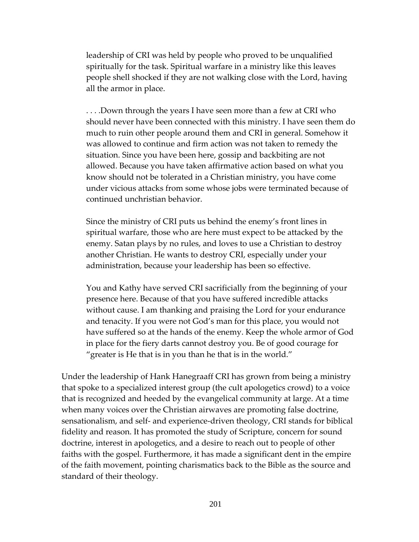leadership of CRI was held by people who proved to be unqualified spiritually for the task. Spiritual warfare in a ministry like this leaves people shell shocked if they are not walking close with the Lord, having all the armor in place.

. . . .Down through the years I have seen more than a few at CRI who should never have been connected with this ministry. I have seen them do much to ruin other people around them and CRI in general. Somehow it was allowed to continue and firm action was not taken to remedy the situation. Since you have been here, gossip and backbiting are not allowed. Because you have taken affirmative action based on what you know should not be tolerated in a Christian ministry, you have come under vicious attacks from some whose jobs were terminated because of continued unchristian behavior.

Since the ministry of CRI puts us behind the enemy's front lines in spiritual warfare, those who are here must expect to be attacked by the enemy. Satan plays by no rules, and loves to use a Christian to destroy another Christian. He wants to destroy CRI, especially under your administration, because your leadership has been so effective.

You and Kathy have served CRI sacrificially from the beginning of your presence here. Because of that you have suffered incredible attacks without cause. I am thanking and praising the Lord for your endurance and tenacity. If you were not God's man for this place, you would not have suffered so at the hands of the enemy. Keep the whole armor of God in place for the fiery darts cannot destroy you. Be of good courage for "greater is He that is in you than he that is in the world."

Under the leadership of Hank Hanegraaff CRI has grown from being a ministry that spoke to a specialized interest group (the cult apologetics crowd) to a voice that is recognized and heeded by the evangelical community at large. At a time when many voices over the Christian airwaves are promoting false doctrine, sensationalism, and self- and experience-driven theology, CRI stands for biblical fidelity and reason. It has promoted the study of Scripture, concern for sound doctrine, interest in apologetics, and a desire to reach out to people of other faiths with the gospel. Furthermore, it has made a significant dent in the empire of the faith movement, pointing charismatics back to the Bible as the source and standard of their theology.